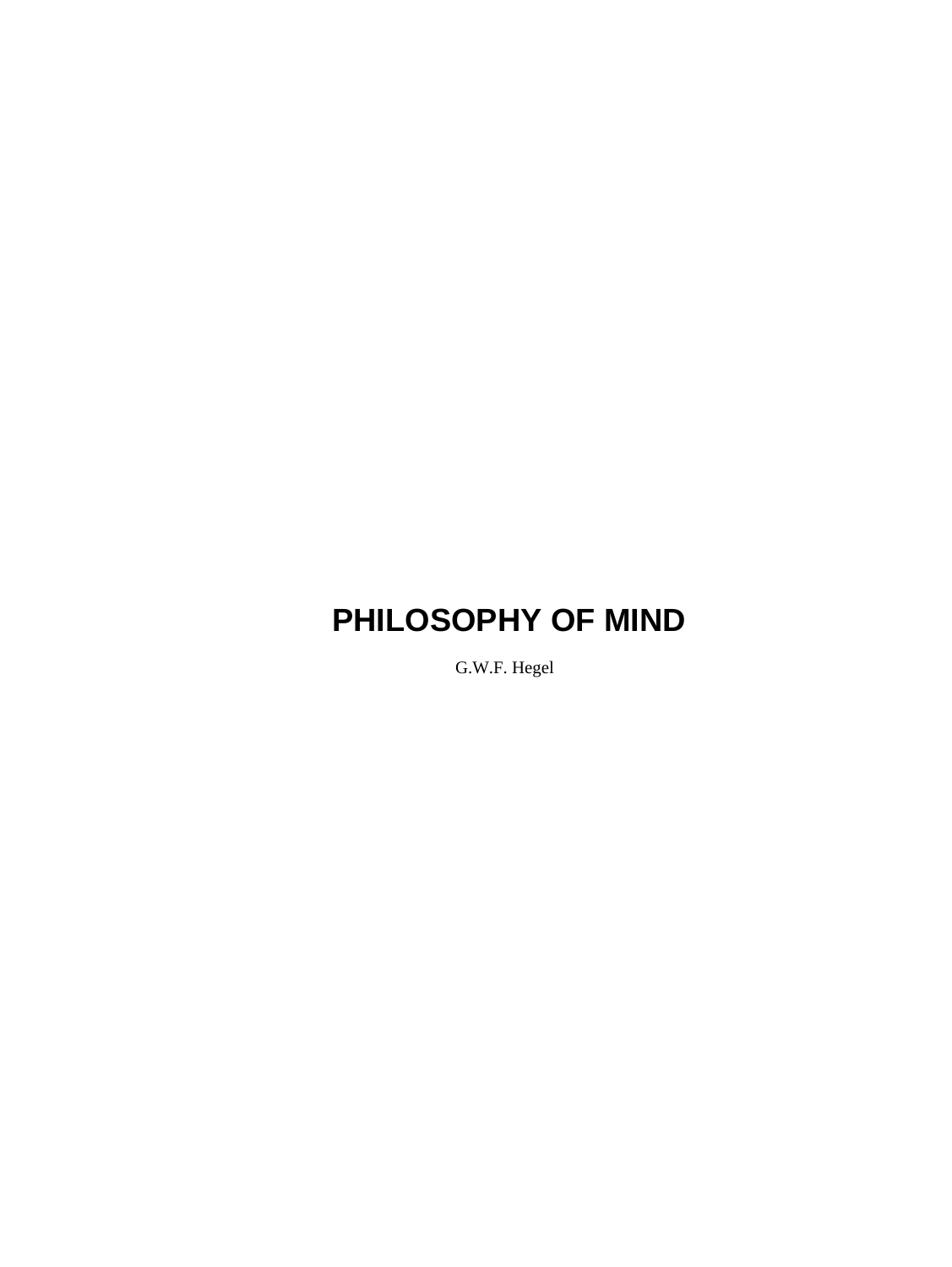G.W.F. Hegel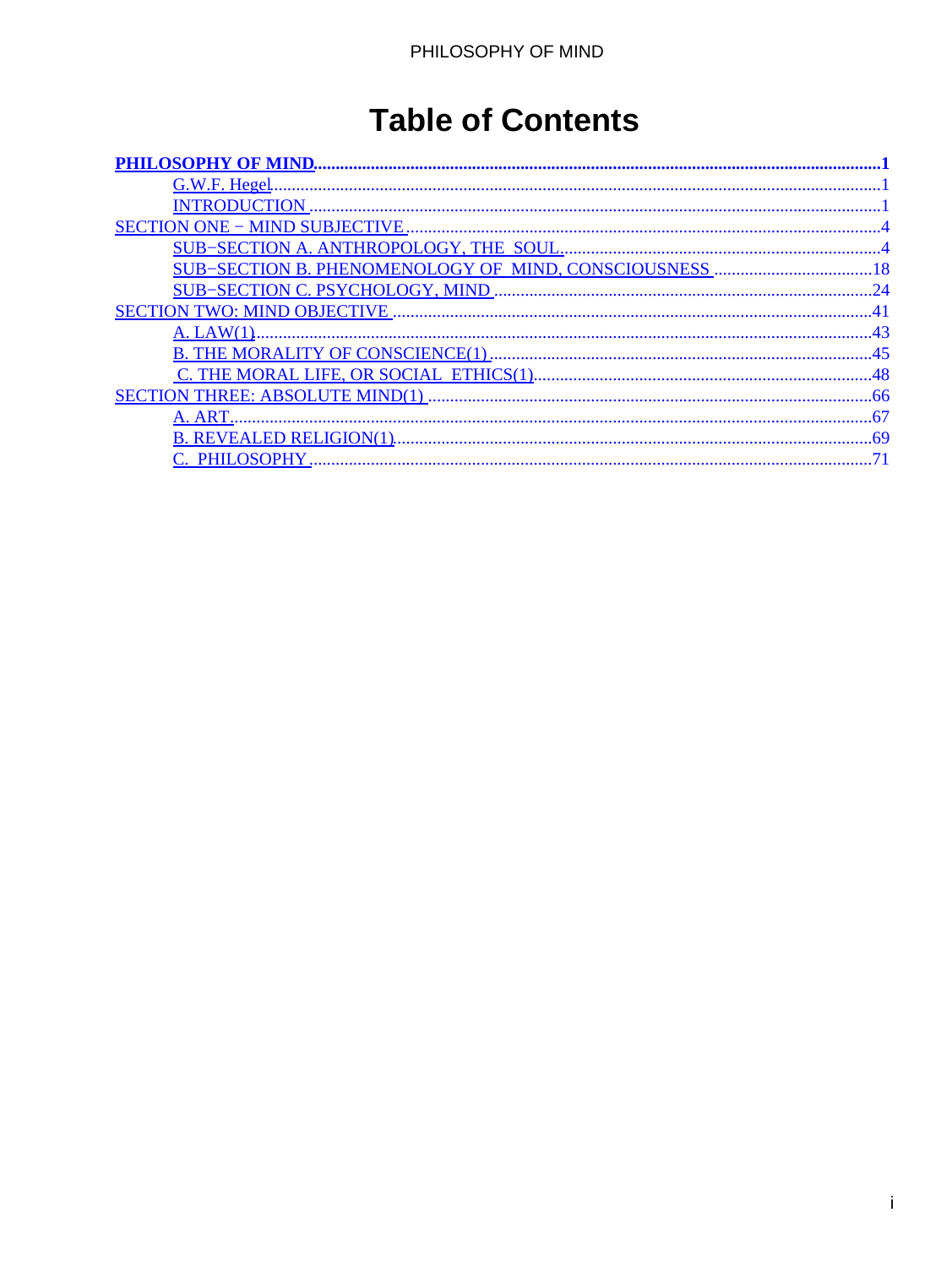## **Table of Contents**

| $\Delta$ 3 |
|------------|
|            |
|            |
|            |
|            |
|            |
|            |
|            |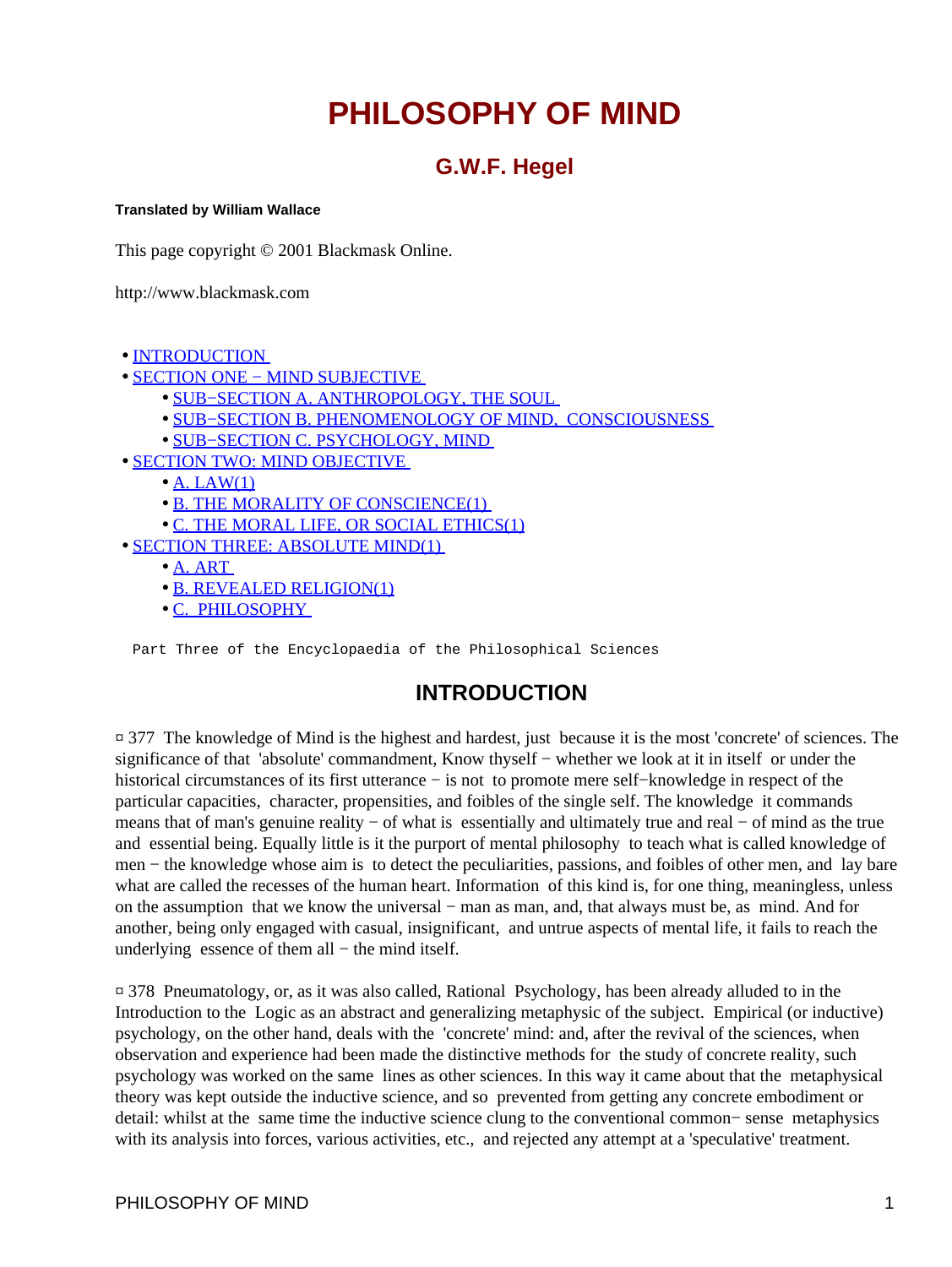### **G.W.F. Hegel**

#### <span id="page-2-0"></span>**Translated by William Wallace**

This page copyright © 2001 Blackmask Online.

http://www.blackmask.com

- INTRODUCTION
- [SECTION ONE − MIND SUBJECTIVE](#page-5-0) 
	- [SUB−SECTION A. ANTHROPOLOGY, THE SOUL](#page-5-0)
	- [SUB−SECTION B. PHENOMENOLOGY OF MIND, CONSCIOUSNESS](#page-19-0)
	- [SUB−SECTION C. PSYCHOLOGY, MIND](#page-25-0)
- [SECTION TWO: MIND OBJECTIVE](#page-42-0) 
	- $\bullet$  [A. LAW\(1\)](#page-44-0)
	- B. THE MORALITY OF CONSCIENCE(1)
	- [C. THE MORAL LIFE, OR SOCIAL ETHICS\(1\)](#page-49-0)
- [SECTION THREE: ABSOLUTE MIND\(1\)](#page-67-0) 
	- [A. ART](#page-68-0)
	- [B. REVEALED RELIGION\(1\)](#page-70-0)
	- [C. PHILOSOPHY](#page-72-0)

Part Three of the Encyclopaedia of the Philosophical Sciences

### **INTRODUCTION**

¤ 377 The knowledge of Mind is the highest and hardest, just because it is the most 'concrete' of sciences. The significance of that 'absolute' commandment, Know thyself – whether we look at it in itself or under the historical circumstances of its first utterance − is not to promote mere self−knowledge in respect of the particular capacities, character, propensities, and foibles of the single self. The knowledge it commands means that of man's genuine reality – of what is essentially and ultimately true and real – of mind as the true and essential being. Equally little is it the purport of mental philosophy to teach what is called knowledge of men − the knowledge whose aim is to detect the peculiarities, passions, and foibles of other men, and lay bare what are called the recesses of the human heart. Information of this kind is, for one thing, meaningless, unless on the assumption that we know the universal – man as man, and, that always must be, as mind. And for another, being only engaged with casual, insignificant, and untrue aspects of mental life, it fails to reach the underlying essence of them all – the mind itself.

¤ 378 Pneumatology, or, as it was also called, Rational Psychology, has been already alluded to in the Introduction to the Logic as an abstract and generalizing metaphysic of the subject. Empirical (or inductive) psychology, on the other hand, deals with the 'concrete' mind: and, after the revival of the sciences, when observation and experience had been made the distinctive methods for the study of concrete reality, such psychology was worked on the same lines as other sciences. In this way it came about that the metaphysical theory was kept outside the inductive science, and so prevented from getting any concrete embodiment or detail: whilst at the same time the inductive science clung to the conventional common− sense metaphysics with its analysis into forces, various activities, etc., and rejected any attempt at a 'speculative' treatment.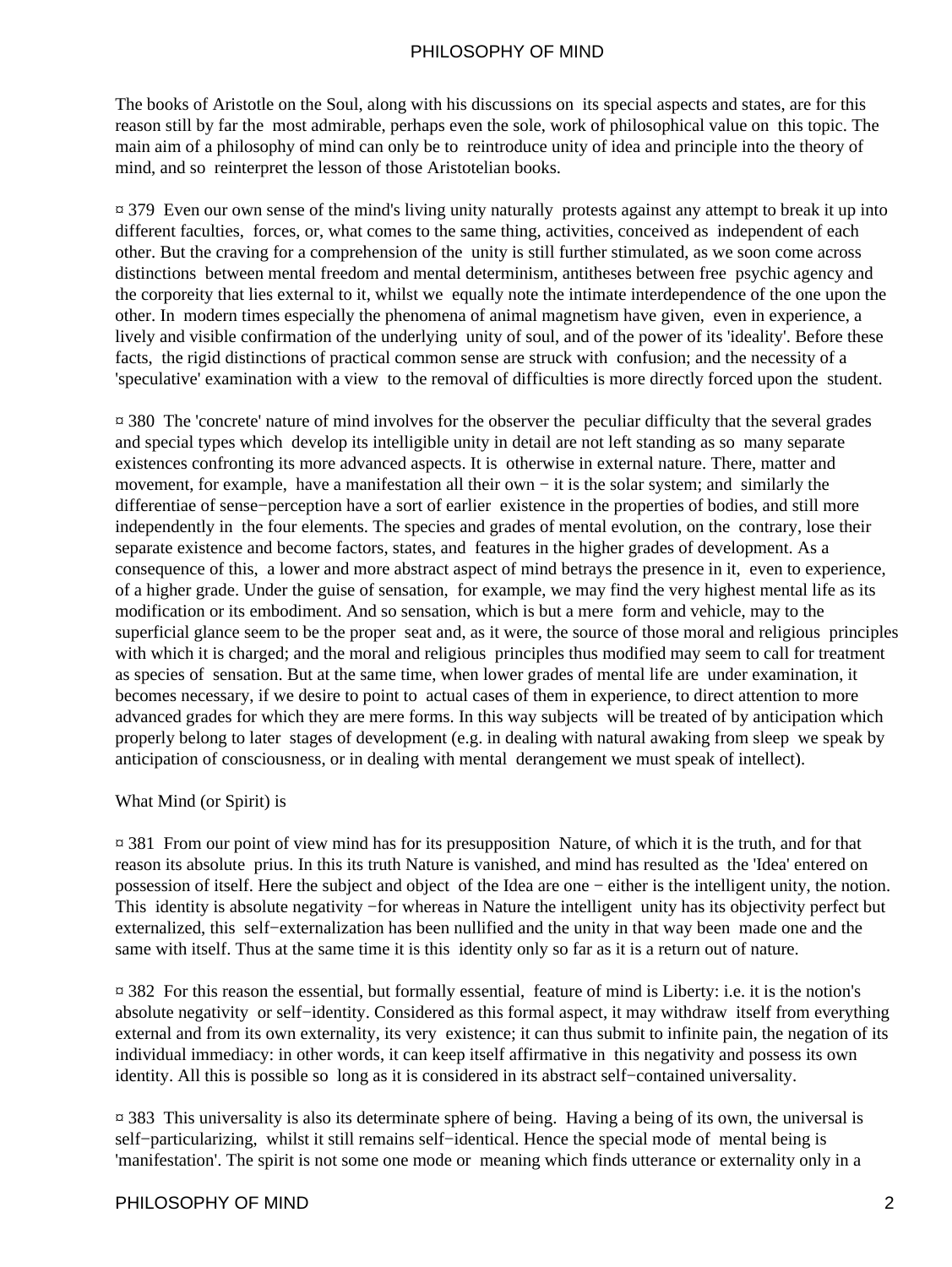The books of Aristotle on the Soul, along with his discussions on its special aspects and states, are for this reason still by far the most admirable, perhaps even the sole, work of philosophical value on this topic. The main aim of a philosophy of mind can only be to reintroduce unity of idea and principle into the theory of mind, and so reinterpret the lesson of those Aristotelian books.

¤ 379 Even our own sense of the mind's living unity naturally protests against any attempt to break it up into different faculties, forces, or, what comes to the same thing, activities, conceived as independent of each other. But the craving for a comprehension of the unity is still further stimulated, as we soon come across distinctions between mental freedom and mental determinism, antitheses between free psychic agency and the corporeity that lies external to it, whilst we equally note the intimate interdependence of the one upon the other. In modern times especially the phenomena of animal magnetism have given, even in experience, a lively and visible confirmation of the underlying unity of soul, and of the power of its 'ideality'. Before these facts, the rigid distinctions of practical common sense are struck with confusion; and the necessity of a 'speculative' examination with a view to the removal of difficulties is more directly forced upon the student.

¤ 380 The 'concrete' nature of mind involves for the observer the peculiar difficulty that the several grades and special types which develop its intelligible unity in detail are not left standing as so many separate existences confronting its more advanced aspects. It is otherwise in external nature. There, matter and movement, for example, have a manifestation all their own − it is the solar system; and similarly the differentiae of sense−perception have a sort of earlier existence in the properties of bodies, and still more independently in the four elements. The species and grades of mental evolution, on the contrary, lose their separate existence and become factors, states, and features in the higher grades of development. As a consequence of this, a lower and more abstract aspect of mind betrays the presence in it, even to experience, of a higher grade. Under the guise of sensation, for example, we may find the very highest mental life as its modification or its embodiment. And so sensation, which is but a mere form and vehicle, may to the superficial glance seem to be the proper seat and, as it were, the source of those moral and religious principles with which it is charged; and the moral and religious principles thus modified may seem to call for treatment as species of sensation. But at the same time, when lower grades of mental life are under examination, it becomes necessary, if we desire to point to actual cases of them in experience, to direct attention to more advanced grades for which they are mere forms. In this way subjects will be treated of by anticipation which properly belong to later stages of development (e.g. in dealing with natural awaking from sleep we speak by anticipation of consciousness, or in dealing with mental derangement we must speak of intellect).

#### What Mind (or Spirit) is

¤ 381 From our point of view mind has for its presupposition Nature, of which it is the truth, and for that reason its absolute prius. In this its truth Nature is vanished, and mind has resulted as the 'Idea' entered on possession of itself. Here the subject and object of the Idea are one − either is the intelligent unity, the notion. This identity is absolute negativity −for whereas in Nature the intelligent unity has its objectivity perfect but externalized, this self−externalization has been nullified and the unity in that way been made one and the same with itself. Thus at the same time it is this identity only so far as it is a return out of nature.

¤ 382 For this reason the essential, but formally essential, feature of mind is Liberty: i.e. it is the notion's absolute negativity or self−identity. Considered as this formal aspect, it may withdraw itself from everything external and from its own externality, its very existence; it can thus submit to infinite pain, the negation of its individual immediacy: in other words, it can keep itself affirmative in this negativity and possess its own identity. All this is possible so long as it is considered in its abstract self−contained universality.

¤ 383 This universality is also its determinate sphere of being. Having a being of its own, the universal is self−particularizing, whilst it still remains self−identical. Hence the special mode of mental being is 'manifestation'. The spirit is not some one mode or meaning which finds utterance or externality only in a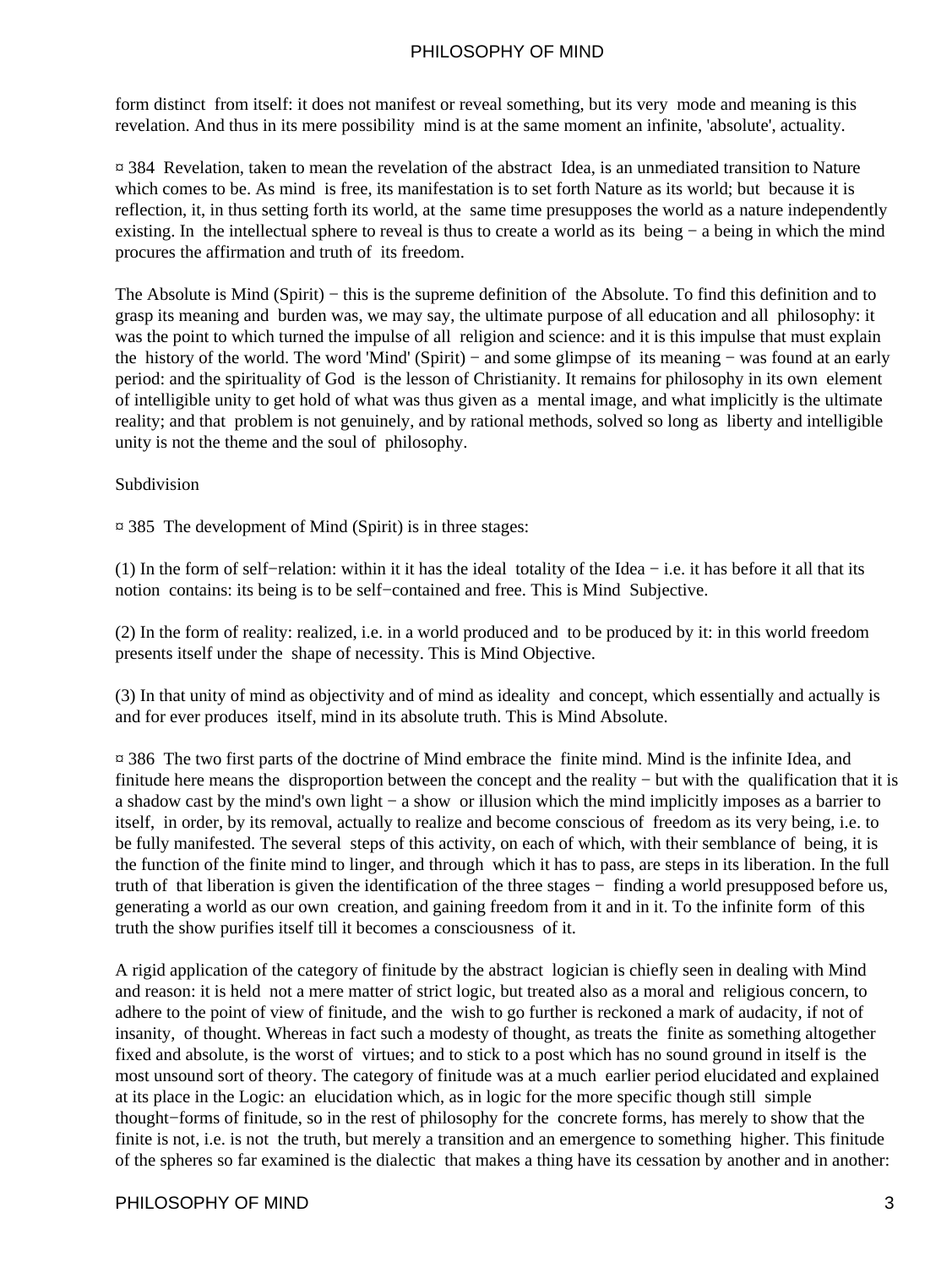form distinct from itself: it does not manifest or reveal something, but its very mode and meaning is this revelation. And thus in its mere possibility mind is at the same moment an infinite, 'absolute', actuality.

¤ 384 Revelation, taken to mean the revelation of the abstract Idea, is an unmediated transition to Nature which comes to be. As mind is free, its manifestation is to set forth Nature as its world; but because it is reflection, it, in thus setting forth its world, at the same time presupposes the world as a nature independently existing. In the intellectual sphere to reveal is thus to create a world as its being − a being in which the mind procures the affirmation and truth of its freedom.

The Absolute is Mind (Spirit) − this is the supreme definition of the Absolute. To find this definition and to grasp its meaning and burden was, we may say, the ultimate purpose of all education and all philosophy: it was the point to which turned the impulse of all religion and science: and it is this impulse that must explain the history of the world. The word 'Mind' (Spirit) − and some glimpse of its meaning − was found at an early period: and the spirituality of God is the lesson of Christianity. It remains for philosophy in its own element of intelligible unity to get hold of what was thus given as a mental image, and what implicitly is the ultimate reality; and that problem is not genuinely, and by rational methods, solved so long as liberty and intelligible unity is not the theme and the soul of philosophy.

Subdivision

¤ 385 The development of Mind (Spirit) is in three stages:

(1) In the form of self−relation: within it it has the ideal totality of the Idea − i.e. it has before it all that its notion contains: its being is to be self−contained and free. This is Mind Subjective.

(2) In the form of reality: realized, i.e. in a world produced and to be produced by it: in this world freedom presents itself under the shape of necessity. This is Mind Objective.

(3) In that unity of mind as objectivity and of mind as ideality and concept, which essentially and actually is and for ever produces itself, mind in its absolute truth. This is Mind Absolute.

¤ 386 The two first parts of the doctrine of Mind embrace the finite mind. Mind is the infinite Idea, and finitude here means the disproportion between the concept and the reality − but with the qualification that it is a shadow cast by the mind's own light − a show or illusion which the mind implicitly imposes as a barrier to itself, in order, by its removal, actually to realize and become conscious of freedom as its very being, i.e. to be fully manifested. The several steps of this activity, on each of which, with their semblance of being, it is the function of the finite mind to linger, and through which it has to pass, are steps in its liberation. In the full truth of that liberation is given the identification of the three stages − finding a world presupposed before us, generating a world as our own creation, and gaining freedom from it and in it. To the infinite form of this truth the show purifies itself till it becomes a consciousness of it.

A rigid application of the category of finitude by the abstract logician is chiefly seen in dealing with Mind and reason: it is held not a mere matter of strict logic, but treated also as a moral and religious concern, to adhere to the point of view of finitude, and the wish to go further is reckoned a mark of audacity, if not of insanity, of thought. Whereas in fact such a modesty of thought, as treats the finite as something altogether fixed and absolute, is the worst of virtues; and to stick to a post which has no sound ground in itself is the most unsound sort of theory. The category of finitude was at a much earlier period elucidated and explained at its place in the Logic: an elucidation which, as in logic for the more specific though still simple thought−forms of finitude, so in the rest of philosophy for the concrete forms, has merely to show that the finite is not, i.e. is not the truth, but merely a transition and an emergence to something higher. This finitude of the spheres so far examined is the dialectic that makes a thing have its cessation by another and in another: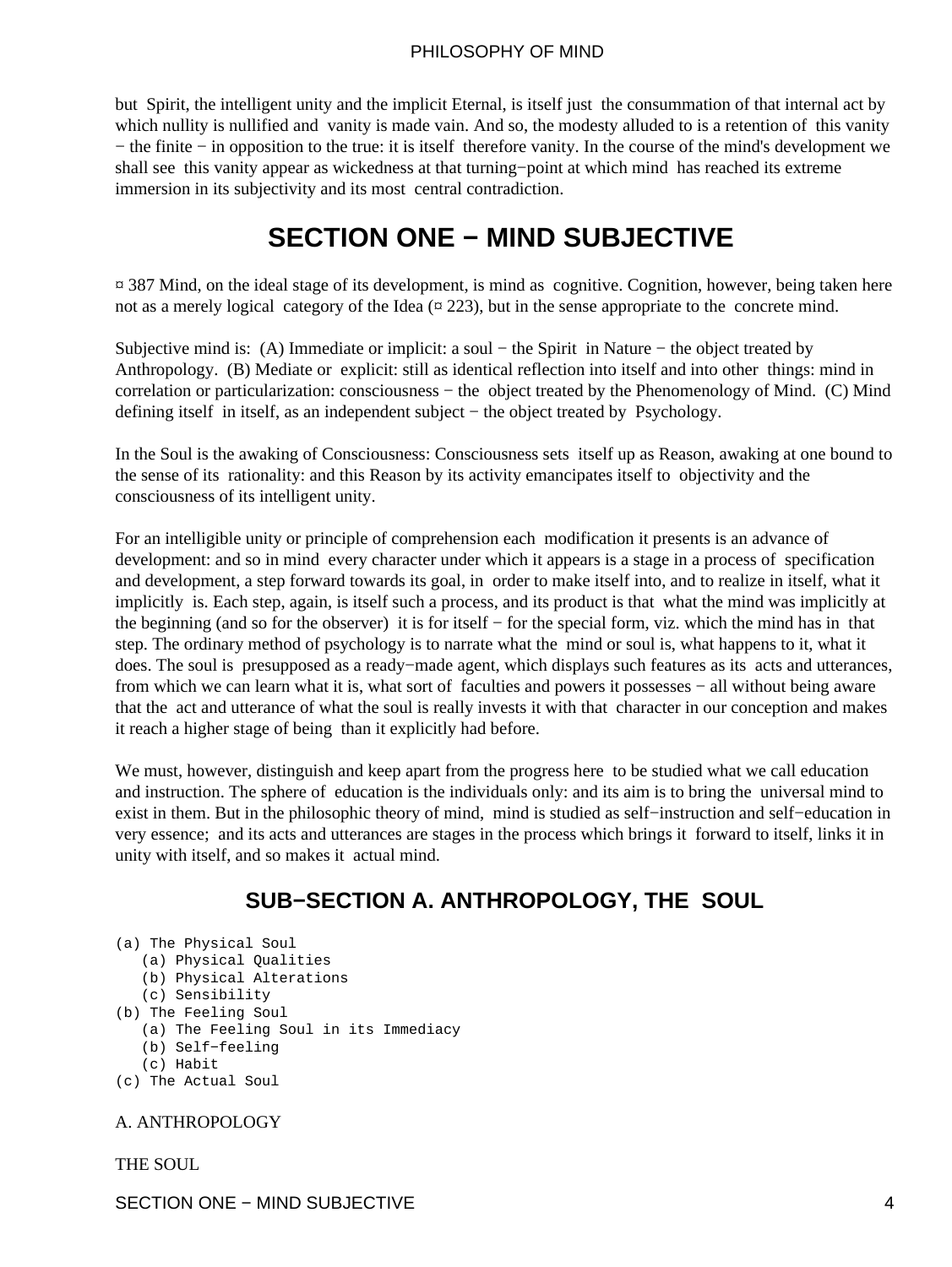<span id="page-5-0"></span>but Spirit, the intelligent unity and the implicit Eternal, is itself just the consummation of that internal act by which nullity is nullified and vanity is made vain. And so, the modesty alluded to is a retention of this vanity − the finite − in opposition to the true: it is itself therefore vanity. In the course of the mind's development we shall see this vanity appear as wickedness at that turning−point at which mind has reached its extreme immersion in its subjectivity and its most central contradiction.

## **SECTION ONE − MIND SUBJECTIVE**

¤ 387 Mind, on the ideal stage of its development, is mind as cognitive. Cognition, however, being taken here not as a merely logical category of the Idea  $(\alpha 223)$ , but in the sense appropriate to the concrete mind.

Subjective mind is: (A) Immediate or implicit: a soul − the Spirit in Nature − the object treated by Anthropology. (B) Mediate or explicit: still as identical reflection into itself and into other things: mind in correlation or particularization: consciousness – the object treated by the Phenomenology of Mind. (C) Mind defining itself in itself, as an independent subject − the object treated by Psychology.

In the Soul is the awaking of Consciousness: Consciousness sets itself up as Reason, awaking at one bound to the sense of its rationality: and this Reason by its activity emancipates itself to objectivity and the consciousness of its intelligent unity.

For an intelligible unity or principle of comprehension each modification it presents is an advance of development: and so in mind every character under which it appears is a stage in a process of specification and development, a step forward towards its goal, in order to make itself into, and to realize in itself, what it implicitly is. Each step, again, is itself such a process, and its product is that what the mind was implicitly at the beginning (and so for the observer) it is for itself − for the special form, viz. which the mind has in that step. The ordinary method of psychology is to narrate what the mind or soul is, what happens to it, what it does. The soul is presupposed as a ready−made agent, which displays such features as its acts and utterances, from which we can learn what it is, what sort of faculties and powers it possesses − all without being aware that the act and utterance of what the soul is really invests it with that character in our conception and makes it reach a higher stage of being than it explicitly had before.

We must, however, distinguish and keep apart from the progress here to be studied what we call education and instruction. The sphere of education is the individuals only: and its aim is to bring the universal mind to exist in them. But in the philosophic theory of mind, mind is studied as self−instruction and self−education in very essence; and its acts and utterances are stages in the process which brings it forward to itself, links it in unity with itself, and so makes it actual mind.

## **SUB−SECTION A. ANTHROPOLOGY, THE SOUL**

```
(a) The Physical Soul
```
- (a) Physical Qualities
- (b) Physical Alterations
- (c) Sensibility
- (b) The Feeling Soul
	- (a) The Feeling Soul in its Immediacy
	- (b) Self−feeling
	- (c) Habit
- (c) The Actual Soul

#### A. ANTHROPOLOGY

THE SOUL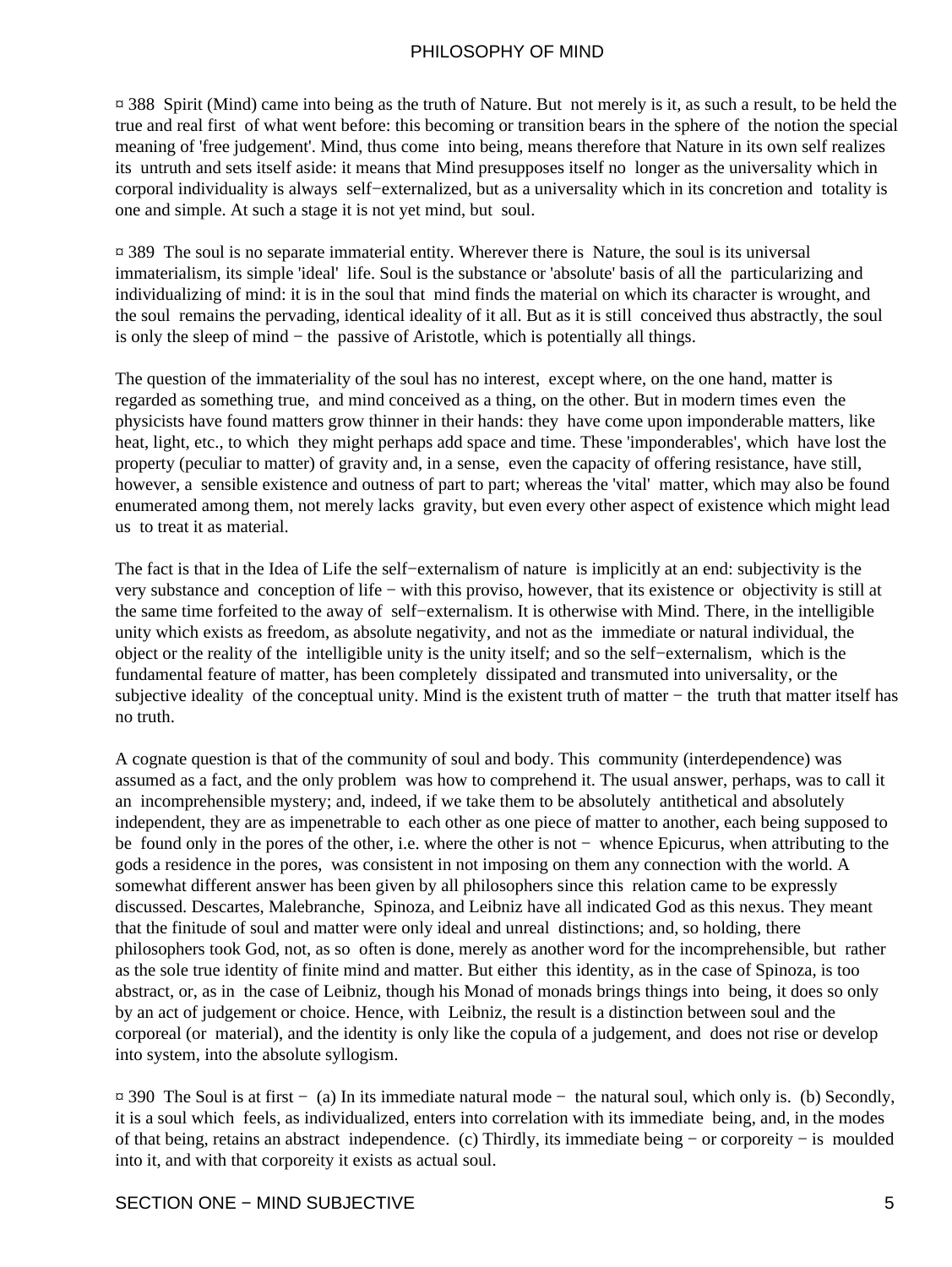¤ 388 Spirit (Mind) came into being as the truth of Nature. But not merely is it, as such a result, to be held the true and real first of what went before: this becoming or transition bears in the sphere of the notion the special meaning of 'free judgement'. Mind, thus come into being, means therefore that Nature in its own self realizes its untruth and sets itself aside: it means that Mind presupposes itself no longer as the universality which in corporal individuality is always self−externalized, but as a universality which in its concretion and totality is one and simple. At such a stage it is not yet mind, but soul.

¤ 389 The soul is no separate immaterial entity. Wherever there is Nature, the soul is its universal immaterialism, its simple 'ideal' life. Soul is the substance or 'absolute' basis of all the particularizing and individualizing of mind: it is in the soul that mind finds the material on which its character is wrought, and the soul remains the pervading, identical ideality of it all. But as it is still conceived thus abstractly, the soul is only the sleep of mind − the passive of Aristotle, which is potentially all things.

The question of the immateriality of the soul has no interest, except where, on the one hand, matter is regarded as something true, and mind conceived as a thing, on the other. But in modern times even the physicists have found matters grow thinner in their hands: they have come upon imponderable matters, like heat, light, etc., to which they might perhaps add space and time. These 'imponderables', which have lost the property (peculiar to matter) of gravity and, in a sense, even the capacity of offering resistance, have still, however, a sensible existence and outness of part to part; whereas the 'vital' matter, which may also be found enumerated among them, not merely lacks gravity, but even every other aspect of existence which might lead us to treat it as material.

The fact is that in the Idea of Life the self−externalism of nature is implicitly at an end: subjectivity is the very substance and conception of life − with this proviso, however, that its existence or objectivity is still at the same time forfeited to the away of self−externalism. It is otherwise with Mind. There, in the intelligible unity which exists as freedom, as absolute negativity, and not as the immediate or natural individual, the object or the reality of the intelligible unity is the unity itself; and so the self−externalism, which is the fundamental feature of matter, has been completely dissipated and transmuted into universality, or the subjective ideality of the conceptual unity. Mind is the existent truth of matter – the truth that matter itself has no truth.

A cognate question is that of the community of soul and body. This community (interdependence) was assumed as a fact, and the only problem was how to comprehend it. The usual answer, perhaps, was to call it an incomprehensible mystery; and, indeed, if we take them to be absolutely antithetical and absolutely independent, they are as impenetrable to each other as one piece of matter to another, each being supposed to be found only in the pores of the other, i.e. where the other is not − whence Epicurus, when attributing to the gods a residence in the pores, was consistent in not imposing on them any connection with the world. A somewhat different answer has been given by all philosophers since this relation came to be expressly discussed. Descartes, Malebranche, Spinoza, and Leibniz have all indicated God as this nexus. They meant that the finitude of soul and matter were only ideal and unreal distinctions; and, so holding, there philosophers took God, not, as so often is done, merely as another word for the incomprehensible, but rather as the sole true identity of finite mind and matter. But either this identity, as in the case of Spinoza, is too abstract, or, as in the case of Leibniz, though his Monad of monads brings things into being, it does so only by an act of judgement or choice. Hence, with Leibniz, the result is a distinction between soul and the corporeal (or material), and the identity is only like the copula of a judgement, and does not rise or develop into system, into the absolute syllogism.

¤ 390 The Soul is at first − (a) In its immediate natural mode − the natural soul, which only is. (b) Secondly, it is a soul which feels, as individualized, enters into correlation with its immediate being, and, in the modes of that being, retains an abstract independence. (c) Thirdly, its immediate being − or corporeity − is moulded into it, and with that corporeity it exists as actual soul.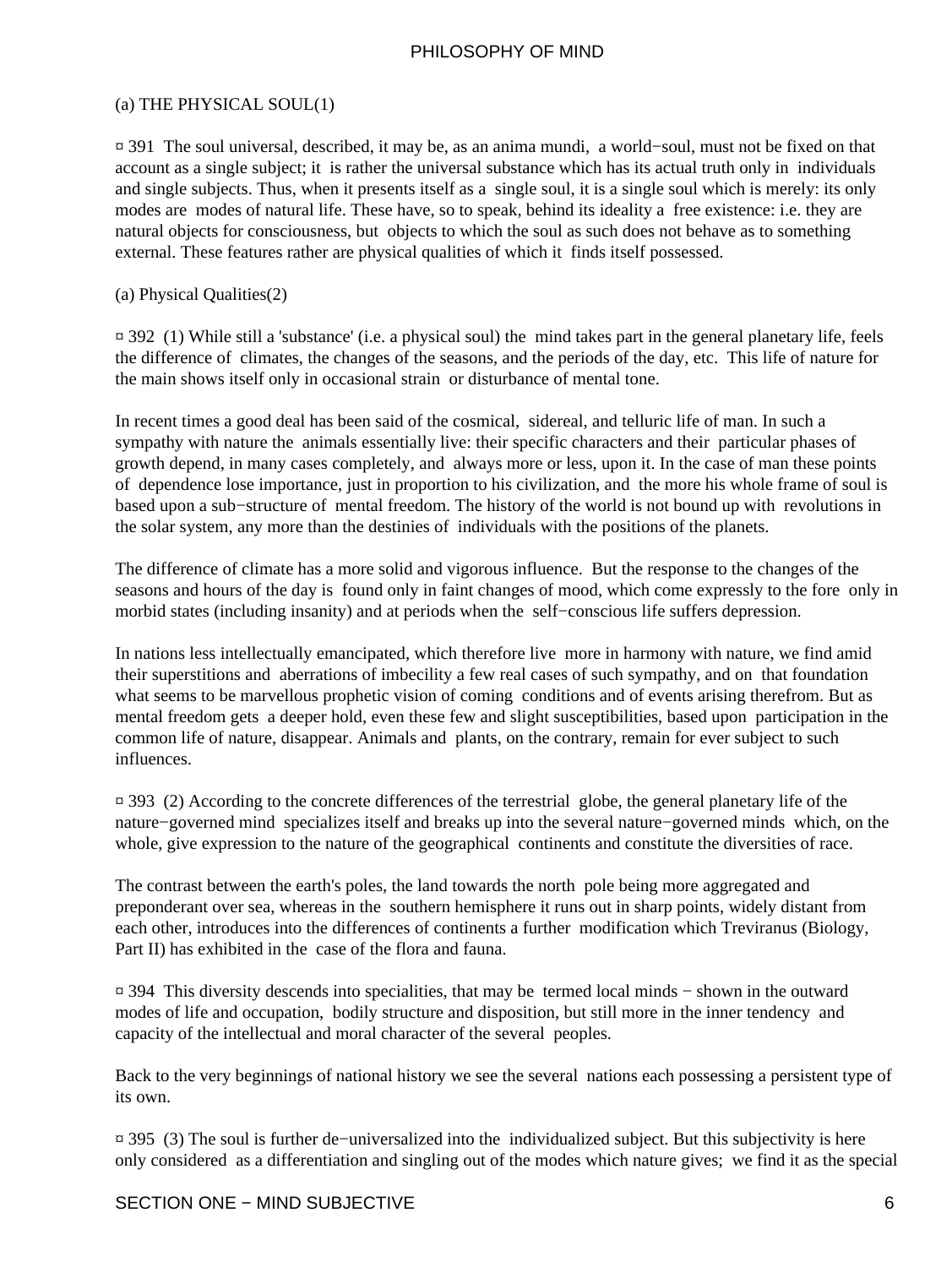#### (a) THE PHYSICAL SOUL(1)

¤ 391 The soul universal, described, it may be, as an anima mundi, a world−soul, must not be fixed on that account as a single subject; it is rather the universal substance which has its actual truth only in individuals and single subjects. Thus, when it presents itself as a single soul, it is a single soul which is merely: its only modes are modes of natural life. These have, so to speak, behind its ideality a free existence: i.e. they are natural objects for consciousness, but objects to which the soul as such does not behave as to something external. These features rather are physical qualities of which it finds itself possessed.

#### (a) Physical Qualities(2)

¤ 392 (1) While still a 'substance' (i.e. a physical soul) the mind takes part in the general planetary life, feels the difference of climates, the changes of the seasons, and the periods of the day, etc. This life of nature for the main shows itself only in occasional strain or disturbance of mental tone.

In recent times a good deal has been said of the cosmical, sidereal, and telluric life of man. In such a sympathy with nature the animals essentially live: their specific characters and their particular phases of growth depend, in many cases completely, and always more or less, upon it. In the case of man these points of dependence lose importance, just in proportion to his civilization, and the more his whole frame of soul is based upon a sub−structure of mental freedom. The history of the world is not bound up with revolutions in the solar system, any more than the destinies of individuals with the positions of the planets.

The difference of climate has a more solid and vigorous influence. But the response to the changes of the seasons and hours of the day is found only in faint changes of mood, which come expressly to the fore only in morbid states (including insanity) and at periods when the self−conscious life suffers depression.

In nations less intellectually emancipated, which therefore live more in harmony with nature, we find amid their superstitions and aberrations of imbecility a few real cases of such sympathy, and on that foundation what seems to be marvellous prophetic vision of coming conditions and of events arising therefrom. But as mental freedom gets a deeper hold, even these few and slight susceptibilities, based upon participation in the common life of nature, disappear. Animals and plants, on the contrary, remain for ever subject to such influences.

¤ 393 (2) According to the concrete differences of the terrestrial globe, the general planetary life of the nature−governed mind specializes itself and breaks up into the several nature−governed minds which, on the whole, give expression to the nature of the geographical continents and constitute the diversities of race.

The contrast between the earth's poles, the land towards the north pole being more aggregated and preponderant over sea, whereas in the southern hemisphere it runs out in sharp points, widely distant from each other, introduces into the differences of continents a further modification which Treviranus (Biology, Part II) has exhibited in the case of the flora and fauna.

¤ 394 This diversity descends into specialities, that may be termed local minds − shown in the outward modes of life and occupation, bodily structure and disposition, but still more in the inner tendency and capacity of the intellectual and moral character of the several peoples.

Back to the very beginnings of national history we see the several nations each possessing a persistent type of its own.

¤ 395 (3) The soul is further de−universalized into the individualized subject. But this subjectivity is here only considered as a differentiation and singling out of the modes which nature gives; we find it as the special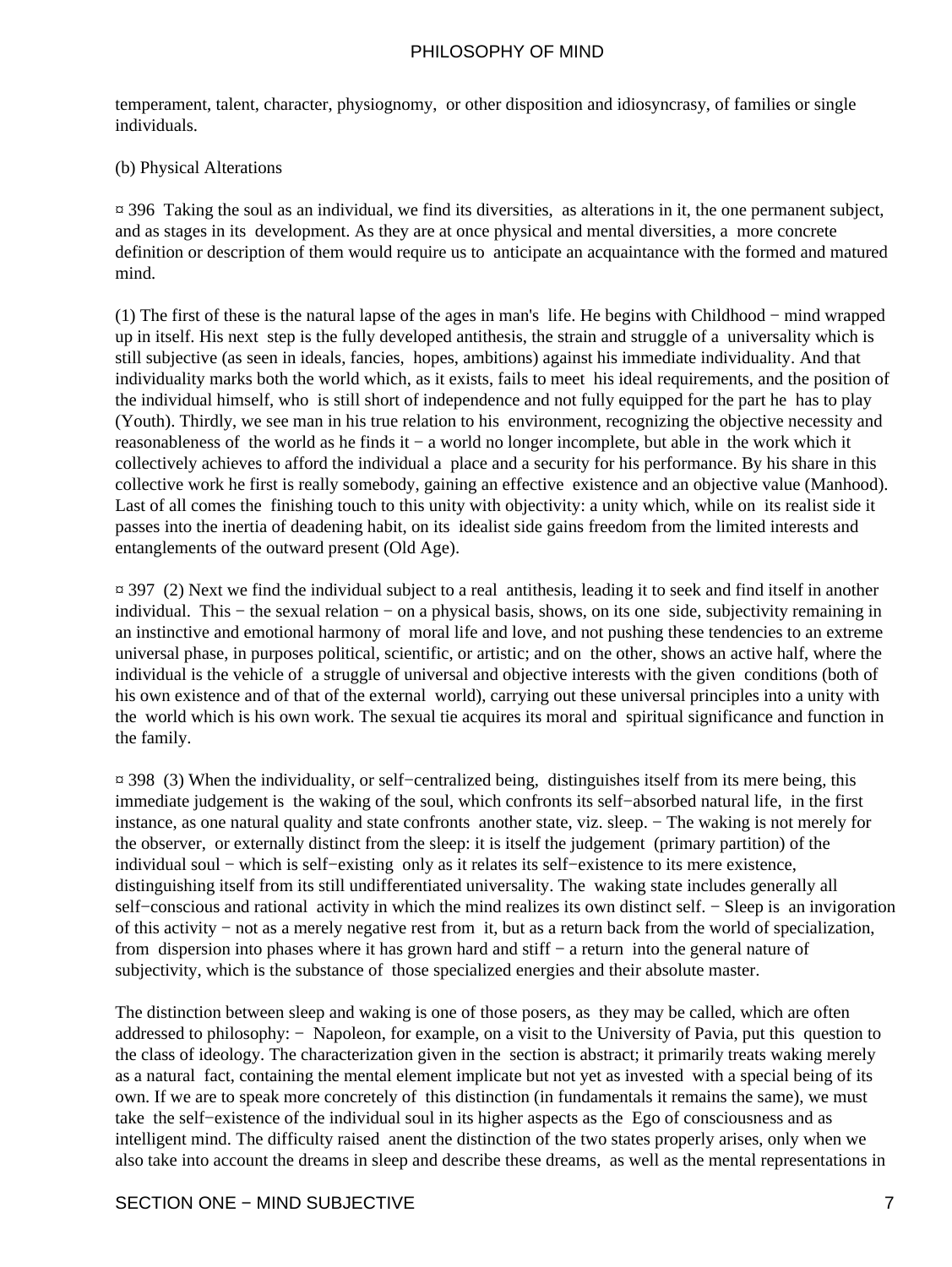temperament, talent, character, physiognomy, or other disposition and idiosyncrasy, of families or single individuals.

#### (b) Physical Alterations

¤ 396 Taking the soul as an individual, we find its diversities, as alterations in it, the one permanent subject, and as stages in its development. As they are at once physical and mental diversities, a more concrete definition or description of them would require us to anticipate an acquaintance with the formed and matured mind.

(1) The first of these is the natural lapse of the ages in man's life. He begins with Childhood − mind wrapped up in itself. His next step is the fully developed antithesis, the strain and struggle of a universality which is still subjective (as seen in ideals, fancies, hopes, ambitions) against his immediate individuality. And that individuality marks both the world which, as it exists, fails to meet his ideal requirements, and the position of the individual himself, who is still short of independence and not fully equipped for the part he has to play (Youth). Thirdly, we see man in his true relation to his environment, recognizing the objective necessity and reasonableness of the world as he finds it − a world no longer incomplete, but able in the work which it collectively achieves to afford the individual a place and a security for his performance. By his share in this collective work he first is really somebody, gaining an effective existence and an objective value (Manhood). Last of all comes the finishing touch to this unity with objectivity: a unity which, while on its realist side it passes into the inertia of deadening habit, on its idealist side gains freedom from the limited interests and entanglements of the outward present (Old Age).

¤ 397 (2) Next we find the individual subject to a real antithesis, leading it to seek and find itself in another individual. This − the sexual relation − on a physical basis, shows, on its one side, subjectivity remaining in an instinctive and emotional harmony of moral life and love, and not pushing these tendencies to an extreme universal phase, in purposes political, scientific, or artistic; and on the other, shows an active half, where the individual is the vehicle of a struggle of universal and objective interests with the given conditions (both of his own existence and of that of the external world), carrying out these universal principles into a unity with the world which is his own work. The sexual tie acquires its moral and spiritual significance and function in the family.

¤ 398 (3) When the individuality, or self−centralized being, distinguishes itself from its mere being, this immediate judgement is the waking of the soul, which confronts its self−absorbed natural life, in the first instance, as one natural quality and state confronts another state, viz. sleep. − The waking is not merely for the observer, or externally distinct from the sleep: it is itself the judgement (primary partition) of the individual soul − which is self−existing only as it relates its self−existence to its mere existence, distinguishing itself from its still undifferentiated universality. The waking state includes generally all self–conscious and rational activity in which the mind realizes its own distinct self. – Sleep is an invigoration of this activity − not as a merely negative rest from it, but as a return back from the world of specialization, from dispersion into phases where it has grown hard and stiff − a return into the general nature of subjectivity, which is the substance of those specialized energies and their absolute master.

The distinction between sleep and waking is one of those posers, as they may be called, which are often addressed to philosophy: − Napoleon, for example, on a visit to the University of Pavia, put this question to the class of ideology. The characterization given in the section is abstract; it primarily treats waking merely as a natural fact, containing the mental element implicate but not yet as invested with a special being of its own. If we are to speak more concretely of this distinction (in fundamentals it remains the same), we must take the self−existence of the individual soul in its higher aspects as the Ego of consciousness and as intelligent mind. The difficulty raised anent the distinction of the two states properly arises, only when we also take into account the dreams in sleep and describe these dreams, as well as the mental representations in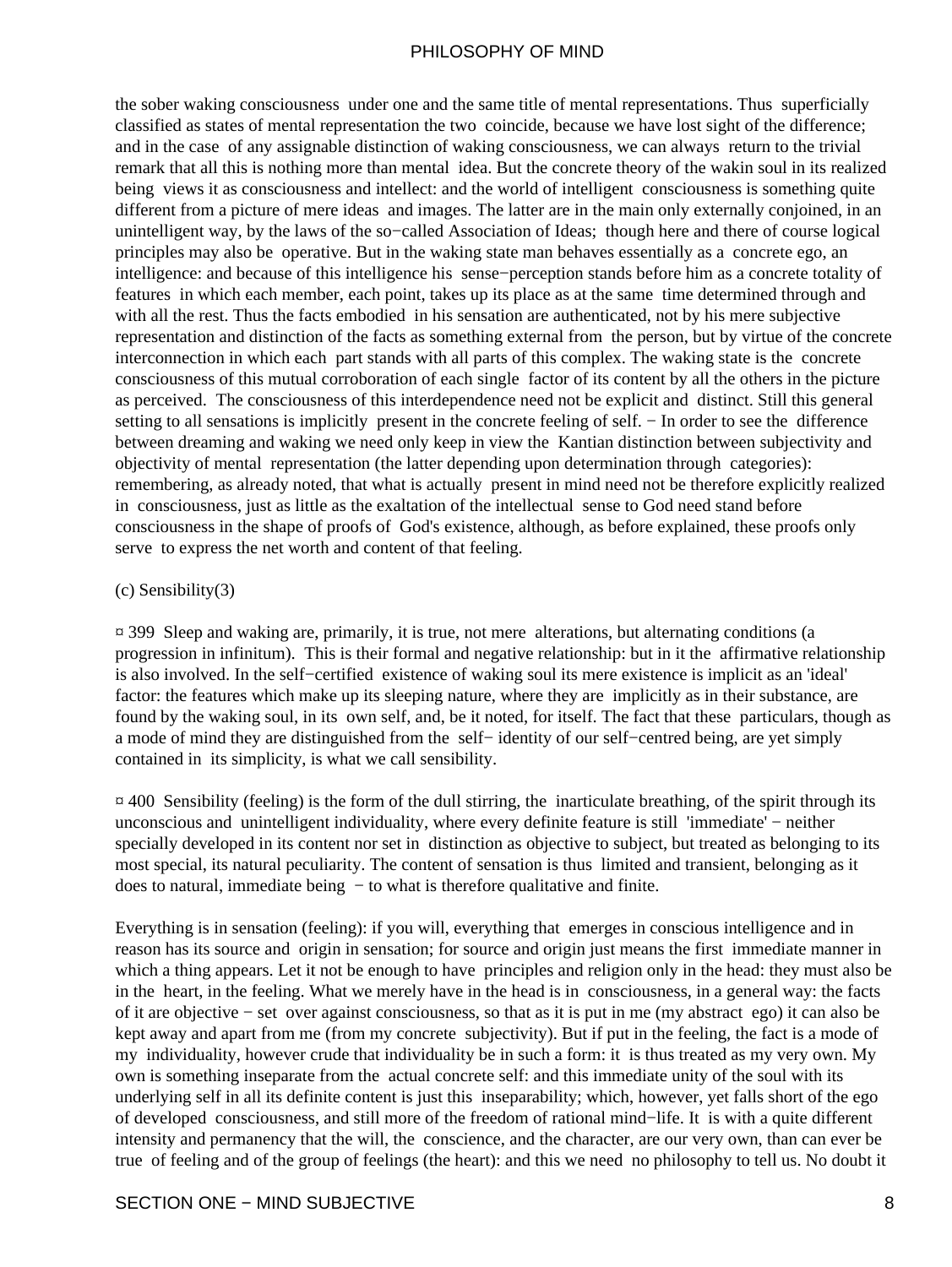the sober waking consciousness under one and the same title of mental representations. Thus superficially classified as states of mental representation the two coincide, because we have lost sight of the difference; and in the case of any assignable distinction of waking consciousness, we can always return to the trivial remark that all this is nothing more than mental idea. But the concrete theory of the wakin soul in its realized being views it as consciousness and intellect: and the world of intelligent consciousness is something quite different from a picture of mere ideas and images. The latter are in the main only externally conjoined, in an unintelligent way, by the laws of the so−called Association of Ideas; though here and there of course logical principles may also be operative. But in the waking state man behaves essentially as a concrete ego, an intelligence: and because of this intelligence his sense−perception stands before him as a concrete totality of features in which each member, each point, takes up its place as at the same time determined through and with all the rest. Thus the facts embodied in his sensation are authenticated, not by his mere subjective representation and distinction of the facts as something external from the person, but by virtue of the concrete interconnection in which each part stands with all parts of this complex. The waking state is the concrete consciousness of this mutual corroboration of each single factor of its content by all the others in the picture as perceived. The consciousness of this interdependence need not be explicit and distinct. Still this general setting to all sensations is implicitly present in the concrete feeling of self. − In order to see the difference between dreaming and waking we need only keep in view the Kantian distinction between subjectivity and objectivity of mental representation (the latter depending upon determination through categories): remembering, as already noted, that what is actually present in mind need not be therefore explicitly realized in consciousness, just as little as the exaltation of the intellectual sense to God need stand before consciousness in the shape of proofs of God's existence, although, as before explained, these proofs only serve to express the net worth and content of that feeling.

#### (c) Sensibility(3)

¤ 399 Sleep and waking are, primarily, it is true, not mere alterations, but alternating conditions (a progression in infinitum). This is their formal and negative relationship: but in it the affirmative relationship is also involved. In the self−certified existence of waking soul its mere existence is implicit as an 'ideal' factor: the features which make up its sleeping nature, where they are implicitly as in their substance, are found by the waking soul, in its own self, and, be it noted, for itself. The fact that these particulars, though as a mode of mind they are distinguished from the self− identity of our self−centred being, are yet simply contained in its simplicity, is what we call sensibility.

 $\overline{a}$  400 Sensibility (feeling) is the form of the dull stirring, the inarticulate breathing, of the spirit through its unconscious and unintelligent individuality, where every definite feature is still 'immediate' − neither specially developed in its content nor set in distinction as objective to subject, but treated as belonging to its most special, its natural peculiarity. The content of sensation is thus limited and transient, belonging as it does to natural, immediate being − to what is therefore qualitative and finite.

Everything is in sensation (feeling): if you will, everything that emerges in conscious intelligence and in reason has its source and origin in sensation; for source and origin just means the first immediate manner in which a thing appears. Let it not be enough to have principles and religion only in the head: they must also be in the heart, in the feeling. What we merely have in the head is in consciousness, in a general way: the facts of it are objective − set over against consciousness, so that as it is put in me (my abstract ego) it can also be kept away and apart from me (from my concrete subjectivity). But if put in the feeling, the fact is a mode of my individuality, however crude that individuality be in such a form: it is thus treated as my very own. My own is something inseparate from the actual concrete self: and this immediate unity of the soul with its underlying self in all its definite content is just this inseparability; which, however, yet falls short of the ego of developed consciousness, and still more of the freedom of rational mind−life. It is with a quite different intensity and permanency that the will, the conscience, and the character, are our very own, than can ever be true of feeling and of the group of feelings (the heart): and this we need no philosophy to tell us. No doubt it

#### SECTION ONE − MIND SUBJECTIVE 8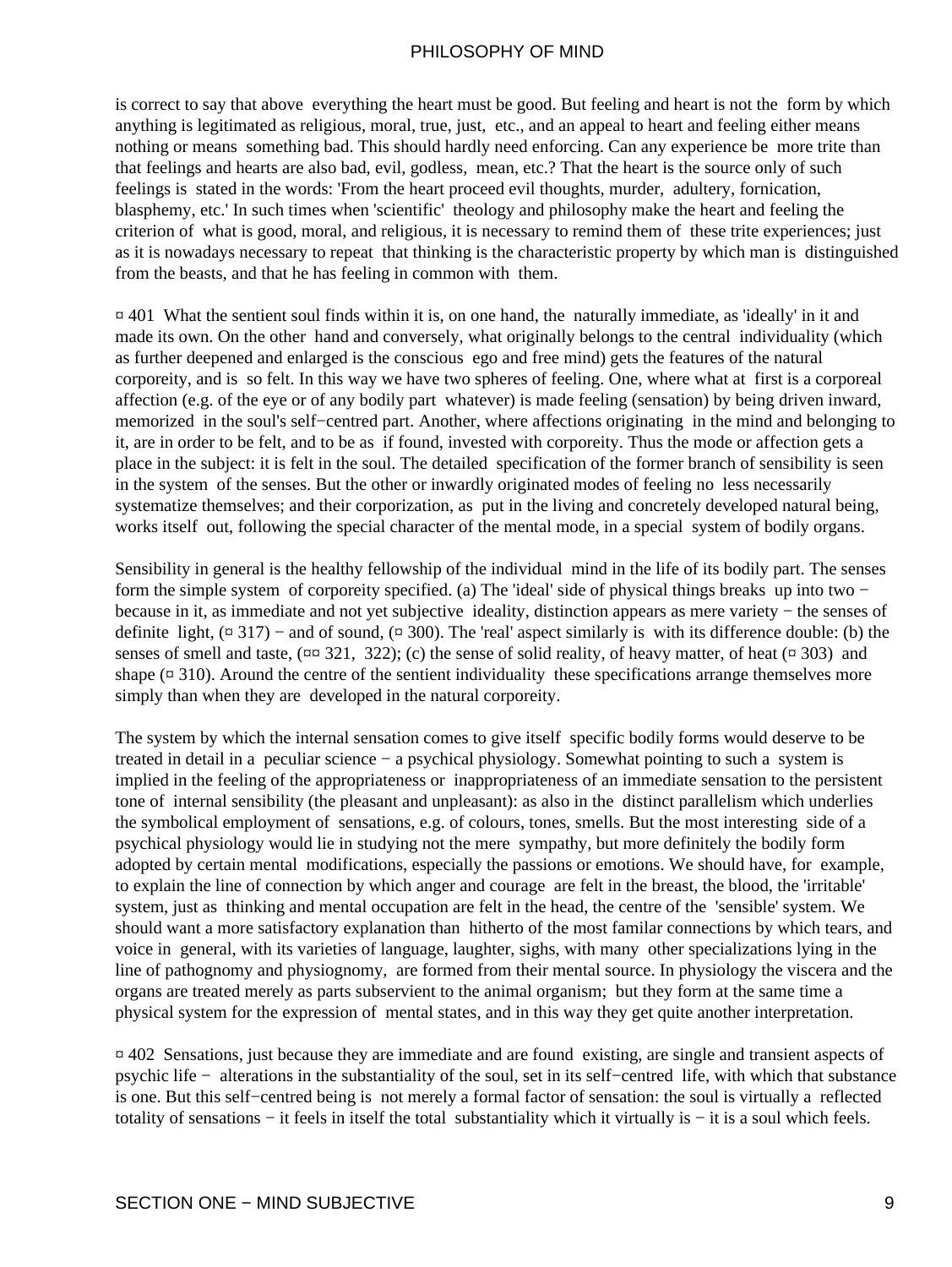is correct to say that above everything the heart must be good. But feeling and heart is not the form by which anything is legitimated as religious, moral, true, just, etc., and an appeal to heart and feeling either means nothing or means something bad. This should hardly need enforcing. Can any experience be more trite than that feelings and hearts are also bad, evil, godless, mean, etc.? That the heart is the source only of such feelings is stated in the words: 'From the heart proceed evil thoughts, murder, adultery, fornication, blasphemy, etc.' In such times when 'scientific' theology and philosophy make the heart and feeling the criterion of what is good, moral, and religious, it is necessary to remind them of these trite experiences; just as it is nowadays necessary to repeat that thinking is the characteristic property by which man is distinguished from the beasts, and that he has feeling in common with them.

 $\overline{a}$  401. What the sentient soul finds within it is, on one hand, the naturally immediate, as 'ideally' in it and made its own. On the other hand and conversely, what originally belongs to the central individuality (which as further deepened and enlarged is the conscious ego and free mind) gets the features of the natural corporeity, and is so felt. In this way we have two spheres of feeling. One, where what at first is a corporeal affection (e.g. of the eye or of any bodily part whatever) is made feeling (sensation) by being driven inward, memorized in the soul's self−centred part. Another, where affections originating in the mind and belonging to it, are in order to be felt, and to be as if found, invested with corporeity. Thus the mode or affection gets a place in the subject: it is felt in the soul. The detailed specification of the former branch of sensibility is seen in the system of the senses. But the other or inwardly originated modes of feeling no less necessarily systematize themselves; and their corporization, as put in the living and concretely developed natural being, works itself out, following the special character of the mental mode, in a special system of bodily organs.

Sensibility in general is the healthy fellowship of the individual mind in the life of its bodily part. The senses form the simple system of corporeity specified. (a) The 'ideal' side of physical things breaks up into two − because in it, as immediate and not yet subjective ideality, distinction appears as mere variety − the senses of definite light,  $(\alpha 317)$  – and of sound,  $(\alpha 300)$ . The 'real' aspect similarly is with its difference double: (b) the senses of smell and taste,  $(\text{max } 321, 322)$ ; (c) the sense of solid reality, of heavy matter, of heat ( $\text{max } 303$ ) and shape  $(\alpha$  310). Around the centre of the sentient individuality these specifications arrange themselves more simply than when they are developed in the natural corporeity.

The system by which the internal sensation comes to give itself specific bodily forms would deserve to be treated in detail in a peculiar science − a psychical physiology. Somewhat pointing to such a system is implied in the feeling of the appropriateness or inappropriateness of an immediate sensation to the persistent tone of internal sensibility (the pleasant and unpleasant): as also in the distinct parallelism which underlies the symbolical employment of sensations, e.g. of colours, tones, smells. But the most interesting side of a psychical physiology would lie in studying not the mere sympathy, but more definitely the bodily form adopted by certain mental modifications, especially the passions or emotions. We should have, for example, to explain the line of connection by which anger and courage are felt in the breast, the blood, the 'irritable' system, just as thinking and mental occupation are felt in the head, the centre of the 'sensible' system. We should want a more satisfactory explanation than hitherto of the most familar connections by which tears, and voice in general, with its varieties of language, laughter, sighs, with many other specializations lying in the line of pathognomy and physiognomy, are formed from their mental source. In physiology the viscera and the organs are treated merely as parts subservient to the animal organism; but they form at the same time a physical system for the expression of mental states, and in this way they get quite another interpretation.

¤ 402 Sensations, just because they are immediate and are found existing, are single and transient aspects of psychic life − alterations in the substantiality of the soul, set in its self−centred life, with which that substance is one. But this self−centred being is not merely a formal factor of sensation: the soul is virtually a reflected totality of sensations − it feels in itself the total substantiality which it virtually is − it is a soul which feels.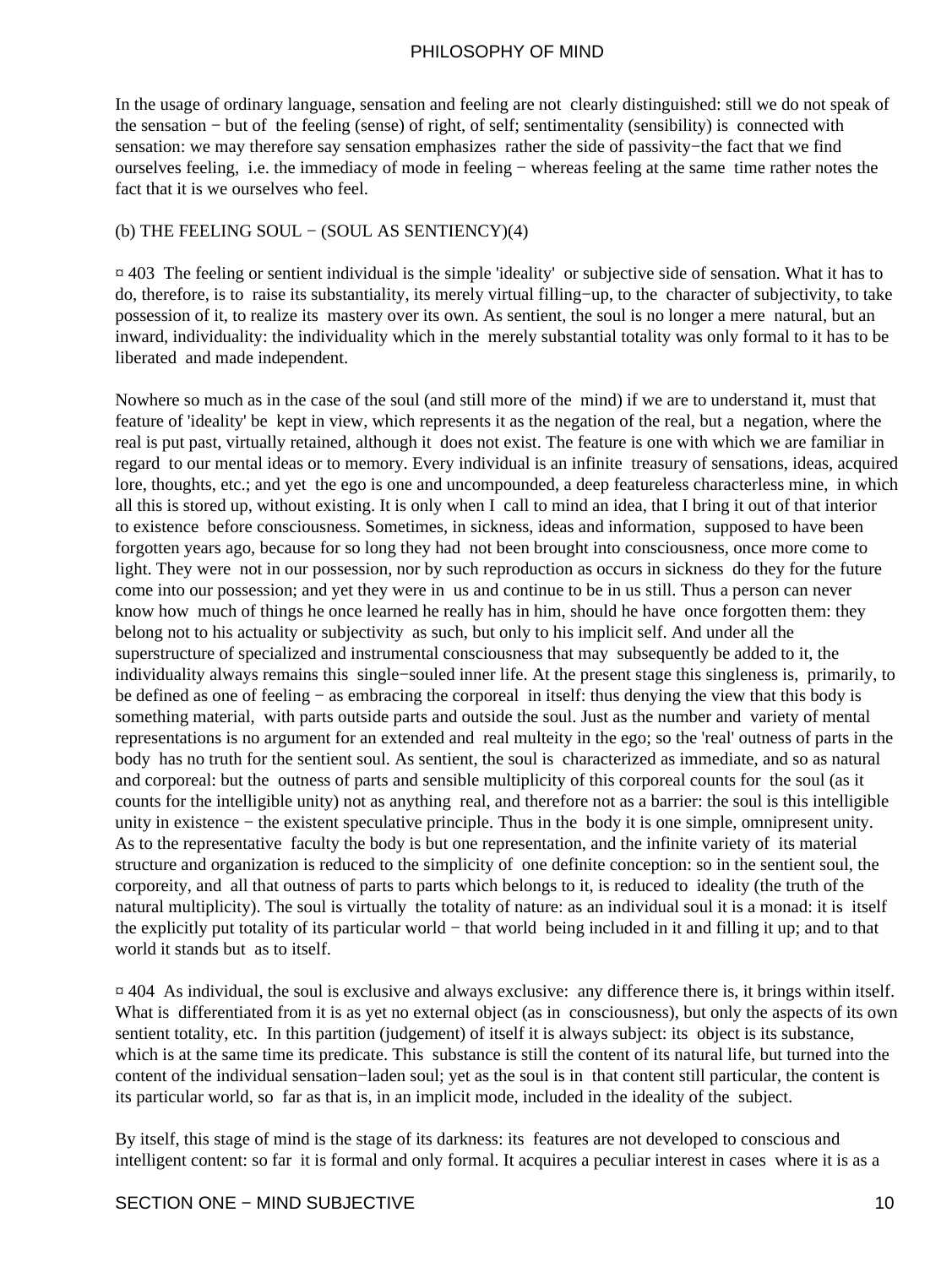In the usage of ordinary language, sensation and feeling are not clearly distinguished: still we do not speak of the sensation − but of the feeling (sense) of right, of self; sentimentality (sensibility) is connected with sensation: we may therefore say sensation emphasizes rather the side of passivity−the fact that we find ourselves feeling, i.e. the immediacy of mode in feeling − whereas feeling at the same time rather notes the fact that it is we ourselves who feel.

#### (b) THE FEELING SOUL − (SOUL AS SENTIENCY)(4)

¤ 403 The feeling or sentient individual is the simple 'ideality' or subjective side of sensation. What it has to do, therefore, is to raise its substantiality, its merely virtual filling−up, to the character of subjectivity, to take possession of it, to realize its mastery over its own. As sentient, the soul is no longer a mere natural, but an inward, individuality: the individuality which in the merely substantial totality was only formal to it has to be liberated and made independent.

Nowhere so much as in the case of the soul (and still more of the mind) if we are to understand it, must that feature of 'ideality' be kept in view, which represents it as the negation of the real, but a negation, where the real is put past, virtually retained, although it does not exist. The feature is one with which we are familiar in regard to our mental ideas or to memory. Every individual is an infinite treasury of sensations, ideas, acquired lore, thoughts, etc.; and yet the ego is one and uncompounded, a deep featureless characterless mine, in which all this is stored up, without existing. It is only when I call to mind an idea, that I bring it out of that interior to existence before consciousness. Sometimes, in sickness, ideas and information, supposed to have been forgotten years ago, because for so long they had not been brought into consciousness, once more come to light. They were not in our possession, nor by such reproduction as occurs in sickness do they for the future come into our possession; and yet they were in us and continue to be in us still. Thus a person can never know how much of things he once learned he really has in him, should he have once forgotten them: they belong not to his actuality or subjectivity as such, but only to his implicit self. And under all the superstructure of specialized and instrumental consciousness that may subsequently be added to it, the individuality always remains this single−souled inner life. At the present stage this singleness is, primarily, to be defined as one of feeling − as embracing the corporeal in itself: thus denying the view that this body is something material, with parts outside parts and outside the soul. Just as the number and variety of mental representations is no argument for an extended and real multeity in the ego; so the 'real' outness of parts in the body has no truth for the sentient soul. As sentient, the soul is characterized as immediate, and so as natural and corporeal: but the outness of parts and sensible multiplicity of this corporeal counts for the soul (as it counts for the intelligible unity) not as anything real, and therefore not as a barrier: the soul is this intelligible unity in existence − the existent speculative principle. Thus in the body it is one simple, omnipresent unity. As to the representative faculty the body is but one representation, and the infinite variety of its material structure and organization is reduced to the simplicity of one definite conception: so in the sentient soul, the corporeity, and all that outness of parts to parts which belongs to it, is reduced to ideality (the truth of the natural multiplicity). The soul is virtually the totality of nature: as an individual soul it is a monad: it is itself the explicitly put totality of its particular world − that world being included in it and filling it up; and to that world it stands but as to itself.

 $\alpha$  404 As individual, the soul is exclusive and always exclusive: any difference there is, it brings within itself. What is differentiated from it is as yet no external object (as in consciousness), but only the aspects of its own sentient totality, etc. In this partition (judgement) of itself it is always subject: its object is its substance, which is at the same time its predicate. This substance is still the content of its natural life, but turned into the content of the individual sensation−laden soul; yet as the soul is in that content still particular, the content is its particular world, so far as that is, in an implicit mode, included in the ideality of the subject.

By itself, this stage of mind is the stage of its darkness: its features are not developed to conscious and intelligent content: so far it is formal and only formal. It acquires a peculiar interest in cases where it is as a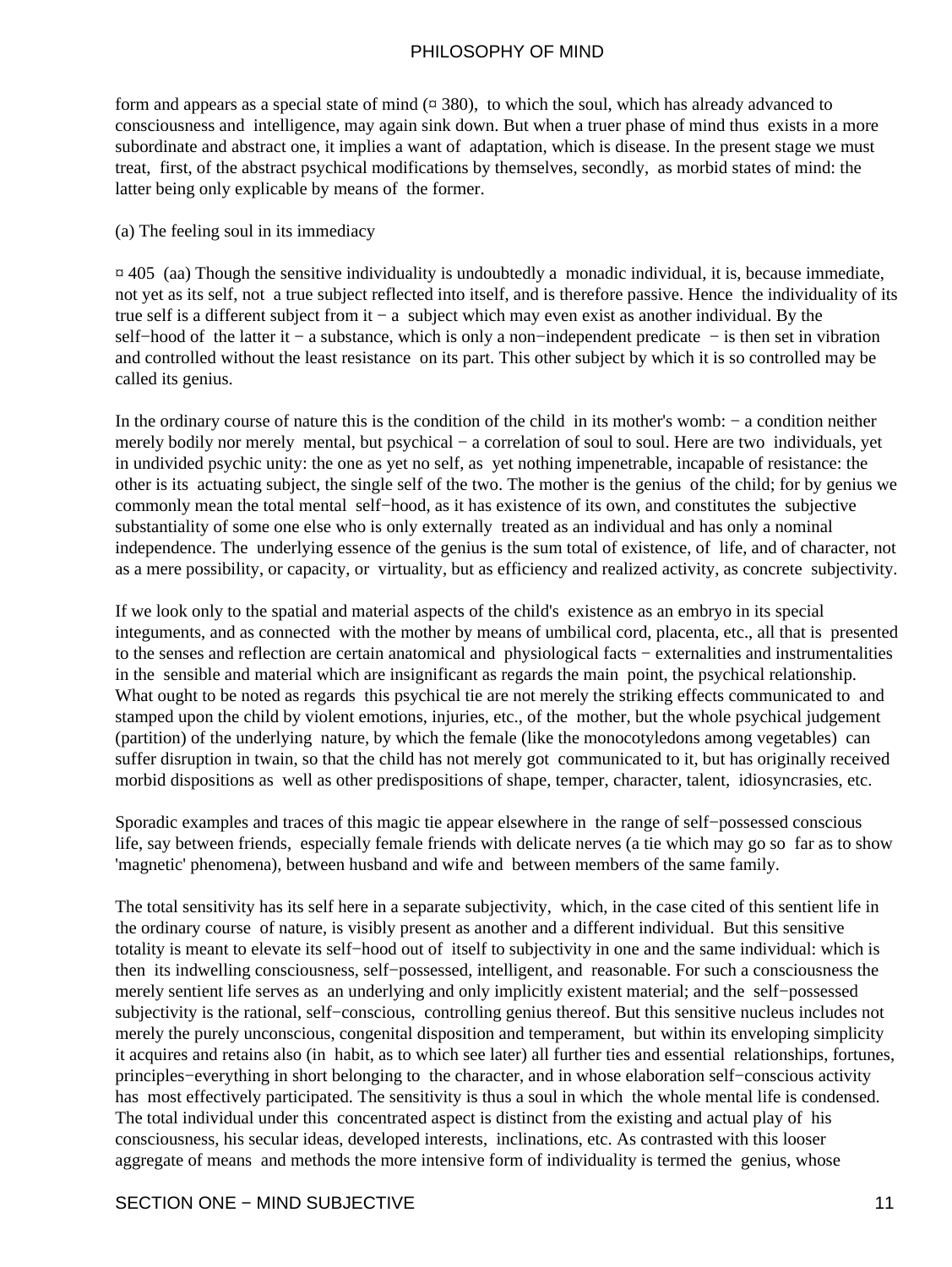form and appears as a special state of mind  $(\alpha 380)$ , to which the soul, which has already advanced to consciousness and intelligence, may again sink down. But when a truer phase of mind thus exists in a more subordinate and abstract one, it implies a want of adaptation, which is disease. In the present stage we must treat, first, of the abstract psychical modifications by themselves, secondly, as morbid states of mind: the latter being only explicable by means of the former.

#### (a) The feeling soul in its immediacy

 $\alpha$  405 (aa) Though the sensitive individuality is undoubtedly a monadic individual, it is, because immediate, not yet as its self, not a true subject reflected into itself, and is therefore passive. Hence the individuality of its true self is a different subject from it − a subject which may even exist as another individual. By the self–hood of the latter it – a substance, which is only a non–independent predicate – is then set in vibration and controlled without the least resistance on its part. This other subject by which it is so controlled may be called its genius.

In the ordinary course of nature this is the condition of the child in its mother's womb: − a condition neither merely bodily nor merely mental, but psychical − a correlation of soul to soul. Here are two individuals, yet in undivided psychic unity: the one as yet no self, as yet nothing impenetrable, incapable of resistance: the other is its actuating subject, the single self of the two. The mother is the genius of the child; for by genius we commonly mean the total mental self−hood, as it has existence of its own, and constitutes the subjective substantiality of some one else who is only externally treated as an individual and has only a nominal independence. The underlying essence of the genius is the sum total of existence, of life, and of character, not as a mere possibility, or capacity, or virtuality, but as efficiency and realized activity, as concrete subjectivity.

If we look only to the spatial and material aspects of the child's existence as an embryo in its special integuments, and as connected with the mother by means of umbilical cord, placenta, etc., all that is presented to the senses and reflection are certain anatomical and physiological facts − externalities and instrumentalities in the sensible and material which are insignificant as regards the main point, the psychical relationship. What ought to be noted as regards this psychical tie are not merely the striking effects communicated to and stamped upon the child by violent emotions, injuries, etc., of the mother, but the whole psychical judgement (partition) of the underlying nature, by which the female (like the monocotyledons among vegetables) can suffer disruption in twain, so that the child has not merely got communicated to it, but has originally received morbid dispositions as well as other predispositions of shape, temper, character, talent, idiosyncrasies, etc.

Sporadic examples and traces of this magic tie appear elsewhere in the range of self−possessed conscious life, say between friends, especially female friends with delicate nerves (a tie which may go so far as to show 'magnetic' phenomena), between husband and wife and between members of the same family.

The total sensitivity has its self here in a separate subjectivity, which, in the case cited of this sentient life in the ordinary course of nature, is visibly present as another and a different individual. But this sensitive totality is meant to elevate its self−hood out of itself to subjectivity in one and the same individual: which is then its indwelling consciousness, self−possessed, intelligent, and reasonable. For such a consciousness the merely sentient life serves as an underlying and only implicitly existent material; and the self−possessed subjectivity is the rational, self−conscious, controlling genius thereof. But this sensitive nucleus includes not merely the purely unconscious, congenital disposition and temperament, but within its enveloping simplicity it acquires and retains also (in habit, as to which see later) all further ties and essential relationships, fortunes, principles−everything in short belonging to the character, and in whose elaboration self−conscious activity has most effectively participated. The sensitivity is thus a soul in which the whole mental life is condensed. The total individual under this concentrated aspect is distinct from the existing and actual play of his consciousness, his secular ideas, developed interests, inclinations, etc. As contrasted with this looser aggregate of means and methods the more intensive form of individuality is termed the genius, whose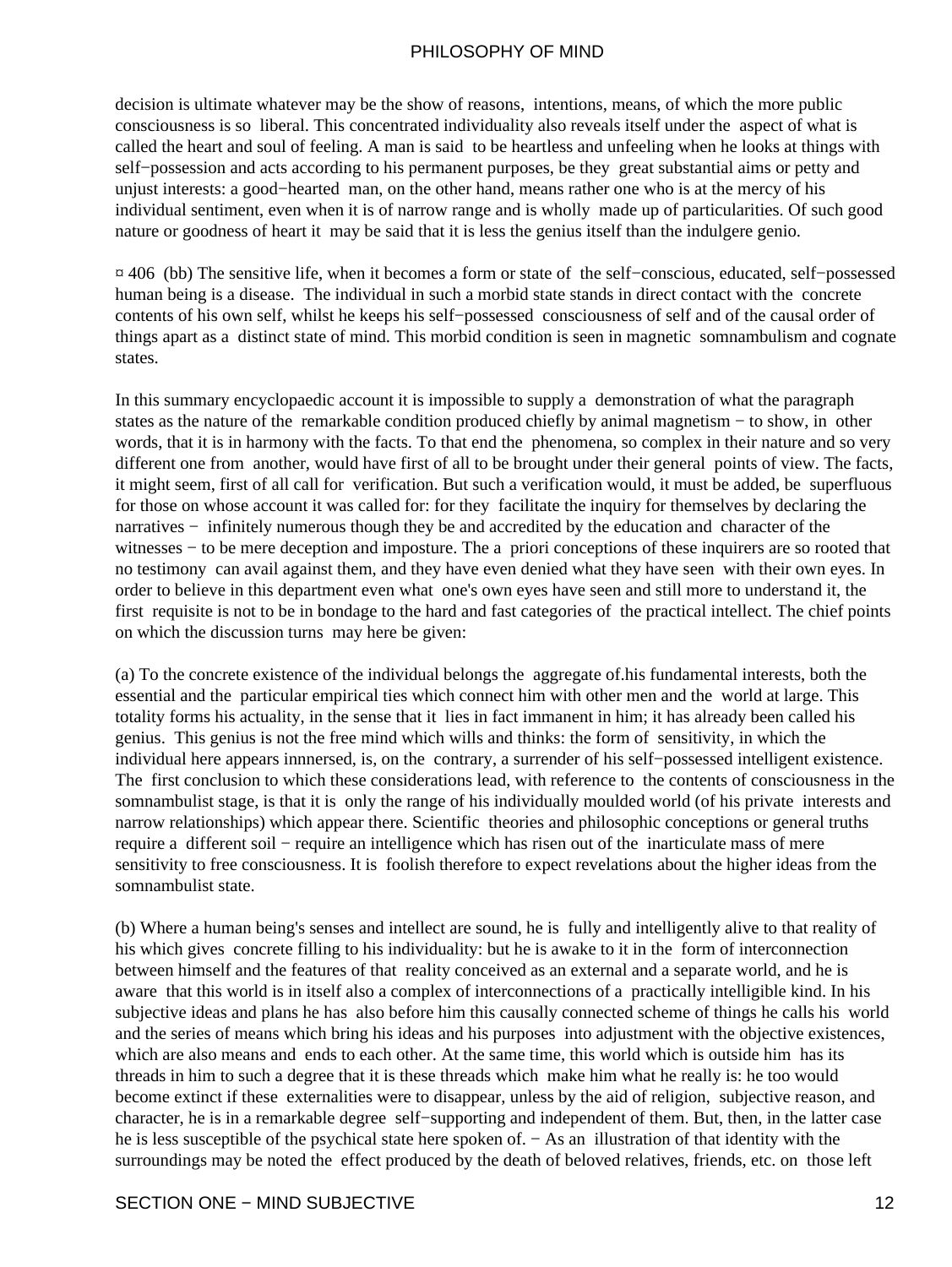decision is ultimate whatever may be the show of reasons, intentions, means, of which the more public consciousness is so liberal. This concentrated individuality also reveals itself under the aspect of what is called the heart and soul of feeling. A man is said to be heartless and unfeeling when he looks at things with self–possession and acts according to his permanent purposes, be they great substantial aims or petty and unjust interests: a good−hearted man, on the other hand, means rather one who is at the mercy of his individual sentiment, even when it is of narrow range and is wholly made up of particularities. Of such good nature or goodness of heart it may be said that it is less the genius itself than the indulgere genio.

¤ 406 (bb) The sensitive life, when it becomes a form or state of the self−conscious, educated, self−possessed human being is a disease. The individual in such a morbid state stands in direct contact with the concrete contents of his own self, whilst he keeps his self−possessed consciousness of self and of the causal order of things apart as a distinct state of mind. This morbid condition is seen in magnetic somnambulism and cognate states.

In this summary encyclopaedic account it is impossible to supply a demonstration of what the paragraph states as the nature of the remarkable condition produced chiefly by animal magnetism − to show, in other words, that it is in harmony with the facts. To that end the phenomena, so complex in their nature and so very different one from another, would have first of all to be brought under their general points of view. The facts, it might seem, first of all call for verification. But such a verification would, it must be added, be superfluous for those on whose account it was called for: for they facilitate the inquiry for themselves by declaring the narratives − infinitely numerous though they be and accredited by the education and character of the witnesses – to be mere deception and imposture. The a priori conceptions of these inquirers are so rooted that no testimony can avail against them, and they have even denied what they have seen with their own eyes. In order to believe in this department even what one's own eyes have seen and still more to understand it, the first requisite is not to be in bondage to the hard and fast categories of the practical intellect. The chief points on which the discussion turns may here be given:

(a) To the concrete existence of the individual belongs the aggregate of.his fundamental interests, both the essential and the particular empirical ties which connect him with other men and the world at large. This totality forms his actuality, in the sense that it lies in fact immanent in him; it has already been called his genius. This genius is not the free mind which wills and thinks: the form of sensitivity, in which the individual here appears innnersed, is, on the contrary, a surrender of his self−possessed intelligent existence. The first conclusion to which these considerations lead, with reference to the contents of consciousness in the somnambulist stage, is that it is only the range of his individually moulded world (of his private interests and narrow relationships) which appear there. Scientific theories and philosophic conceptions or general truths require a different soil − require an intelligence which has risen out of the inarticulate mass of mere sensitivity to free consciousness. It is foolish therefore to expect revelations about the higher ideas from the somnambulist state.

(b) Where a human being's senses and intellect are sound, he is fully and intelligently alive to that reality of his which gives concrete filling to his individuality: but he is awake to it in the form of interconnection between himself and the features of that reality conceived as an external and a separate world, and he is aware that this world is in itself also a complex of interconnections of a practically intelligible kind. In his subjective ideas and plans he has also before him this causally connected scheme of things he calls his world and the series of means which bring his ideas and his purposes into adjustment with the objective existences, which are also means and ends to each other. At the same time, this world which is outside him has its threads in him to such a degree that it is these threads which make him what he really is: he too would become extinct if these externalities were to disappear, unless by the aid of religion, subjective reason, and character, he is in a remarkable degree self−supporting and independent of them. But, then, in the latter case he is less susceptible of the psychical state here spoken of. − As an illustration of that identity with the surroundings may be noted the effect produced by the death of beloved relatives, friends, etc. on those left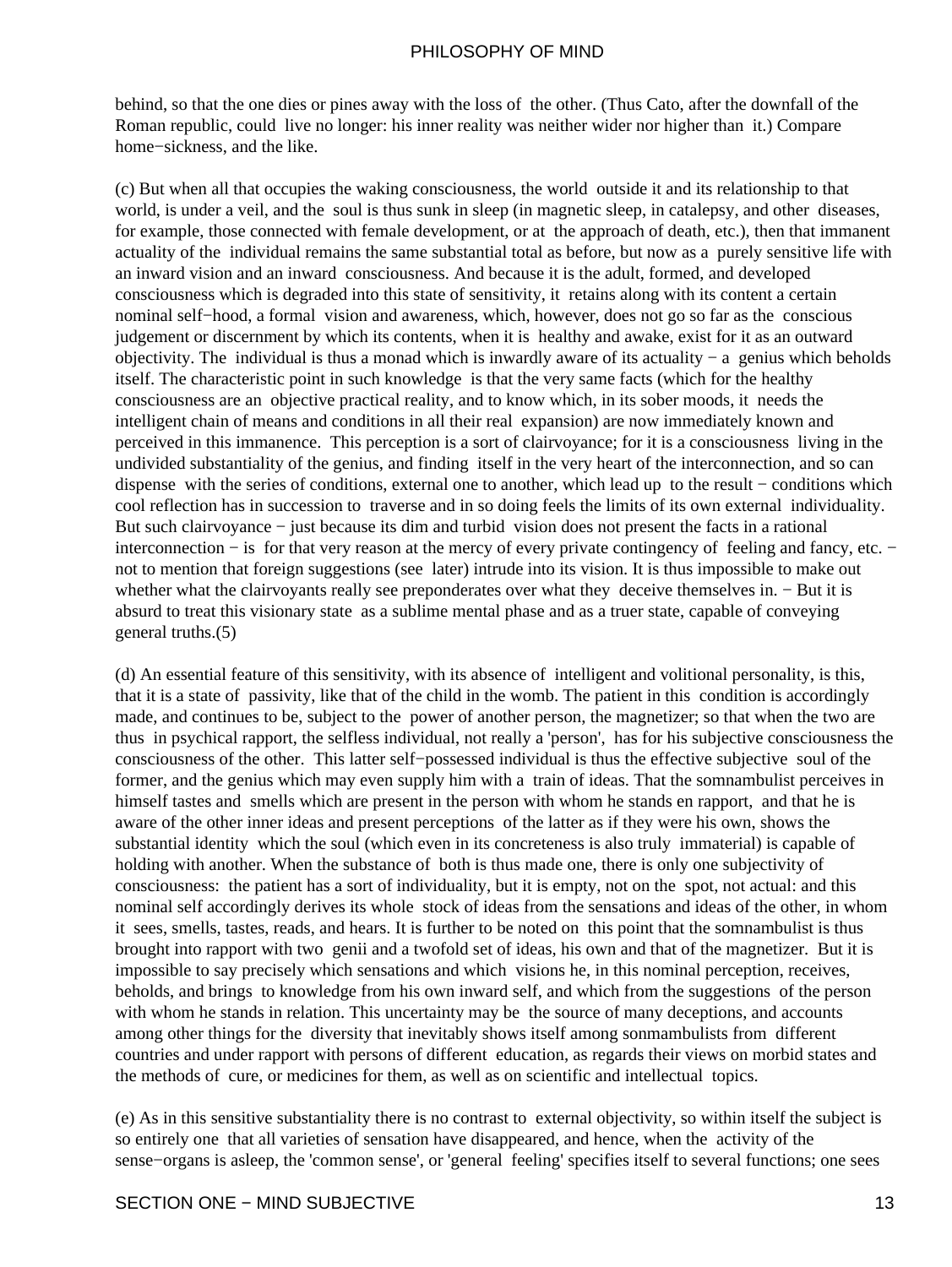behind, so that the one dies or pines away with the loss of the other. (Thus Cato, after the downfall of the Roman republic, could live no longer: his inner reality was neither wider nor higher than it.) Compare home−sickness, and the like.

(c) But when all that occupies the waking consciousness, the world outside it and its relationship to that world, is under a veil, and the soul is thus sunk in sleep (in magnetic sleep, in catalepsy, and other diseases, for example, those connected with female development, or at the approach of death, etc.), then that immanent actuality of the individual remains the same substantial total as before, but now as a purely sensitive life with an inward vision and an inward consciousness. And because it is the adult, formed, and developed consciousness which is degraded into this state of sensitivity, it retains along with its content a certain nominal self−hood, a formal vision and awareness, which, however, does not go so far as the conscious judgement or discernment by which its contents, when it is healthy and awake, exist for it as an outward objectivity. The individual is thus a monad which is inwardly aware of its actuality − a genius which beholds itself. The characteristic point in such knowledge is that the very same facts (which for the healthy consciousness are an objective practical reality, and to know which, in its sober moods, it needs the intelligent chain of means and conditions in all their real expansion) are now immediately known and perceived in this immanence. This perception is a sort of clairvoyance; for it is a consciousness living in the undivided substantiality of the genius, and finding itself in the very heart of the interconnection, and so can dispense with the series of conditions, external one to another, which lead up to the result − conditions which cool reflection has in succession to traverse and in so doing feels the limits of its own external individuality. But such clairvoyance − just because its dim and turbid vision does not present the facts in a rational interconnection − is for that very reason at the mercy of every private contingency of feeling and fancy, etc. − not to mention that foreign suggestions (see later) intrude into its vision. It is thus impossible to make out whether what the clairvoyants really see preponderates over what they deceive themselves in. − But it is absurd to treat this visionary state as a sublime mental phase and as a truer state, capable of conveying general truths.(5)

(d) An essential feature of this sensitivity, with its absence of intelligent and volitional personality, is this, that it is a state of passivity, like that of the child in the womb. The patient in this condition is accordingly made, and continues to be, subject to the power of another person, the magnetizer; so that when the two are thus in psychical rapport, the selfless individual, not really a 'person', has for his subjective consciousness the consciousness of the other. This latter self−possessed individual is thus the effective subjective soul of the former, and the genius which may even supply him with a train of ideas. That the somnambulist perceives in himself tastes and smells which are present in the person with whom he stands en rapport, and that he is aware of the other inner ideas and present perceptions of the latter as if they were his own, shows the substantial identity which the soul (which even in its concreteness is also truly immaterial) is capable of holding with another. When the substance of both is thus made one, there is only one subjectivity of consciousness: the patient has a sort of individuality, but it is empty, not on the spot, not actual: and this nominal self accordingly derives its whole stock of ideas from the sensations and ideas of the other, in whom it sees, smells, tastes, reads, and hears. It is further to be noted on this point that the somnambulist is thus brought into rapport with two genii and a twofold set of ideas, his own and that of the magnetizer. But it is impossible to say precisely which sensations and which visions he, in this nominal perception, receives, beholds, and brings to knowledge from his own inward self, and which from the suggestions of the person with whom he stands in relation. This uncertainty may be the source of many deceptions, and accounts among other things for the diversity that inevitably shows itself among sonmambulists from different countries and under rapport with persons of different education, as regards their views on morbid states and the methods of cure, or medicines for them, as well as on scientific and intellectual topics.

(e) As in this sensitive substantiality there is no contrast to external objectivity, so within itself the subject is so entirely one that all varieties of sensation have disappeared, and hence, when the activity of the sense−organs is asleep, the 'common sense', or 'general feeling' specifies itself to several functions; one sees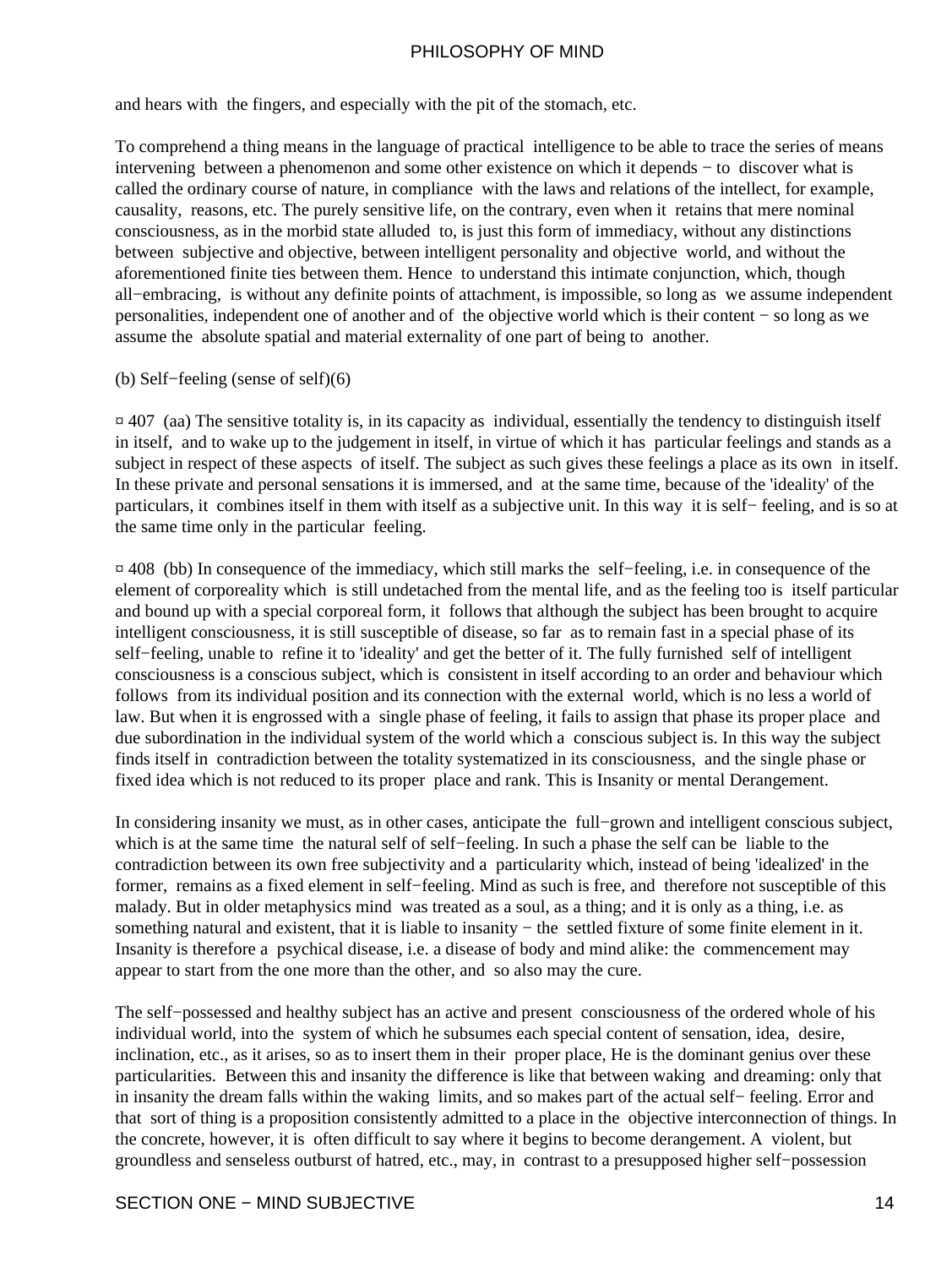and hears with the fingers, and especially with the pit of the stomach, etc.

To comprehend a thing means in the language of practical intelligence to be able to trace the series of means intervening between a phenomenon and some other existence on which it depends − to discover what is called the ordinary course of nature, in compliance with the laws and relations of the intellect, for example, causality, reasons, etc. The purely sensitive life, on the contrary, even when it retains that mere nominal consciousness, as in the morbid state alluded to, is just this form of immediacy, without any distinctions between subjective and objective, between intelligent personality and objective world, and without the aforementioned finite ties between them. Hence to understand this intimate conjunction, which, though all−embracing, is without any definite points of attachment, is impossible, so long as we assume independent personalities, independent one of another and of the objective world which is their content − so long as we assume the absolute spatial and material externality of one part of being to another.

#### (b) Self−feeling (sense of self)(6)

 $\alpha$  407 (aa) The sensitive totality is, in its capacity as individual, essentially the tendency to distinguish itself in itself, and to wake up to the judgement in itself, in virtue of which it has particular feelings and stands as a subject in respect of these aspects of itself. The subject as such gives these feelings a place as its own in itself. In these private and personal sensations it is immersed, and at the same time, because of the 'ideality' of the particulars, it combines itself in them with itself as a subjective unit. In this way it is self− feeling, and is so at the same time only in the particular feeling.

¤ 408 (bb) In consequence of the immediacy, which still marks the self−feeling, i.e. in consequence of the element of corporeality which is still undetached from the mental life, and as the feeling too is itself particular and bound up with a special corporeal form, it follows that although the subject has been brought to acquire intelligent consciousness, it is still susceptible of disease, so far as to remain fast in a special phase of its self−feeling, unable to refine it to 'ideality' and get the better of it. The fully furnished self of intelligent consciousness is a conscious subject, which is consistent in itself according to an order and behaviour which follows from its individual position and its connection with the external world, which is no less a world of law. But when it is engrossed with a single phase of feeling, it fails to assign that phase its proper place and due subordination in the individual system of the world which a conscious subject is. In this way the subject finds itself in contradiction between the totality systematized in its consciousness, and the single phase or fixed idea which is not reduced to its proper place and rank. This is Insanity or mental Derangement.

In considering insanity we must, as in other cases, anticipate the full−grown and intelligent conscious subject, which is at the same time the natural self of self−feeling. In such a phase the self can be liable to the contradiction between its own free subjectivity and a particularity which, instead of being 'idealized' in the former, remains as a fixed element in self−feeling. Mind as such is free, and therefore not susceptible of this malady. But in older metaphysics mind was treated as a soul, as a thing; and it is only as a thing, i.e. as something natural and existent, that it is liable to insanity – the settled fixture of some finite element in it. Insanity is therefore a psychical disease, i.e. a disease of body and mind alike: the commencement may appear to start from the one more than the other, and so also may the cure.

The self−possessed and healthy subject has an active and present consciousness of the ordered whole of his individual world, into the system of which he subsumes each special content of sensation, idea, desire, inclination, etc., as it arises, so as to insert them in their proper place, He is the dominant genius over these particularities. Between this and insanity the difference is like that between waking and dreaming: only that in insanity the dream falls within the waking limits, and so makes part of the actual self− feeling. Error and that sort of thing is a proposition consistently admitted to a place in the objective interconnection of things. In the concrete, however, it is often difficult to say where it begins to become derangement. A violent, but groundless and senseless outburst of hatred, etc., may, in contrast to a presupposed higher self−possession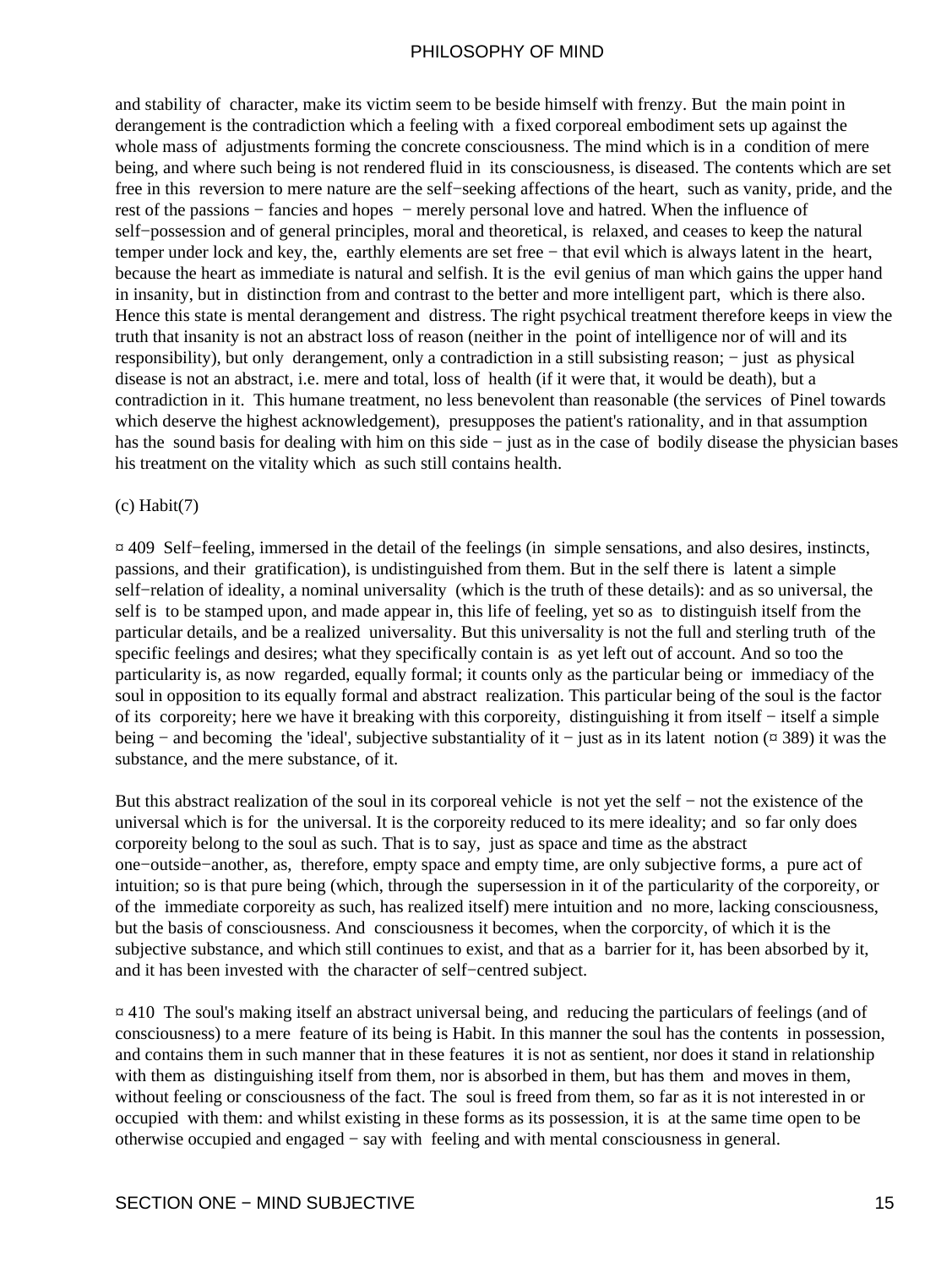and stability of character, make its victim seem to be beside himself with frenzy. But the main point in derangement is the contradiction which a feeling with a fixed corporeal embodiment sets up against the whole mass of adjustments forming the concrete consciousness. The mind which is in a condition of mere being, and where such being is not rendered fluid in its consciousness, is diseased. The contents which are set free in this reversion to mere nature are the self−seeking affections of the heart, such as vanity, pride, and the rest of the passions − fancies and hopes − merely personal love and hatred. When the influence of self−possession and of general principles, moral and theoretical, is relaxed, and ceases to keep the natural temper under lock and key, the, earthly elements are set free − that evil which is always latent in the heart, because the heart as immediate is natural and selfish. It is the evil genius of man which gains the upper hand in insanity, but in distinction from and contrast to the better and more intelligent part, which is there also. Hence this state is mental derangement and distress. The right psychical treatment therefore keeps in view the truth that insanity is not an abstract loss of reason (neither in the point of intelligence nor of will and its responsibility), but only derangement, only a contradiction in a still subsisting reason; − just as physical disease is not an abstract, i.e. mere and total, loss of health (if it were that, it would be death), but a contradiction in it. This humane treatment, no less benevolent than reasonable (the services of Pinel towards which deserve the highest acknowledgement), presupposes the patient's rationality, and in that assumption has the sound basis for dealing with him on this side − just as in the case of bodily disease the physician bases his treatment on the vitality which as such still contains health.

#### $(c)$  Habit $(7)$

¤ 409 Self−feeling, immersed in the detail of the feelings (in simple sensations, and also desires, instincts, passions, and their gratification), is undistinguished from them. But in the self there is latent a simple self−relation of ideality, a nominal universality (which is the truth of these details): and as so universal, the self is to be stamped upon, and made appear in, this life of feeling, yet so as to distinguish itself from the particular details, and be a realized universality. But this universality is not the full and sterling truth of the specific feelings and desires; what they specifically contain is as yet left out of account. And so too the particularity is, as now regarded, equally formal; it counts only as the particular being or immediacy of the soul in opposition to its equally formal and abstract realization. This particular being of the soul is the factor of its corporeity; here we have it breaking with this corporeity, distinguishing it from itself − itself a simple being − and becoming the 'ideal', subjective substantiality of it − just as in its latent notion (¤ 389) it was the substance, and the mere substance, of it.

But this abstract realization of the soul in its corporeal vehicle is not yet the self − not the existence of the universal which is for the universal. It is the corporeity reduced to its mere ideality; and so far only does corporeity belong to the soul as such. That is to say, just as space and time as the abstract one−outside−another, as, therefore, empty space and empty time, are only subjective forms, a pure act of intuition; so is that pure being (which, through the supersession in it of the particularity of the corporeity, or of the immediate corporeity as such, has realized itself) mere intuition and no more, lacking consciousness, but the basis of consciousness. And consciousness it becomes, when the corporcity, of which it is the subjective substance, and which still continues to exist, and that as a barrier for it, has been absorbed by it, and it has been invested with the character of self−centred subject.

¤ 410 The soul's making itself an abstract universal being, and reducing the particulars of feelings (and of consciousness) to a mere feature of its being is Habit. In this manner the soul has the contents in possession, and contains them in such manner that in these features it is not as sentient, nor does it stand in relationship with them as distinguishing itself from them, nor is absorbed in them, but has them and moves in them, without feeling or consciousness of the fact. The soul is freed from them, so far as it is not interested in or occupied with them: and whilst existing in these forms as its possession, it is at the same time open to be otherwise occupied and engaged − say with feeling and with mental consciousness in general.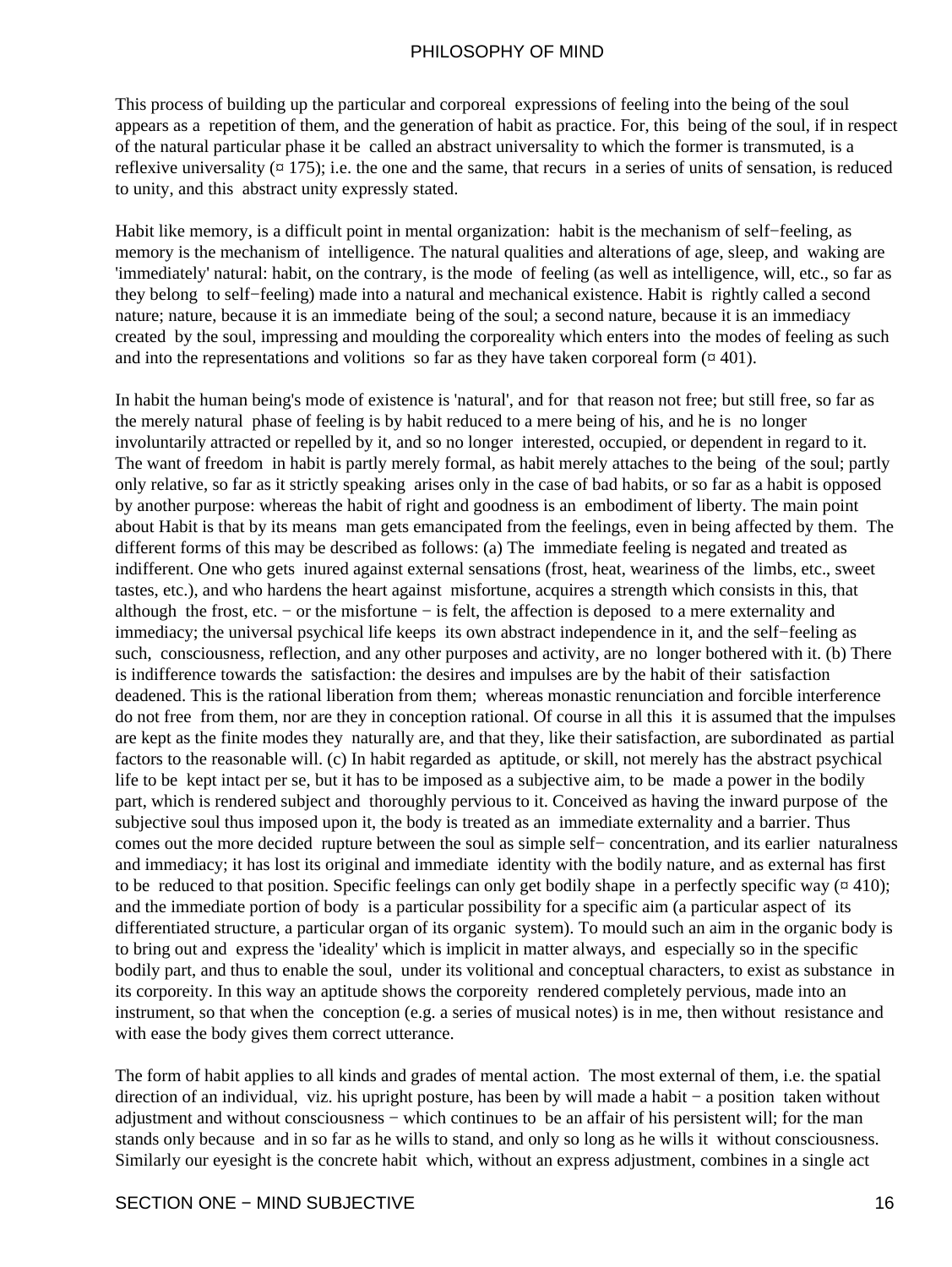This process of building up the particular and corporeal expressions of feeling into the being of the soul appears as a repetition of them, and the generation of habit as practice. For, this being of the soul, if in respect of the natural particular phase it be called an abstract universality to which the former is transmuted, is a reflexive universality  $(\alpha 175)$ ; i.e. the one and the same, that recurs in a series of units of sensation, is reduced to unity, and this abstract unity expressly stated.

Habit like memory, is a difficult point in mental organization: habit is the mechanism of self−feeling, as memory is the mechanism of intelligence. The natural qualities and alterations of age, sleep, and waking are 'immediately' natural: habit, on the contrary, is the mode of feeling (as well as intelligence, will, etc., so far as they belong to self−feeling) made into a natural and mechanical existence. Habit is rightly called a second nature; nature, because it is an immediate being of the soul; a second nature, because it is an immediacy created by the soul, impressing and moulding the corporeality which enters into the modes of feeling as such and into the representations and volitions so far as they have taken corporeal form  $(401)$ .

In habit the human being's mode of existence is 'natural', and for that reason not free; but still free, so far as the merely natural phase of feeling is by habit reduced to a mere being of his, and he is no longer involuntarily attracted or repelled by it, and so no longer interested, occupied, or dependent in regard to it. The want of freedom in habit is partly merely formal, as habit merely attaches to the being of the soul; partly only relative, so far as it strictly speaking arises only in the case of bad habits, or so far as a habit is opposed by another purpose: whereas the habit of right and goodness is an embodiment of liberty. The main point about Habit is that by its means man gets emancipated from the feelings, even in being affected by them. The different forms of this may be described as follows: (a) The immediate feeling is negated and treated as indifferent. One who gets inured against external sensations (frost, heat, weariness of the limbs, etc., sweet tastes, etc.), and who hardens the heart against misfortune, acquires a strength which consists in this, that although the frost, etc. − or the misfortune − is felt, the affection is deposed to a mere externality and immediacy; the universal psychical life keeps its own abstract independence in it, and the self−feeling as such, consciousness, reflection, and any other purposes and activity, are no longer bothered with it. (b) There is indifference towards the satisfaction: the desires and impulses are by the habit of their satisfaction deadened. This is the rational liberation from them; whereas monastic renunciation and forcible interference do not free from them, nor are they in conception rational. Of course in all this it is assumed that the impulses are kept as the finite modes they naturally are, and that they, like their satisfaction, are subordinated as partial factors to the reasonable will. (c) In habit regarded as aptitude, or skill, not merely has the abstract psychical life to be kept intact per se, but it has to be imposed as a subjective aim, to be made a power in the bodily part, which is rendered subject and thoroughly pervious to it. Conceived as having the inward purpose of the subjective soul thus imposed upon it, the body is treated as an immediate externality and a barrier. Thus comes out the more decided rupture between the soul as simple self− concentration, and its earlier naturalness and immediacy; it has lost its original and immediate identity with the bodily nature, and as external has first to be reduced to that position. Specific feelings can only get bodily shape in a perfectly specific way  $(\alpha 410)$ ; and the immediate portion of body is a particular possibility for a specific aim (a particular aspect of its differentiated structure, a particular organ of its organic system). To mould such an aim in the organic body is to bring out and express the 'ideality' which is implicit in matter always, and especially so in the specific bodily part, and thus to enable the soul, under its volitional and conceptual characters, to exist as substance in its corporeity. In this way an aptitude shows the corporeity rendered completely pervious, made into an instrument, so that when the conception (e.g. a series of musical notes) is in me, then without resistance and with ease the body gives them correct utterance.

The form of habit applies to all kinds and grades of mental action. The most external of them, i.e. the spatial direction of an individual, viz. his upright posture, has been by will made a habit − a position taken without adjustment and without consciousness − which continues to be an affair of his persistent will; for the man stands only because and in so far as he wills to stand, and only so long as he wills it without consciousness. Similarly our eyesight is the concrete habit which, without an express adjustment, combines in a single act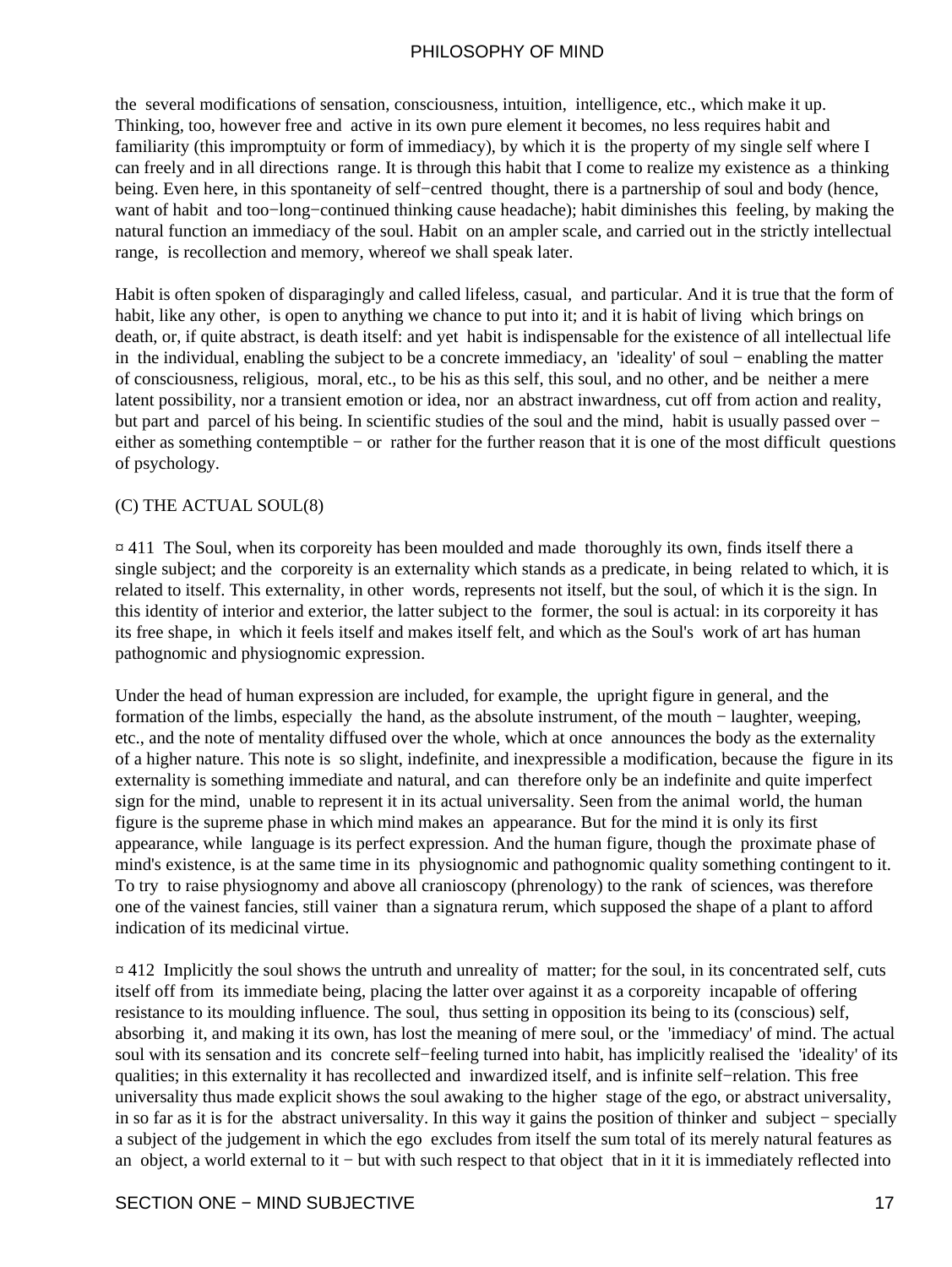the several modifications of sensation, consciousness, intuition, intelligence, etc., which make it up. Thinking, too, however free and active in its own pure element it becomes, no less requires habit and familiarity (this impromptuity or form of immediacy), by which it is the property of my single self where I can freely and in all directions range. It is through this habit that I come to realize my existence as a thinking being. Even here, in this spontaneity of self−centred thought, there is a partnership of soul and body (hence, want of habit and too−long−continued thinking cause headache); habit diminishes this feeling, by making the natural function an immediacy of the soul. Habit on an ampler scale, and carried out in the strictly intellectual range, is recollection and memory, whereof we shall speak later.

Habit is often spoken of disparagingly and called lifeless, casual, and particular. And it is true that the form of habit, like any other, is open to anything we chance to put into it; and it is habit of living which brings on death, or, if quite abstract, is death itself: and yet habit is indispensable for the existence of all intellectual life in the individual, enabling the subject to be a concrete immediacy, an 'ideality' of soul − enabling the matter of consciousness, religious, moral, etc., to be his as this self, this soul, and no other, and be neither a mere latent possibility, nor a transient emotion or idea, nor an abstract inwardness, cut off from action and reality, but part and parcel of his being. In scientific studies of the soul and the mind, habit is usually passed over − either as something contemptible − or rather for the further reason that it is one of the most difficult questions of psychology.

#### (C) THE ACTUAL SOUL(8)

 $\overline{a}$  411 The Soul, when its corporeity has been moulded and made thoroughly its own, finds itself there a single subject; and the corporeity is an externality which stands as a predicate, in being related to which, it is related to itself. This externality, in other words, represents not itself, but the soul, of which it is the sign. In this identity of interior and exterior, the latter subject to the former, the soul is actual: in its corporeity it has its free shape, in which it feels itself and makes itself felt, and which as the Soul's work of art has human pathognomic and physiognomic expression.

Under the head of human expression are included, for example, the upright figure in general, and the formation of the limbs, especially the hand, as the absolute instrument, of the mouth − laughter, weeping, etc., and the note of mentality diffused over the whole, which at once announces the body as the externality of a higher nature. This note is so slight, indefinite, and inexpressible a modification, because the figure in its externality is something immediate and natural, and can therefore only be an indefinite and quite imperfect sign for the mind, unable to represent it in its actual universality. Seen from the animal world, the human figure is the supreme phase in which mind makes an appearance. But for the mind it is only its first appearance, while language is its perfect expression. And the human figure, though the proximate phase of mind's existence, is at the same time in its physiognomic and pathognomic quality something contingent to it. To try to raise physiognomy and above all cranioscopy (phrenology) to the rank of sciences, was therefore one of the vainest fancies, still vainer than a signatura rerum, which supposed the shape of a plant to afford indication of its medicinal virtue.

 $\approx$  412 Implicitly the soul shows the untruth and unreality of matter; for the soul, in its concentrated self, cuts itself off from its immediate being, placing the latter over against it as a corporeity incapable of offering resistance to its moulding influence. The soul, thus setting in opposition its being to its (conscious) self, absorbing it, and making it its own, has lost the meaning of mere soul, or the 'immediacy' of mind. The actual soul with its sensation and its concrete self−feeling turned into habit, has implicitly realised the 'ideality' of its qualities; in this externality it has recollected and inwardized itself, and is infinite self−relation. This free universality thus made explicit shows the soul awaking to the higher stage of the ego, or abstract universality, in so far as it is for the abstract universality. In this way it gains the position of thinker and subject − specially a subject of the judgement in which the ego excludes from itself the sum total of its merely natural features as an object, a world external to it − but with such respect to that object that in it it is immediately reflected into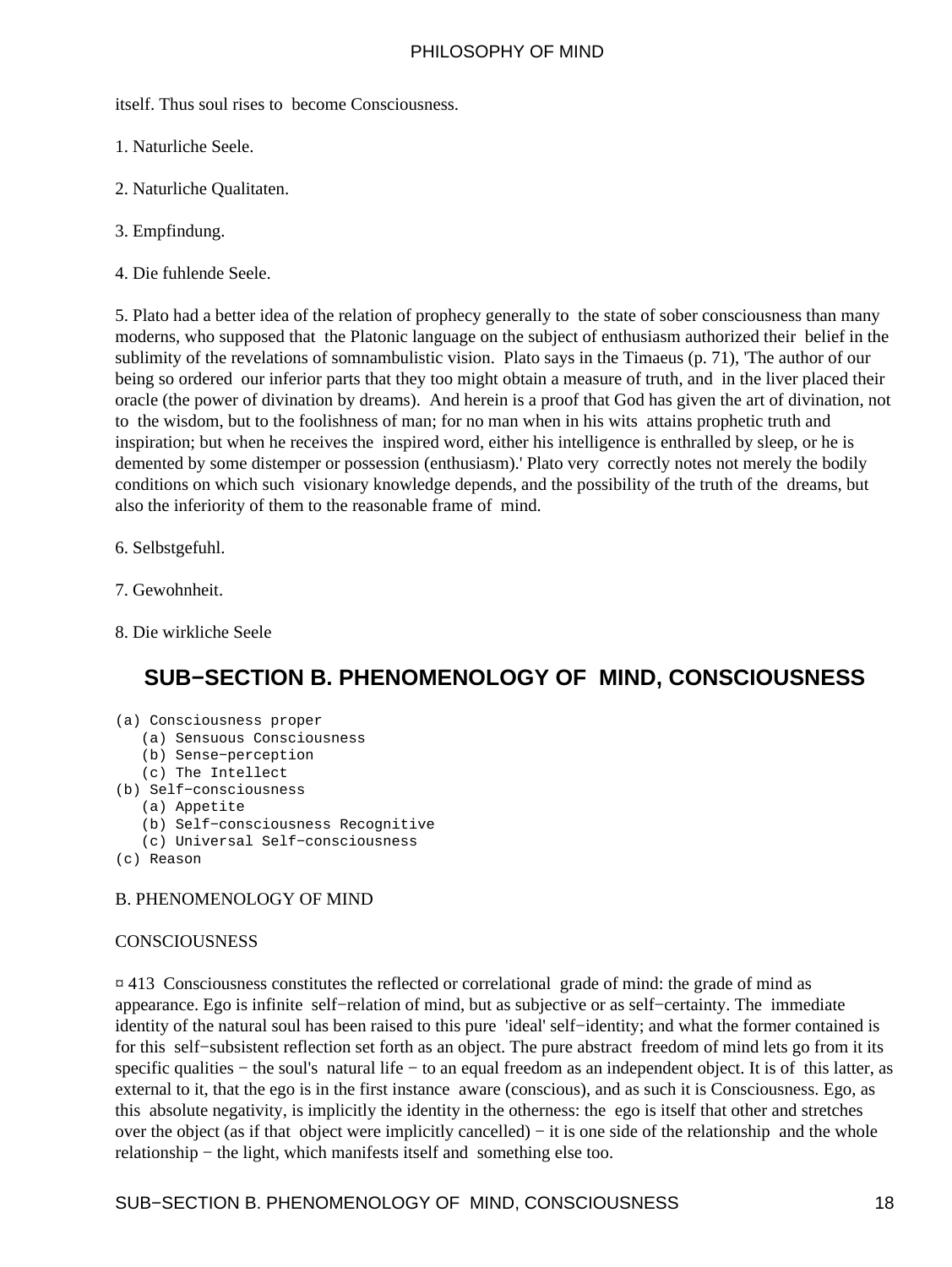<span id="page-19-0"></span>itself. Thus soul rises to become Consciousness.

- 1. Naturliche Seele.
- 2. Naturliche Qualitaten.
- 3. Empfindung.
- 4. Die fuhlende Seele.

5. Plato had a better idea of the relation of prophecy generally to the state of sober consciousness than many moderns, who supposed that the Platonic language on the subject of enthusiasm authorized their belief in the sublimity of the revelations of somnambulistic vision. Plato says in the Timaeus (p. 71), 'The author of our being so ordered our inferior parts that they too might obtain a measure of truth, and in the liver placed their oracle (the power of divination by dreams). And herein is a proof that God has given the art of divination, not to the wisdom, but to the foolishness of man; for no man when in his wits attains prophetic truth and inspiration; but when he receives the inspired word, either his intelligence is enthralled by sleep, or he is demented by some distemper or possession (enthusiasm).' Plato very correctly notes not merely the bodily conditions on which such visionary knowledge depends, and the possibility of the truth of the dreams, but also the inferiority of them to the reasonable frame of mind.

- 6. Selbstgefuhl.
- 7. Gewohnheit.
- 8. Die wirkliche Seele

## **SUB−SECTION B. PHENOMENOLOGY OF MIND, CONSCIOUSNESS**

- (a) Consciousness proper
	- (a) Sensuous Consciousness
	- (b) Sense−perception
	- (c) The Intellect
- (b) Self−consciousness
	- (a) Appetite
	- (b) Self−consciousness Recognitive
	- (c) Universal Self−consciousness
- (c) Reason

#### B. PHENOMENOLOGY OF MIND

#### **CONSCIOUSNESS**

¤ 413 Consciousness constitutes the reflected or correlational grade of mind: the grade of mind as appearance. Ego is infinite self−relation of mind, but as subjective or as self−certainty. The immediate identity of the natural soul has been raised to this pure 'ideal' self−identity; and what the former contained is for this self−subsistent reflection set forth as an object. The pure abstract freedom of mind lets go from it its specific qualities – the soul's natural life – to an equal freedom as an independent object. It is of this latter, as external to it, that the ego is in the first instance aware (conscious), and as such it is Consciousness. Ego, as this absolute negativity, is implicitly the identity in the otherness: the ego is itself that other and stretches over the object (as if that object were implicitly cancelled) − it is one side of the relationship and the whole relationship − the light, which manifests itself and something else too.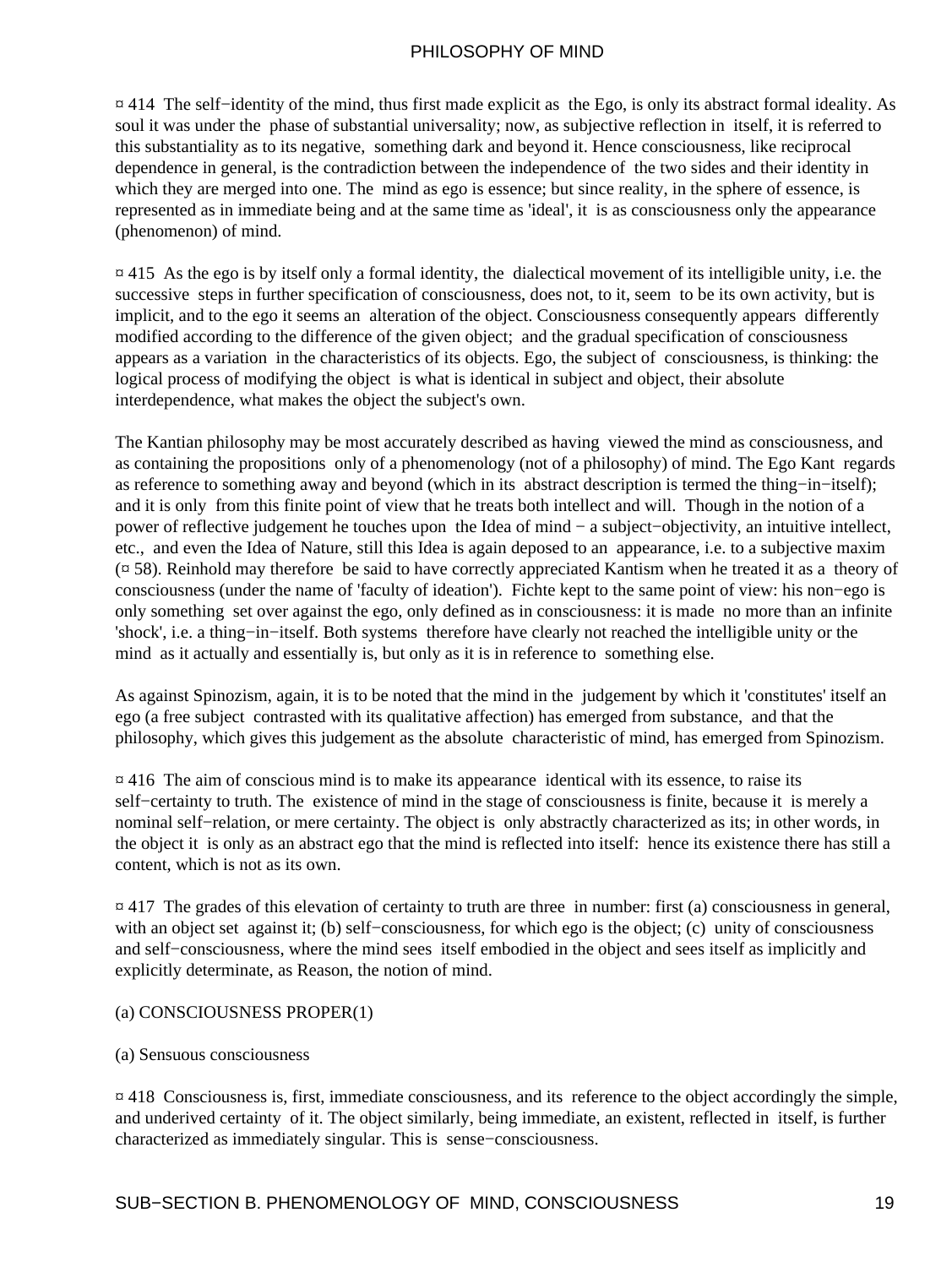¤ 414 The self−identity of the mind, thus first made explicit as the Ego, is only its abstract formal ideality. As soul it was under the phase of substantial universality; now, as subjective reflection in itself, it is referred to this substantiality as to its negative, something dark and beyond it. Hence consciousness, like reciprocal dependence in general, is the contradiction between the independence of the two sides and their identity in which they are merged into one. The mind as ego is essence; but since reality, in the sphere of essence, is represented as in immediate being and at the same time as 'ideal', it is as consciousness only the appearance (phenomenon) of mind.

 $\overline{a}$  415 As the ego is by itself only a formal identity, the dialectical movement of its intelligible unity, i.e. the successive steps in further specification of consciousness, does not, to it, seem to be its own activity, but is implicit, and to the ego it seems an alteration of the object. Consciousness consequently appears differently modified according to the difference of the given object; and the gradual specification of consciousness appears as a variation in the characteristics of its objects. Ego, the subject of consciousness, is thinking: the logical process of modifying the object is what is identical in subject and object, their absolute interdependence, what makes the object the subject's own.

The Kantian philosophy may be most accurately described as having viewed the mind as consciousness, and as containing the propositions only of a phenomenology (not of a philosophy) of mind. The Ego Kant regards as reference to something away and beyond (which in its abstract description is termed the thing−in−itself); and it is only from this finite point of view that he treats both intellect and will. Though in the notion of a power of reflective judgement he touches upon the Idea of mind − a subject−objectivity, an intuitive intellect, etc., and even the Idea of Nature, still this Idea is again deposed to an appearance, i.e. to a subjective maxim  $(\pi 58)$ . Reinhold may therefore be said to have correctly appreciated Kantism when he treated it as a theory of consciousness (under the name of 'faculty of ideation'). Fichte kept to the same point of view: his non−ego is only something set over against the ego, only defined as in consciousness: it is made no more than an infinite 'shock', i.e. a thing−in−itself. Both systems therefore have clearly not reached the intelligible unity or the mind as it actually and essentially is, but only as it is in reference to something else.

As against Spinozism, again, it is to be noted that the mind in the judgement by which it 'constitutes' itself an ego (a free subject contrasted with its qualitative affection) has emerged from substance, and that the philosophy, which gives this judgement as the absolute characteristic of mind, has emerged from Spinozism.

 $\alpha$  416. The aim of conscious mind is to make its appearance identical with its essence, to raise its self−certainty to truth. The existence of mind in the stage of consciousness is finite, because it is merely a nominal self–relation, or mere certainty. The object is only abstractly characterized as its; in other words, in the object it is only as an abstract ego that the mind is reflected into itself: hence its existence there has still a content, which is not as its own.

 $\alpha$  417 The grades of this elevation of certainty to truth are three in number: first (a) consciousness in general, with an object set against it; (b) self–consciousness, for which ego is the object; (c) unity of consciousness and self−consciousness, where the mind sees itself embodied in the object and sees itself as implicitly and explicitly determinate, as Reason, the notion of mind.

#### (a) CONSCIOUSNESS PROPER(1)

#### (a) Sensuous consciousness

¤ 418 Consciousness is, first, immediate consciousness, and its reference to the object accordingly the simple, and underived certainty of it. The object similarly, being immediate, an existent, reflected in itself, is further characterized as immediately singular. This is sense−consciousness.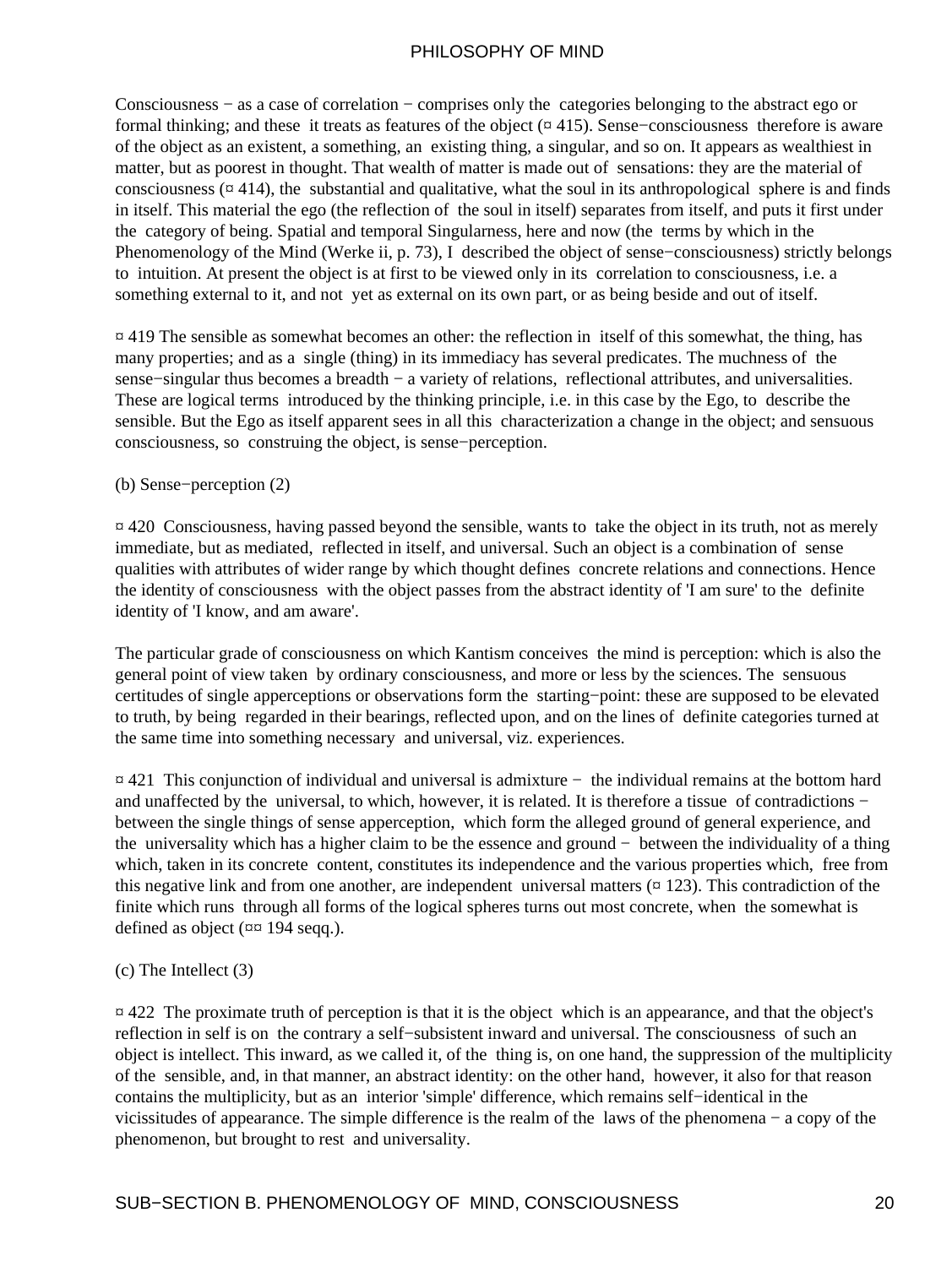Consciousness − as a case of correlation − comprises only the categories belonging to the abstract ego or formal thinking; and these it treats as features of the object (¤ 415). Sense−consciousness therefore is aware of the object as an existent, a something, an existing thing, a singular, and so on. It appears as wealthiest in matter, but as poorest in thought. That wealth of matter is made out of sensations: they are the material of consciousness ( $\alpha$  414), the substantial and qualitative, what the soul in its anthropological sphere is and finds in itself. This material the ego (the reflection of the soul in itself) separates from itself, and puts it first under the category of being. Spatial and temporal Singularness, here and now (the terms by which in the Phenomenology of the Mind (Werke ii, p. 73), I described the object of sense−consciousness) strictly belongs to intuition. At present the object is at first to be viewed only in its correlation to consciousness, i.e. a something external to it, and not yet as external on its own part, or as being beside and out of itself.

¤ 419 The sensible as somewhat becomes an other: the reflection in itself of this somewhat, the thing, has many properties; and as a single (thing) in its immediacy has several predicates. The muchness of the sense–singular thus becomes a breadth – a variety of relations, reflectional attributes, and universalities. These are logical terms introduced by the thinking principle, i.e. in this case by the Ego, to describe the sensible. But the Ego as itself apparent sees in all this characterization a change in the object; and sensuous consciousness, so construing the object, is sense−perception.

#### (b) Sense−perception (2)

¤ 420 Consciousness, having passed beyond the sensible, wants to take the object in its truth, not as merely immediate, but as mediated, reflected in itself, and universal. Such an object is a combination of sense qualities with attributes of wider range by which thought defines concrete relations and connections. Hence the identity of consciousness with the object passes from the abstract identity of 'I am sure' to the definite identity of 'I know, and am aware'.

The particular grade of consciousness on which Kantism conceives the mind is perception: which is also the general point of view taken by ordinary consciousness, and more or less by the sciences. The sensuous certitudes of single apperceptions or observations form the starting−point: these are supposed to be elevated to truth, by being regarded in their bearings, reflected upon, and on the lines of definite categories turned at the same time into something necessary and universal, viz. experiences.

¤ 421 This conjunction of individual and universal is admixture − the individual remains at the bottom hard and unaffected by the universal, to which, however, it is related. It is therefore a tissue of contradictions − between the single things of sense apperception, which form the alleged ground of general experience, and the universality which has a higher claim to be the essence and ground − between the individuality of a thing which, taken in its concrete content, constitutes its independence and the various properties which, free from this negative link and from one another, are independent universal matters  $(\pi 123)$ . This contradiction of the finite which runs through all forms of the logical spheres turns out most concrete, when the somewhat is defined as object (¤¤ 194 seqq.).

(c) The Intellect (3)

¤ 422 The proximate truth of perception is that it is the object which is an appearance, and that the object's reflection in self is on the contrary a self−subsistent inward and universal. The consciousness of such an object is intellect. This inward, as we called it, of the thing is, on one hand, the suppression of the multiplicity of the sensible, and, in that manner, an abstract identity: on the other hand, however, it also for that reason contains the multiplicity, but as an interior 'simple' difference, which remains self−identical in the vicissitudes of appearance. The simple difference is the realm of the laws of the phenomena − a copy of the phenomenon, but brought to rest and universality.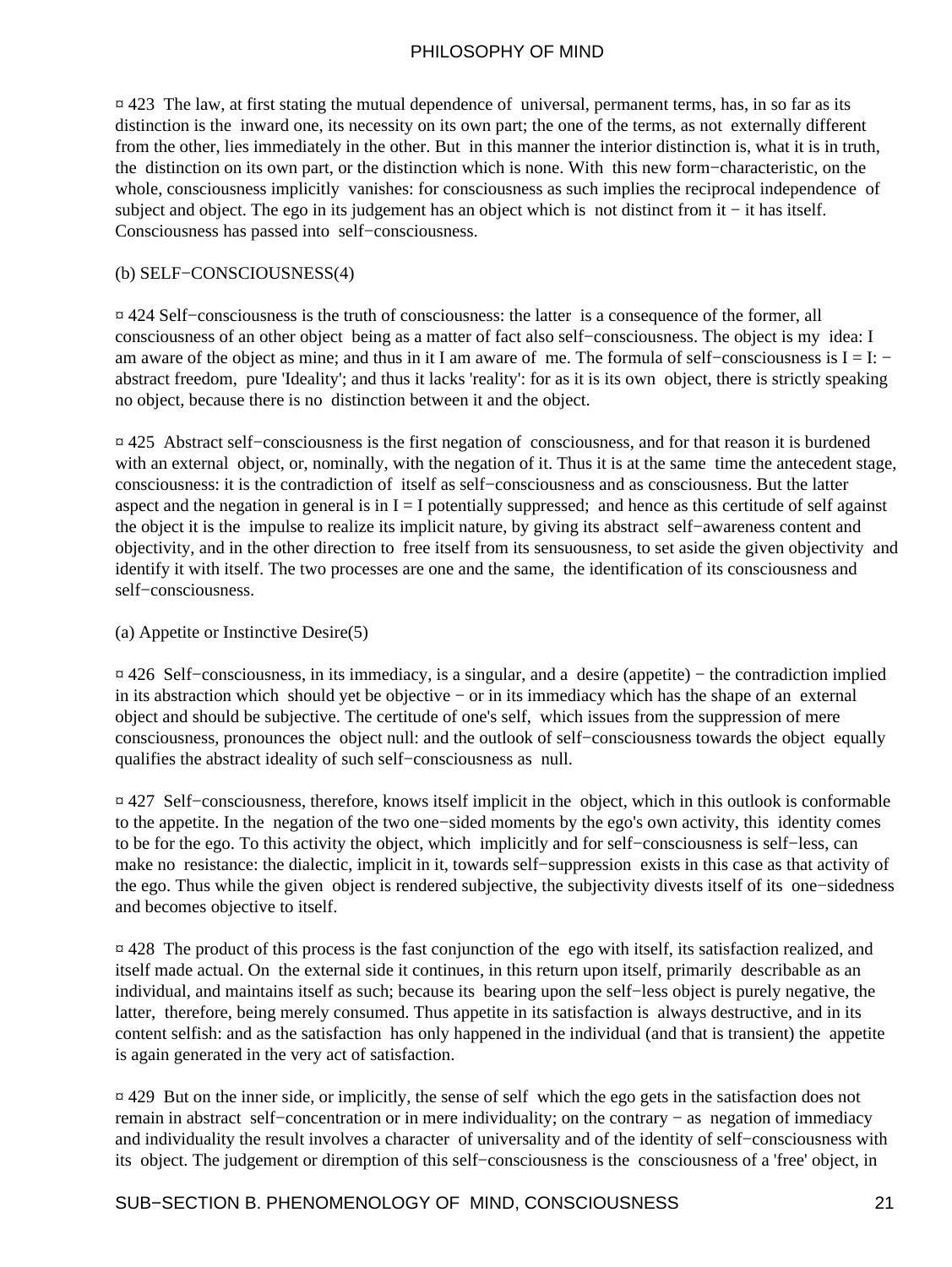¤ 423 The law, at first stating the mutual dependence of universal, permanent terms, has, in so far as its distinction is the inward one, its necessity on its own part; the one of the terms, as not externally different from the other, lies immediately in the other. But in this manner the interior distinction is, what it is in truth, the distinction on its own part, or the distinction which is none. With this new form−characteristic, on the whole, consciousness implicitly vanishes: for consciousness as such implies the reciprocal independence of subject and object. The ego in its judgement has an object which is not distinct from it – it has itself. Consciousness has passed into self−consciousness.

#### (b) SELF−CONSCIOUSNESS(4)

¤ 424 Self−consciousness is the truth of consciousness: the latter is a consequence of the former, all consciousness of an other object being as a matter of fact also self−consciousness. The object is my idea: I am aware of the object as mine; and thus in it I am aware of me. The formula of self−consciousness is I = I: − abstract freedom, pure 'Ideality'; and thus it lacks 'reality': for as it is its own object, there is strictly speaking no object, because there is no distinction between it and the object.

¤ 425 Abstract self−consciousness is the first negation of consciousness, and for that reason it is burdened with an external object, or, nominally, with the negation of it. Thus it is at the same time the antecedent stage, consciousness: it is the contradiction of itself as self−consciousness and as consciousness. But the latter aspect and the negation in general is in  $I = I$  potentially suppressed; and hence as this certitude of self against the object it is the impulse to realize its implicit nature, by giving its abstract self−awareness content and objectivity, and in the other direction to free itself from its sensuousness, to set aside the given objectivity and identify it with itself. The two processes are one and the same, the identification of its consciousness and self−consciousness.

#### (a) Appetite or Instinctive Desire(5)

¤ 426 Self−consciousness, in its immediacy, is a singular, and a desire (appetite) − the contradiction implied in its abstraction which should yet be objective − or in its immediacy which has the shape of an external object and should be subjective. The certitude of one's self, which issues from the suppression of mere consciousness, pronounces the object null: and the outlook of self−consciousness towards the object equally qualifies the abstract ideality of such self−consciousness as null.

¤ 427 Self−consciousness, therefore, knows itself implicit in the object, which in this outlook is conformable to the appetite. In the negation of the two one−sided moments by the ego's own activity, this identity comes to be for the ego. To this activity the object, which implicitly and for self−consciousness is self−less, can make no resistance: the dialectic, implicit in it, towards self−suppression exists in this case as that activity of the ego. Thus while the given object is rendered subjective, the subjectivity divests itself of its one−sidedness and becomes objective to itself.

¤ 428 The product of this process is the fast conjunction of the ego with itself, its satisfaction realized, and itself made actual. On the external side it continues, in this return upon itself, primarily describable as an individual, and maintains itself as such; because its bearing upon the self−less object is purely negative, the latter, therefore, being merely consumed. Thus appetite in its satisfaction is always destructive, and in its content selfish: and as the satisfaction has only happened in the individual (and that is transient) the appetite is again generated in the very act of satisfaction.

¤ 429 But on the inner side, or implicitly, the sense of self which the ego gets in the satisfaction does not remain in abstract self−concentration or in mere individuality; on the contrary − as negation of immediacy and individuality the result involves a character of universality and of the identity of self−consciousness with its object. The judgement or diremption of this self−consciousness is the consciousness of a 'free' object, in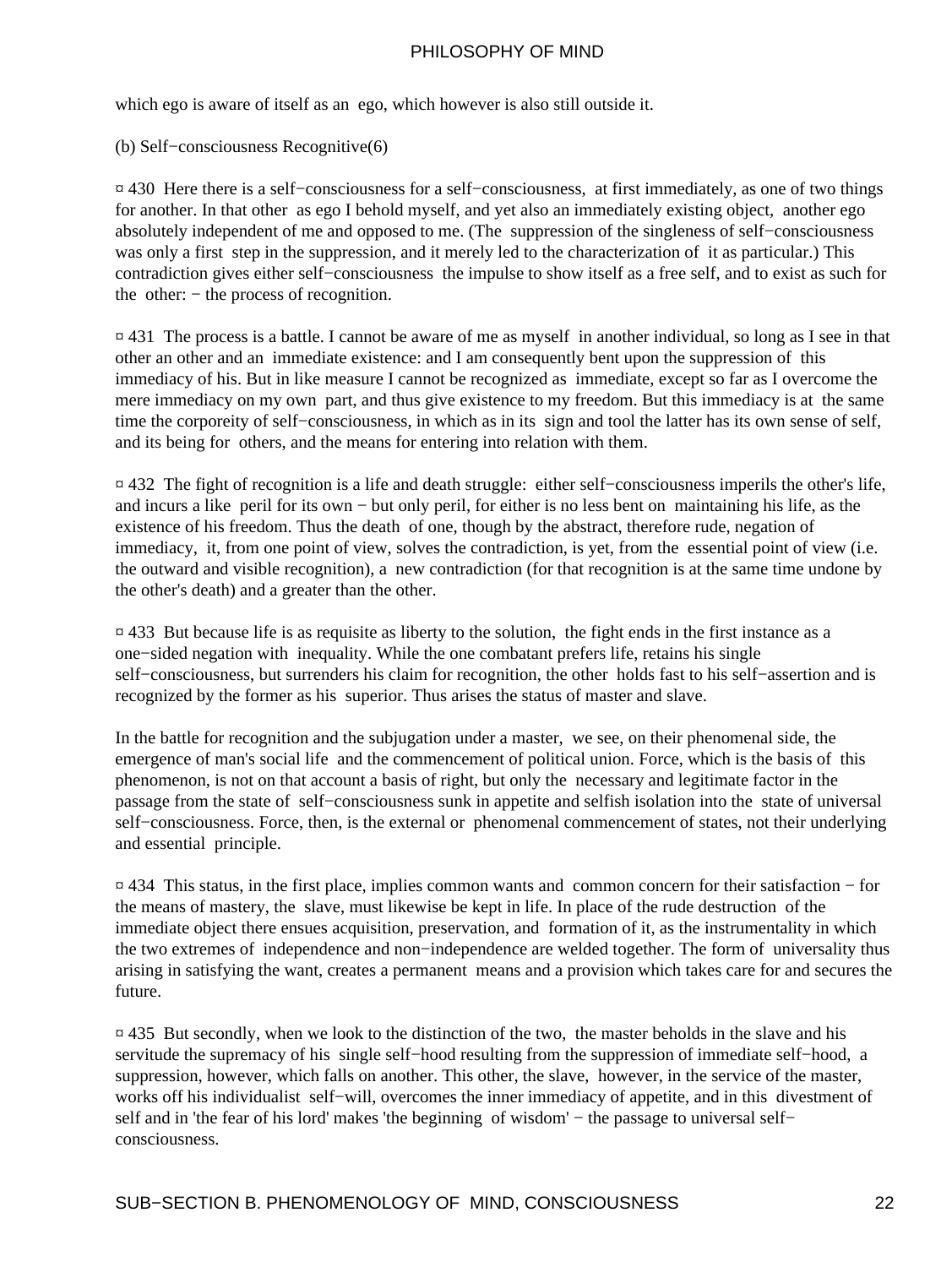which ego is aware of itself as an ego, which however is also still outside it.

#### (b) Self−consciousness Recognitive(6)

¤ 430 Here there is a self−consciousness for a self−consciousness, at first immediately, as one of two things for another. In that other as ego I behold myself, and yet also an immediately existing object, another ego absolutely independent of me and opposed to me. (The suppression of the singleness of self−consciousness was only a first step in the suppression, and it merely led to the characterization of it as particular.) This contradiction gives either self−consciousness the impulse to show itself as a free self, and to exist as such for the other: − the process of recognition.

¤ 431 The process is a battle. I cannot be aware of me as myself in another individual, so long as I see in that other an other and an immediate existence: and I am consequently bent upon the suppression of this immediacy of his. But in like measure I cannot be recognized as immediate, except so far as I overcome the mere immediacy on my own part, and thus give existence to my freedom. But this immediacy is at the same time the corporeity of self−consciousness, in which as in its sign and tool the latter has its own sense of self, and its being for others, and the means for entering into relation with them.

¤ 432 The fight of recognition is a life and death struggle: either self−consciousness imperils the other's life, and incurs a like peril for its own − but only peril, for either is no less bent on maintaining his life, as the existence of his freedom. Thus the death of one, though by the abstract, therefore rude, negation of immediacy, it, from one point of view, solves the contradiction, is yet, from the essential point of view (i.e. the outward and visible recognition), a new contradiction (for that recognition is at the same time undone by the other's death) and a greater than the other.

¤ 433 But because life is as requisite as liberty to the solution, the fight ends in the first instance as a one−sided negation with inequality. While the one combatant prefers life, retains his single self−consciousness, but surrenders his claim for recognition, the other holds fast to his self−assertion and is recognized by the former as his superior. Thus arises the status of master and slave.

In the battle for recognition and the subjugation under a master, we see, on their phenomenal side, the emergence of man's social life and the commencement of political union. Force, which is the basis of this phenomenon, is not on that account a basis of right, but only the necessary and legitimate factor in the passage from the state of self−consciousness sunk in appetite and selfish isolation into the state of universal self–consciousness. Force, then, is the external or phenomenal commencement of states, not their underlying and essential principle.

¤ 434 This status, in the first place, implies common wants and common concern for their satisfaction − for the means of mastery, the slave, must likewise be kept in life. In place of the rude destruction of the immediate object there ensues acquisition, preservation, and formation of it, as the instrumentality in which the two extremes of independence and non−independence are welded together. The form of universality thus arising in satisfying the want, creates a permanent means and a provision which takes care for and secures the future.

 $\overline{p}$  435 But secondly, when we look to the distinction of the two, the master beholds in the slave and his servitude the supremacy of his single self−hood resulting from the suppression of immediate self−hood, a suppression, however, which falls on another. This other, the slave, however, in the service of the master, works off his individualist self−will, overcomes the inner immediacy of appetite, and in this divestment of self and in 'the fear of his lord' makes 'the beginning of wisdom' – the passage to universal self– consciousness.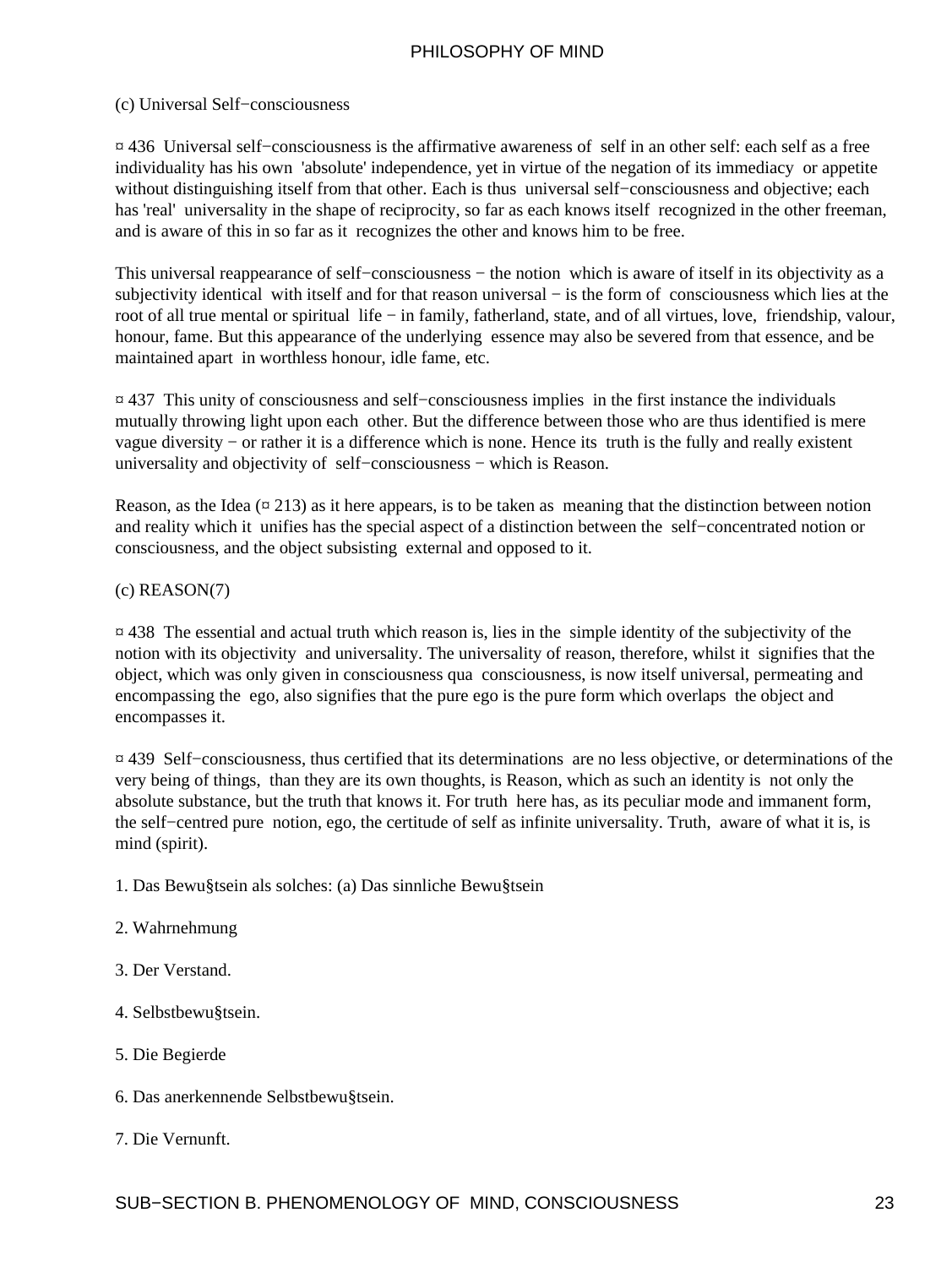#### (c) Universal Self−consciousness

¤ 436 Universal self−consciousness is the affirmative awareness of self in an other self: each self as a free individuality has his own 'absolute' independence, yet in virtue of the negation of its immediacy or appetite without distinguishing itself from that other. Each is thus universal self−consciousness and objective; each has 'real' universality in the shape of reciprocity, so far as each knows itself recognized in the other freeman, and is aware of this in so far as it recognizes the other and knows him to be free.

This universal reappearance of self−consciousness − the notion which is aware of itself in its objectivity as a subjectivity identical with itself and for that reason universal – is the form of consciousness which lies at the root of all true mental or spiritual life – in family, fatherland, state, and of all virtues, love, friendship, valour, honour, fame. But this appearance of the underlying essence may also be severed from that essence, and be maintained apart in worthless honour, idle fame, etc.

¤ 437 This unity of consciousness and self−consciousness implies in the first instance the individuals mutually throwing light upon each other. But the difference between those who are thus identified is mere vague diversity − or rather it is a difference which is none. Hence its truth is the fully and really existent universality and objectivity of self−consciousness − which is Reason.

Reason, as the Idea  $(\alpha 213)$  as it here appears, is to be taken as meaning that the distinction between notion and reality which it unifies has the special aspect of a distinction between the self−concentrated notion or consciousness, and the object subsisting external and opposed to it.

(c) REASON(7)

¤ 438 The essential and actual truth which reason is, lies in the simple identity of the subjectivity of the notion with its objectivity and universality. The universality of reason, therefore, whilst it signifies that the object, which was only given in consciousness qua consciousness, is now itself universal, permeating and encompassing the ego, also signifies that the pure ego is the pure form which overlaps the object and encompasses it.

¤ 439 Self−consciousness, thus certified that its determinations are no less objective, or determinations of the very being of things, than they are its own thoughts, is Reason, which as such an identity is not only the absolute substance, but the truth that knows it. For truth here has, as its peculiar mode and immanent form, the self−centred pure notion, ego, the certitude of self as infinite universality. Truth, aware of what it is, is mind (spirit).

- 1. Das Bewu§tsein als solches: (a) Das sinnliche Bewu§tsein
- 2. Wahrnehmung
- 3. Der Verstand.
- 4. Selbstbewu§tsein.
- 5. Die Begierde
- 6. Das anerkennende Selbstbewu§tsein.

#### 7. Die Vernunft.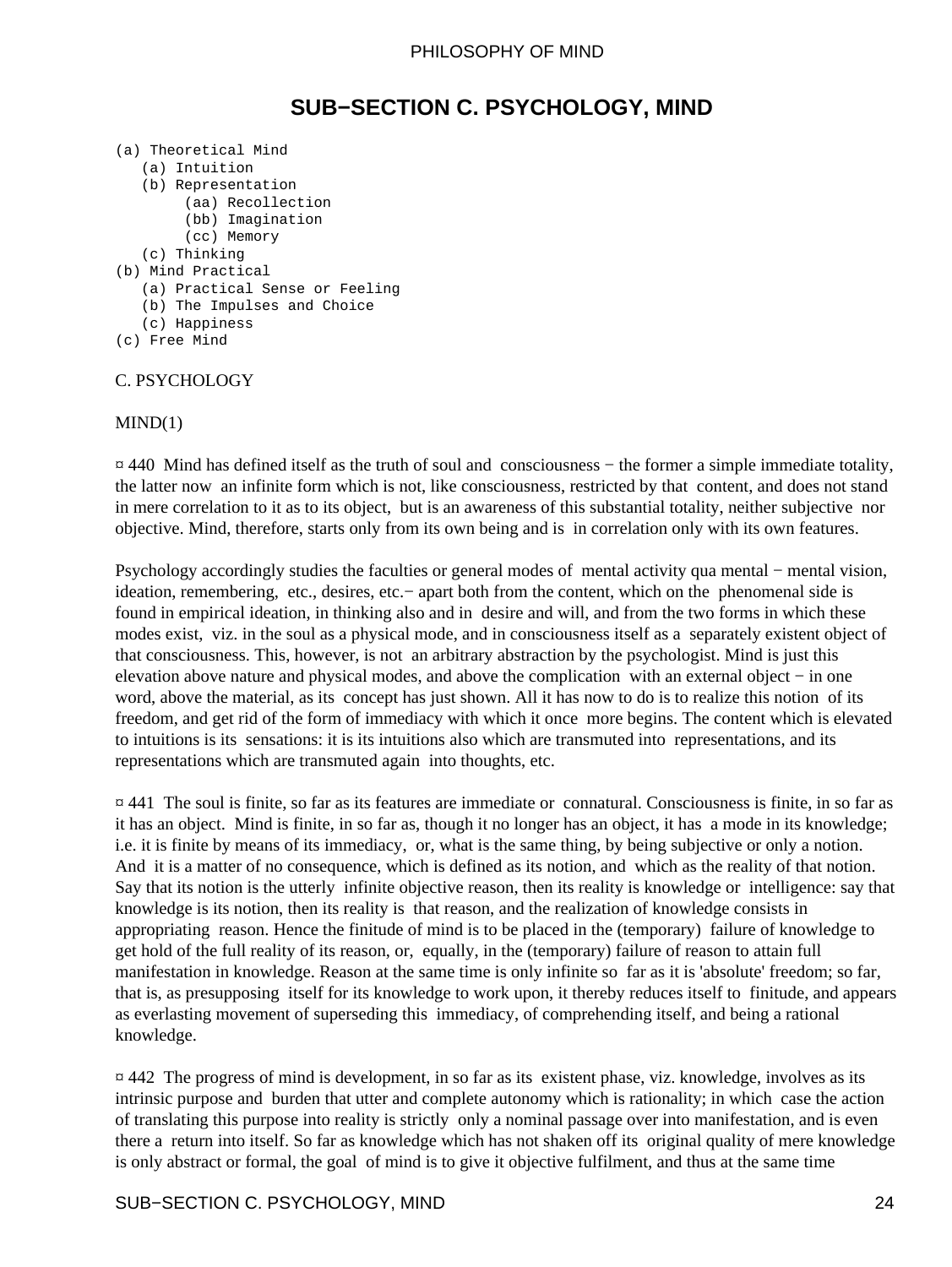### **SUB−SECTION C. PSYCHOLOGY, MIND**

- <span id="page-25-0"></span>(a) Theoretical Mind
	- (a) Intuition
	- (b) Representation
		- (aa) Recollection
		- (bb) Imagination
		- (cc) Memory
	- (c) Thinking
- (b) Mind Practical
	- (a) Practical Sense or Feeling
	- (b) The Impulses and Choice
	- (c) Happiness
- (c) Free Mind

#### C. PSYCHOLOGY

#### $MIND(1)$

¤ 440 Mind has defined itself as the truth of soul and consciousness − the former a simple immediate totality, the latter now an infinite form which is not, like consciousness, restricted by that content, and does not stand in mere correlation to it as to its object, but is an awareness of this substantial totality, neither subjective nor objective. Mind, therefore, starts only from its own being and is in correlation only with its own features.

Psychology accordingly studies the faculties or general modes of mental activity qua mental – mental vision, ideation, remembering, etc., desires, etc.− apart both from the content, which on the phenomenal side is found in empirical ideation, in thinking also and in desire and will, and from the two forms in which these modes exist, viz. in the soul as a physical mode, and in consciousness itself as a separately existent object of that consciousness. This, however, is not an arbitrary abstraction by the psychologist. Mind is just this elevation above nature and physical modes, and above the complication with an external object − in one word, above the material, as its concept has just shown. All it has now to do is to realize this notion of its freedom, and get rid of the form of immediacy with which it once more begins. The content which is elevated to intuitions is its sensations: it is its intuitions also which are transmuted into representations, and its representations which are transmuted again into thoughts, etc.

¤ 441 The soul is finite, so far as its features are immediate or connatural. Consciousness is finite, in so far as it has an object. Mind is finite, in so far as, though it no longer has an object, it has a mode in its knowledge; i.e. it is finite by means of its immediacy, or, what is the same thing, by being subjective or only a notion. And it is a matter of no consequence, which is defined as its notion, and which as the reality of that notion. Say that its notion is the utterly infinite objective reason, then its reality is knowledge or intelligence: say that knowledge is its notion, then its reality is that reason, and the realization of knowledge consists in appropriating reason. Hence the finitude of mind is to be placed in the (temporary) failure of knowledge to get hold of the full reality of its reason, or, equally, in the (temporary) failure of reason to attain full manifestation in knowledge. Reason at the same time is only infinite so far as it is 'absolute' freedom; so far, that is, as presupposing itself for its knowledge to work upon, it thereby reduces itself to finitude, and appears as everlasting movement of superseding this immediacy, of comprehending itself, and being a rational knowledge.

¤ 442 The progress of mind is development, in so far as its existent phase, viz. knowledge, involves as its intrinsic purpose and burden that utter and complete autonomy which is rationality; in which case the action of translating this purpose into reality is strictly only a nominal passage over into manifestation, and is even there a return into itself. So far as knowledge which has not shaken off its original quality of mere knowledge is only abstract or formal, the goal of mind is to give it objective fulfilment, and thus at the same time

#### SUB−SECTION C. PSYCHOLOGY, MIND 24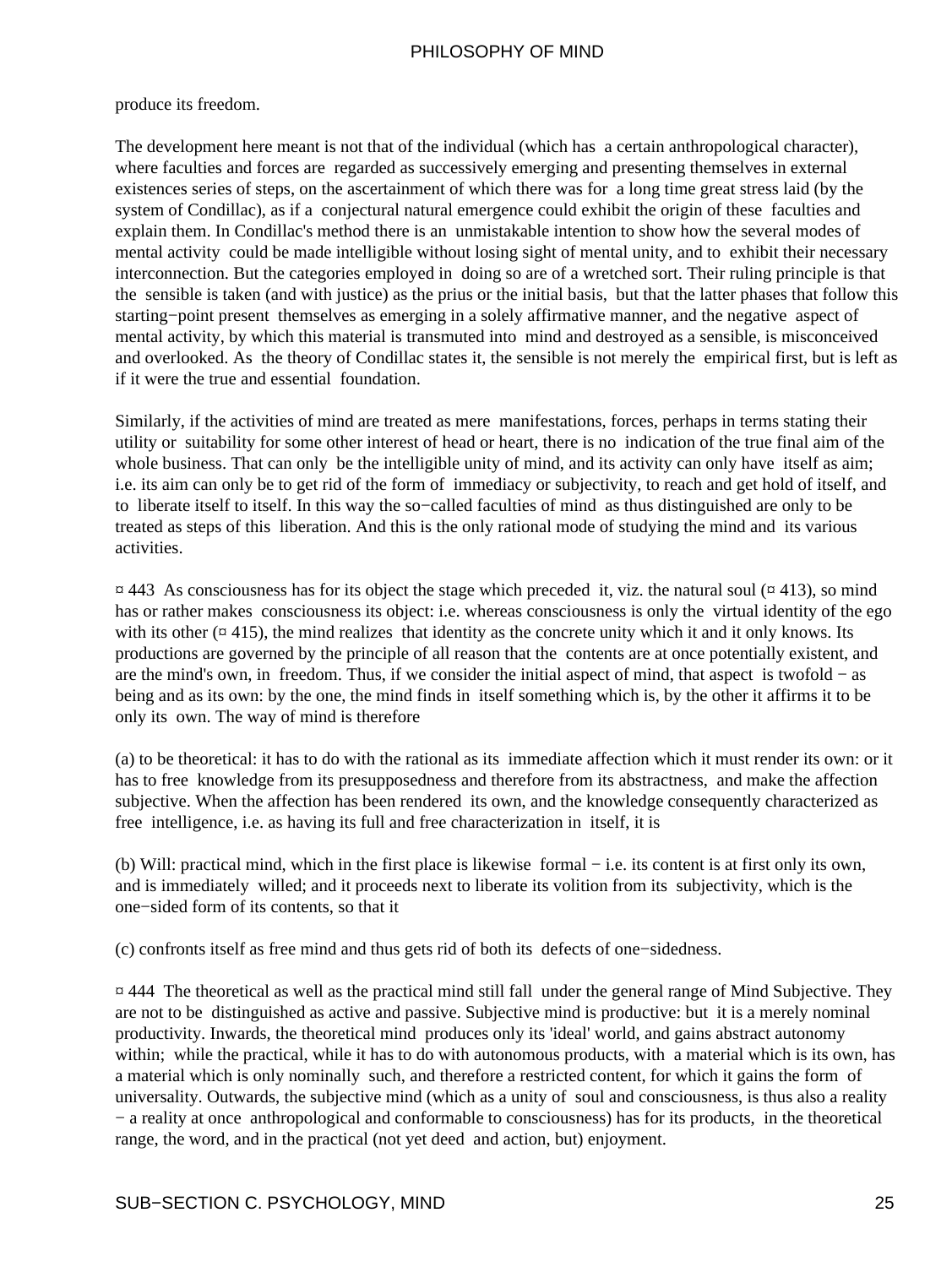#### produce its freedom.

The development here meant is not that of the individual (which has a certain anthropological character), where faculties and forces are regarded as successively emerging and presenting themselves in external existences series of steps, on the ascertainment of which there was for a long time great stress laid (by the system of Condillac), as if a conjectural natural emergence could exhibit the origin of these faculties and explain them. In Condillac's method there is an unmistakable intention to show how the several modes of mental activity could be made intelligible without losing sight of mental unity, and to exhibit their necessary interconnection. But the categories employed in doing so are of a wretched sort. Their ruling principle is that the sensible is taken (and with justice) as the prius or the initial basis, but that the latter phases that follow this starting−point present themselves as emerging in a solely affirmative manner, and the negative aspect of mental activity, by which this material is transmuted into mind and destroyed as a sensible, is misconceived and overlooked. As the theory of Condillac states it, the sensible is not merely the empirical first, but is left as if it were the true and essential foundation.

Similarly, if the activities of mind are treated as mere manifestations, forces, perhaps in terms stating their utility or suitability for some other interest of head or heart, there is no indication of the true final aim of the whole business. That can only be the intelligible unity of mind, and its activity can only have itself as aim; i.e. its aim can only be to get rid of the form of immediacy or subjectivity, to reach and get hold of itself, and to liberate itself to itself. In this way the so−called faculties of mind as thus distinguished are only to be treated as steps of this liberation. And this is the only rational mode of studying the mind and its various activities.

 $\pi$  443 As consciousness has for its object the stage which preceded it, viz. the natural soul ( $\pi$  413), so mind has or rather makes consciousness its object: i.e. whereas consciousness is only the virtual identity of the ego with its other  $(\alpha 415)$ , the mind realizes that identity as the concrete unity which it and it only knows. Its productions are governed by the principle of all reason that the contents are at once potentially existent, and are the mind's own, in freedom. Thus, if we consider the initial aspect of mind, that aspect is twofold − as being and as its own: by the one, the mind finds in itself something which is, by the other it affirms it to be only its own. The way of mind is therefore

(a) to be theoretical: it has to do with the rational as its immediate affection which it must render its own: or it has to free knowledge from its presupposedness and therefore from its abstractness, and make the affection subjective. When the affection has been rendered its own, and the knowledge consequently characterized as free intelligence, i.e. as having its full and free characterization in itself, it is

(b) Will: practical mind, which in the first place is likewise formal − i.e. its content is at first only its own, and is immediately willed; and it proceeds next to liberate its volition from its subjectivity, which is the one−sided form of its contents, so that it

(c) confronts itself as free mind and thus gets rid of both its defects of one−sidedness.

¤ 444 The theoretical as well as the practical mind still fall under the general range of Mind Subjective. They are not to be distinguished as active and passive. Subjective mind is productive: but it is a merely nominal productivity. Inwards, the theoretical mind produces only its 'ideal' world, and gains abstract autonomy within; while the practical, while it has to do with autonomous products, with a material which is its own, has a material which is only nominally such, and therefore a restricted content, for which it gains the form of universality. Outwards, the subjective mind (which as a unity of soul and consciousness, is thus also a reality − a reality at once anthropological and conformable to consciousness) has for its products, in the theoretical range, the word, and in the practical (not yet deed and action, but) enjoyment.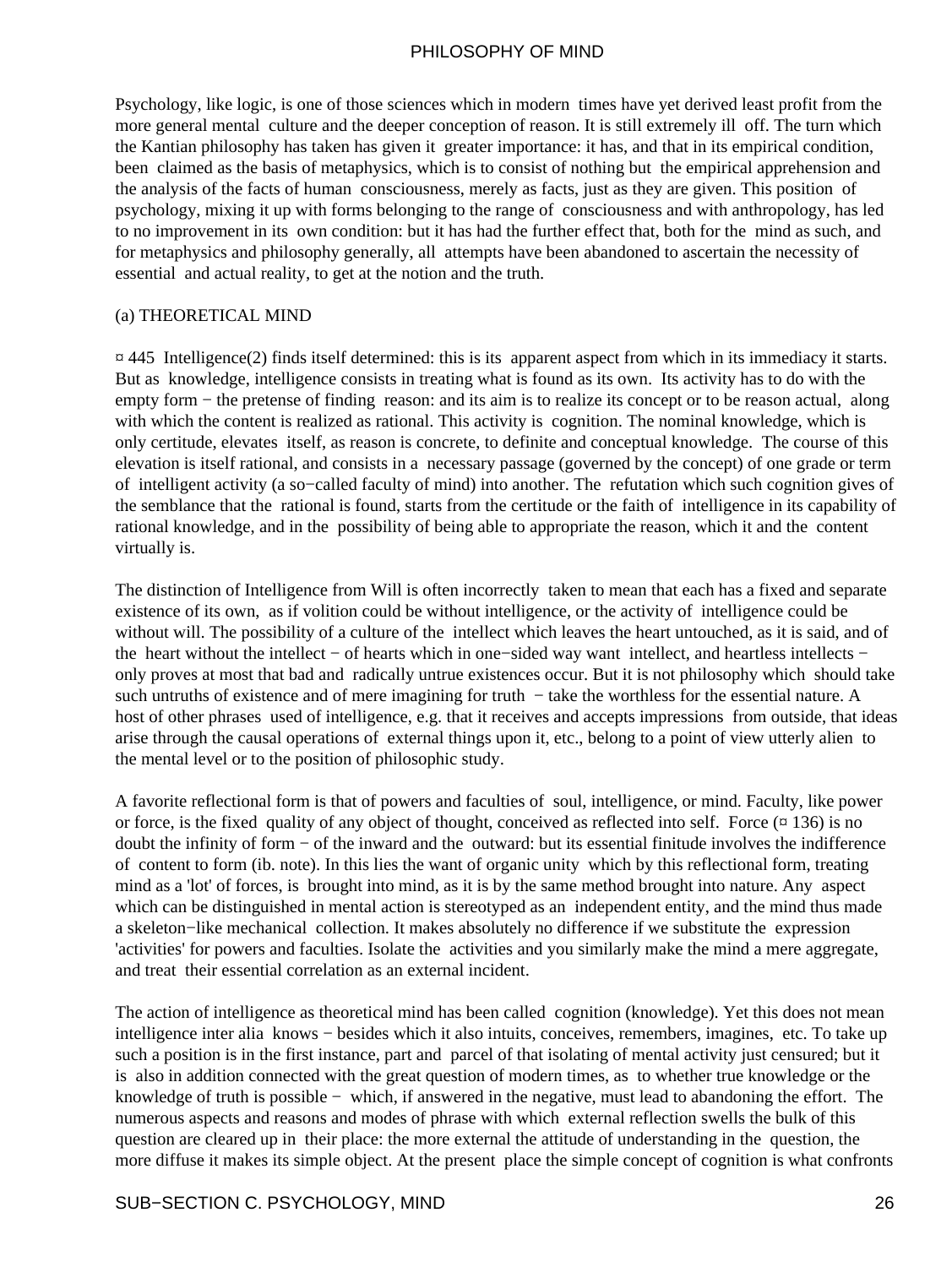Psychology, like logic, is one of those sciences which in modern times have yet derived least profit from the more general mental culture and the deeper conception of reason. It is still extremely ill off. The turn which the Kantian philosophy has taken has given it greater importance: it has, and that in its empirical condition, been claimed as the basis of metaphysics, which is to consist of nothing but the empirical apprehension and the analysis of the facts of human consciousness, merely as facts, just as they are given. This position of psychology, mixing it up with forms belonging to the range of consciousness and with anthropology, has led to no improvement in its own condition: but it has had the further effect that, both for the mind as such, and for metaphysics and philosophy generally, all attempts have been abandoned to ascertain the necessity of essential and actual reality, to get at the notion and the truth.

#### (a) THEORETICAL MIND

 $\alpha$  445 Intelligence(2) finds itself determined: this is its apparent aspect from which in its immediacy it starts. But as knowledge, intelligence consists in treating what is found as its own. Its activity has to do with the empty form – the pretense of finding reason: and its aim is to realize its concept or to be reason actual, along with which the content is realized as rational. This activity is cognition. The nominal knowledge, which is only certitude, elevates itself, as reason is concrete, to definite and conceptual knowledge. The course of this elevation is itself rational, and consists in a necessary passage (governed by the concept) of one grade or term of intelligent activity (a so−called faculty of mind) into another. The refutation which such cognition gives of the semblance that the rational is found, starts from the certitude or the faith of intelligence in its capability of rational knowledge, and in the possibility of being able to appropriate the reason, which it and the content virtually is.

The distinction of Intelligence from Will is often incorrectly taken to mean that each has a fixed and separate existence of its own, as if volition could be without intelligence, or the activity of intelligence could be without will. The possibility of a culture of the intellect which leaves the heart untouched, as it is said, and of the heart without the intellect − of hearts which in one−sided way want intellect, and heartless intellects − only proves at most that bad and radically untrue existences occur. But it is not philosophy which should take such untruths of existence and of mere imagining for truth – take the worthless for the essential nature. A host of other phrases used of intelligence, e.g. that it receives and accepts impressions from outside, that ideas arise through the causal operations of external things upon it, etc., belong to a point of view utterly alien to the mental level or to the position of philosophic study.

A favorite reflectional form is that of powers and faculties of soul, intelligence, or mind. Faculty, like power or force, is the fixed quality of any object of thought, conceived as reflected into self. Force  $(\alpha 136)$  is no doubt the infinity of form − of the inward and the outward: but its essential finitude involves the indifference of content to form (ib. note). In this lies the want of organic unity which by this reflectional form, treating mind as a 'lot' of forces, is brought into mind, as it is by the same method brought into nature. Any aspect which can be distinguished in mental action is stereotyped as an independent entity, and the mind thus made a skeleton−like mechanical collection. It makes absolutely no difference if we substitute the expression 'activities' for powers and faculties. Isolate the activities and you similarly make the mind a mere aggregate, and treat their essential correlation as an external incident.

The action of intelligence as theoretical mind has been called cognition (knowledge). Yet this does not mean intelligence inter alia knows − besides which it also intuits, conceives, remembers, imagines, etc. To take up such a position is in the first instance, part and parcel of that isolating of mental activity just censured; but it is also in addition connected with the great question of modern times, as to whether true knowledge or the knowledge of truth is possible − which, if answered in the negative, must lead to abandoning the effort. The numerous aspects and reasons and modes of phrase with which external reflection swells the bulk of this question are cleared up in their place: the more external the attitude of understanding in the question, the more diffuse it makes its simple object. At the present place the simple concept of cognition is what confronts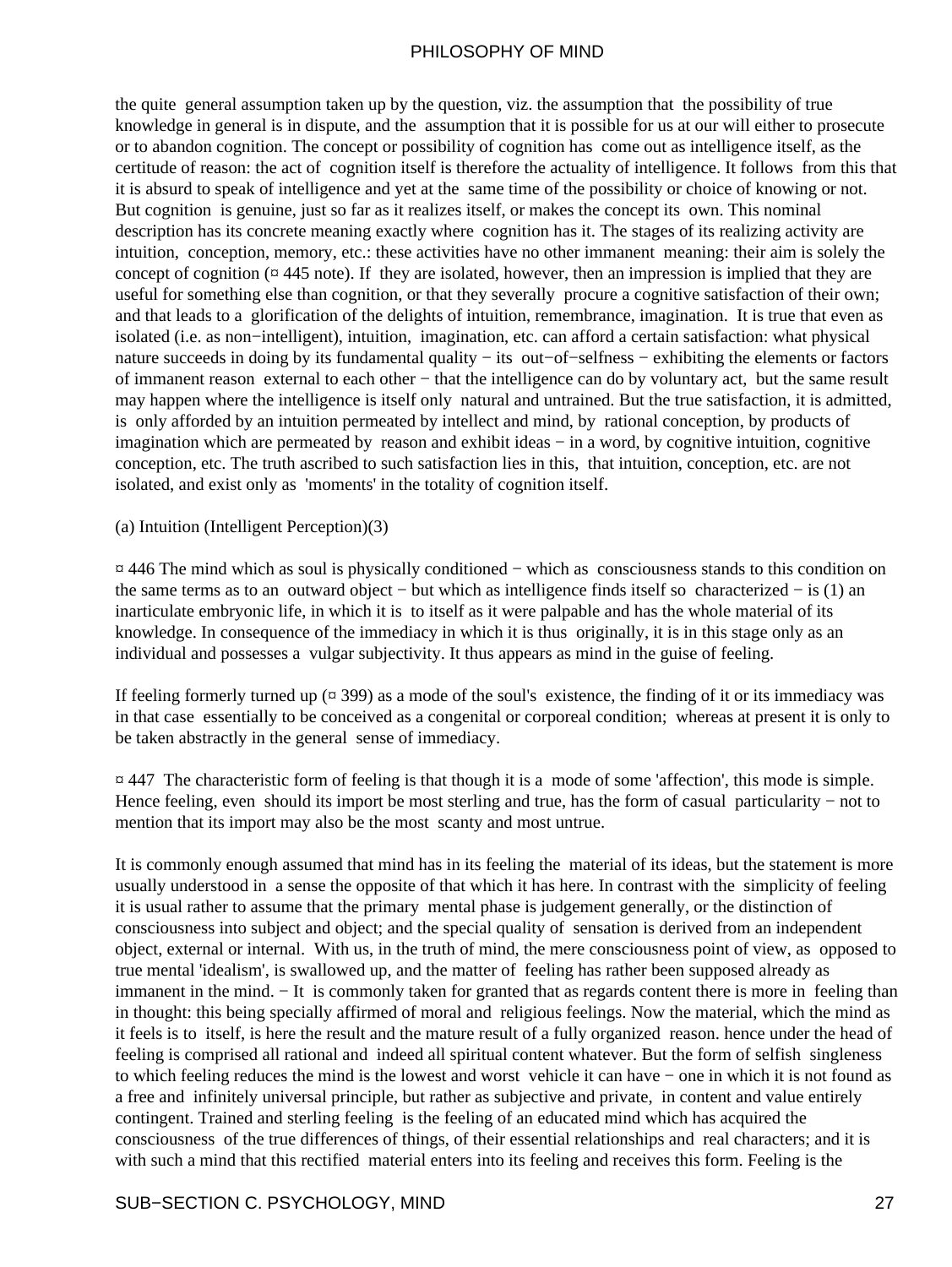the quite general assumption taken up by the question, viz. the assumption that the possibility of true knowledge in general is in dispute, and the assumption that it is possible for us at our will either to prosecute or to abandon cognition. The concept or possibility of cognition has come out as intelligence itself, as the certitude of reason: the act of cognition itself is therefore the actuality of intelligence. It follows from this that it is absurd to speak of intelligence and yet at the same time of the possibility or choice of knowing or not. But cognition is genuine, just so far as it realizes itself, or makes the concept its own. This nominal description has its concrete meaning exactly where cognition has it. The stages of its realizing activity are intuition, conception, memory, etc.: these activities have no other immanent meaning: their aim is solely the concept of cognition ( $\alpha$  445 note). If they are isolated, however, then an impression is implied that they are useful for something else than cognition, or that they severally procure a cognitive satisfaction of their own; and that leads to a glorification of the delights of intuition, remembrance, imagination. It is true that even as isolated (i.e. as non−intelligent), intuition, imagination, etc. can afford a certain satisfaction: what physical nature succeeds in doing by its fundamental quality − its out−of−selfness − exhibiting the elements or factors of immanent reason external to each other − that the intelligence can do by voluntary act, but the same result may happen where the intelligence is itself only natural and untrained. But the true satisfaction, it is admitted, is only afforded by an intuition permeated by intellect and mind, by rational conception, by products of imagination which are permeated by reason and exhibit ideas − in a word, by cognitive intuition, cognitive conception, etc. The truth ascribed to such satisfaction lies in this, that intuition, conception, etc. are not isolated, and exist only as 'moments' in the totality of cognition itself.

(a) Intuition (Intelligent Perception)(3)

¤ 446 The mind which as soul is physically conditioned − which as consciousness stands to this condition on the same terms as to an outward object − but which as intelligence finds itself so characterized − is (1) an inarticulate embryonic life, in which it is to itself as it were palpable and has the whole material of its knowledge. In consequence of the immediacy in which it is thus originally, it is in this stage only as an individual and possesses a vulgar subjectivity. It thus appears as mind in the guise of feeling.

If feeling formerly turned up  $(\pi 399)$  as a mode of the soul's existence, the finding of it or its immediacy was in that case essentially to be conceived as a congenital or corporeal condition; whereas at present it is only to be taken abstractly in the general sense of immediacy.

¤ 447 The characteristic form of feeling is that though it is a mode of some 'affection', this mode is simple. Hence feeling, even should its import be most sterling and true, has the form of casual particularity – not to mention that its import may also be the most scanty and most untrue.

It is commonly enough assumed that mind has in its feeling the material of its ideas, but the statement is more usually understood in a sense the opposite of that which it has here. In contrast with the simplicity of feeling it is usual rather to assume that the primary mental phase is judgement generally, or the distinction of consciousness into subject and object; and the special quality of sensation is derived from an independent object, external or internal. With us, in the truth of mind, the mere consciousness point of view, as opposed to true mental 'idealism', is swallowed up, and the matter of feeling has rather been supposed already as immanent in the mind. − It is commonly taken for granted that as regards content there is more in feeling than in thought: this being specially affirmed of moral and religious feelings. Now the material, which the mind as it feels is to itself, is here the result and the mature result of a fully organized reason. hence under the head of feeling is comprised all rational and indeed all spiritual content whatever. But the form of selfish singleness to which feeling reduces the mind is the lowest and worst vehicle it can have − one in which it is not found as a free and infinitely universal principle, but rather as subjective and private, in content and value entirely contingent. Trained and sterling feeling is the feeling of an educated mind which has acquired the consciousness of the true differences of things, of their essential relationships and real characters; and it is with such a mind that this rectified material enters into its feeling and receives this form. Feeling is the

#### SUB−SECTION C. PSYCHOLOGY, MIND 27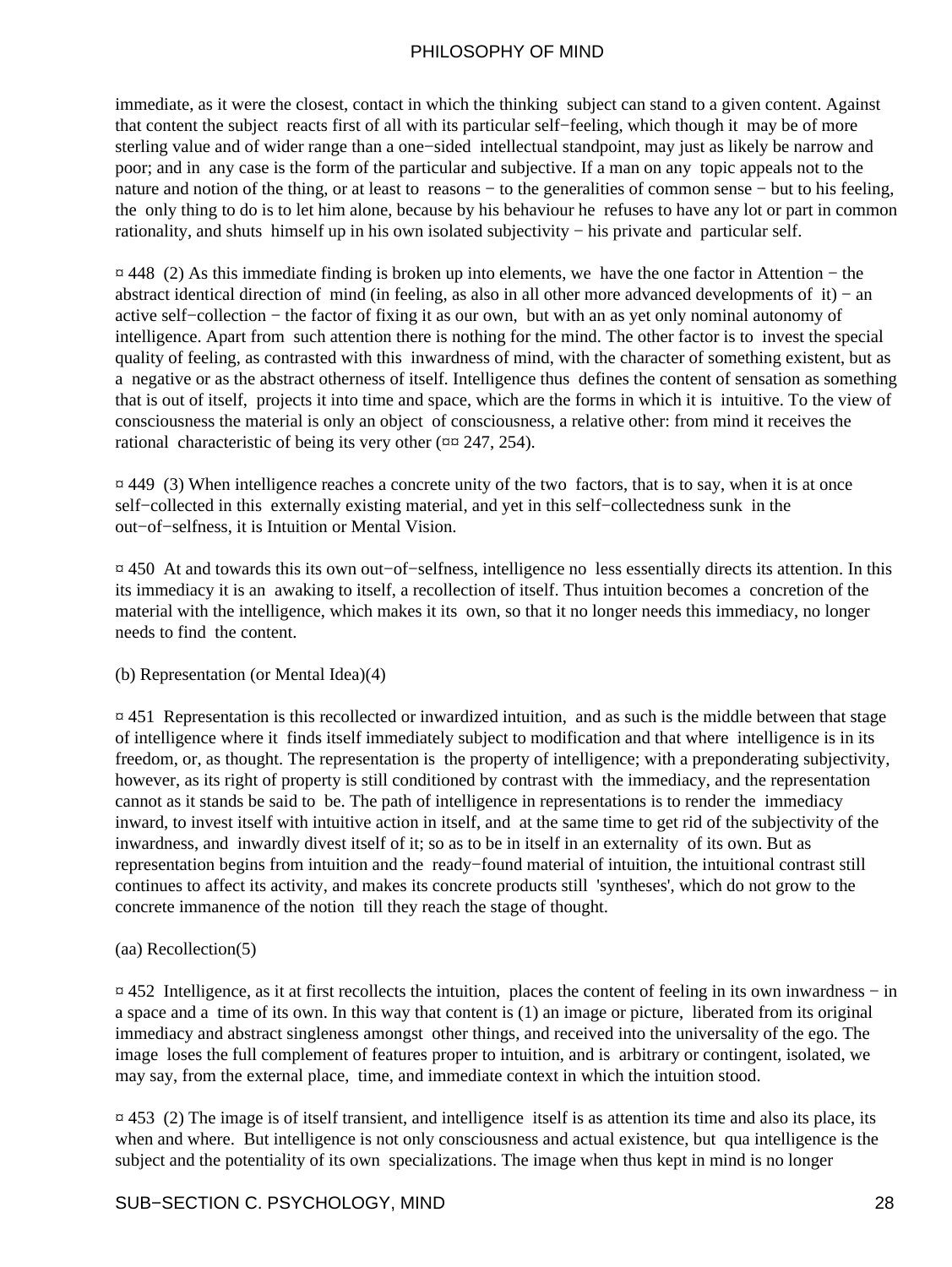immediate, as it were the closest, contact in which the thinking subject can stand to a given content. Against that content the subject reacts first of all with its particular self−feeling, which though it may be of more sterling value and of wider range than a one−sided intellectual standpoint, may just as likely be narrow and poor; and in any case is the form of the particular and subjective. If a man on any topic appeals not to the nature and notion of the thing, or at least to reasons – to the generalities of common sense – but to his feeling, the only thing to do is to let him alone, because by his behaviour he refuses to have any lot or part in common rationality, and shuts himself up in his own isolated subjectivity − his private and particular self.

¤ 448 (2) As this immediate finding is broken up into elements, we have the one factor in Attention − the abstract identical direction of mind (in feeling, as also in all other more advanced developments of it) − an active self−collection − the factor of fixing it as our own, but with an as yet only nominal autonomy of intelligence. Apart from such attention there is nothing for the mind. The other factor is to invest the special quality of feeling, as contrasted with this inwardness of mind, with the character of something existent, but as a negative or as the abstract otherness of itself. Intelligence thus defines the content of sensation as something that is out of itself, projects it into time and space, which are the forms in which it is intuitive. To the view of consciousness the material is only an object of consciousness, a relative other: from mind it receives the rational characteristic of being its very other ( $\alpha$  $\alpha$  247, 254).

¤ 449 (3) When intelligence reaches a concrete unity of the two factors, that is to say, when it is at once self−collected in this externally existing material, and yet in this self−collectedness sunk in the out−of−selfness, it is Intuition or Mental Vision.

¤ 450 At and towards this its own out−of−selfness, intelligence no less essentially directs its attention. In this its immediacy it is an awaking to itself, a recollection of itself. Thus intuition becomes a concretion of the material with the intelligence, which makes it its own, so that it no longer needs this immediacy, no longer needs to find the content.

#### (b) Representation (or Mental Idea)(4)

 $\overline{a}$  451 Representation is this recollected or inwardized intuition, and as such is the middle between that stage of intelligence where it finds itself immediately subject to modification and that where intelligence is in its freedom, or, as thought. The representation is the property of intelligence; with a preponderating subjectivity, however, as its right of property is still conditioned by contrast with the immediacy, and the representation cannot as it stands be said to be. The path of intelligence in representations is to render the immediacy inward, to invest itself with intuitive action in itself, and at the same time to get rid of the subjectivity of the inwardness, and inwardly divest itself of it; so as to be in itself in an externality of its own. But as representation begins from intuition and the ready−found material of intuition, the intuitional contrast still continues to affect its activity, and makes its concrete products still 'syntheses', which do not grow to the concrete immanence of the notion till they reach the stage of thought.

#### (aa) Recollection(5)

¤ 452 Intelligence, as it at first recollects the intuition, places the content of feeling in its own inwardness − in a space and a time of its own. In this way that content is (1) an image or picture, liberated from its original immediacy and abstract singleness amongst other things, and received into the universality of the ego. The image loses the full complement of features proper to intuition, and is arbitrary or contingent, isolated, we may say, from the external place, time, and immediate context in which the intuition stood.

 $\pi$  453 (2) The image is of itself transient, and intelligence itself is as attention its time and also its place, its when and where. But intelligence is not only consciousness and actual existence, but qua intelligence is the subject and the potentiality of its own specializations. The image when thus kept in mind is no longer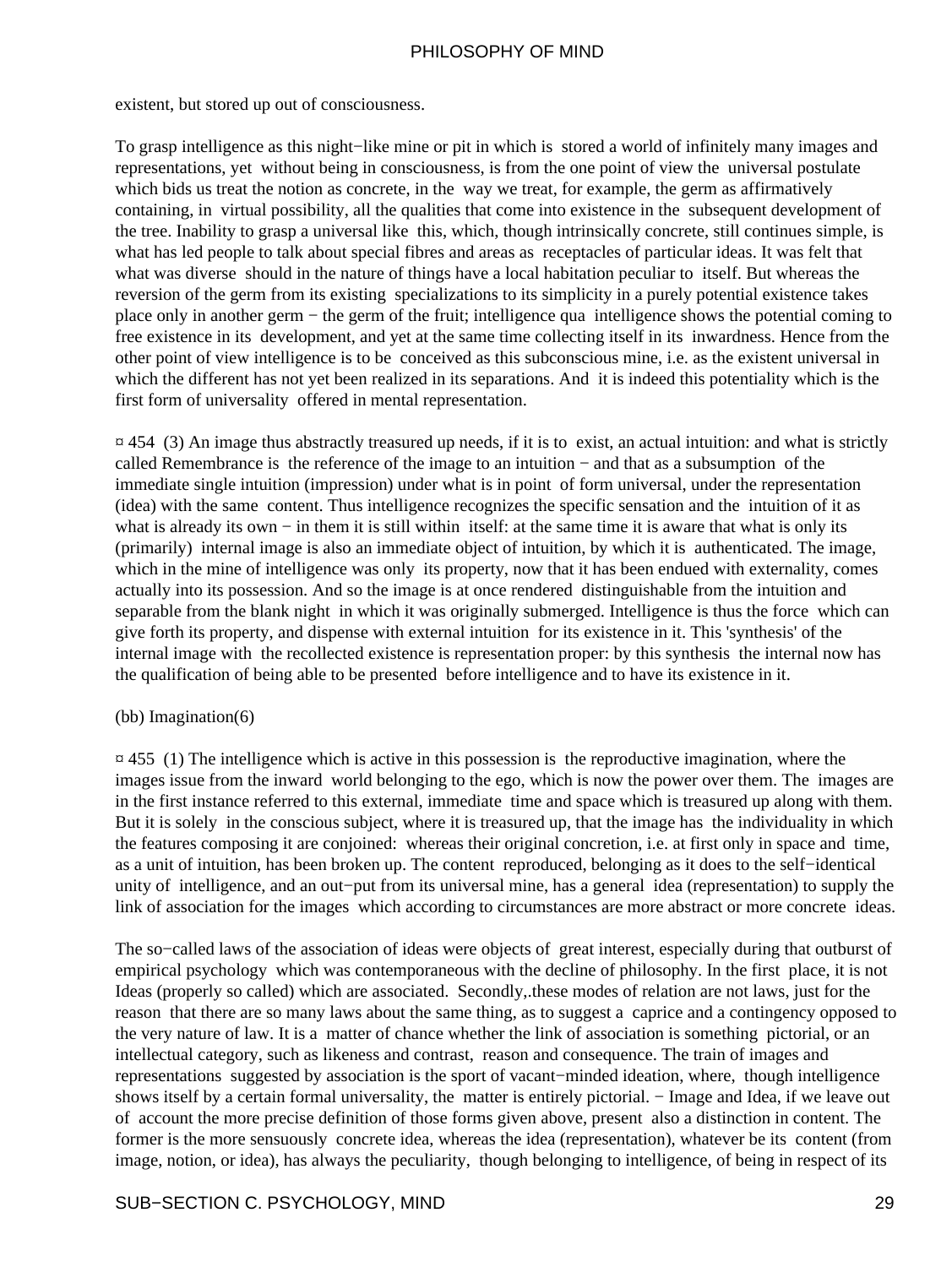existent, but stored up out of consciousness.

To grasp intelligence as this night−like mine or pit in which is stored a world of infinitely many images and representations, yet without being in consciousness, is from the one point of view the universal postulate which bids us treat the notion as concrete, in the way we treat, for example, the germ as affirmatively containing, in virtual possibility, all the qualities that come into existence in the subsequent development of the tree. Inability to grasp a universal like this, which, though intrinsically concrete, still continues simple, is what has led people to talk about special fibres and areas as receptacles of particular ideas. It was felt that what was diverse should in the nature of things have a local habitation peculiar to itself. But whereas the reversion of the germ from its existing specializations to its simplicity in a purely potential existence takes place only in another germ − the germ of the fruit; intelligence qua intelligence shows the potential coming to free existence in its development, and yet at the same time collecting itself in its inwardness. Hence from the other point of view intelligence is to be conceived as this subconscious mine, i.e. as the existent universal in which the different has not yet been realized in its separations. And it is indeed this potentiality which is the first form of universality offered in mental representation.

 $\pi$  454 (3) An image thus abstractly treasured up needs, if it is to exist, an actual intuition: and what is strictly called Remembrance is the reference of the image to an intuition − and that as a subsumption of the immediate single intuition (impression) under what is in point of form universal, under the representation (idea) with the same content. Thus intelligence recognizes the specific sensation and the intuition of it as what is already its own – in them it is still within itself: at the same time it is aware that what is only its (primarily) internal image is also an immediate object of intuition, by which it is authenticated. The image, which in the mine of intelligence was only its property, now that it has been endued with externality, comes actually into its possession. And so the image is at once rendered distinguishable from the intuition and separable from the blank night in which it was originally submerged. Intelligence is thus the force which can give forth its property, and dispense with external intuition for its existence in it. This 'synthesis' of the internal image with the recollected existence is representation proper: by this synthesis the internal now has the qualification of being able to be presented before intelligence and to have its existence in it.

#### (bb) Imagination(6)

 $\overline{p}$  455 (1) The intelligence which is active in this possession is the reproductive imagination, where the images issue from the inward world belonging to the ego, which is now the power over them. The images are in the first instance referred to this external, immediate time and space which is treasured up along with them. But it is solely in the conscious subject, where it is treasured up, that the image has the individuality in which the features composing it are conjoined: whereas their original concretion, i.e. at first only in space and time, as a unit of intuition, has been broken up. The content reproduced, belonging as it does to the self−identical unity of intelligence, and an out−put from its universal mine, has a general idea (representation) to supply the link of association for the images which according to circumstances are more abstract or more concrete ideas.

The so–called laws of the association of ideas were objects of great interest, especially during that outburst of empirical psychology which was contemporaneous with the decline of philosophy. In the first place, it is not Ideas (properly so called) which are associated. Secondly,.these modes of relation are not laws, just for the reason that there are so many laws about the same thing, as to suggest a caprice and a contingency opposed to the very nature of law. It is a matter of chance whether the link of association is something pictorial, or an intellectual category, such as likeness and contrast, reason and consequence. The train of images and representations suggested by association is the sport of vacant−minded ideation, where, though intelligence shows itself by a certain formal universality, the matter is entirely pictorial. − Image and Idea, if we leave out of account the more precise definition of those forms given above, present also a distinction in content. The former is the more sensuously concrete idea, whereas the idea (representation), whatever be its content (from image, notion, or idea), has always the peculiarity, though belonging to intelligence, of being in respect of its

#### SUB−SECTION C. PSYCHOLOGY, MIND 29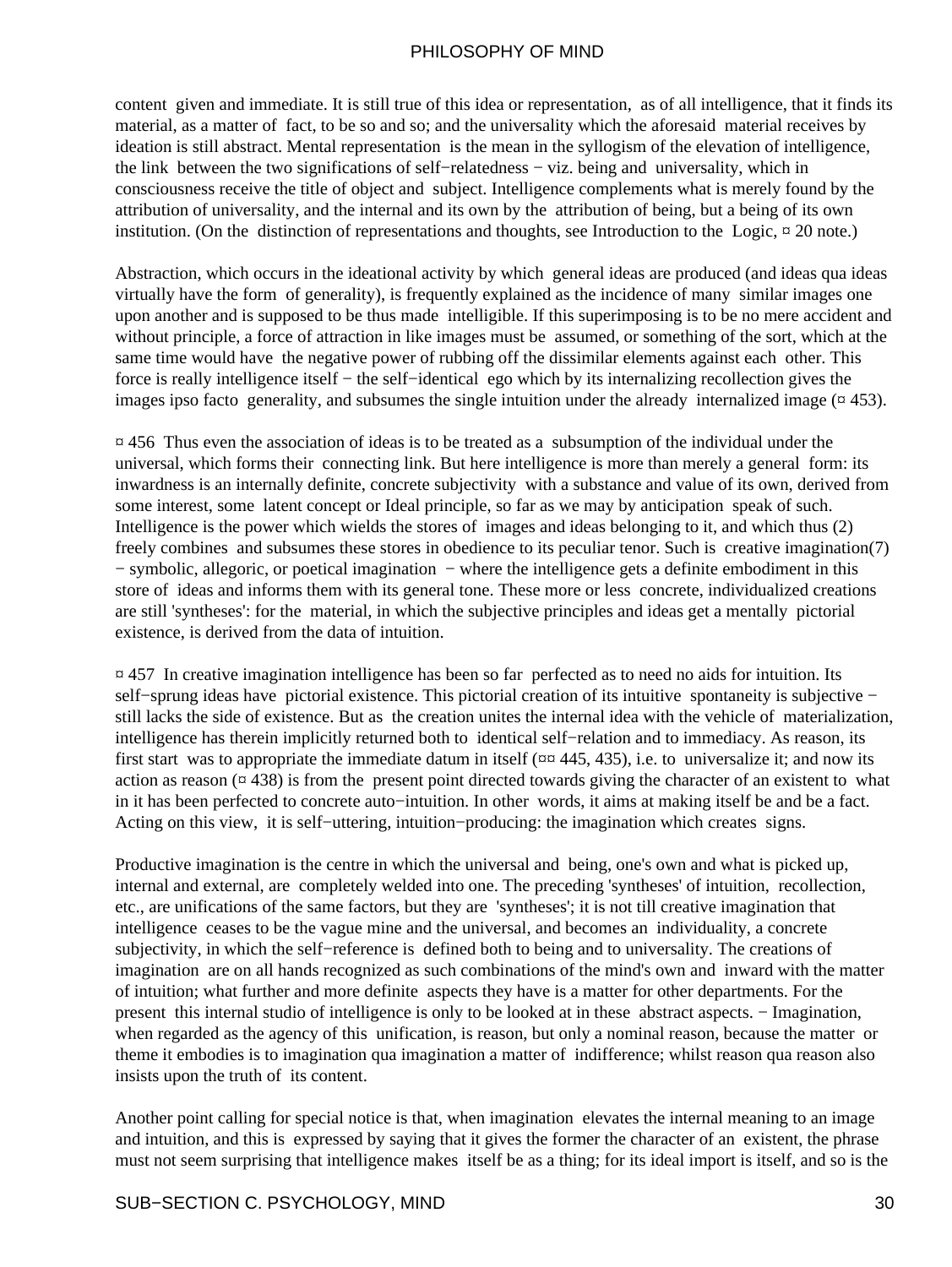content given and immediate. It is still true of this idea or representation, as of all intelligence, that it finds its material, as a matter of fact, to be so and so; and the universality which the aforesaid material receives by ideation is still abstract. Mental representation is the mean in the syllogism of the elevation of intelligence, the link between the two significations of self−relatedness − viz. being and universality, which in consciousness receive the title of object and subject. Intelligence complements what is merely found by the attribution of universality, and the internal and its own by the attribution of being, but a being of its own institution. (On the distinction of representations and thoughts, see Introduction to the Logic, ¤ 20 note.)

Abstraction, which occurs in the ideational activity by which general ideas are produced (and ideas qua ideas virtually have the form of generality), is frequently explained as the incidence of many similar images one upon another and is supposed to be thus made intelligible. If this superimposing is to be no mere accident and without principle, a force of attraction in like images must be assumed, or something of the sort, which at the same time would have the negative power of rubbing off the dissimilar elements against each other. This force is really intelligence itself − the self−identical ego which by its internalizing recollection gives the images ipso facto generality, and subsumes the single intuition under the already internalized image  $(4453)$ .

¤ 456 Thus even the association of ideas is to be treated as a subsumption of the individual under the universal, which forms their connecting link. But here intelligence is more than merely a general form: its inwardness is an internally definite, concrete subjectivity with a substance and value of its own, derived from some interest, some latent concept or Ideal principle, so far as we may by anticipation speak of such. Intelligence is the power which wields the stores of images and ideas belonging to it, and which thus (2) freely combines and subsumes these stores in obedience to its peculiar tenor. Such is creative imagination(7) − symbolic, allegoric, or poetical imagination − where the intelligence gets a definite embodiment in this store of ideas and informs them with its general tone. These more or less concrete, individualized creations are still 'syntheses': for the material, in which the subjective principles and ideas get a mentally pictorial existence, is derived from the data of intuition.

¤ 457 In creative imagination intelligence has been so far perfected as to need no aids for intuition. Its self–sprung ideas have pictorial existence. This pictorial creation of its intuitive spontaneity is subjective − still lacks the side of existence. But as the creation unites the internal idea with the vehicle of materialization, intelligence has therein implicitly returned both to identical self−relation and to immediacy. As reason, its first start was to appropriate the immediate datum in itself  $(\text{rx } 445, 435)$ , i.e. to universalize it; and now its action as reason  $(\alpha$  438) is from the present point directed towards giving the character of an existent to what in it has been perfected to concrete auto−intuition. In other words, it aims at making itself be and be a fact. Acting on this view, it is self−uttering, intuition−producing: the imagination which creates signs.

Productive imagination is the centre in which the universal and being, one's own and what is picked up, internal and external, are completely welded into one. The preceding 'syntheses' of intuition, recollection, etc., are unifications of the same factors, but they are 'syntheses'; it is not till creative imagination that intelligence ceases to be the vague mine and the universal, and becomes an individuality, a concrete subjectivity, in which the self−reference is defined both to being and to universality. The creations of imagination are on all hands recognized as such combinations of the mind's own and inward with the matter of intuition; what further and more definite aspects they have is a matter for other departments. For the present this internal studio of intelligence is only to be looked at in these abstract aspects. − Imagination, when regarded as the agency of this unification, is reason, but only a nominal reason, because the matter or theme it embodies is to imagination qua imagination a matter of indifference; whilst reason qua reason also insists upon the truth of its content.

Another point calling for special notice is that, when imagination elevates the internal meaning to an image and intuition, and this is expressed by saying that it gives the former the character of an existent, the phrase must not seem surprising that intelligence makes itself be as a thing; for its ideal import is itself, and so is the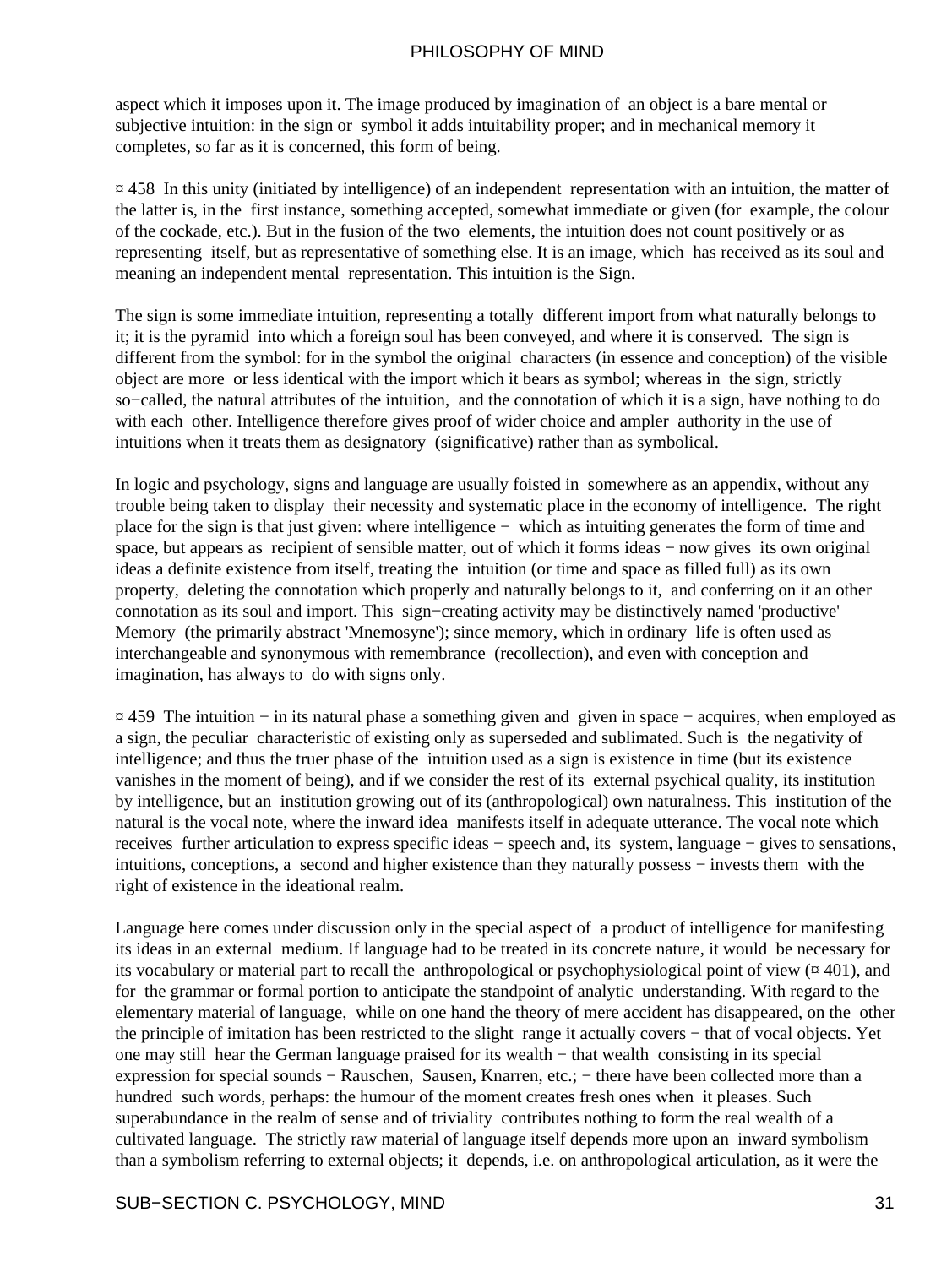aspect which it imposes upon it. The image produced by imagination of an object is a bare mental or subjective intuition: in the sign or symbol it adds intuitability proper; and in mechanical memory it completes, so far as it is concerned, this form of being.

¤ 458 In this unity (initiated by intelligence) of an independent representation with an intuition, the matter of the latter is, in the first instance, something accepted, somewhat immediate or given (for example, the colour of the cockade, etc.). But in the fusion of the two elements, the intuition does not count positively or as representing itself, but as representative of something else. It is an image, which has received as its soul and meaning an independent mental representation. This intuition is the Sign.

The sign is some immediate intuition, representing a totally different import from what naturally belongs to it; it is the pyramid into which a foreign soul has been conveyed, and where it is conserved. The sign is different from the symbol: for in the symbol the original characters (in essence and conception) of the visible object are more or less identical with the import which it bears as symbol; whereas in the sign, strictly so−called, the natural attributes of the intuition, and the connotation of which it is a sign, have nothing to do with each other. Intelligence therefore gives proof of wider choice and ampler authority in the use of intuitions when it treats them as designatory (significative) rather than as symbolical.

In logic and psychology, signs and language are usually foisted in somewhere as an appendix, without any trouble being taken to display their necessity and systematic place in the economy of intelligence. The right place for the sign is that just given: where intelligence − which as intuiting generates the form of time and space, but appears as recipient of sensible matter, out of which it forms ideas – now gives its own original ideas a definite existence from itself, treating the intuition (or time and space as filled full) as its own property, deleting the connotation which properly and naturally belongs to it, and conferring on it an other connotation as its soul and import. This sign−creating activity may be distinctively named 'productive' Memory (the primarily abstract 'Mnemosyne'); since memory, which in ordinary life is often used as interchangeable and synonymous with remembrance (recollection), and even with conception and imagination, has always to do with signs only.

¤ 459 The intuition − in its natural phase a something given and given in space − acquires, when employed as a sign, the peculiar characteristic of existing only as superseded and sublimated. Such is the negativity of intelligence; and thus the truer phase of the intuition used as a sign is existence in time (but its existence vanishes in the moment of being), and if we consider the rest of its external psychical quality, its institution by intelligence, but an institution growing out of its (anthropological) own naturalness. This institution of the natural is the vocal note, where the inward idea manifests itself in adequate utterance. The vocal note which receives further articulation to express specific ideas − speech and, its system, language − gives to sensations, intuitions, conceptions, a second and higher existence than they naturally possess − invests them with the right of existence in the ideational realm.

Language here comes under discussion only in the special aspect of a product of intelligence for manifesting its ideas in an external medium. If language had to be treated in its concrete nature, it would be necessary for its vocabulary or material part to recall the anthropological or psychophysiological point of view  $(401)$ , and for the grammar or formal portion to anticipate the standpoint of analytic understanding. With regard to the elementary material of language, while on one hand the theory of mere accident has disappeared, on the other the principle of imitation has been restricted to the slight range it actually covers − that of vocal objects. Yet one may still hear the German language praised for its wealth − that wealth consisting in its special expression for special sounds − Rauschen, Sausen, Knarren, etc.; − there have been collected more than a hundred such words, perhaps: the humour of the moment creates fresh ones when it pleases. Such superabundance in the realm of sense and of triviality contributes nothing to form the real wealth of a cultivated language. The strictly raw material of language itself depends more upon an inward symbolism than a symbolism referring to external objects; it depends, i.e. on anthropological articulation, as it were the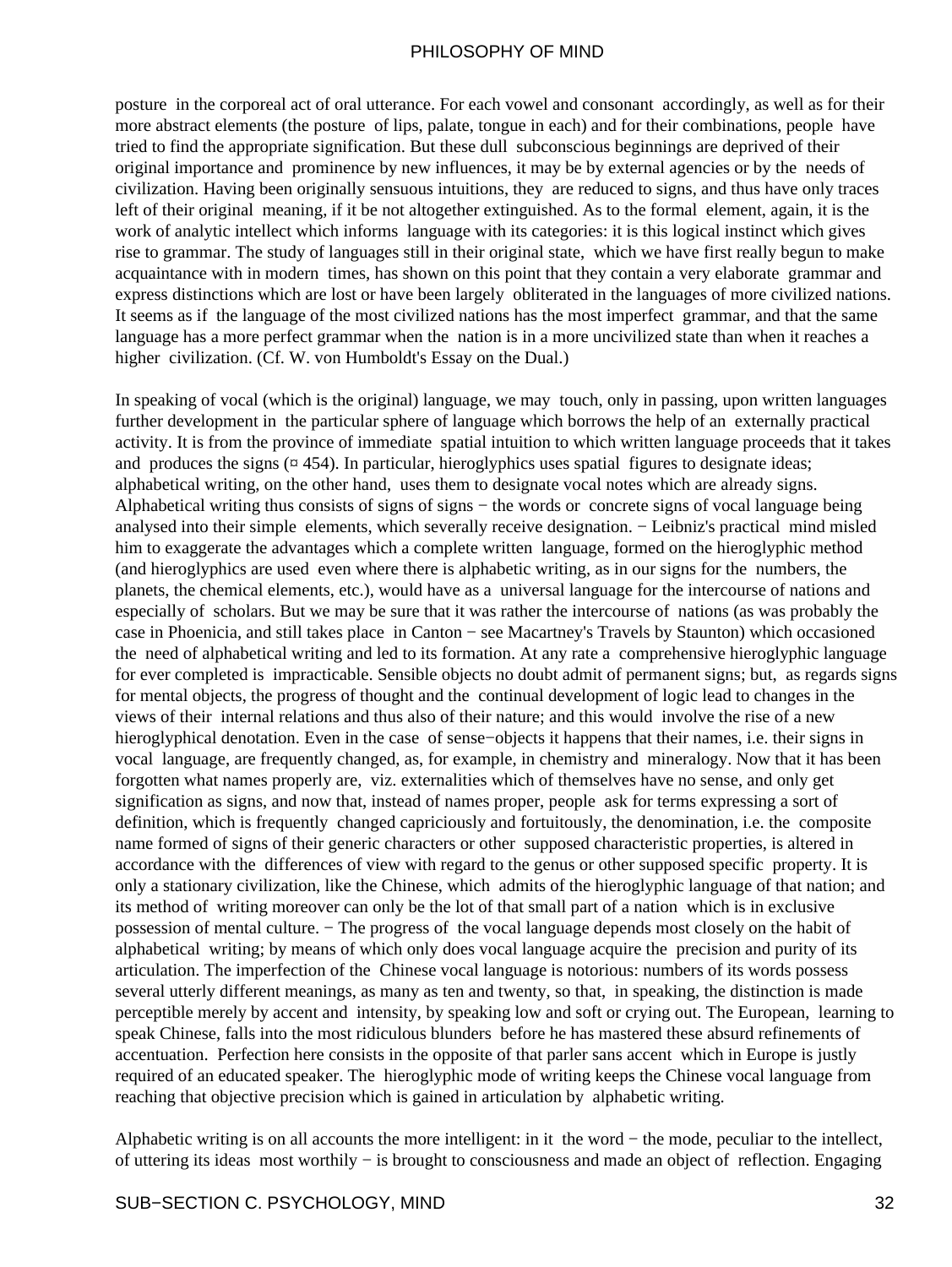posture in the corporeal act of oral utterance. For each vowel and consonant accordingly, as well as for their more abstract elements (the posture of lips, palate, tongue in each) and for their combinations, people have tried to find the appropriate signification. But these dull subconscious beginnings are deprived of their original importance and prominence by new influences, it may be by external agencies or by the needs of civilization. Having been originally sensuous intuitions, they are reduced to signs, and thus have only traces left of their original meaning, if it be not altogether extinguished. As to the formal element, again, it is the work of analytic intellect which informs language with its categories: it is this logical instinct which gives rise to grammar. The study of languages still in their original state, which we have first really begun to make acquaintance with in modern times, has shown on this point that they contain a very elaborate grammar and express distinctions which are lost or have been largely obliterated in the languages of more civilized nations. It seems as if the language of the most civilized nations has the most imperfect grammar, and that the same language has a more perfect grammar when the nation is in a more uncivilized state than when it reaches a higher civilization. (Cf. W. von Humboldt's Essay on the Dual.)

In speaking of vocal (which is the original) language, we may touch, only in passing, upon written languages further development in the particular sphere of language which borrows the help of an externally practical activity. It is from the province of immediate spatial intuition to which written language proceeds that it takes and produces the signs  $(\alpha$  454). In particular, hieroglyphics uses spatial figures to designate ideas; alphabetical writing, on the other hand, uses them to designate vocal notes which are already signs. Alphabetical writing thus consists of signs of signs − the words or concrete signs of vocal language being analysed into their simple elements, which severally receive designation. − Leibniz's practical mind misled him to exaggerate the advantages which a complete written language, formed on the hieroglyphic method (and hieroglyphics are used even where there is alphabetic writing, as in our signs for the numbers, the planets, the chemical elements, etc.), would have as a universal language for the intercourse of nations and especially of scholars. But we may be sure that it was rather the intercourse of nations (as was probably the case in Phoenicia, and still takes place in Canton − see Macartney's Travels by Staunton) which occasioned the need of alphabetical writing and led to its formation. At any rate a comprehensive hieroglyphic language for ever completed is impracticable. Sensible objects no doubt admit of permanent signs; but, as regards signs for mental objects, the progress of thought and the continual development of logic lead to changes in the views of their internal relations and thus also of their nature; and this would involve the rise of a new hieroglyphical denotation. Even in the case of sense−objects it happens that their names, i.e. their signs in vocal language, are frequently changed, as, for example, in chemistry and mineralogy. Now that it has been forgotten what names properly are, viz. externalities which of themselves have no sense, and only get signification as signs, and now that, instead of names proper, people ask for terms expressing a sort of definition, which is frequently changed capriciously and fortuitously, the denomination, i.e. the composite name formed of signs of their generic characters or other supposed characteristic properties, is altered in accordance with the differences of view with regard to the genus or other supposed specific property. It is only a stationary civilization, like the Chinese, which admits of the hieroglyphic language of that nation; and its method of writing moreover can only be the lot of that small part of a nation which is in exclusive possession of mental culture. − The progress of the vocal language depends most closely on the habit of alphabetical writing; by means of which only does vocal language acquire the precision and purity of its articulation. The imperfection of the Chinese vocal language is notorious: numbers of its words possess several utterly different meanings, as many as ten and twenty, so that, in speaking, the distinction is made perceptible merely by accent and intensity, by speaking low and soft or crying out. The European, learning to speak Chinese, falls into the most ridiculous blunders before he has mastered these absurd refinements of accentuation. Perfection here consists in the opposite of that parler sans accent which in Europe is justly required of an educated speaker. The hieroglyphic mode of writing keeps the Chinese vocal language from reaching that objective precision which is gained in articulation by alphabetic writing.

Alphabetic writing is on all accounts the more intelligent: in it the word − the mode, peculiar to the intellect, of uttering its ideas most worthily − is brought to consciousness and made an object of reflection. Engaging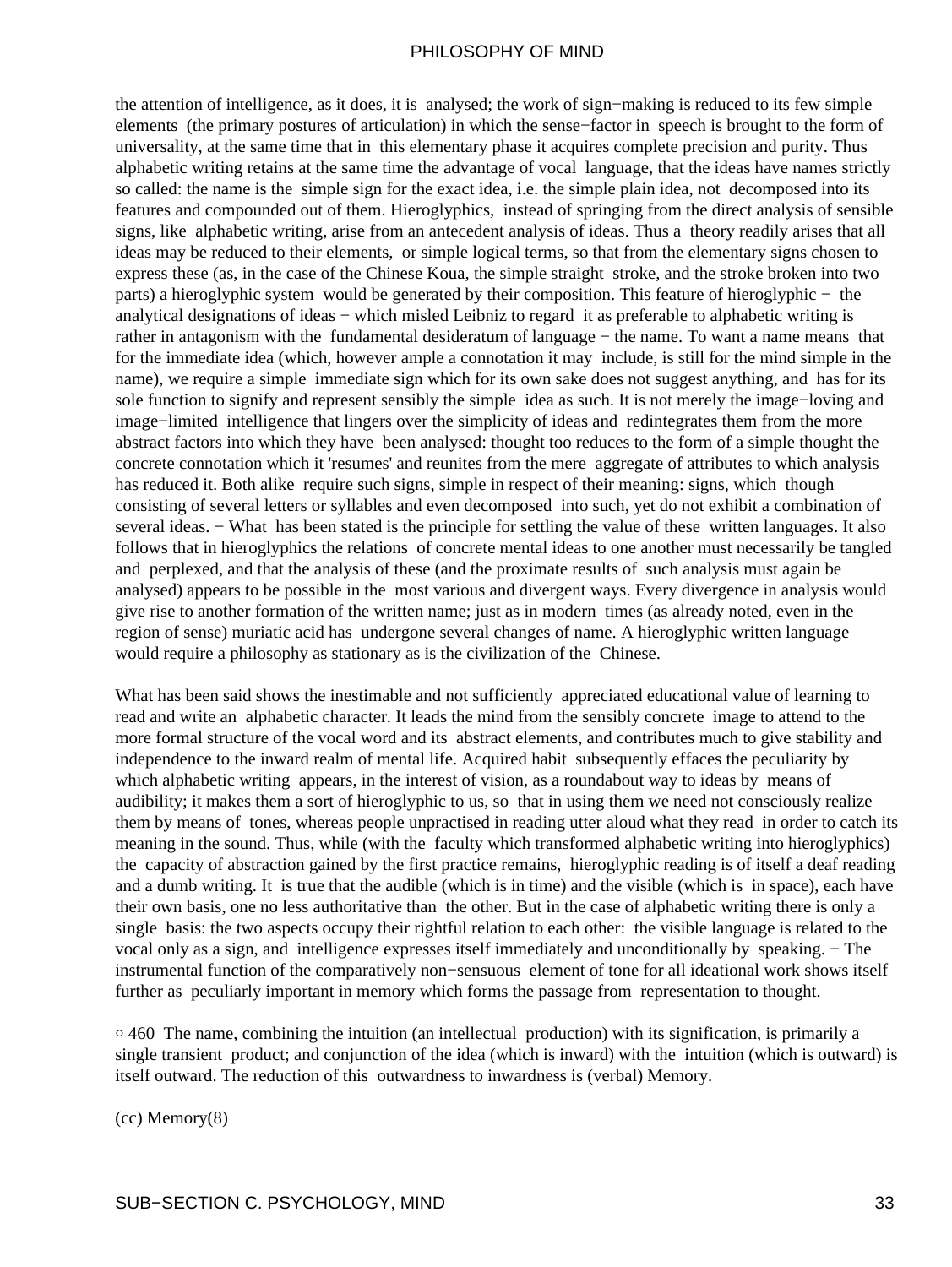the attention of intelligence, as it does, it is analysed; the work of sign−making is reduced to its few simple elements (the primary postures of articulation) in which the sense−factor in speech is brought to the form of universality, at the same time that in this elementary phase it acquires complete precision and purity. Thus alphabetic writing retains at the same time the advantage of vocal language, that the ideas have names strictly so called: the name is the simple sign for the exact idea, i.e. the simple plain idea, not decomposed into its features and compounded out of them. Hieroglyphics, instead of springing from the direct analysis of sensible signs, like alphabetic writing, arise from an antecedent analysis of ideas. Thus a theory readily arises that all ideas may be reduced to their elements, or simple logical terms, so that from the elementary signs chosen to express these (as, in the case of the Chinese Koua, the simple straight stroke, and the stroke broken into two parts) a hieroglyphic system would be generated by their composition. This feature of hieroglyphic − the analytical designations of ideas − which misled Leibniz to regard it as preferable to alphabetic writing is rather in antagonism with the fundamental desideratum of language − the name. To want a name means that for the immediate idea (which, however ample a connotation it may include, is still for the mind simple in the name), we require a simple immediate sign which for its own sake does not suggest anything, and has for its sole function to signify and represent sensibly the simple idea as such. It is not merely the image−loving and image−limited intelligence that lingers over the simplicity of ideas and redintegrates them from the more abstract factors into which they have been analysed: thought too reduces to the form of a simple thought the concrete connotation which it 'resumes' and reunites from the mere aggregate of attributes to which analysis has reduced it. Both alike require such signs, simple in respect of their meaning: signs, which though consisting of several letters or syllables and even decomposed into such, yet do not exhibit a combination of several ideas. – What has been stated is the principle for settling the value of these written languages. It also follows that in hieroglyphics the relations of concrete mental ideas to one another must necessarily be tangled and perplexed, and that the analysis of these (and the proximate results of such analysis must again be analysed) appears to be possible in the most various and divergent ways. Every divergence in analysis would give rise to another formation of the written name; just as in modern times (as already noted, even in the region of sense) muriatic acid has undergone several changes of name. A hieroglyphic written language would require a philosophy as stationary as is the civilization of the Chinese.

What has been said shows the inestimable and not sufficiently appreciated educational value of learning to read and write an alphabetic character. It leads the mind from the sensibly concrete image to attend to the more formal structure of the vocal word and its abstract elements, and contributes much to give stability and independence to the inward realm of mental life. Acquired habit subsequently effaces the peculiarity by which alphabetic writing appears, in the interest of vision, as a roundabout way to ideas by means of audibility; it makes them a sort of hieroglyphic to us, so that in using them we need not consciously realize them by means of tones, whereas people unpractised in reading utter aloud what they read in order to catch its meaning in the sound. Thus, while (with the faculty which transformed alphabetic writing into hieroglyphics) the capacity of abstraction gained by the first practice remains, hieroglyphic reading is of itself a deaf reading and a dumb writing. It is true that the audible (which is in time) and the visible (which is in space), each have their own basis, one no less authoritative than the other. But in the case of alphabetic writing there is only a single basis: the two aspects occupy their rightful relation to each other: the visible language is related to the vocal only as a sign, and intelligence expresses itself immediately and unconditionally by speaking. − The instrumental function of the comparatively non−sensuous element of tone for all ideational work shows itself further as peculiarly important in memory which forms the passage from representation to thought.

 $\overline{a}$  460. The name, combining the intuition (an intellectual production) with its signification, is primarily a single transient product; and conjunction of the idea (which is inward) with the intuition (which is outward) is itself outward. The reduction of this outwardness to inwardness is (verbal) Memory.

(cc) Memory(8)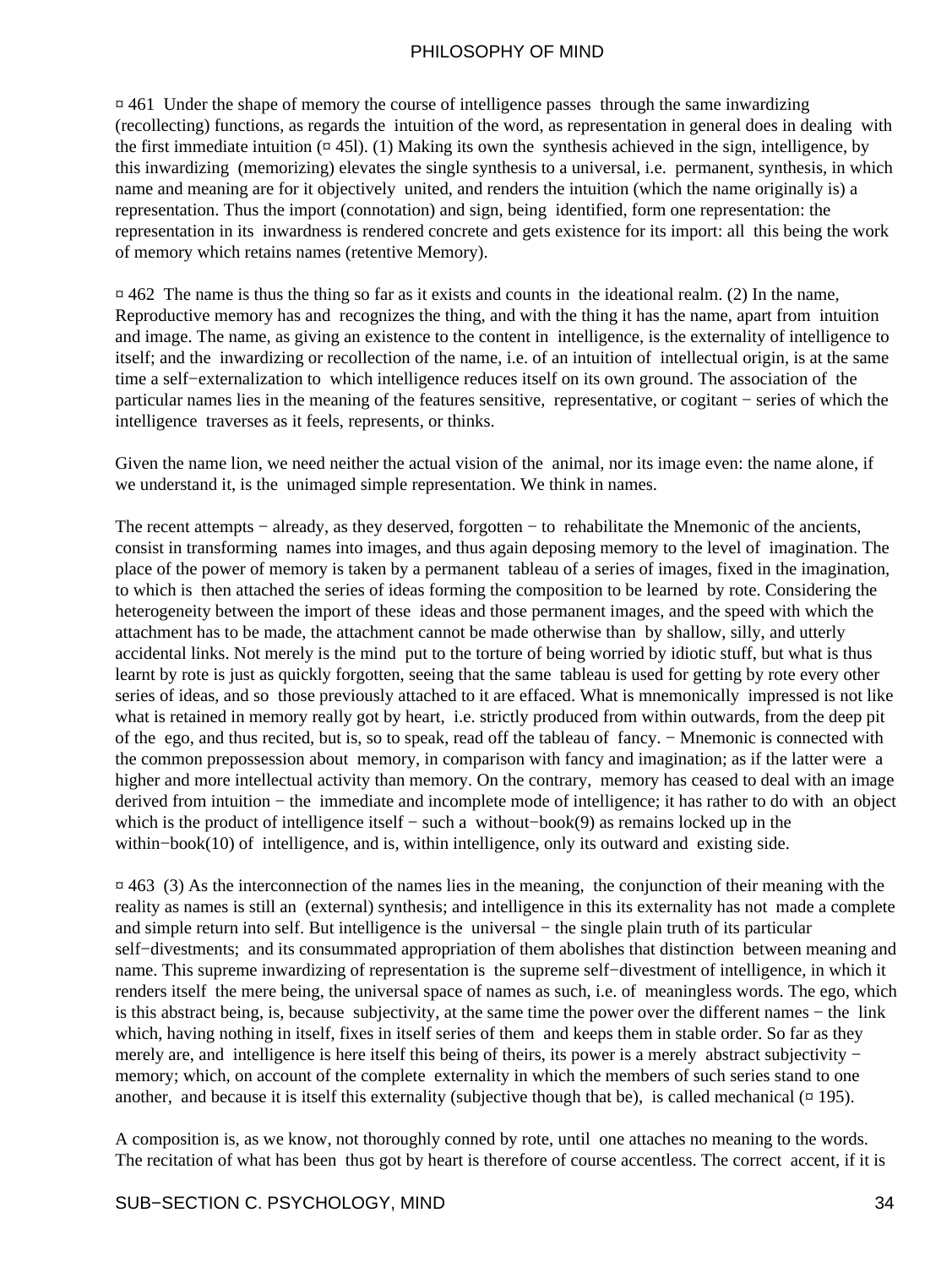$\alpha$  461 Under the shape of memory the course of intelligence passes through the same inwardizing (recollecting) functions, as regards the intuition of the word, as representation in general does in dealing with the first immediate intuition  $(\alpha$  45. (1) Making its own the synthesis achieved in the sign, intelligence, by this inwardizing (memorizing) elevates the single synthesis to a universal, i.e. permanent, synthesis, in which name and meaning are for it objectively united, and renders the intuition (which the name originally is) a representation. Thus the import (connotation) and sign, being identified, form one representation: the representation in its inwardness is rendered concrete and gets existence for its import: all this being the work of memory which retains names (retentive Memory).

 $\alpha$  462 The name is thus the thing so far as it exists and counts in the ideational realm. (2) In the name, Reproductive memory has and recognizes the thing, and with the thing it has the name, apart from intuition and image. The name, as giving an existence to the content in intelligence, is the externality of intelligence to itself; and the inwardizing or recollection of the name, i.e. of an intuition of intellectual origin, is at the same time a self−externalization to which intelligence reduces itself on its own ground. The association of the particular names lies in the meaning of the features sensitive, representative, or cogitant − series of which the intelligence traverses as it feels, represents, or thinks.

Given the name lion, we need neither the actual vision of the animal, nor its image even: the name alone, if we understand it, is the unimaged simple representation. We think in names.

The recent attempts − already, as they deserved, forgotten − to rehabilitate the Mnemonic of the ancients, consist in transforming names into images, and thus again deposing memory to the level of imagination. The place of the power of memory is taken by a permanent tableau of a series of images, fixed in the imagination, to which is then attached the series of ideas forming the composition to be learned by rote. Considering the heterogeneity between the import of these ideas and those permanent images, and the speed with which the attachment has to be made, the attachment cannot be made otherwise than by shallow, silly, and utterly accidental links. Not merely is the mind put to the torture of being worried by idiotic stuff, but what is thus learnt by rote is just as quickly forgotten, seeing that the same tableau is used for getting by rote every other series of ideas, and so those previously attached to it are effaced. What is mnemonically impressed is not like what is retained in memory really got by heart, i.e. strictly produced from within outwards, from the deep pit of the ego, and thus recited, but is, so to speak, read off the tableau of fancy. − Mnemonic is connected with the common prepossession about memory, in comparison with fancy and imagination; as if the latter were a higher and more intellectual activity than memory. On the contrary, memory has ceased to deal with an image derived from intuition − the immediate and incomplete mode of intelligence; it has rather to do with an object which is the product of intelligence itself − such a without−book(9) as remains locked up in the within−book(10) of intelligence, and is, within intelligence, only its outward and existing side.

 $\alpha$  463 (3) As the interconnection of the names lies in the meaning, the conjunction of their meaning with the reality as names is still an (external) synthesis; and intelligence in this its externality has not made a complete and simple return into self. But intelligence is the universal − the single plain truth of its particular self-divestments; and its consummated appropriation of them abolishes that distinction between meaning and name. This supreme inwardizing of representation is the supreme self−divestment of intelligence, in which it renders itself the mere being, the universal space of names as such, i.e. of meaningless words. The ego, which is this abstract being, is, because subjectivity, at the same time the power over the different names − the link which, having nothing in itself, fixes in itself series of them and keeps them in stable order. So far as they merely are, and intelligence is here itself this being of theirs, its power is a merely abstract subjectivity − memory; which, on account of the complete externality in which the members of such series stand to one another, and because it is itself this externality (subjective though that be), is called mechanical  $(4195)$ .

A composition is, as we know, not thoroughly conned by rote, until one attaches no meaning to the words. The recitation of what has been thus got by heart is therefore of course accentless. The correct accent, if it is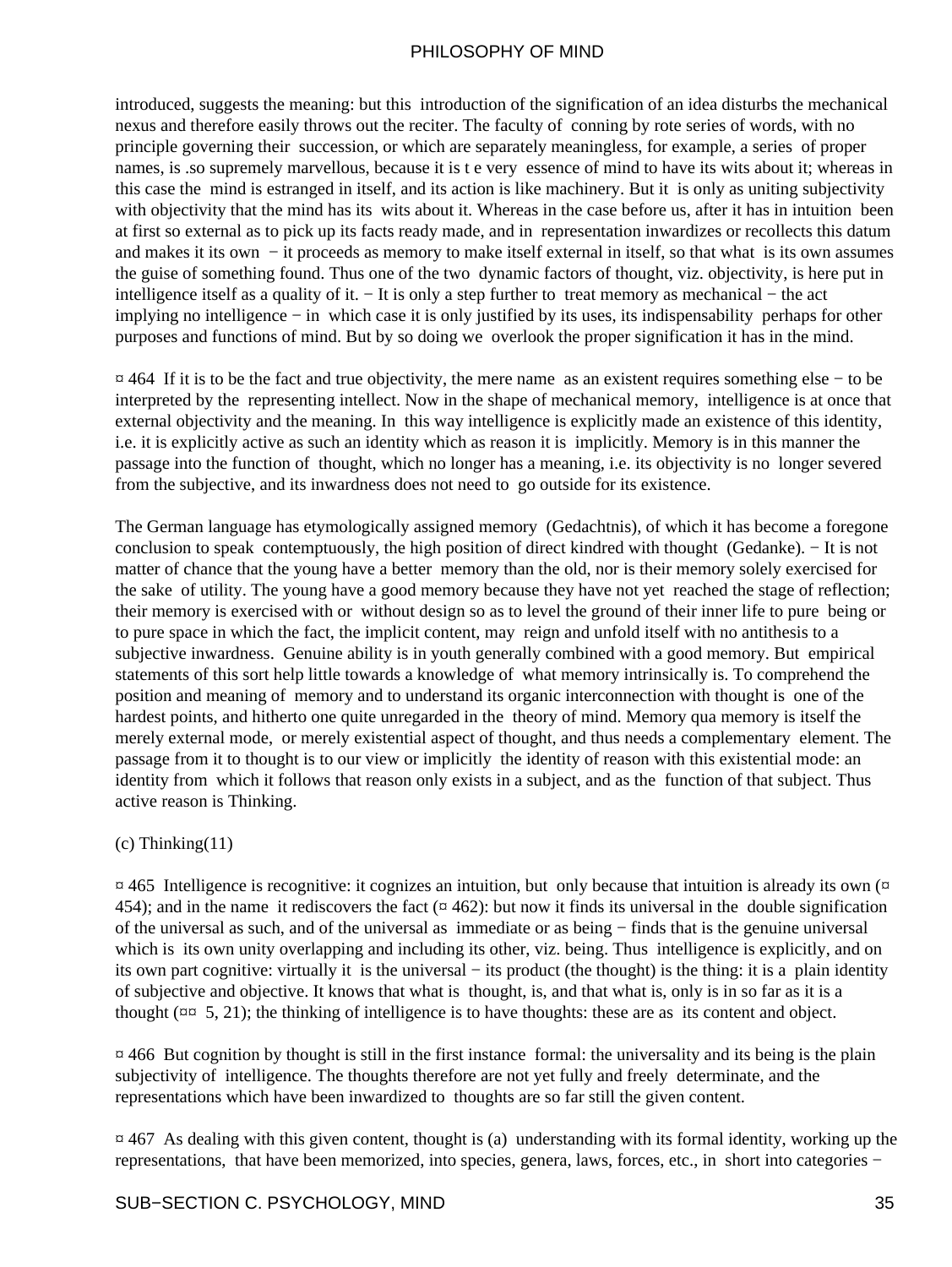introduced, suggests the meaning: but this introduction of the signification of an idea disturbs the mechanical nexus and therefore easily throws out the reciter. The faculty of conning by rote series of words, with no principle governing their succession, or which are separately meaningless, for example, a series of proper names, is .so supremely marvellous, because it is t e very essence of mind to have its wits about it; whereas in this case the mind is estranged in itself, and its action is like machinery. But it is only as uniting subjectivity with objectivity that the mind has its wits about it. Whereas in the case before us, after it has in intuition been at first so external as to pick up its facts ready made, and in representation inwardizes or recollects this datum and makes it its own − it proceeds as memory to make itself external in itself, so that what is its own assumes the guise of something found. Thus one of the two dynamic factors of thought, viz. objectivity, is here put in intelligence itself as a quality of it. − It is only a step further to treat memory as mechanical − the act implying no intelligence − in which case it is only justified by its uses, its indispensability perhaps for other purposes and functions of mind. But by so doing we overlook the proper signification it has in the mind.

¤ 464 If it is to be the fact and true objectivity, the mere name as an existent requires something else − to be interpreted by the representing intellect. Now in the shape of mechanical memory, intelligence is at once that external objectivity and the meaning. In this way intelligence is explicitly made an existence of this identity, i.e. it is explicitly active as such an identity which as reason it is implicitly. Memory is in this manner the passage into the function of thought, which no longer has a meaning, i.e. its objectivity is no longer severed from the subjective, and its inwardness does not need to go outside for its existence.

The German language has etymologically assigned memory (Gedachtnis), of which it has become a foregone conclusion to speak contemptuously, the high position of direct kindred with thought (Gedanke). − It is not matter of chance that the young have a better memory than the old, nor is their memory solely exercised for the sake of utility. The young have a good memory because they have not yet reached the stage of reflection; their memory is exercised with or without design so as to level the ground of their inner life to pure being or to pure space in which the fact, the implicit content, may reign and unfold itself with no antithesis to a subjective inwardness. Genuine ability is in youth generally combined with a good memory. But empirical statements of this sort help little towards a knowledge of what memory intrinsically is. To comprehend the position and meaning of memory and to understand its organic interconnection with thought is one of the hardest points, and hitherto one quite unregarded in the theory of mind. Memory qua memory is itself the merely external mode, or merely existential aspect of thought, and thus needs a complementary element. The passage from it to thought is to our view or implicitly the identity of reason with this existential mode: an identity from which it follows that reason only exists in a subject, and as the function of that subject. Thus active reason is Thinking.

#### $(c)$  Thinking $(11)$

 $\alpha$  465 Intelligence is recognitive: it cognizes an intuition, but only because that intuition is already its own ( $\alpha$ ) 454); and in the name it rediscovers the fact ( $\alpha$  462): but now it finds its universal in the double signification of the universal as such, and of the universal as immediate or as being − finds that is the genuine universal which is its own unity overlapping and including its other, viz. being. Thus intelligence is explicitly, and on its own part cognitive: virtually it is the universal − its product (the thought) is the thing: it is a plain identity of subjective and objective. It knows that what is thought, is, and that what is, only is in so far as it is a thought ( $\pi$  $\approx$  5, 21); the thinking of intelligence is to have thoughts: these are as its content and object.

 $\overline{a}$  466 But cognition by thought is still in the first instance formal: the universality and its being is the plain subjectivity of intelligence. The thoughts therefore are not yet fully and freely determinate, and the representations which have been inwardized to thoughts are so far still the given content.

 $\overline{p}$  467 As dealing with this given content, thought is (a) understanding with its formal identity, working up the representations, that have been memorized, into species, genera, laws, forces, etc., in short into categories −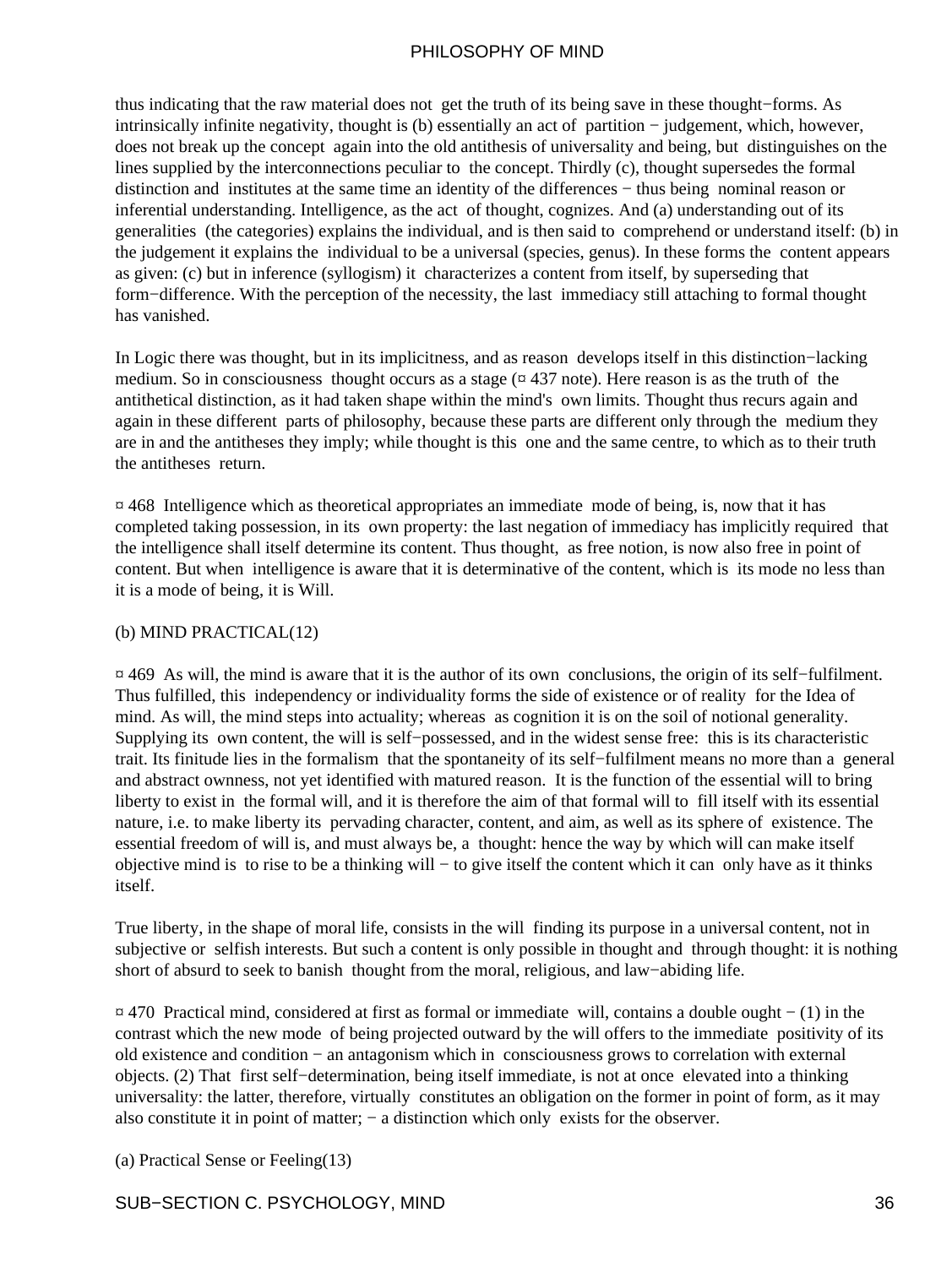thus indicating that the raw material does not get the truth of its being save in these thought−forms. As intrinsically infinite negativity, thought is (b) essentially an act of partition − judgement, which, however, does not break up the concept again into the old antithesis of universality and being, but distinguishes on the lines supplied by the interconnections peculiar to the concept. Thirdly (c), thought supersedes the formal distinction and institutes at the same time an identity of the differences − thus being nominal reason or inferential understanding. Intelligence, as the act of thought, cognizes. And (a) understanding out of its generalities (the categories) explains the individual, and is then said to comprehend or understand itself: (b) in the judgement it explains the individual to be a universal (species, genus). In these forms the content appears as given: (c) but in inference (syllogism) it characterizes a content from itself, by superseding that form−difference. With the perception of the necessity, the last immediacy still attaching to formal thought has vanished.

In Logic there was thought, but in its implicitness, and as reason develops itself in this distinction−lacking medium. So in consciousness thought occurs as a stage  $(437)$  note). Here reason is as the truth of the antithetical distinction, as it had taken shape within the mind's own limits. Thought thus recurs again and again in these different parts of philosophy, because these parts are different only through the medium they are in and the antitheses they imply; while thought is this one and the same centre, to which as to their truth the antitheses return.

 $\alpha$  468 Intelligence which as theoretical appropriates an immediate mode of being, is, now that it has completed taking possession, in its own property: the last negation of immediacy has implicitly required that the intelligence shall itself determine its content. Thus thought, as free notion, is now also free in point of content. But when intelligence is aware that it is determinative of the content, which is its mode no less than it is a mode of being, it is Will.

#### (b) MIND PRACTICAL(12)

¤ 469 As will, the mind is aware that it is the author of its own conclusions, the origin of its self−fulfilment. Thus fulfilled, this independency or individuality forms the side of existence or of reality for the Idea of mind. As will, the mind steps into actuality; whereas as cognition it is on the soil of notional generality. Supplying its own content, the will is self−possessed, and in the widest sense free: this is its characteristic trait. Its finitude lies in the formalism that the spontaneity of its self−fulfilment means no more than a general and abstract ownness, not yet identified with matured reason. It is the function of the essential will to bring liberty to exist in the formal will, and it is therefore the aim of that formal will to fill itself with its essential nature, i.e. to make liberty its pervading character, content, and aim, as well as its sphere of existence. The essential freedom of will is, and must always be, a thought: hence the way by which will can make itself objective mind is to rise to be a thinking will − to give itself the content which it can only have as it thinks itself.

True liberty, in the shape of moral life, consists in the will finding its purpose in a universal content, not in subjective or selfish interests. But such a content is only possible in thought and through thought: it is nothing short of absurd to seek to banish thought from the moral, religious, and law−abiding life.

¤ 470 Practical mind, considered at first as formal or immediate will, contains a double ought − (1) in the contrast which the new mode of being projected outward by the will offers to the immediate positivity of its old existence and condition − an antagonism which in consciousness grows to correlation with external objects. (2) That first self−determination, being itself immediate, is not at once elevated into a thinking universality: the latter, therefore, virtually constitutes an obligation on the former in point of form, as it may also constitute it in point of matter; − a distinction which only exists for the observer.

(a) Practical Sense or Feeling(13)

#### SUB−SECTION C. PSYCHOLOGY, MIND 36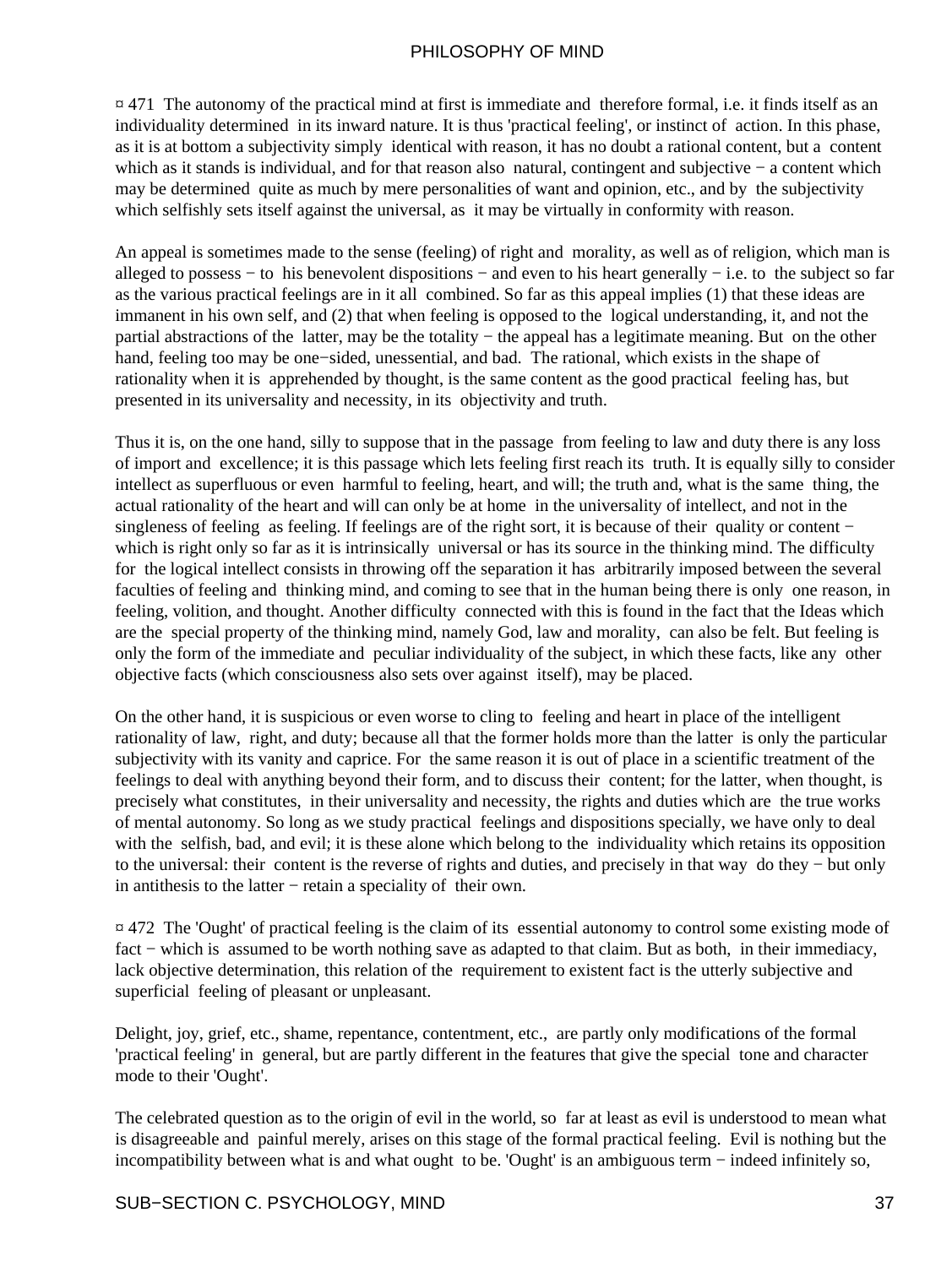$\overline{a}$  471. The autonomy of the practical mind at first is immediate and therefore formal, i.e. it finds itself as an individuality determined in its inward nature. It is thus 'practical feeling', or instinct of action. In this phase, as it is at bottom a subjectivity simply identical with reason, it has no doubt a rational content, but a content which as it stands is individual, and for that reason also natural, contingent and subjective − a content which may be determined quite as much by mere personalities of want and opinion, etc., and by the subjectivity which selfishly sets itself against the universal, as it may be virtually in conformity with reason.

An appeal is sometimes made to the sense (feeling) of right and morality, as well as of religion, which man is alleged to possess − to his benevolent dispositions − and even to his heart generally − i.e. to the subject so far as the various practical feelings are in it all combined. So far as this appeal implies (1) that these ideas are immanent in his own self, and (2) that when feeling is opposed to the logical understanding, it, and not the partial abstractions of the latter, may be the totality − the appeal has a legitimate meaning. But on the other hand, feeling too may be one−sided, unessential, and bad. The rational, which exists in the shape of rationality when it is apprehended by thought, is the same content as the good practical feeling has, but presented in its universality and necessity, in its objectivity and truth.

Thus it is, on the one hand, silly to suppose that in the passage from feeling to law and duty there is any loss of import and excellence; it is this passage which lets feeling first reach its truth. It is equally silly to consider intellect as superfluous or even harmful to feeling, heart, and will; the truth and, what is the same thing, the actual rationality of the heart and will can only be at home in the universality of intellect, and not in the singleness of feeling as feeling. If feelings are of the right sort, it is because of their quality or content − which is right only so far as it is intrinsically universal or has its source in the thinking mind. The difficulty for the logical intellect consists in throwing off the separation it has arbitrarily imposed between the several faculties of feeling and thinking mind, and coming to see that in the human being there is only one reason, in feeling, volition, and thought. Another difficulty connected with this is found in the fact that the Ideas which are the special property of the thinking mind, namely God, law and morality, can also be felt. But feeling is only the form of the immediate and peculiar individuality of the subject, in which these facts, like any other objective facts (which consciousness also sets over against itself), may be placed.

On the other hand, it is suspicious or even worse to cling to feeling and heart in place of the intelligent rationality of law, right, and duty; because all that the former holds more than the latter is only the particular subjectivity with its vanity and caprice. For the same reason it is out of place in a scientific treatment of the feelings to deal with anything beyond their form, and to discuss their content; for the latter, when thought, is precisely what constitutes, in their universality and necessity, the rights and duties which are the true works of mental autonomy. So long as we study practical feelings and dispositions specially, we have only to deal with the selfish, bad, and evil; it is these alone which belong to the individuality which retains its opposition to the universal: their content is the reverse of rights and duties, and precisely in that way do they − but only in antithesis to the latter − retain a speciality of their own.

¤ 472 The 'Ought' of practical feeling is the claim of its essential autonomy to control some existing mode of fact − which is assumed to be worth nothing save as adapted to that claim. But as both, in their immediacy, lack objective determination, this relation of the requirement to existent fact is the utterly subjective and superficial feeling of pleasant or unpleasant.

Delight, joy, grief, etc., shame, repentance, contentment, etc., are partly only modifications of the formal 'practical feeling' in general, but are partly different in the features that give the special tone and character mode to their 'Ought'.

The celebrated question as to the origin of evil in the world, so far at least as evil is understood to mean what is disagreeable and painful merely, arises on this stage of the formal practical feeling. Evil is nothing but the incompatibility between what is and what ought to be. 'Ought' is an ambiguous term − indeed infinitely so,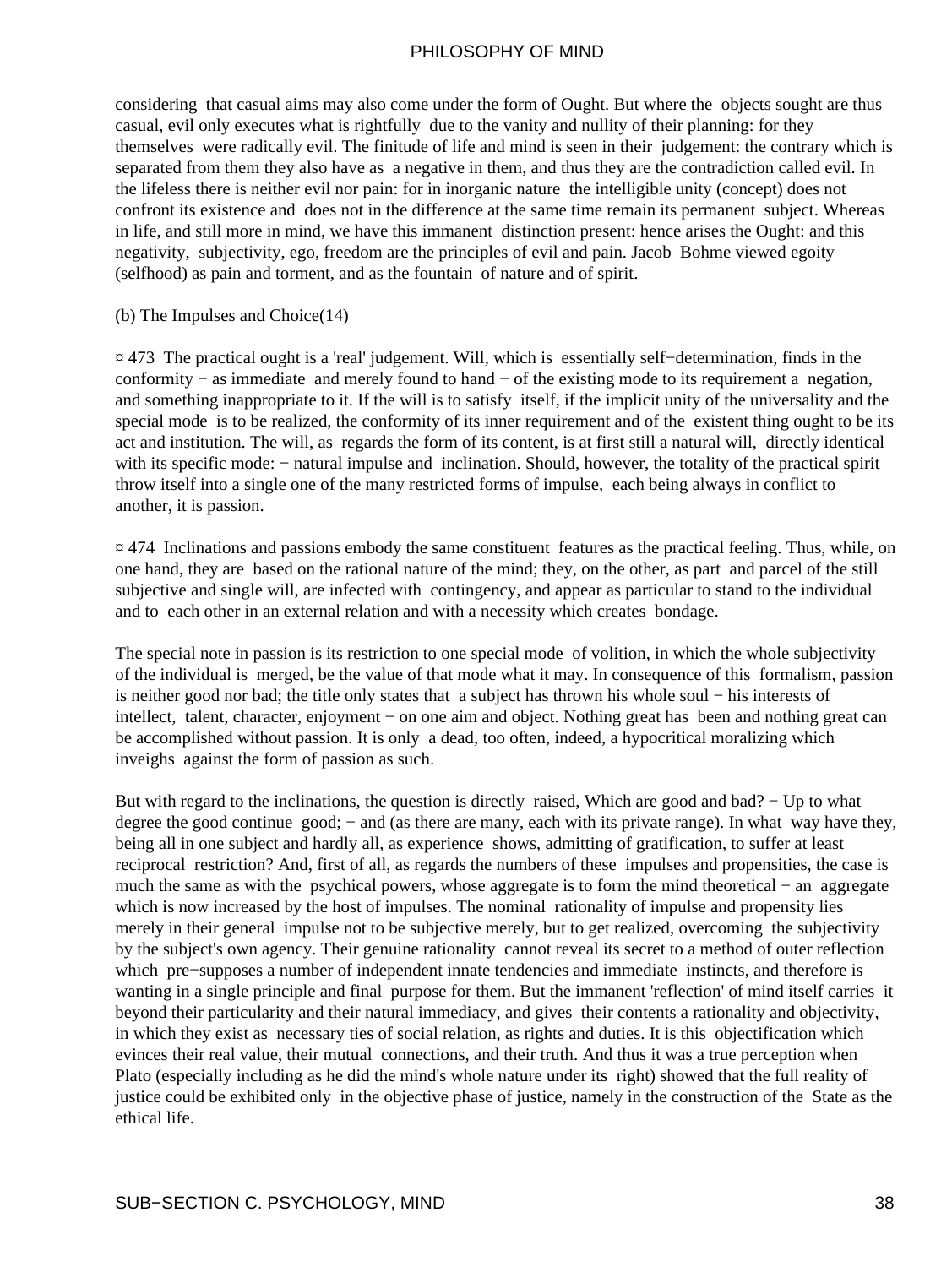considering that casual aims may also come under the form of Ought. But where the objects sought are thus casual, evil only executes what is rightfully due to the vanity and nullity of their planning: for they themselves were radically evil. The finitude of life and mind is seen in their judgement: the contrary which is separated from them they also have as a negative in them, and thus they are the contradiction called evil. In the lifeless there is neither evil nor pain: for in inorganic nature the intelligible unity (concept) does not confront its existence and does not in the difference at the same time remain its permanent subject. Whereas in life, and still more in mind, we have this immanent distinction present: hence arises the Ought: and this negativity, subjectivity, ego, freedom are the principles of evil and pain. Jacob Bohme viewed egoity (selfhood) as pain and torment, and as the fountain of nature and of spirit.

#### (b) The Impulses and Choice(14)

¤ 473 The practical ought is a 'real' judgement. Will, which is essentially self−determination, finds in the conformity − as immediate and merely found to hand − of the existing mode to its requirement a negation, and something inappropriate to it. If the will is to satisfy itself, if the implicit unity of the universality and the special mode is to be realized, the conformity of its inner requirement and of the existent thing ought to be its act and institution. The will, as regards the form of its content, is at first still a natural will, directly identical with its specific mode: − natural impulse and inclination. Should, however, the totality of the practical spirit throw itself into a single one of the many restricted forms of impulse, each being always in conflict to another, it is passion.

¤ 474 Inclinations and passions embody the same constituent features as the practical feeling. Thus, while, on one hand, they are based on the rational nature of the mind; they, on the other, as part and parcel of the still subjective and single will, are infected with contingency, and appear as particular to stand to the individual and to each other in an external relation and with a necessity which creates bondage.

The special note in passion is its restriction to one special mode of volition, in which the whole subjectivity of the individual is merged, be the value of that mode what it may. In consequence of this formalism, passion is neither good nor bad; the title only states that a subject has thrown his whole soul − his interests of intellect, talent, character, enjoyment − on one aim and object. Nothing great has been and nothing great can be accomplished without passion. It is only a dead, too often, indeed, a hypocritical moralizing which inveighs against the form of passion as such.

But with regard to the inclinations, the question is directly raised, Which are good and bad? − Up to what degree the good continue good; – and (as there are many, each with its private range). In what way have they, being all in one subject and hardly all, as experience shows, admitting of gratification, to suffer at least reciprocal restriction? And, first of all, as regards the numbers of these impulses and propensities, the case is much the same as with the psychical powers, whose aggregate is to form the mind theoretical − an aggregate which is now increased by the host of impulses. The nominal rationality of impulse and propensity lies merely in their general impulse not to be subjective merely, but to get realized, overcoming the subjectivity by the subject's own agency. Their genuine rationality cannot reveal its secret to a method of outer reflection which pre−supposes a number of independent innate tendencies and immediate instincts, and therefore is wanting in a single principle and final purpose for them. But the immanent 'reflection' of mind itself carries it beyond their particularity and their natural immediacy, and gives their contents a rationality and objectivity, in which they exist as necessary ties of social relation, as rights and duties. It is this objectification which evinces their real value, their mutual connections, and their truth. And thus it was a true perception when Plato (especially including as he did the mind's whole nature under its right) showed that the full reality of justice could be exhibited only in the objective phase of justice, namely in the construction of the State as the ethical life.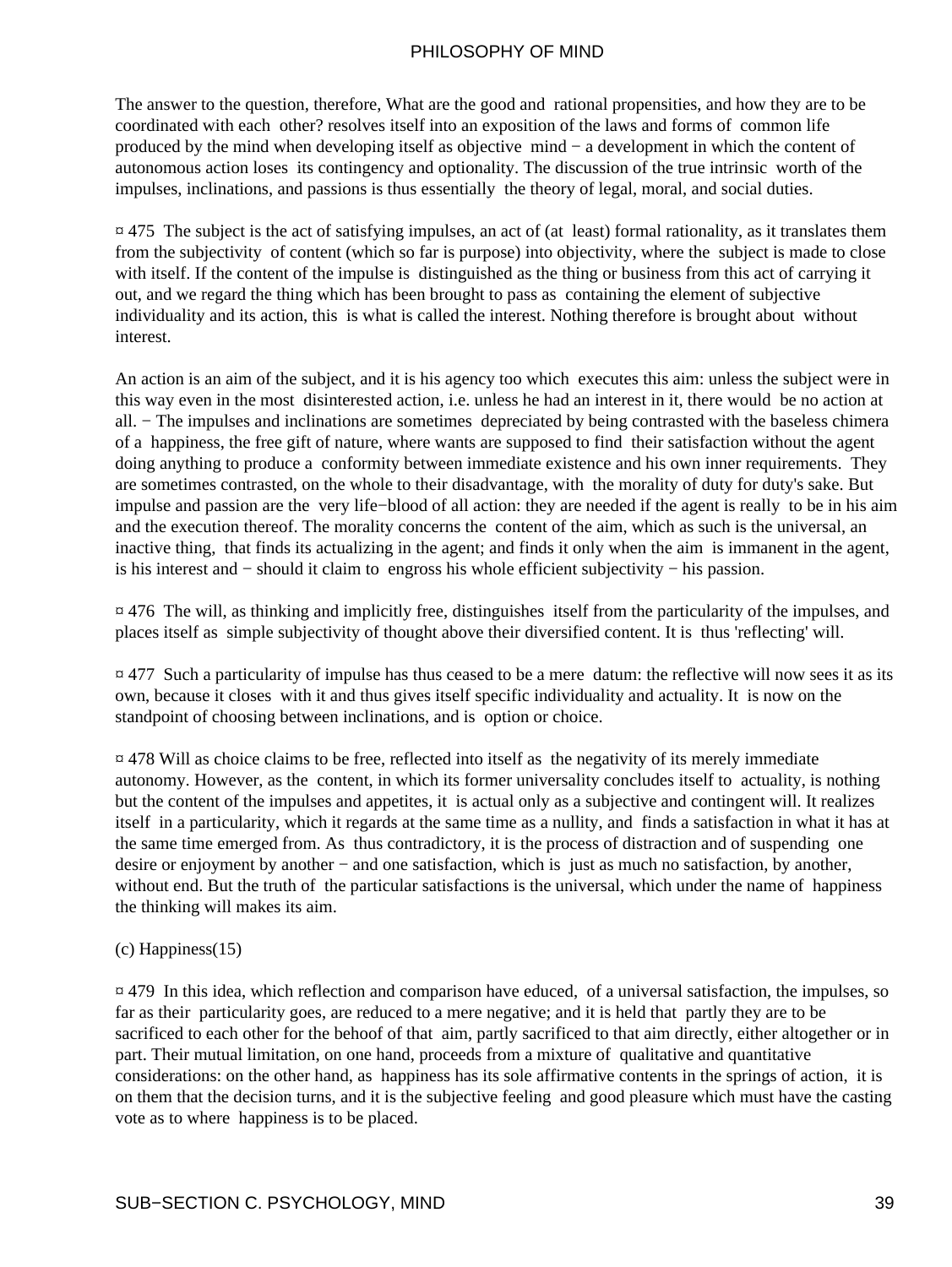The answer to the question, therefore, What are the good and rational propensities, and how they are to be coordinated with each other? resolves itself into an exposition of the laws and forms of common life produced by the mind when developing itself as objective mind − a development in which the content of autonomous action loses its contingency and optionality. The discussion of the true intrinsic worth of the impulses, inclinations, and passions is thus essentially the theory of legal, moral, and social duties.

 $\alpha$  475 The subject is the act of satisfying impulses, an act of (at least) formal rationality, as it translates them from the subjectivity of content (which so far is purpose) into objectivity, where the subject is made to close with itself. If the content of the impulse is distinguished as the thing or business from this act of carrying it out, and we regard the thing which has been brought to pass as containing the element of subjective individuality and its action, this is what is called the interest. Nothing therefore is brought about without interest.

An action is an aim of the subject, and it is his agency too which executes this aim: unless the subject were in this way even in the most disinterested action, i.e. unless he had an interest in it, there would be no action at all. − The impulses and inclinations are sometimes depreciated by being contrasted with the baseless chimera of a happiness, the free gift of nature, where wants are supposed to find their satisfaction without the agent doing anything to produce a conformity between immediate existence and his own inner requirements. They are sometimes contrasted, on the whole to their disadvantage, with the morality of duty for duty's sake. But impulse and passion are the very life−blood of all action: they are needed if the agent is really to be in his aim and the execution thereof. The morality concerns the content of the aim, which as such is the universal, an inactive thing, that finds its actualizing in the agent; and finds it only when the aim is immanent in the agent, is his interest and − should it claim to engross his whole efficient subjectivity − his passion.

 $\overline{a}$  476 The will, as thinking and implicitly free, distinguishes itself from the particularity of the impulses, and places itself as simple subjectivity of thought above their diversified content. It is thus 'reflecting' will.

 $\alpha$  477 Such a particularity of impulse has thus ceased to be a mere datum: the reflective will now sees it as its own, because it closes with it and thus gives itself specific individuality and actuality. It is now on the standpoint of choosing between inclinations, and is option or choice.

¤ 478 Will as choice claims to be free, reflected into itself as the negativity of its merely immediate autonomy. However, as the content, in which its former universality concludes itself to actuality, is nothing but the content of the impulses and appetites, it is actual only as a subjective and contingent will. It realizes itself in a particularity, which it regards at the same time as a nullity, and finds a satisfaction in what it has at the same time emerged from. As thus contradictory, it is the process of distraction and of suspending one desire or enjoyment by another − and one satisfaction, which is just as much no satisfaction, by another, without end. But the truth of the particular satisfactions is the universal, which under the name of happiness the thinking will makes its aim.

#### (c) Happiness(15)

¤ 479 In this idea, which reflection and comparison have educed, of a universal satisfaction, the impulses, so far as their particularity goes, are reduced to a mere negative; and it is held that partly they are to be sacrificed to each other for the behoof of that aim, partly sacrificed to that aim directly, either altogether or in part. Their mutual limitation, on one hand, proceeds from a mixture of qualitative and quantitative considerations: on the other hand, as happiness has its sole affirmative contents in the springs of action, it is on them that the decision turns, and it is the subjective feeling and good pleasure which must have the casting vote as to where happiness is to be placed.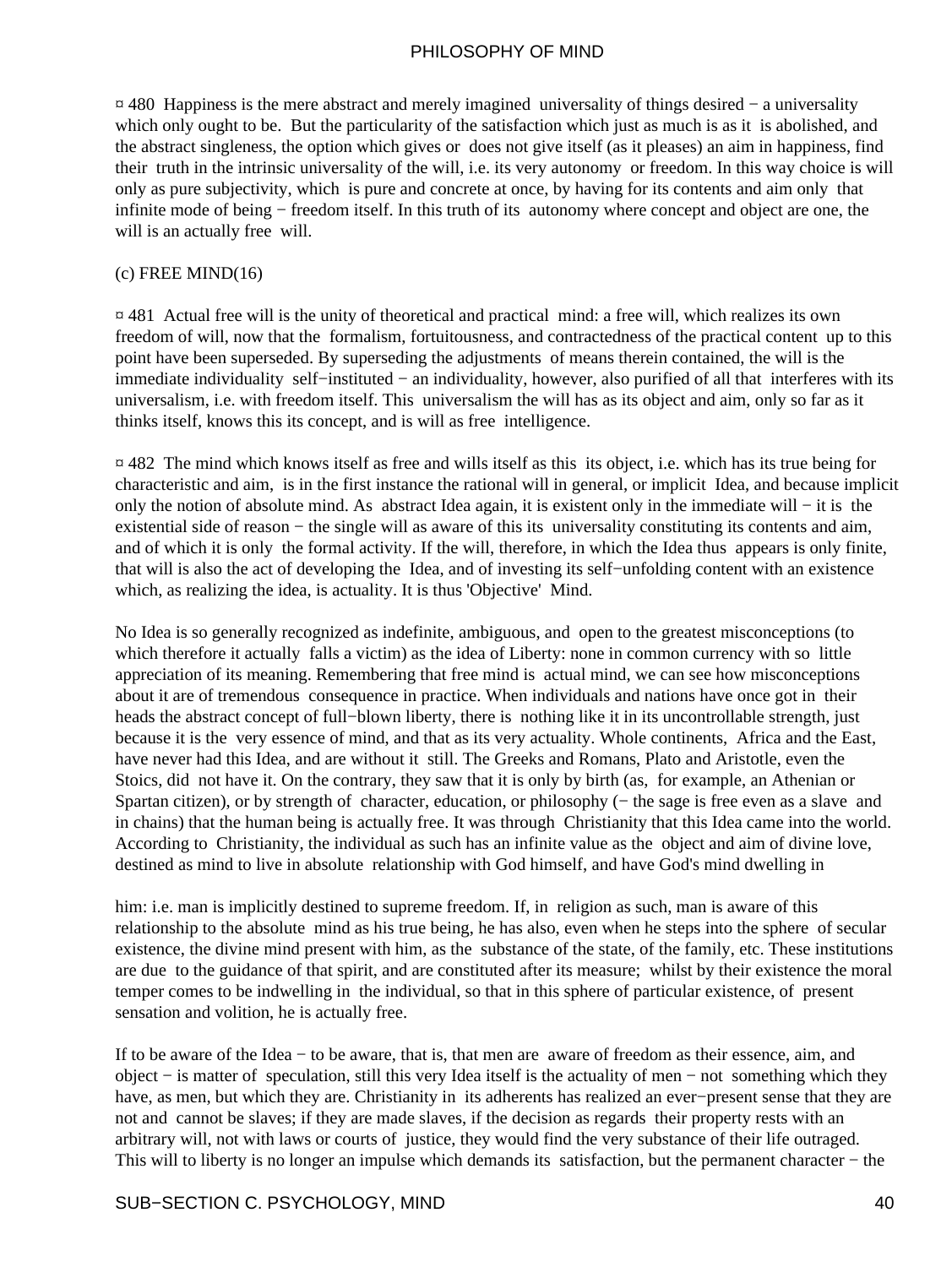¤ 480 Happiness is the mere abstract and merely imagined universality of things desired − a universality which only ought to be. But the particularity of the satisfaction which just as much is as it is abolished, and the abstract singleness, the option which gives or does not give itself (as it pleases) an aim in happiness, find their truth in the intrinsic universality of the will, i.e. its very autonomy or freedom. In this way choice is will only as pure subjectivity, which is pure and concrete at once, by having for its contents and aim only that infinite mode of being − freedom itself. In this truth of its autonomy where concept and object are one, the will is an actually free will.

#### $(c)$  FREE MIND $(16)$

¤ 481 Actual free will is the unity of theoretical and practical mind: a free will, which realizes its own freedom of will, now that the formalism, fortuitousness, and contractedness of the practical content up to this point have been superseded. By superseding the adjustments of means therein contained, the will is the immediate individuality self−instituted − an individuality, however, also purified of all that interferes with its universalism, i.e. with freedom itself. This universalism the will has as its object and aim, only so far as it thinks itself, knows this its concept, and is will as free intelligence.

¤ 482 The mind which knows itself as free and wills itself as this its object, i.e. which has its true being for characteristic and aim, is in the first instance the rational will in general, or implicit Idea, and because implicit only the notion of absolute mind. As abstract Idea again, it is existent only in the immediate will − it is the existential side of reason – the single will as aware of this its universality constituting its contents and aim, and of which it is only the formal activity. If the will, therefore, in which the Idea thus appears is only finite, that will is also the act of developing the Idea, and of investing its self−unfolding content with an existence which, as realizing the idea, is actuality. It is thus 'Objective' Mind.

No Idea is so generally recognized as indefinite, ambiguous, and open to the greatest misconceptions (to which therefore it actually falls a victim) as the idea of Liberty: none in common currency with so little appreciation of its meaning. Remembering that free mind is actual mind, we can see how misconceptions about it are of tremendous consequence in practice. When individuals and nations have once got in their heads the abstract concept of full−blown liberty, there is nothing like it in its uncontrollable strength, just because it is the very essence of mind, and that as its very actuality. Whole continents, Africa and the East, have never had this Idea, and are without it still. The Greeks and Romans, Plato and Aristotle, even the Stoics, did not have it. On the contrary, they saw that it is only by birth (as, for example, an Athenian or Spartan citizen), or by strength of character, education, or philosophy (− the sage is free even as a slave and in chains) that the human being is actually free. It was through Christianity that this Idea came into the world. According to Christianity, the individual as such has an infinite value as the object and aim of divine love, destined as mind to live in absolute relationship with God himself, and have God's mind dwelling in

him: i.e. man is implicitly destined to supreme freedom. If, in religion as such, man is aware of this relationship to the absolute mind as his true being, he has also, even when he steps into the sphere of secular existence, the divine mind present with him, as the substance of the state, of the family, etc. These institutions are due to the guidance of that spirit, and are constituted after its measure; whilst by their existence the moral temper comes to be indwelling in the individual, so that in this sphere of particular existence, of present sensation and volition, he is actually free.

If to be aware of the Idea − to be aware, that is, that men are aware of freedom as their essence, aim, and object − is matter of speculation, still this very Idea itself is the actuality of men − not something which they have, as men, but which they are. Christianity in its adherents has realized an ever−present sense that they are not and cannot be slaves; if they are made slaves, if the decision as regards their property rests with an arbitrary will, not with laws or courts of justice, they would find the very substance of their life outraged. This will to liberty is no longer an impulse which demands its satisfaction, but the permanent character − the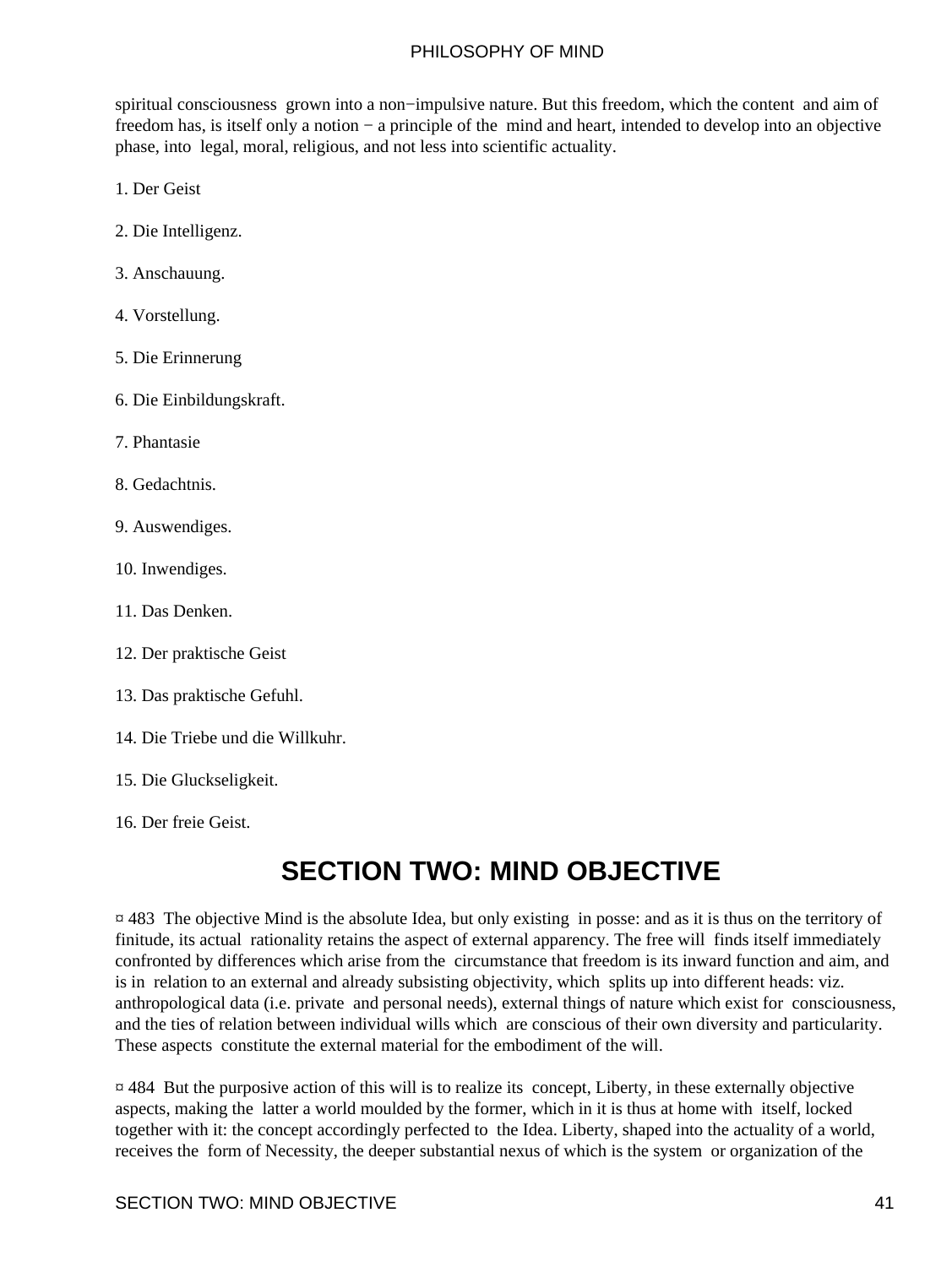spiritual consciousness grown into a non−impulsive nature. But this freedom, which the content and aim of freedom has, is itself only a notion − a principle of the mind and heart, intended to develop into an objective phase, into legal, moral, religious, and not less into scientific actuality.

- 1. Der Geist
- 2. Die Intelligenz.
- 3. Anschauung.
- 4. Vorstellung.
- 5. Die Erinnerung
- 6. Die Einbildungskraft.
- 7. Phantasie
- 8. Gedachtnis.
- 9. Auswendiges.
- 10. Inwendiges.
- 11. Das Denken.
- 12. Der praktische Geist
- 13. Das praktische Gefuhl.
- 14. Die Triebe und die Willkuhr.
- 15. Die Gluckseligkeit.
- 16. Der freie Geist.

# **SECTION TWO: MIND OBJECTIVE**

¤ 483 The objective Mind is the absolute Idea, but only existing in posse: and as it is thus on the territory of finitude, its actual rationality retains the aspect of external apparency. The free will finds itself immediately confronted by differences which arise from the circumstance that freedom is its inward function and aim, and is in relation to an external and already subsisting objectivity, which splits up into different heads: viz. anthropological data (i.e. private and personal needs), external things of nature which exist for consciousness, and the ties of relation between individual wills which are conscious of their own diversity and particularity. These aspects constitute the external material for the embodiment of the will.

¤ 484 But the purposive action of this will is to realize its concept, Liberty, in these externally objective aspects, making the latter a world moulded by the former, which in it is thus at home with itself, locked together with it: the concept accordingly perfected to the Idea. Liberty, shaped into the actuality of a world, receives the form of Necessity, the deeper substantial nexus of which is the system or organization of the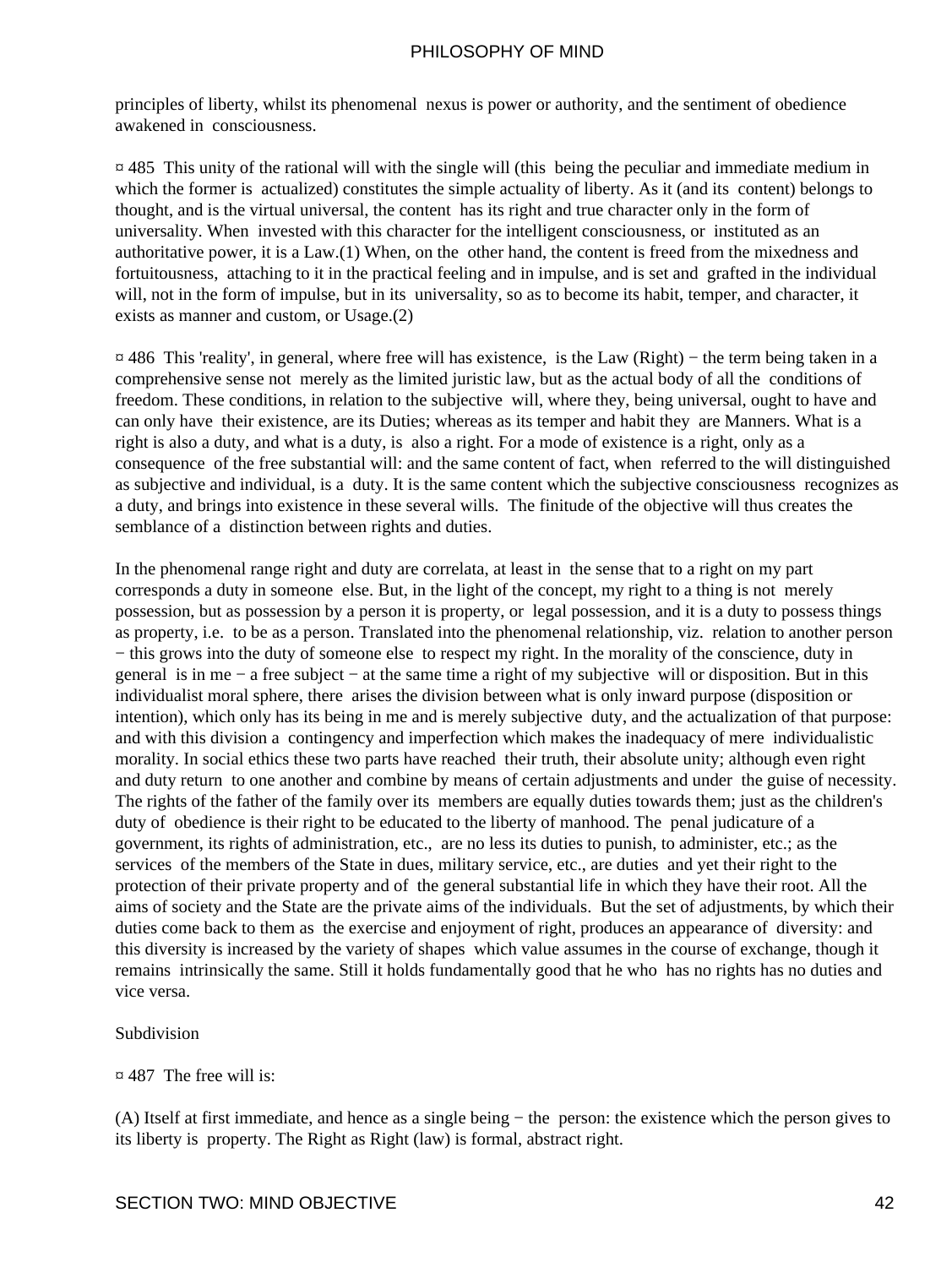principles of liberty, whilst its phenomenal nexus is power or authority, and the sentiment of obedience awakened in consciousness.

¤ 485 This unity of the rational will with the single will (this being the peculiar and immediate medium in which the former is actualized) constitutes the simple actuality of liberty. As it (and its content) belongs to thought, and is the virtual universal, the content has its right and true character only in the form of universality. When invested with this character for the intelligent consciousness, or instituted as an authoritative power, it is a Law.(1) When, on the other hand, the content is freed from the mixedness and fortuitousness, attaching to it in the practical feeling and in impulse, and is set and grafted in the individual will, not in the form of impulse, but in its universality, so as to become its habit, temper, and character, it exists as manner and custom, or Usage.(2)

¤ 486 This 'reality', in general, where free will has existence, is the Law (Right) − the term being taken in a comprehensive sense not merely as the limited juristic law, but as the actual body of all the conditions of freedom. These conditions, in relation to the subjective will, where they, being universal, ought to have and can only have their existence, are its Duties; whereas as its temper and habit they are Manners. What is a right is also a duty, and what is a duty, is also a right. For a mode of existence is a right, only as a consequence of the free substantial will: and the same content of fact, when referred to the will distinguished as subjective and individual, is a duty. It is the same content which the subjective consciousness recognizes as a duty, and brings into existence in these several wills. The finitude of the objective will thus creates the semblance of a distinction between rights and duties.

In the phenomenal range right and duty are correlata, at least in the sense that to a right on my part corresponds a duty in someone else. But, in the light of the concept, my right to a thing is not merely possession, but as possession by a person it is property, or legal possession, and it is a duty to possess things as property, i.e. to be as a person. Translated into the phenomenal relationship, viz. relation to another person − this grows into the duty of someone else to respect my right. In the morality of the conscience, duty in general is in me − a free subject − at the same time a right of my subjective will or disposition. But in this individualist moral sphere, there arises the division between what is only inward purpose (disposition or intention), which only has its being in me and is merely subjective duty, and the actualization of that purpose: and with this division a contingency and imperfection which makes the inadequacy of mere individualistic morality. In social ethics these two parts have reached their truth, their absolute unity; although even right and duty return to one another and combine by means of certain adjustments and under the guise of necessity. The rights of the father of the family over its members are equally duties towards them; just as the children's duty of obedience is their right to be educated to the liberty of manhood. The penal judicature of a government, its rights of administration, etc., are no less its duties to punish, to administer, etc.; as the services of the members of the State in dues, military service, etc., are duties and yet their right to the protection of their private property and of the general substantial life in which they have their root. All the aims of society and the State are the private aims of the individuals. But the set of adjustments, by which their duties come back to them as the exercise and enjoyment of right, produces an appearance of diversity: and this diversity is increased by the variety of shapes which value assumes in the course of exchange, though it remains intrinsically the same. Still it holds fundamentally good that he who has no rights has no duties and vice versa.

#### Subdivision

#### ¤ 487 The free will is:

(A) Itself at first immediate, and hence as a single being − the person: the existence which the person gives to its liberty is property. The Right as Right (law) is formal, abstract right.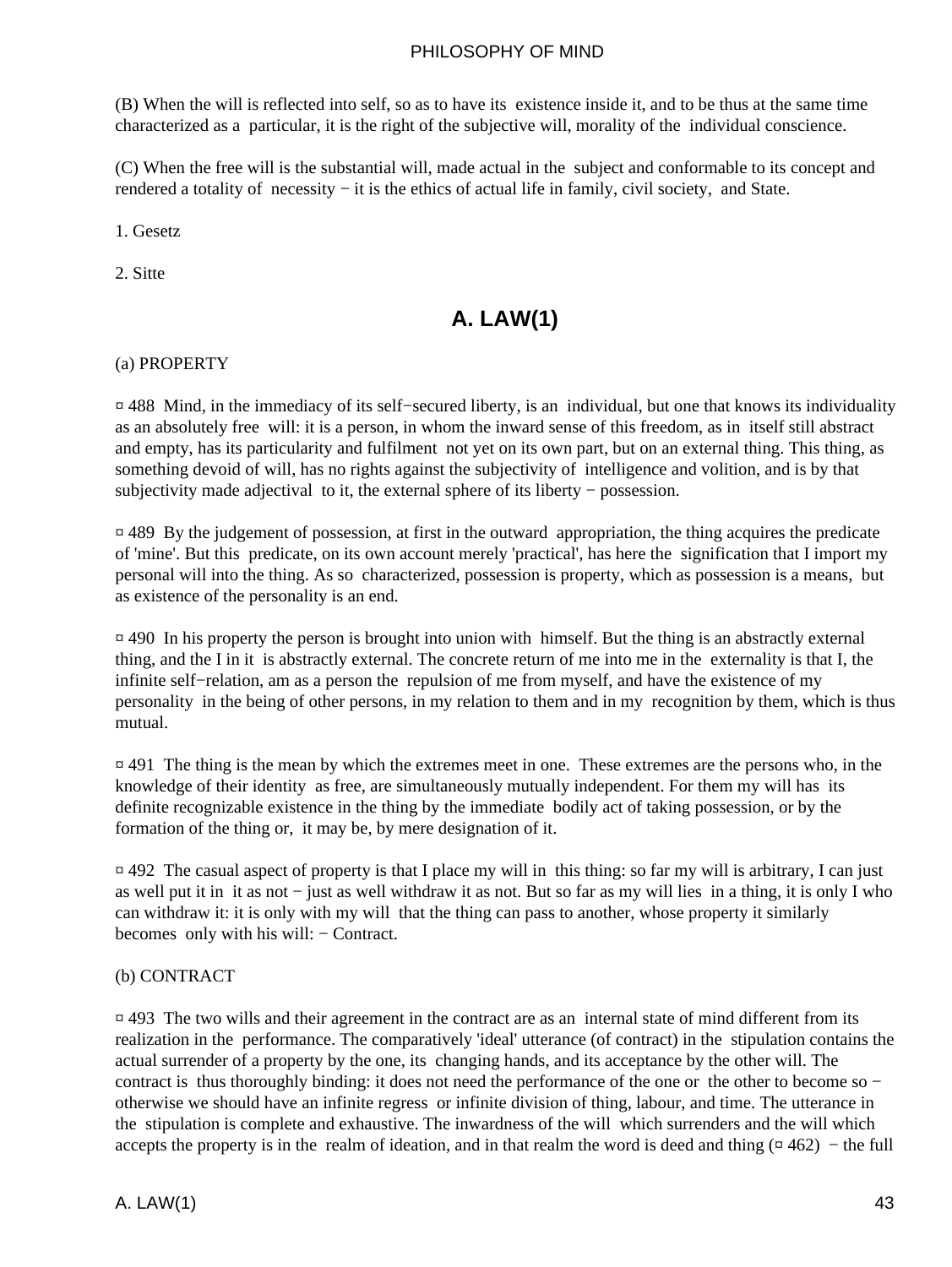(B) When the will is reflected into self, so as to have its existence inside it, and to be thus at the same time characterized as a particular, it is the right of the subjective will, morality of the individual conscience.

(C) When the free will is the substantial will, made actual in the subject and conformable to its concept and rendered a totality of necessity − it is the ethics of actual life in family, civil society, and State.

1. Gesetz

2. Sitte

## **A. LAW(1)**

#### (a) PROPERTY

¤ 488 Mind, in the immediacy of its self−secured liberty, is an individual, but one that knows its individuality as an absolutely free will: it is a person, in whom the inward sense of this freedom, as in itself still abstract and empty, has its particularity and fulfilment not yet on its own part, but on an external thing. This thing, as something devoid of will, has no rights against the subjectivity of intelligence and volition, and is by that subjectivity made adjectival to it, the external sphere of its liberty − possession.

¤ 489 By the judgement of possession, at first in the outward appropriation, the thing acquires the predicate of 'mine'. But this predicate, on its own account merely 'practical', has here the signification that I import my personal will into the thing. As so characterized, possession is property, which as possession is a means, but as existence of the personality is an end.

¤ 490 In his property the person is brought into union with himself. But the thing is an abstractly external thing, and the I in it is abstractly external. The concrete return of me into me in the externality is that I, the infinite self−relation, am as a person the repulsion of me from myself, and have the existence of my personality in the being of other persons, in my relation to them and in my recognition by them, which is thus mutual.

¤ 491 The thing is the mean by which the extremes meet in one. These extremes are the persons who, in the knowledge of their identity as free, are simultaneously mutually independent. For them my will has its definite recognizable existence in the thing by the immediate bodily act of taking possession, or by the formation of the thing or, it may be, by mere designation of it.

¤ 492 The casual aspect of property is that I place my will in this thing: so far my will is arbitrary, I can just as well put it in it as not − just as well withdraw it as not. But so far as my will lies in a thing, it is only I who can withdraw it: it is only with my will that the thing can pass to another, whose property it similarly becomes only with his will: − Contract.

#### (b) CONTRACT

¤ 493 The two wills and their agreement in the contract are as an internal state of mind different from its realization in the performance. The comparatively 'ideal' utterance (of contract) in the stipulation contains the actual surrender of a property by the one, its changing hands, and its acceptance by the other will. The contract is thus thoroughly binding: it does not need the performance of the one or the other to become so − otherwise we should have an infinite regress or infinite division of thing, labour, and time. The utterance in the stipulation is complete and exhaustive. The inwardness of the will which surrenders and the will which accepts the property is in the realm of ideation, and in that realm the word is deed and thing  $(\alpha 462)$  – the full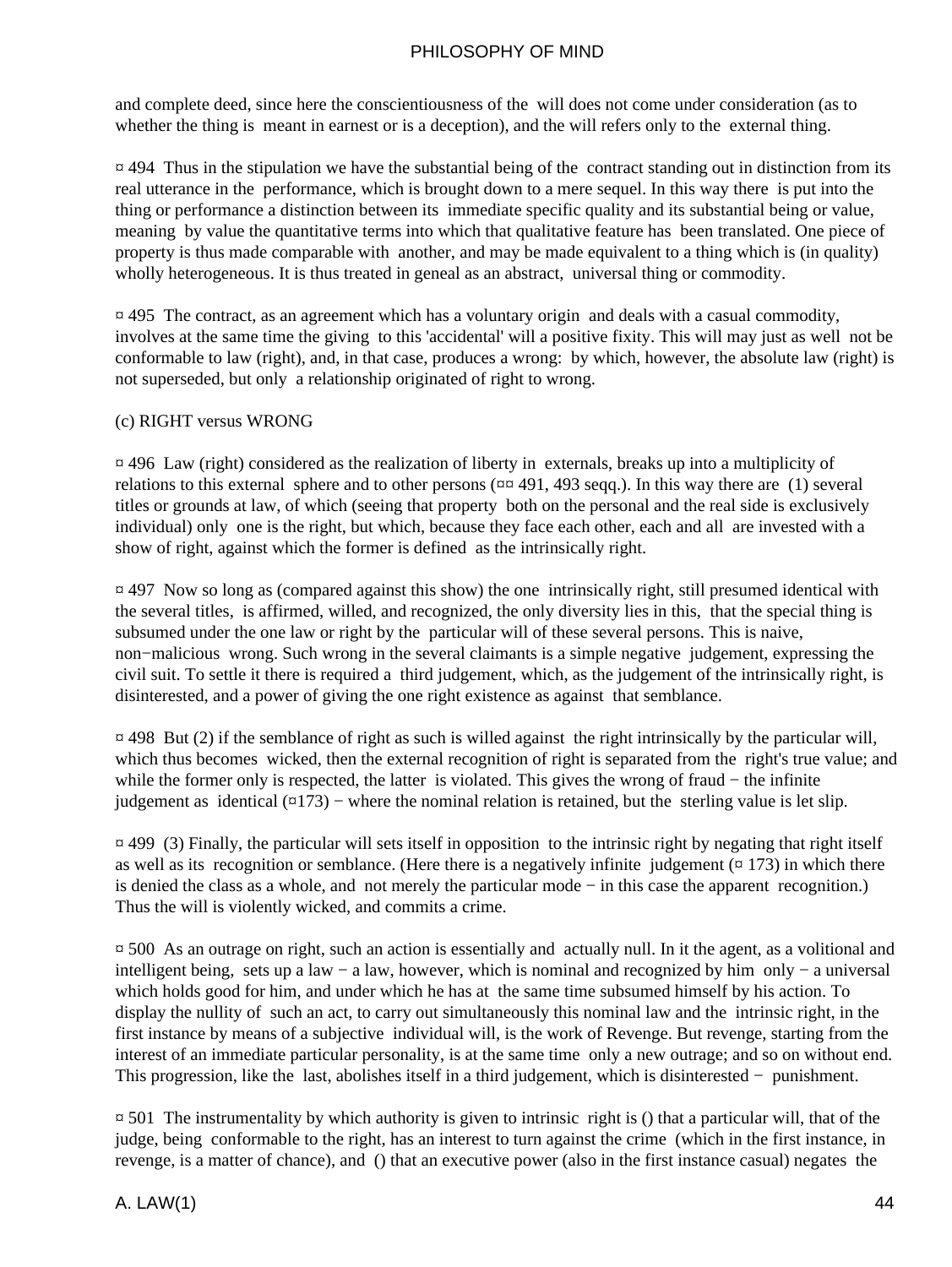and complete deed, since here the conscientiousness of the will does not come under consideration (as to whether the thing is meant in earnest or is a deception), and the will refers only to the external thing.

 $\overline{a}$  494 Thus in the stipulation we have the substantial being of the contract standing out in distinction from its real utterance in the performance, which is brought down to a mere sequel. In this way there is put into the thing or performance a distinction between its immediate specific quality and its substantial being or value, meaning by value the quantitative terms into which that qualitative feature has been translated. One piece of property is thus made comparable with another, and may be made equivalent to a thing which is (in quality) wholly heterogeneous. It is thus treated in geneal as an abstract, universal thing or commodity.

¤ 495 The contract, as an agreement which has a voluntary origin and deals with a casual commodity, involves at the same time the giving to this 'accidental' will a positive fixity. This will may just as well not be conformable to law (right), and, in that case, produces a wrong: by which, however, the absolute law (right) is not superseded, but only a relationship originated of right to wrong.

#### (c) RIGHT versus WRONG

¤ 496 Law (right) considered as the realization of liberty in externals, breaks up into a multiplicity of relations to this external sphere and to other persons (¤¤ 491, 493 seqq.). In this way there are (1) several titles or grounds at law, of which (seeing that property both on the personal and the real side is exclusively individual) only one is the right, but which, because they face each other, each and all are invested with a show of right, against which the former is defined as the intrinsically right.

¤ 497 Now so long as (compared against this show) the one intrinsically right, still presumed identical with the several titles, is affirmed, willed, and recognized, the only diversity lies in this, that the special thing is subsumed under the one law or right by the particular will of these several persons. This is naive, non−malicious wrong. Such wrong in the several claimants is a simple negative judgement, expressing the civil suit. To settle it there is required a third judgement, which, as the judgement of the intrinsically right, is disinterested, and a power of giving the one right existence as against that semblance.

 $\overline{p}$  498 But (2) if the semblance of right as such is willed against the right intrinsically by the particular will, which thus becomes wicked, then the external recognition of right is separated from the right's true value; and while the former only is respected, the latter is violated. This gives the wrong of fraud − the infinite judgement as identical  $(\alpha 173)$  – where the nominal relation is retained, but the sterling value is let slip.

¤ 499 (3) Finally, the particular will sets itself in opposition to the intrinsic right by negating that right itself as well as its recognition or semblance. (Here there is a negatively infinite judgement  $(\alpha$  173) in which there is denied the class as a whole, and not merely the particular mode − in this case the apparent recognition.) Thus the will is violently wicked, and commits a crime.

¤ 500 As an outrage on right, such an action is essentially and actually null. In it the agent, as a volitional and intelligent being, sets up a law − a law, however, which is nominal and recognized by him only − a universal which holds good for him, and under which he has at the same time subsumed himself by his action. To display the nullity of such an act, to carry out simultaneously this nominal law and the intrinsic right, in the first instance by means of a subjective individual will, is the work of Revenge. But revenge, starting from the interest of an immediate particular personality, is at the same time only a new outrage; and so on without end. This progression, like the last, abolishes itself in a third judgement, which is disinterested − punishment.

 $\approx$  501. The instrumentality by which authority is given to intrinsic right is () that a particular will, that of the judge, being conformable to the right, has an interest to turn against the crime (which in the first instance, in revenge, is a matter of chance), and () that an executive power (also in the first instance casual) negates the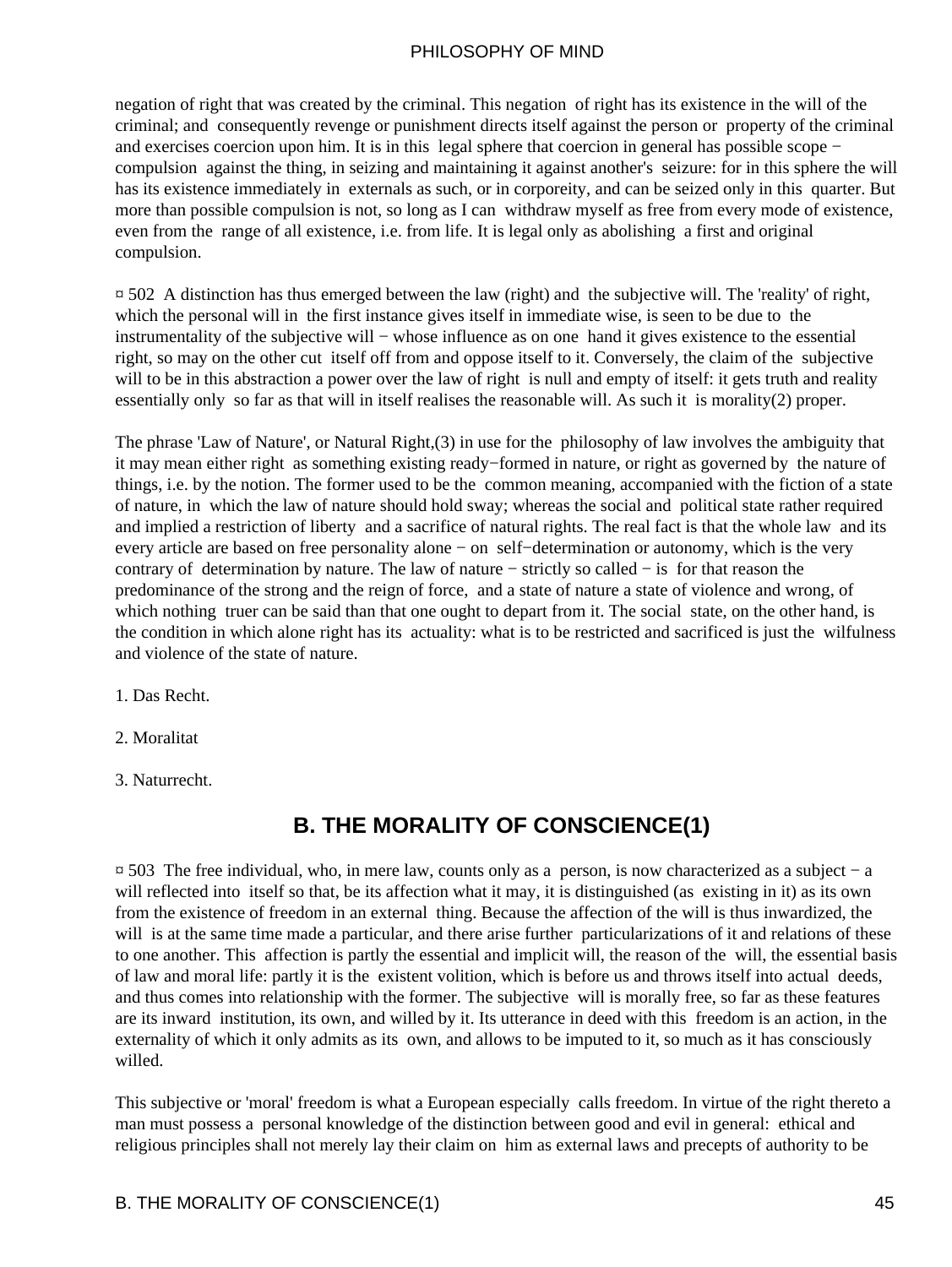negation of right that was created by the criminal. This negation of right has its existence in the will of the criminal; and consequently revenge or punishment directs itself against the person or property of the criminal and exercises coercion upon him. It is in this legal sphere that coercion in general has possible scope − compulsion against the thing, in seizing and maintaining it against another's seizure: for in this sphere the will has its existence immediately in externals as such, or in corporeity, and can be seized only in this quarter. But more than possible compulsion is not, so long as I can withdraw myself as free from every mode of existence, even from the range of all existence, i.e. from life. It is legal only as abolishing a first and original compulsion.

¤ 502 A distinction has thus emerged between the law (right) and the subjective will. The 'reality' of right, which the personal will in the first instance gives itself in immediate wise, is seen to be due to the instrumentality of the subjective will − whose influence as on one hand it gives existence to the essential right, so may on the other cut itself off from and oppose itself to it. Conversely, the claim of the subjective will to be in this abstraction a power over the law of right is null and empty of itself: it gets truth and reality essentially only so far as that will in itself realises the reasonable will. As such it is morality(2) proper.

The phrase 'Law of Nature', or Natural Right,(3) in use for the philosophy of law involves the ambiguity that it may mean either right as something existing ready−formed in nature, or right as governed by the nature of things, i.e. by the notion. The former used to be the common meaning, accompanied with the fiction of a state of nature, in which the law of nature should hold sway; whereas the social and political state rather required and implied a restriction of liberty and a sacrifice of natural rights. The real fact is that the whole law and its every article are based on free personality alone − on self−determination or autonomy, which is the very contrary of determination by nature. The law of nature − strictly so called − is for that reason the predominance of the strong and the reign of force, and a state of nature a state of violence and wrong, of which nothing truer can be said than that one ought to depart from it. The social state, on the other hand, is the condition in which alone right has its actuality: what is to be restricted and sacrificed is just the wilfulness and violence of the state of nature.

- 1. Das Recht.
- 2. Moralitat
- 3. Naturrecht.

### **B. THE MORALITY OF CONSCIENCE(1)**

¤ 503 The free individual, who, in mere law, counts only as a person, is now characterized as a subject − a will reflected into itself so that, be its affection what it may, it is distinguished (as existing in it) as its own from the existence of freedom in an external thing. Because the affection of the will is thus inwardized, the will is at the same time made a particular, and there arise further particularizations of it and relations of these to one another. This affection is partly the essential and implicit will, the reason of the will, the essential basis of law and moral life: partly it is the existent volition, which is before us and throws itself into actual deeds, and thus comes into relationship with the former. The subjective will is morally free, so far as these features are its inward institution, its own, and willed by it. Its utterance in deed with this freedom is an action, in the externality of which it only admits as its own, and allows to be imputed to it, so much as it has consciously willed.

This subjective or 'moral' freedom is what a European especially calls freedom. In virtue of the right thereto a man must possess a personal knowledge of the distinction between good and evil in general: ethical and religious principles shall not merely lay their claim on him as external laws and precepts of authority to be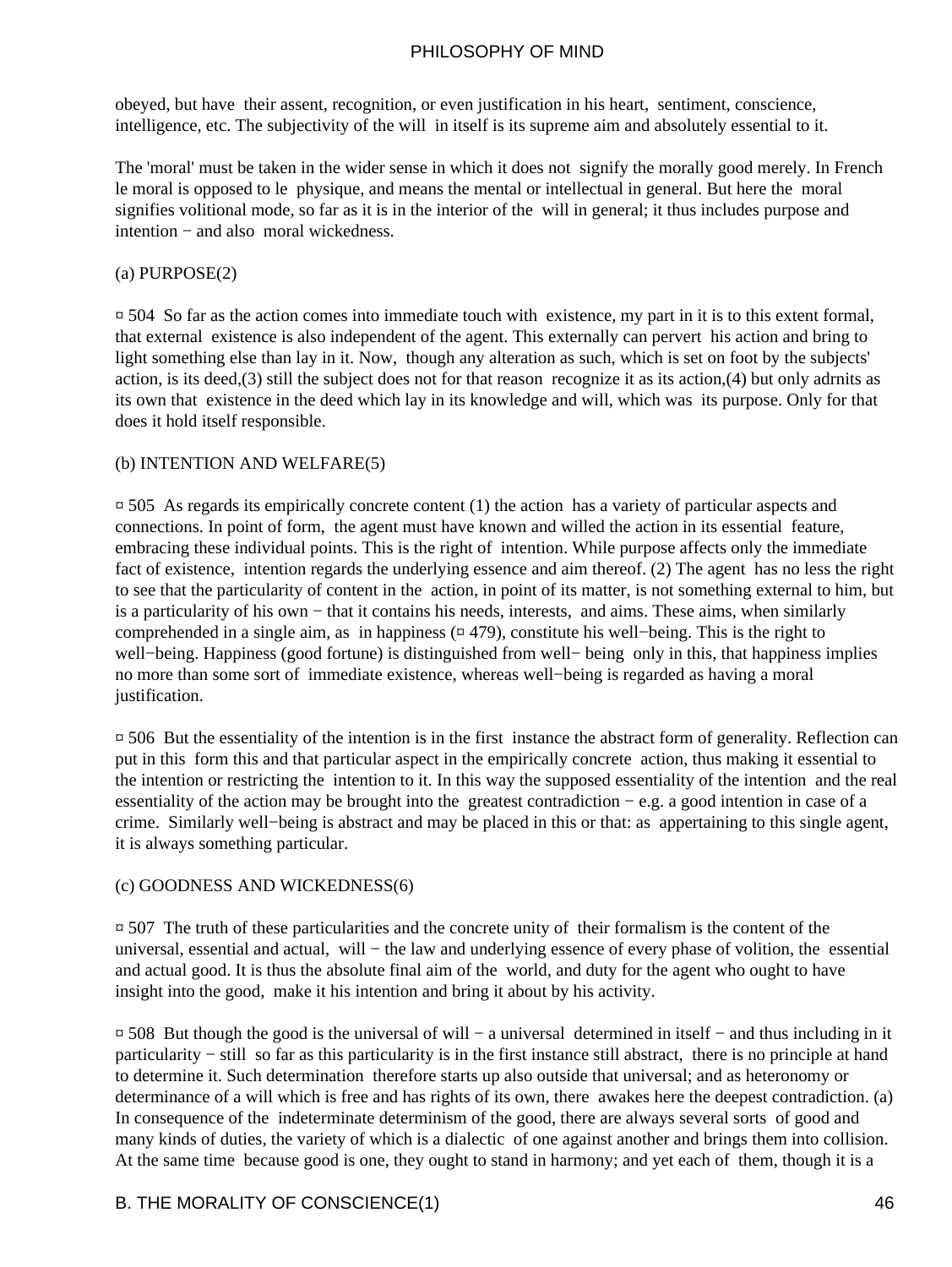obeyed, but have their assent, recognition, or even justification in his heart, sentiment, conscience, intelligence, etc. The subjectivity of the will in itself is its supreme aim and absolutely essential to it.

The 'moral' must be taken in the wider sense in which it does not signify the morally good merely. In French le moral is opposed to le physique, and means the mental or intellectual in general. But here the moral signifies volitional mode, so far as it is in the interior of the will in general; it thus includes purpose and intention − and also moral wickedness.

#### (a) PURPOSE(2)

¤ 504 So far as the action comes into immediate touch with existence, my part in it is to this extent formal, that external existence is also independent of the agent. This externally can pervert his action and bring to light something else than lay in it. Now, though any alteration as such, which is set on foot by the subjects' action, is its deed,(3) still the subject does not for that reason recognize it as its action,(4) but only adrnits as its own that existence in the deed which lay in its knowledge and will, which was its purpose. Only for that does it hold itself responsible.

#### (b) INTENTION AND WELFARE(5)

 $\overline{p}$  505 As regards its empirically concrete content (1) the action has a variety of particular aspects and connections. In point of form, the agent must have known and willed the action in its essential feature, embracing these individual points. This is the right of intention. While purpose affects only the immediate fact of existence, intention regards the underlying essence and aim thereof. (2) The agent has no less the right to see that the particularity of content in the action, in point of its matter, is not something external to him, but is a particularity of his own − that it contains his needs, interests, and aims. These aims, when similarly comprehended in a single aim, as in happiness (¤ 479), constitute his well−being. This is the right to well−being. Happiness (good fortune) is distinguished from well− being only in this, that happiness implies no more than some sort of immediate existence, whereas well−being is regarded as having a moral justification.

¤ 506 But the essentiality of the intention is in the first instance the abstract form of generality. Reflection can put in this form this and that particular aspect in the empirically concrete action, thus making it essential to the intention or restricting the intention to it. In this way the supposed essentiality of the intention and the real essentiality of the action may be brought into the greatest contradiction − e.g. a good intention in case of a crime. Similarly well−being is abstract and may be placed in this or that: as appertaining to this single agent, it is always something particular.

#### (c) GOODNESS AND WICKEDNESS(6)

 $\overline{p}$  507. The truth of these particularities and the concrete unity of their formalism is the content of the universal, essential and actual, will – the law and underlying essence of every phase of volition, the essential and actual good. It is thus the absolute final aim of the world, and duty for the agent who ought to have insight into the good, make it his intention and bring it about by his activity.

¤ 508 But though the good is the universal of will − a universal determined in itself − and thus including in it particularity − still so far as this particularity is in the first instance still abstract, there is no principle at hand to determine it. Such determination therefore starts up also outside that universal; and as heteronomy or determinance of a will which is free and has rights of its own, there awakes here the deepest contradiction. (a) In consequence of the indeterminate determinism of the good, there are always several sorts of good and many kinds of duties, the variety of which is a dialectic of one against another and brings them into collision. At the same time because good is one, they ought to stand in harmony; and yet each of them, though it is a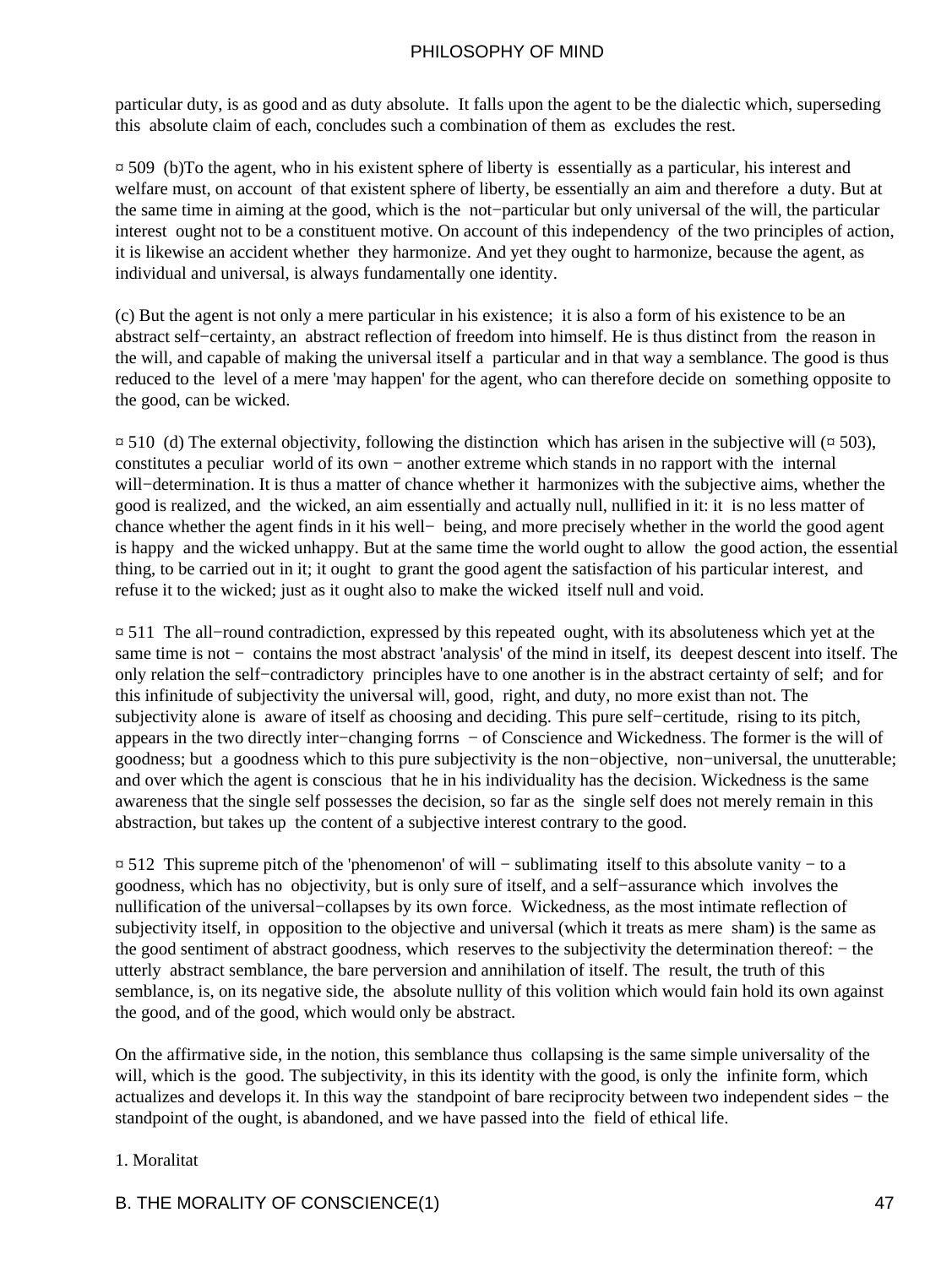particular duty, is as good and as duty absolute. It falls upon the agent to be the dialectic which, superseding this absolute claim of each, concludes such a combination of them as excludes the rest.

¤ 509 (b)To the agent, who in his existent sphere of liberty is essentially as a particular, his interest and welfare must, on account of that existent sphere of liberty, be essentially an aim and therefore a duty. But at the same time in aiming at the good, which is the not−particular but only universal of the will, the particular interest ought not to be a constituent motive. On account of this independency of the two principles of action, it is likewise an accident whether they harmonize. And yet they ought to harmonize, because the agent, as individual and universal, is always fundamentally one identity.

(c) But the agent is not only a mere particular in his existence; it is also a form of his existence to be an abstract self−certainty, an abstract reflection of freedom into himself. He is thus distinct from the reason in the will, and capable of making the universal itself a particular and in that way a semblance. The good is thus reduced to the level of a mere 'may happen' for the agent, who can therefore decide on something opposite to the good, can be wicked.

 $\[\n\alpha\]$  510 (d) The external objectivity, following the distinction which has arisen in the subjective will ( $\[\n\alpha\]$  503), constitutes a peculiar world of its own − another extreme which stands in no rapport with the internal will−determination. It is thus a matter of chance whether it harmonizes with the subjective aims, whether the good is realized, and the wicked, an aim essentially and actually null, nullified in it: it is no less matter of chance whether the agent finds in it his well− being, and more precisely whether in the world the good agent is happy and the wicked unhappy. But at the same time the world ought to allow the good action, the essential thing, to be carried out in it; it ought to grant the good agent the satisfaction of his particular interest, and refuse it to the wicked; just as it ought also to make the wicked itself null and void.

¤ 511 The all−round contradiction, expressed by this repeated ought, with its absoluteness which yet at the same time is not − contains the most abstract 'analysis' of the mind in itself, its deepest descent into itself. The only relation the self−contradictory principles have to one another is in the abstract certainty of self; and for this infinitude of subjectivity the universal will, good, right, and duty, no more exist than not. The subjectivity alone is aware of itself as choosing and deciding. This pure self−certitude, rising to its pitch, appears in the two directly inter−changing forrns − of Conscience and Wickedness. The former is the will of goodness; but a goodness which to this pure subjectivity is the non−objective, non−universal, the unutterable; and over which the agent is conscious that he in his individuality has the decision. Wickedness is the same awareness that the single self possesses the decision, so far as the single self does not merely remain in this abstraction, but takes up the content of a subjective interest contrary to the good.

¤ 512 This supreme pitch of the 'phenomenon' of will − sublimating itself to this absolute vanity − to a goodness, which has no objectivity, but is only sure of itself, and a self−assurance which involves the nullification of the universal−collapses by its own force. Wickedness, as the most intimate reflection of subjectivity itself, in opposition to the objective and universal (which it treats as mere sham) is the same as the good sentiment of abstract goodness, which reserves to the subjectivity the determination thereof: − the utterly abstract semblance, the bare perversion and annihilation of itself. The result, the truth of this semblance, is, on its negative side, the absolute nullity of this volition which would fain hold its own against the good, and of the good, which would only be abstract.

On the affirmative side, in the notion, this semblance thus collapsing is the same simple universality of the will, which is the good. The subjectivity, in this its identity with the good, is only the infinite form, which actualizes and develops it. In this way the standpoint of bare reciprocity between two independent sides − the standpoint of the ought, is abandoned, and we have passed into the field of ethical life.

#### 1. Moralitat

#### B. THE MORALITY OF CONSCIENCE(1) 47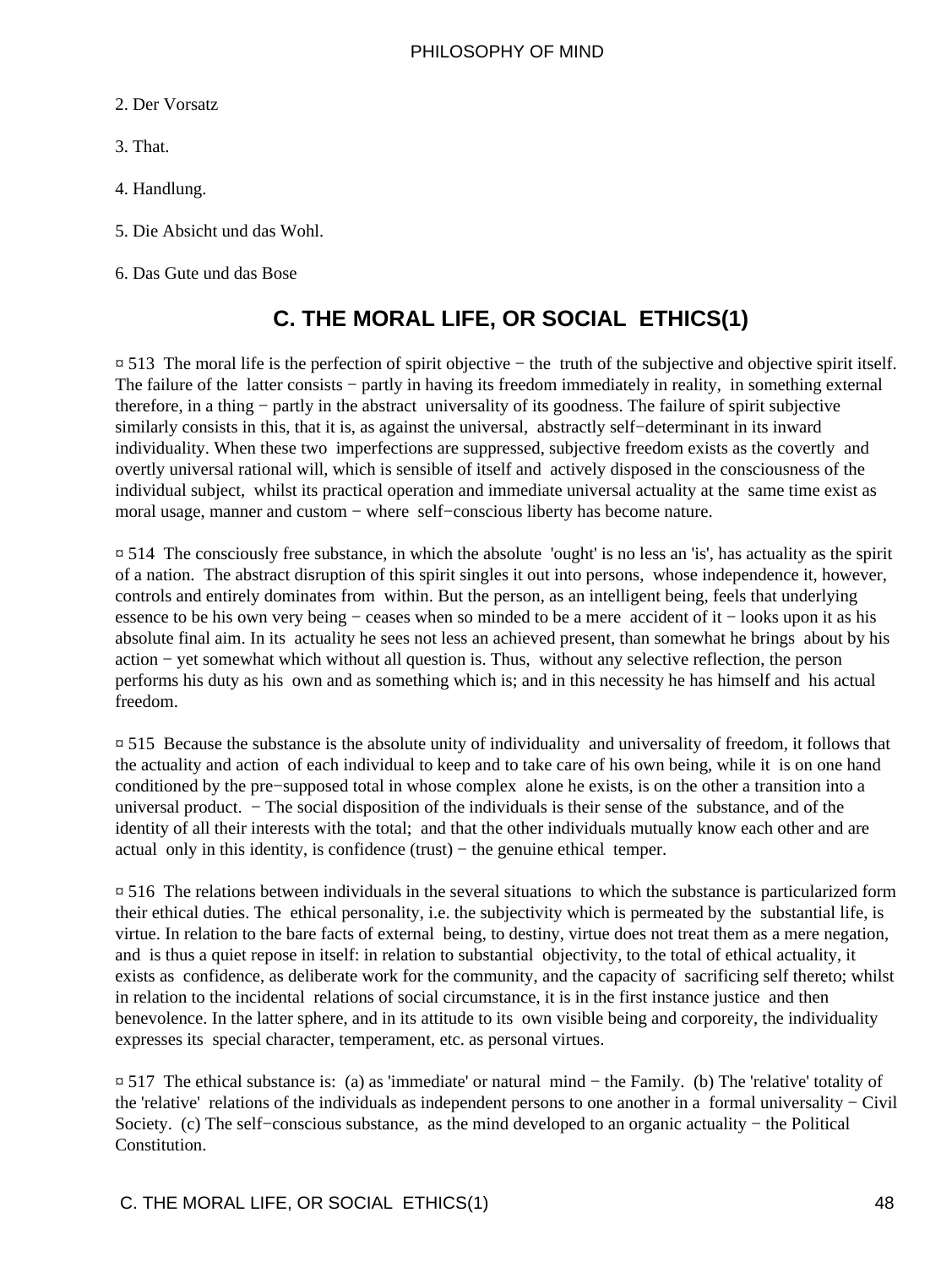- 2. Der Vorsatz
- 3. That.
- 4. Handlung.
- 5. Die Absicht und das Wohl.
- 6. Das Gute und das Bose

# **C. THE MORAL LIFE, OR SOCIAL ETHICS(1)**

¤ 513 The moral life is the perfection of spirit objective − the truth of the subjective and objective spirit itself. The failure of the latter consists − partly in having its freedom immediately in reality, in something external therefore, in a thing − partly in the abstract universality of its goodness. The failure of spirit subjective similarly consists in this, that it is, as against the universal, abstractly self–determinant in its inward individuality. When these two imperfections are suppressed, subjective freedom exists as the covertly and overtly universal rational will, which is sensible of itself and actively disposed in the consciousness of the individual subject, whilst its practical operation and immediate universal actuality at the same time exist as moral usage, manner and custom − where self−conscious liberty has become nature.

 $\overline{p}$  514. The consciously free substance, in which the absolute 'ought' is no less an 'is', has actuality as the spirit of a nation. The abstract disruption of this spirit singles it out into persons, whose independence it, however, controls and entirely dominates from within. But the person, as an intelligent being, feels that underlying essence to be his own very being − ceases when so minded to be a mere accident of it − looks upon it as his absolute final aim. In its actuality he sees not less an achieved present, than somewhat he brings about by his action − yet somewhat which without all question is. Thus, without any selective reflection, the person performs his duty as his own and as something which is; and in this necessity he has himself and his actual freedom.

¤ 515 Because the substance is the absolute unity of individuality and universality of freedom, it follows that the actuality and action of each individual to keep and to take care of his own being, while it is on one hand conditioned by the pre−supposed total in whose complex alone he exists, is on the other a transition into a universal product. − The social disposition of the individuals is their sense of the substance, and of the identity of all their interests with the total; and that the other individuals mutually know each other and are actual only in this identity, is confidence (trust) − the genuine ethical temper.

¤ 516 The relations between individuals in the several situations to which the substance is particularized form their ethical duties. The ethical personality, i.e. the subjectivity which is permeated by the substantial life, is virtue. In relation to the bare facts of external being, to destiny, virtue does not treat them as a mere negation, and is thus a quiet repose in itself: in relation to substantial objectivity, to the total of ethical actuality, it exists as confidence, as deliberate work for the community, and the capacity of sacrificing self thereto; whilst in relation to the incidental relations of social circumstance, it is in the first instance justice and then benevolence. In the latter sphere, and in its attitude to its own visible being and corporeity, the individuality expresses its special character, temperament, etc. as personal virtues.

¤ 517 The ethical substance is: (a) as 'immediate' or natural mind − the Family. (b) The 'relative' totality of the 'relative' relations of the individuals as independent persons to one another in a formal universality − Civil Society. (c) The self−conscious substance, as the mind developed to an organic actuality − the Political Constitution.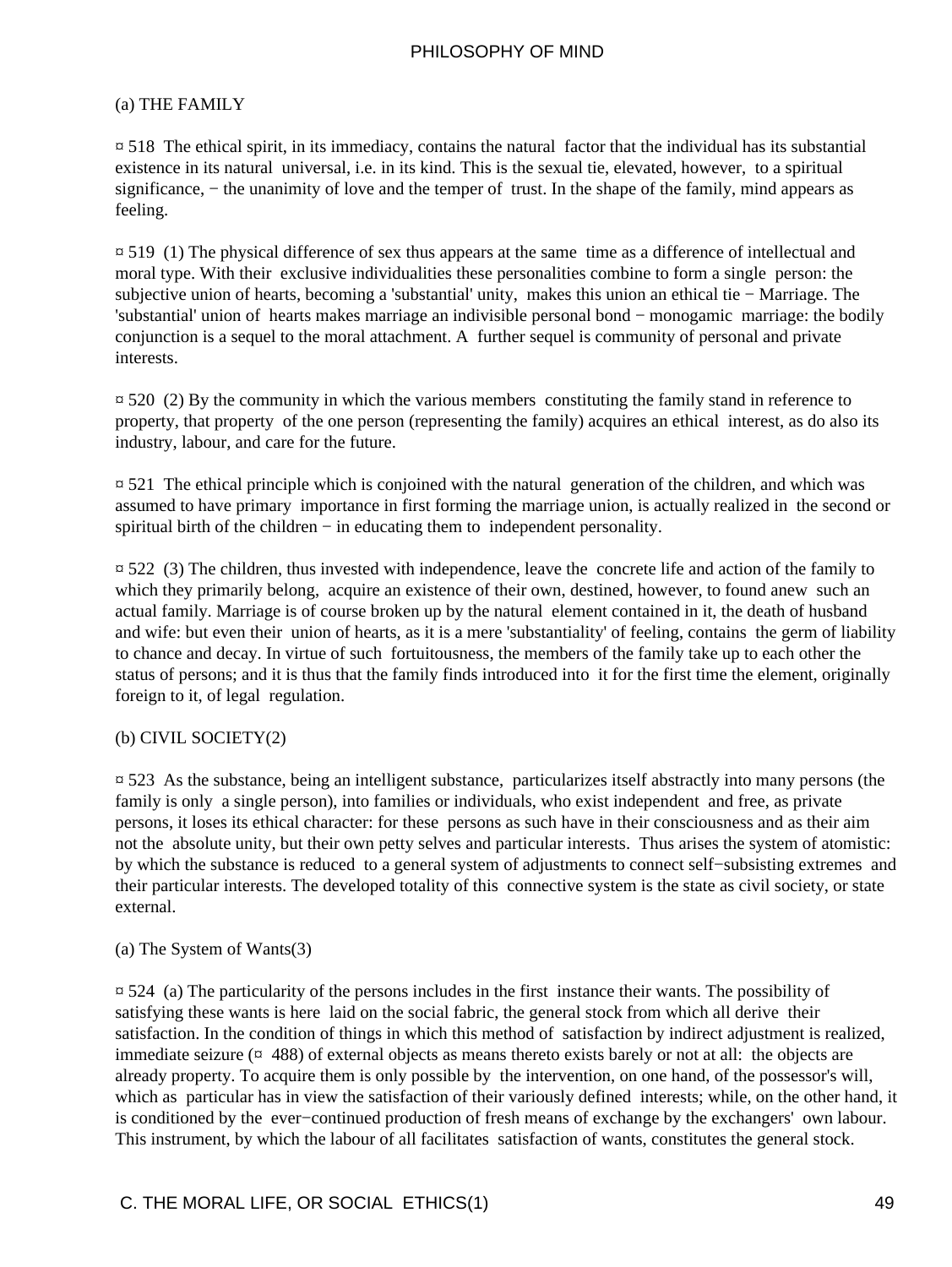#### (a) THE FAMILY

 $\overline{p}$  518. The ethical spirit, in its immediacy, contains the natural factor that the individual has its substantial existence in its natural universal, i.e. in its kind. This is the sexual tie, elevated, however, to a spiritual significance, – the unanimity of love and the temper of trust. In the shape of the family, mind appears as feeling.

¤ 519 (1) The physical difference of sex thus appears at the same time as a difference of intellectual and moral type. With their exclusive individualities these personalities combine to form a single person: the subjective union of hearts, becoming a 'substantial' unity, makes this union an ethical tie − Marriage. The 'substantial' union of hearts makes marriage an indivisible personal bond − monogamic marriage: the bodily conjunction is a sequel to the moral attachment. A further sequel is community of personal and private interests.

 $\overline{p}$  520 (2) By the community in which the various members constituting the family stand in reference to property, that property of the one person (representing the family) acquires an ethical interest, as do also its industry, labour, and care for the future.

¤ 521 The ethical principle which is conjoined with the natural generation of the children, and which was assumed to have primary importance in first forming the marriage union, is actually realized in the second or spiritual birth of the children – in educating them to independent personality.

¤ 522 (3) The children, thus invested with independence, leave the concrete life and action of the family to which they primarily belong, acquire an existence of their own, destined, however, to found anew such an actual family. Marriage is of course broken up by the natural element contained in it, the death of husband and wife: but even their union of hearts, as it is a mere 'substantiality' of feeling, contains the germ of liability to chance and decay. In virtue of such fortuitousness, the members of the family take up to each other the status of persons; and it is thus that the family finds introduced into it for the first time the element, originally foreign to it, of legal regulation.

#### (b) CIVIL SOCIETY(2)

¤ 523 As the substance, being an intelligent substance, particularizes itself abstractly into many persons (the family is only a single person), into families or individuals, who exist independent and free, as private persons, it loses its ethical character: for these persons as such have in their consciousness and as their aim not the absolute unity, but their own petty selves and particular interests. Thus arises the system of atomistic: by which the substance is reduced to a general system of adjustments to connect self−subsisting extremes and their particular interests. The developed totality of this connective system is the state as civil society, or state external.

#### (a) The System of Wants(3)

¤ 524 (a) The particularity of the persons includes in the first instance their wants. The possibility of satisfying these wants is here laid on the social fabric, the general stock from which all derive their satisfaction. In the condition of things in which this method of satisfaction by indirect adjustment is realized, immediate seizure  $(\pi$  488) of external objects as means thereto exists barely or not at all: the objects are already property. To acquire them is only possible by the intervention, on one hand, of the possessor's will, which as particular has in view the satisfaction of their variously defined interests; while, on the other hand, it is conditioned by the ever−continued production of fresh means of exchange by the exchangers' own labour. This instrument, by which the labour of all facilitates satisfaction of wants, constitutes the general stock.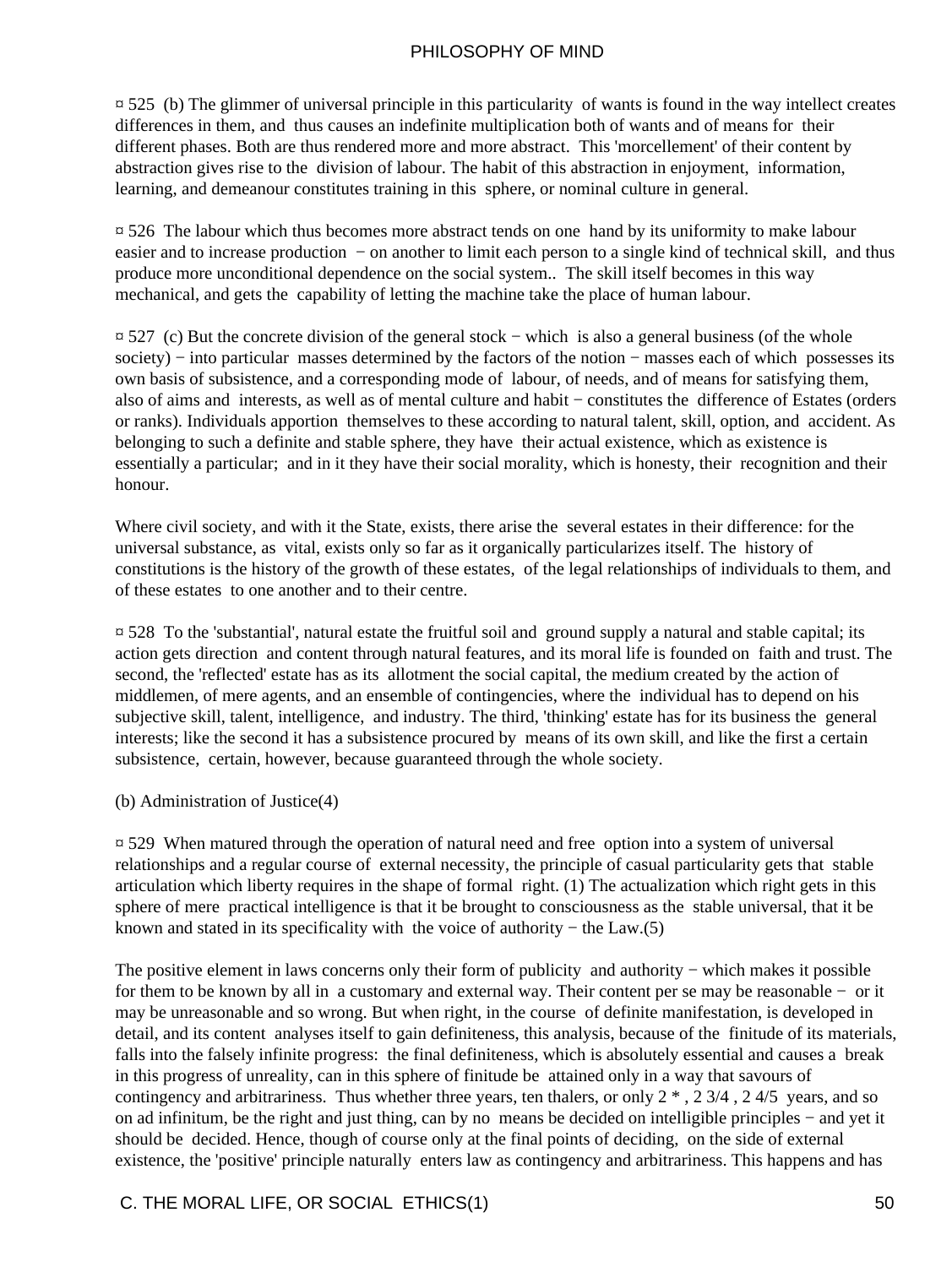$\approx$  525 (b) The glimmer of universal principle in this particularity of wants is found in the way intellect creates differences in them, and thus causes an indefinite multiplication both of wants and of means for their different phases. Both are thus rendered more and more abstract. This 'morcellement' of their content by abstraction gives rise to the division of labour. The habit of this abstraction in enjoyment, information, learning, and demeanour constitutes training in this sphere, or nominal culture in general.

¤ 526 The labour which thus becomes more abstract tends on one hand by its uniformity to make labour easier and to increase production – on another to limit each person to a single kind of technical skill, and thus produce more unconditional dependence on the social system.. The skill itself becomes in this way mechanical, and gets the capability of letting the machine take the place of human labour.

¤ 527 (c) But the concrete division of the general stock − which is also a general business (of the whole society) – into particular masses determined by the factors of the notion – masses each of which possesses its own basis of subsistence, and a corresponding mode of labour, of needs, and of means for satisfying them, also of aims and interests, as well as of mental culture and habit − constitutes the difference of Estates (orders or ranks). Individuals apportion themselves to these according to natural talent, skill, option, and accident. As belonging to such a definite and stable sphere, they have their actual existence, which as existence is essentially a particular; and in it they have their social morality, which is honesty, their recognition and their honour.

Where civil society, and with it the State, exists, there arise the several estates in their difference: for the universal substance, as vital, exists only so far as it organically particularizes itself. The history of constitutions is the history of the growth of these estates, of the legal relationships of individuals to them, and of these estates to one another and to their centre.

¤ 528 To the 'substantial', natural estate the fruitful soil and ground supply a natural and stable capital; its action gets direction and content through natural features, and its moral life is founded on faith and trust. The second, the 'reflected' estate has as its allotment the social capital, the medium created by the action of middlemen, of mere agents, and an ensemble of contingencies, where the individual has to depend on his subjective skill, talent, intelligence, and industry. The third, 'thinking' estate has for its business the general interests; like the second it has a subsistence procured by means of its own skill, and like the first a certain subsistence, certain, however, because guaranteed through the whole society.

#### (b) Administration of Justice(4)

¤ 529 When matured through the operation of natural need and free option into a system of universal relationships and a regular course of external necessity, the principle of casual particularity gets that stable articulation which liberty requires in the shape of formal right. (1) The actualization which right gets in this sphere of mere practical intelligence is that it be brought to consciousness as the stable universal, that it be known and stated in its specificality with the voice of authority – the Law. $(5)$ 

The positive element in laws concerns only their form of publicity and authority – which makes it possible for them to be known by all in a customary and external way. Their content per se may be reasonable − or it may be unreasonable and so wrong. But when right, in the course of definite manifestation, is developed in detail, and its content analyses itself to gain definiteness, this analysis, because of the finitude of its materials, falls into the falsely infinite progress: the final definiteness, which is absolutely essential and causes a break in this progress of unreality, can in this sphere of finitude be attained only in a way that savours of contingency and arbitrariness. Thus whether three years, ten thalers, or only  $2^*$ ,  $2\frac{3}{4}$ ,  $2\frac{4}{5}$  years, and so on ad infinitum, be the right and just thing, can by no means be decided on intelligible principles − and yet it should be decided. Hence, though of course only at the final points of deciding, on the side of external existence, the 'positive' principle naturally enters law as contingency and arbitrariness. This happens and has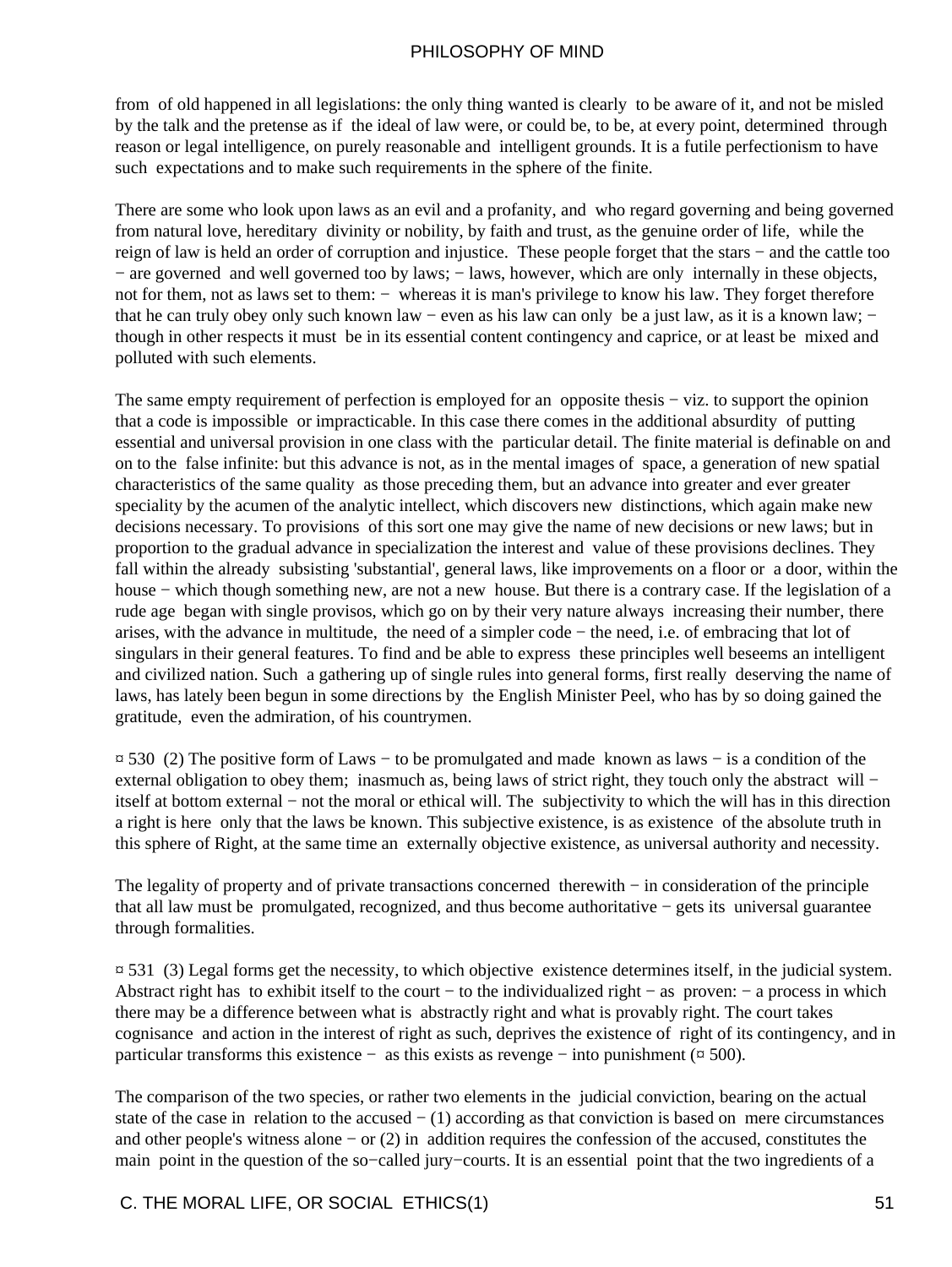from of old happened in all legislations: the only thing wanted is clearly to be aware of it, and not be misled by the talk and the pretense as if the ideal of law were, or could be, to be, at every point, determined through reason or legal intelligence, on purely reasonable and intelligent grounds. It is a futile perfectionism to have such expectations and to make such requirements in the sphere of the finite.

There are some who look upon laws as an evil and a profanity, and who regard governing and being governed from natural love, hereditary divinity or nobility, by faith and trust, as the genuine order of life, while the reign of law is held an order of corruption and injustice. These people forget that the stars − and the cattle too − are governed and well governed too by laws; − laws, however, which are only internally in these objects, not for them, not as laws set to them: − whereas it is man's privilege to know his law. They forget therefore that he can truly obey only such known law − even as his law can only be a just law, as it is a known law; − though in other respects it must be in its essential content contingency and caprice, or at least be mixed and polluted with such elements.

The same empty requirement of perfection is employed for an opposite thesis – viz. to support the opinion that a code is impossible or impracticable. In this case there comes in the additional absurdity of putting essential and universal provision in one class with the particular detail. The finite material is definable on and on to the false infinite: but this advance is not, as in the mental images of space, a generation of new spatial characteristics of the same quality as those preceding them, but an advance into greater and ever greater speciality by the acumen of the analytic intellect, which discovers new distinctions, which again make new decisions necessary. To provisions of this sort one may give the name of new decisions or new laws; but in proportion to the gradual advance in specialization the interest and value of these provisions declines. They fall within the already subsisting 'substantial', general laws, like improvements on a floor or a door, within the house − which though something new, are not a new house. But there is a contrary case. If the legislation of a rude age began with single provisos, which go on by their very nature always increasing their number, there arises, with the advance in multitude, the need of a simpler code − the need, i.e. of embracing that lot of singulars in their general features. To find and be able to express these principles well beseems an intelligent and civilized nation. Such a gathering up of single rules into general forms, first really deserving the name of laws, has lately been begun in some directions by the English Minister Peel, who has by so doing gained the gratitude, even the admiration, of his countrymen.

¤ 530 (2) The positive form of Laws − to be promulgated and made known as laws − is a condition of the external obligation to obey them; inasmuch as, being laws of strict right, they touch only the abstract will − itself at bottom external − not the moral or ethical will. The subjectivity to which the will has in this direction a right is here only that the laws be known. This subjective existence, is as existence of the absolute truth in this sphere of Right, at the same time an externally objective existence, as universal authority and necessity.

The legality of property and of private transactions concerned therewith − in consideration of the principle that all law must be promulgated, recognized, and thus become authoritative − gets its universal guarantee through formalities.

 $\overline{2}$  531 (3) Legal forms get the necessity, to which objective existence determines itself, in the judicial system. Abstract right has to exhibit itself to the court − to the individualized right − as proven: − a process in which there may be a difference between what is abstractly right and what is provably right. The court takes cognisance and action in the interest of right as such, deprives the existence of right of its contingency, and in particular transforms this existence – as this exists as revenge – into punishment ( $\alpha$  500).

The comparison of the two species, or rather two elements in the judicial conviction, bearing on the actual state of the case in relation to the accused − (1) according as that conviction is based on mere circumstances and other people's witness alone − or (2) in addition requires the confession of the accused, constitutes the main point in the question of the so−called jury−courts. It is an essential point that the two ingredients of a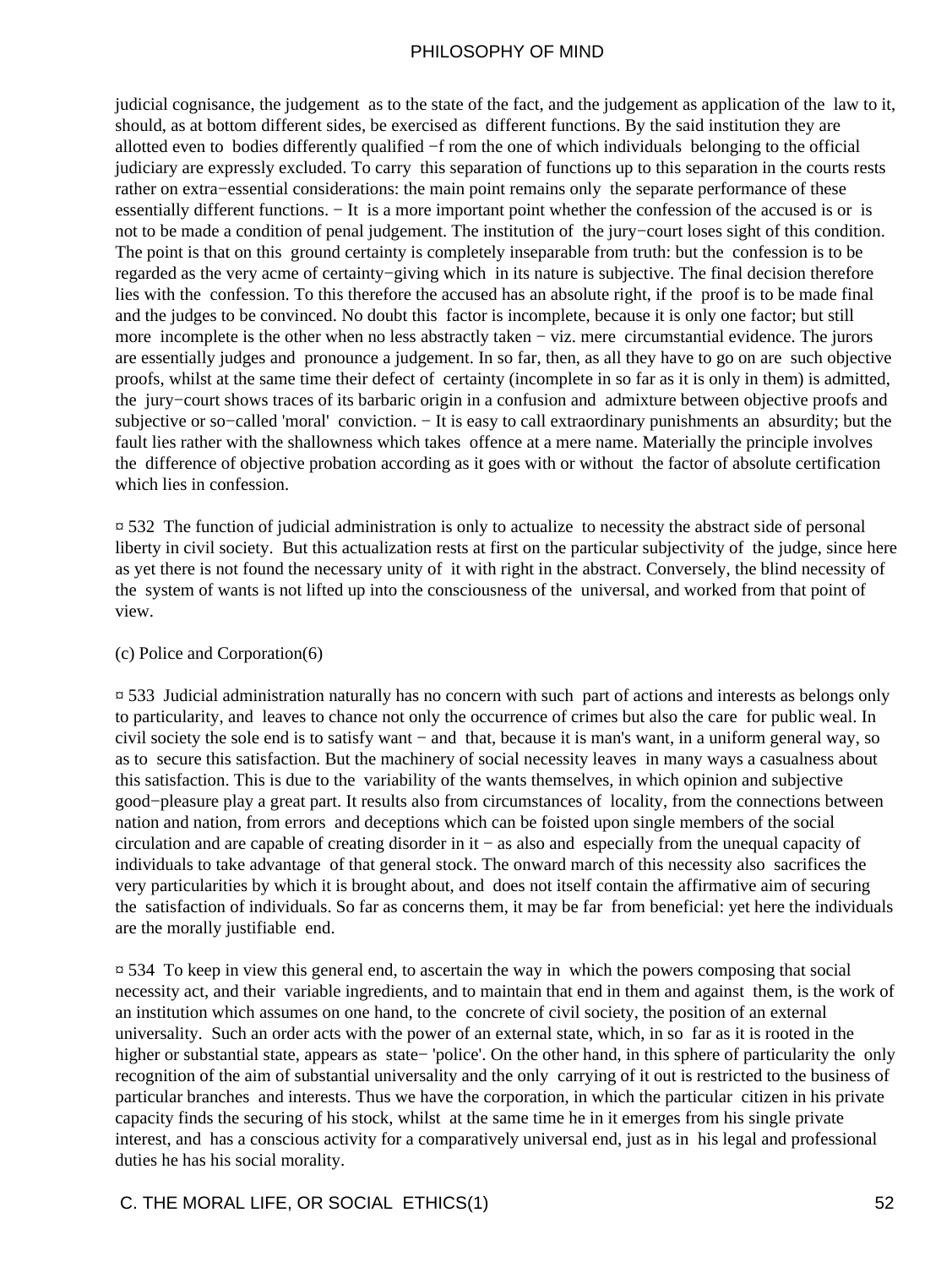judicial cognisance, the judgement as to the state of the fact, and the judgement as application of the law to it, should, as at bottom different sides, be exercised as different functions. By the said institution they are allotted even to bodies differently qualified −f rom the one of which individuals belonging to the official judiciary are expressly excluded. To carry this separation of functions up to this separation in the courts rests rather on extra−essential considerations: the main point remains only the separate performance of these essentially different functions. − It is a more important point whether the confession of the accused is or is not to be made a condition of penal judgement. The institution of the jury−court loses sight of this condition. The point is that on this ground certainty is completely inseparable from truth: but the confession is to be regarded as the very acme of certainty−giving which in its nature is subjective. The final decision therefore lies with the confession. To this therefore the accused has an absolute right, if the proof is to be made final and the judges to be convinced. No doubt this factor is incomplete, because it is only one factor; but still more incomplete is the other when no less abstractly taken − viz. mere circumstantial evidence. The jurors are essentially judges and pronounce a judgement. In so far, then, as all they have to go on are such objective proofs, whilst at the same time their defect of certainty (incomplete in so far as it is only in them) is admitted, the jury−court shows traces of its barbaric origin in a confusion and admixture between objective proofs and subjective or so–called 'moral' conviction. – It is easy to call extraordinary punishments an absurdity; but the fault lies rather with the shallowness which takes offence at a mere name. Materially the principle involves the difference of objective probation according as it goes with or without the factor of absolute certification which lies in confession.

¤ 532 The function of judicial administration is only to actualize to necessity the abstract side of personal liberty in civil society. But this actualization rests at first on the particular subjectivity of the judge, since here as yet there is not found the necessary unity of it with right in the abstract. Conversely, the blind necessity of the system of wants is not lifted up into the consciousness of the universal, and worked from that point of view.

#### (c) Police and Corporation(6)

¤ 533 Judicial administration naturally has no concern with such part of actions and interests as belongs only to particularity, and leaves to chance not only the occurrence of crimes but also the care for public weal. In civil society the sole end is to satisfy want − and that, because it is man's want, in a uniform general way, so as to secure this satisfaction. But the machinery of social necessity leaves in many ways a casualness about this satisfaction. This is due to the variability of the wants themselves, in which opinion and subjective good−pleasure play a great part. It results also from circumstances of locality, from the connections between nation and nation, from errors and deceptions which can be foisted upon single members of the social circulation and are capable of creating disorder in it − as also and especially from the unequal capacity of individuals to take advantage of that general stock. The onward march of this necessity also sacrifices the very particularities by which it is brought about, and does not itself contain the affirmative aim of securing the satisfaction of individuals. So far as concerns them, it may be far from beneficial: yet here the individuals are the morally justifiable end.

¤ 534 To keep in view this general end, to ascertain the way in which the powers composing that social necessity act, and their variable ingredients, and to maintain that end in them and against them, is the work of an institution which assumes on one hand, to the concrete of civil society, the position of an external universality. Such an order acts with the power of an external state, which, in so far as it is rooted in the higher or substantial state, appears as state− 'police'. On the other hand, in this sphere of particularity the only recognition of the aim of substantial universality and the only carrying of it out is restricted to the business of particular branches and interests. Thus we have the corporation, in which the particular citizen in his private capacity finds the securing of his stock, whilst at the same time he in it emerges from his single private interest, and has a conscious activity for a comparatively universal end, just as in his legal and professional duties he has his social morality.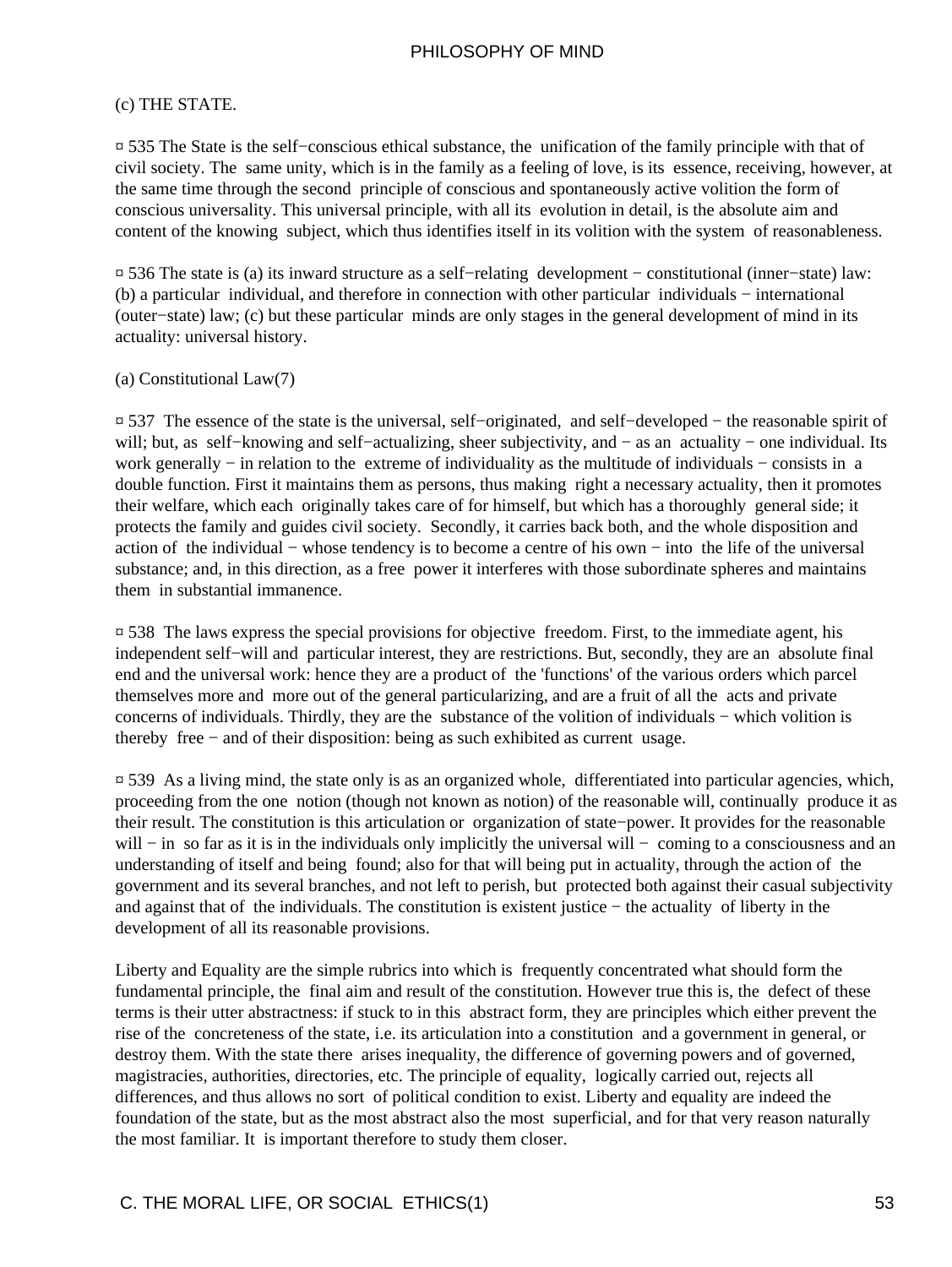#### (c) THE STATE.

¤ 535 The State is the self−conscious ethical substance, the unification of the family principle with that of civil society. The same unity, which is in the family as a feeling of love, is its essence, receiving, however, at the same time through the second principle of conscious and spontaneously active volition the form of conscious universality. This universal principle, with all its evolution in detail, is the absolute aim and content of the knowing subject, which thus identifies itself in its volition with the system of reasonableness.

¤ 536 The state is (a) its inward structure as a self−relating development − constitutional (inner−state) law: (b) a particular individual, and therefore in connection with other particular individuals − international (outer−state) law; (c) but these particular minds are only stages in the general development of mind in its actuality: universal history.

#### (a) Constitutional Law(7)

¤ 537 The essence of the state is the universal, self−originated, and self−developed − the reasonable spirit of will; but, as self–knowing and self–actualizing, sheer subjectivity, and – as an actuality – one individual. Its work generally − in relation to the extreme of individuality as the multitude of individuals − consists in a double function. First it maintains them as persons, thus making right a necessary actuality, then it promotes their welfare, which each originally takes care of for himself, but which has a thoroughly general side; it protects the family and guides civil society. Secondly, it carries back both, and the whole disposition and action of the individual − whose tendency is to become a centre of his own − into the life of the universal substance; and, in this direction, as a free power it interferes with those subordinate spheres and maintains them in substantial immanence.

¤ 538 The laws express the special provisions for objective freedom. First, to the immediate agent, his independent self−will and particular interest, they are restrictions. But, secondly, they are an absolute final end and the universal work: hence they are a product of the 'functions' of the various orders which parcel themselves more and more out of the general particularizing, and are a fruit of all the acts and private concerns of individuals. Thirdly, they are the substance of the volition of individuals − which volition is thereby free − and of their disposition: being as such exhibited as current usage.

¤ 539 As a living mind, the state only is as an organized whole, differentiated into particular agencies, which, proceeding from the one notion (though not known as notion) of the reasonable will, continually produce it as their result. The constitution is this articulation or organization of state−power. It provides for the reasonable will – in so far as it is in the individuals only implicitly the universal will – coming to a consciousness and an understanding of itself and being found; also for that will being put in actuality, through the action of the government and its several branches, and not left to perish, but protected both against their casual subjectivity and against that of the individuals. The constitution is existent justice − the actuality of liberty in the development of all its reasonable provisions.

Liberty and Equality are the simple rubrics into which is frequently concentrated what should form the fundamental principle, the final aim and result of the constitution. However true this is, the defect of these terms is their utter abstractness: if stuck to in this abstract form, they are principles which either prevent the rise of the concreteness of the state, i.e. its articulation into a constitution and a government in general, or destroy them. With the state there arises inequality, the difference of governing powers and of governed, magistracies, authorities, directories, etc. The principle of equality, logically carried out, rejects all differences, and thus allows no sort of political condition to exist. Liberty and equality are indeed the foundation of the state, but as the most abstract also the most superficial, and for that very reason naturally the most familiar. It is important therefore to study them closer.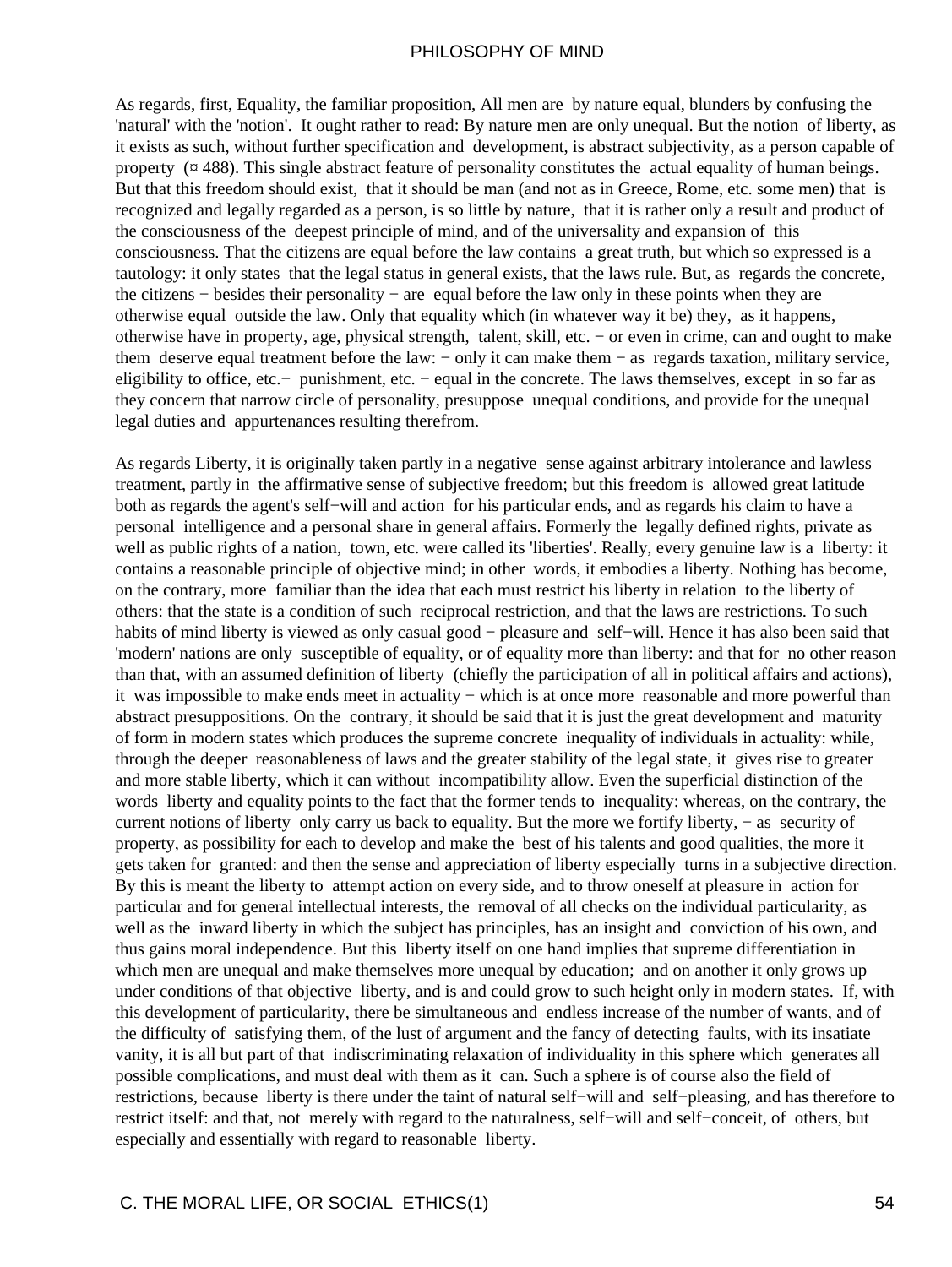As regards, first, Equality, the familiar proposition, All men are by nature equal, blunders by confusing the 'natural' with the 'notion'. It ought rather to read: By nature men are only unequal. But the notion of liberty, as it exists as such, without further specification and development, is abstract subjectivity, as a person capable of property  $(\alpha$  488). This single abstract feature of personality constitutes the actual equality of human beings. But that this freedom should exist, that it should be man (and not as in Greece, Rome, etc. some men) that is recognized and legally regarded as a person, is so little by nature, that it is rather only a result and product of the consciousness of the deepest principle of mind, and of the universality and expansion of this consciousness. That the citizens are equal before the law contains a great truth, but which so expressed is a tautology: it only states that the legal status in general exists, that the laws rule. But, as regards the concrete, the citizens − besides their personality − are equal before the law only in these points when they are otherwise equal outside the law. Only that equality which (in whatever way it be) they, as it happens, otherwise have in property, age, physical strength, talent, skill, etc. − or even in crime, can and ought to make them deserve equal treatment before the law: − only it can make them − as regards taxation, military service, eligibility to office, etc.− punishment, etc. − equal in the concrete. The laws themselves, except in so far as they concern that narrow circle of personality, presuppose unequal conditions, and provide for the unequal legal duties and appurtenances resulting therefrom.

As regards Liberty, it is originally taken partly in a negative sense against arbitrary intolerance and lawless treatment, partly in the affirmative sense of subjective freedom; but this freedom is allowed great latitude both as regards the agent's self−will and action for his particular ends, and as regards his claim to have a personal intelligence and a personal share in general affairs. Formerly the legally defined rights, private as well as public rights of a nation, town, etc. were called its 'liberties'. Really, every genuine law is a liberty: it contains a reasonable principle of objective mind; in other words, it embodies a liberty. Nothing has become, on the contrary, more familiar than the idea that each must restrict his liberty in relation to the liberty of others: that the state is a condition of such reciprocal restriction, and that the laws are restrictions. To such habits of mind liberty is viewed as only casual good − pleasure and self−will. Hence it has also been said that 'modern' nations are only susceptible of equality, or of equality more than liberty: and that for no other reason than that, with an assumed definition of liberty (chiefly the participation of all in political affairs and actions), it was impossible to make ends meet in actuality − which is at once more reasonable and more powerful than abstract presuppositions. On the contrary, it should be said that it is just the great development and maturity of form in modern states which produces the supreme concrete inequality of individuals in actuality: while, through the deeper reasonableness of laws and the greater stability of the legal state, it gives rise to greater and more stable liberty, which it can without incompatibility allow. Even the superficial distinction of the words liberty and equality points to the fact that the former tends to inequality: whereas, on the contrary, the current notions of liberty only carry us back to equality. But the more we fortify liberty, − as security of property, as possibility for each to develop and make the best of his talents and good qualities, the more it gets taken for granted: and then the sense and appreciation of liberty especially turns in a subjective direction. By this is meant the liberty to attempt action on every side, and to throw oneself at pleasure in action for particular and for general intellectual interests, the removal of all checks on the individual particularity, as well as the inward liberty in which the subject has principles, has an insight and conviction of his own, and thus gains moral independence. But this liberty itself on one hand implies that supreme differentiation in which men are unequal and make themselves more unequal by education; and on another it only grows up under conditions of that objective liberty, and is and could grow to such height only in modern states. If, with this development of particularity, there be simultaneous and endless increase of the number of wants, and of the difficulty of satisfying them, of the lust of argument and the fancy of detecting faults, with its insatiate vanity, it is all but part of that indiscriminating relaxation of individuality in this sphere which generates all possible complications, and must deal with them as it can. Such a sphere is of course also the field of restrictions, because liberty is there under the taint of natural self−will and self−pleasing, and has therefore to restrict itself: and that, not merely with regard to the naturalness, self−will and self−conceit, of others, but especially and essentially with regard to reasonable liberty.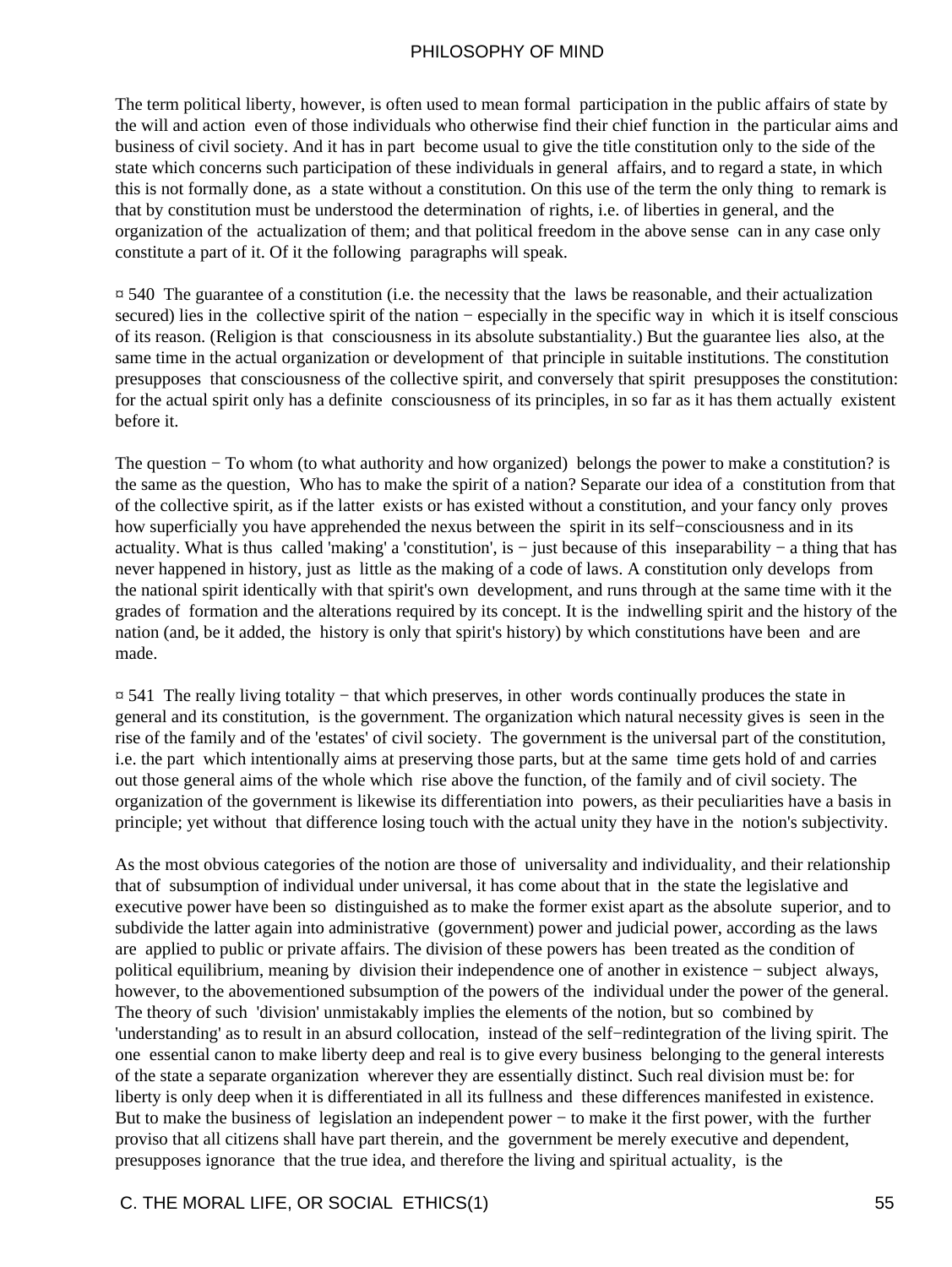The term political liberty, however, is often used to mean formal participation in the public affairs of state by the will and action even of those individuals who otherwise find their chief function in the particular aims and business of civil society. And it has in part become usual to give the title constitution only to the side of the state which concerns such participation of these individuals in general affairs, and to regard a state, in which this is not formally done, as a state without a constitution. On this use of the term the only thing to remark is that by constitution must be understood the determination of rights, i.e. of liberties in general, and the organization of the actualization of them; and that political freedom in the above sense can in any case only constitute a part of it. Of it the following paragraphs will speak.

 $\overline{p}$  540. The guarantee of a constitution (i.e. the necessity that the laws be reasonable, and their actualization secured) lies in the collective spirit of the nation – especially in the specific way in which it is itself conscious of its reason. (Religion is that consciousness in its absolute substantiality.) But the guarantee lies also, at the same time in the actual organization or development of that principle in suitable institutions. The constitution presupposes that consciousness of the collective spirit, and conversely that spirit presupposes the constitution: for the actual spirit only has a definite consciousness of its principles, in so far as it has them actually existent before it.

The question – To whom (to what authority and how organized) belongs the power to make a constitution? is the same as the question, Who has to make the spirit of a nation? Separate our idea of a constitution from that of the collective spirit, as if the latter exists or has existed without a constitution, and your fancy only proves how superficially you have apprehended the nexus between the spirit in its self−consciousness and in its actuality. What is thus called 'making' a 'constitution', is − just because of this inseparability − a thing that has never happened in history, just as little as the making of a code of laws. A constitution only develops from the national spirit identically with that spirit's own development, and runs through at the same time with it the grades of formation and the alterations required by its concept. It is the indwelling spirit and the history of the nation (and, be it added, the history is only that spirit's history) by which constitutions have been and are made.

¤ 541 The really living totality − that which preserves, in other words continually produces the state in general and its constitution, is the government. The organization which natural necessity gives is seen in the rise of the family and of the 'estates' of civil society. The government is the universal part of the constitution, i.e. the part which intentionally aims at preserving those parts, but at the same time gets hold of and carries out those general aims of the whole which rise above the function, of the family and of civil society. The organization of the government is likewise its differentiation into powers, as their peculiarities have a basis in principle; yet without that difference losing touch with the actual unity they have in the notion's subjectivity.

As the most obvious categories of the notion are those of universality and individuality, and their relationship that of subsumption of individual under universal, it has come about that in the state the legislative and executive power have been so distinguished as to make the former exist apart as the absolute superior, and to subdivide the latter again into administrative (government) power and judicial power, according as the laws are applied to public or private affairs. The division of these powers has been treated as the condition of political equilibrium, meaning by division their independence one of another in existence − subject always, however, to the abovementioned subsumption of the powers of the individual under the power of the general. The theory of such 'division' unmistakably implies the elements of the notion, but so combined by 'understanding' as to result in an absurd collocation, instead of the self−redintegration of the living spirit. The one essential canon to make liberty deep and real is to give every business belonging to the general interests of the state a separate organization wherever they are essentially distinct. Such real division must be: for liberty is only deep when it is differentiated in all its fullness and these differences manifested in existence. But to make the business of legislation an independent power − to make it the first power, with the further proviso that all citizens shall have part therein, and the government be merely executive and dependent, presupposes ignorance that the true idea, and therefore the living and spiritual actuality, is the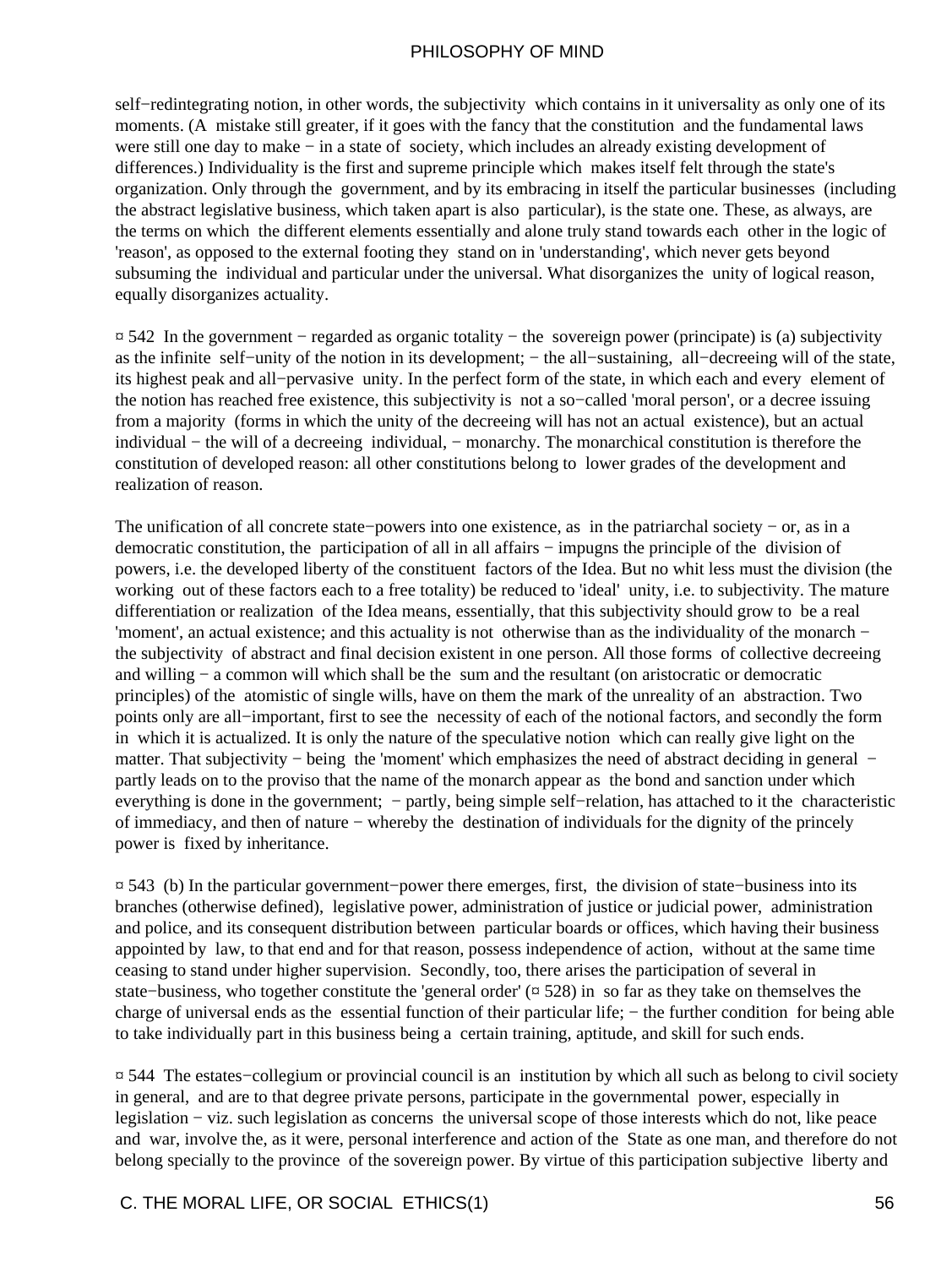self−redintegrating notion, in other words, the subjectivity which contains in it universality as only one of its moments. (A mistake still greater, if it goes with the fancy that the constitution and the fundamental laws were still one day to make − in a state of society, which includes an already existing development of differences.) Individuality is the first and supreme principle which makes itself felt through the state's organization. Only through the government, and by its embracing in itself the particular businesses (including the abstract legislative business, which taken apart is also particular), is the state one. These, as always, are the terms on which the different elements essentially and alone truly stand towards each other in the logic of 'reason', as opposed to the external footing they stand on in 'understanding', which never gets beyond subsuming the individual and particular under the universal. What disorganizes the unity of logical reason, equally disorganizes actuality.

¤ 542 In the government − regarded as organic totality − the sovereign power (principate) is (a) subjectivity as the infinite self−unity of the notion in its development; − the all−sustaining, all−decreeing will of the state, its highest peak and all−pervasive unity. In the perfect form of the state, in which each and every element of the notion has reached free existence, this subjectivity is not a so−called 'moral person', or a decree issuing from a majority (forms in which the unity of the decreeing will has not an actual existence), but an actual individual − the will of a decreeing individual, − monarchy. The monarchical constitution is therefore the constitution of developed reason: all other constitutions belong to lower grades of the development and realization of reason.

The unification of all concrete state−powers into one existence, as in the patriarchal society − or, as in a democratic constitution, the participation of all in all affairs − impugns the principle of the division of powers, i.e. the developed liberty of the constituent factors of the Idea. But no whit less must the division (the working out of these factors each to a free totality) be reduced to 'ideal' unity, i.e. to subjectivity. The mature differentiation or realization of the Idea means, essentially, that this subjectivity should grow to be a real 'moment', an actual existence; and this actuality is not otherwise than as the individuality of the monarch − the subjectivity of abstract and final decision existent in one person. All those forms of collective decreeing and willing − a common will which shall be the sum and the resultant (on aristocratic or democratic principles) of the atomistic of single wills, have on them the mark of the unreality of an abstraction. Two points only are all−important, first to see the necessity of each of the notional factors, and secondly the form in which it is actualized. It is only the nature of the speculative notion which can really give light on the matter. That subjectivity – being the 'moment' which emphasizes the need of abstract deciding in general – partly leads on to the proviso that the name of the monarch appear as the bond and sanction under which everything is done in the government; – partly, being simple self–relation, has attached to it the characteristic of immediacy, and then of nature − whereby the destination of individuals for the dignity of the princely power is fixed by inheritance.

¤ 543 (b) In the particular government−power there emerges, first, the division of state−business into its branches (otherwise defined), legislative power, administration of justice or judicial power, administration and police, and its consequent distribution between particular boards or offices, which having their business appointed by law, to that end and for that reason, possess independence of action, without at the same time ceasing to stand under higher supervision. Secondly, too, there arises the participation of several in state−business, who together constitute the 'general order' (¤ 528) in so far as they take on themselves the charge of universal ends as the essential function of their particular life; – the further condition for being able to take individually part in this business being a certain training, aptitude, and skill for such ends.

¤ 544 The estates−collegium or provincial council is an institution by which all such as belong to civil society in general, and are to that degree private persons, participate in the governmental power, especially in legislation − viz. such legislation as concerns the universal scope of those interests which do not, like peace and war, involve the, as it were, personal interference and action of the State as one man, and therefore do not belong specially to the province of the sovereign power. By virtue of this participation subjective liberty and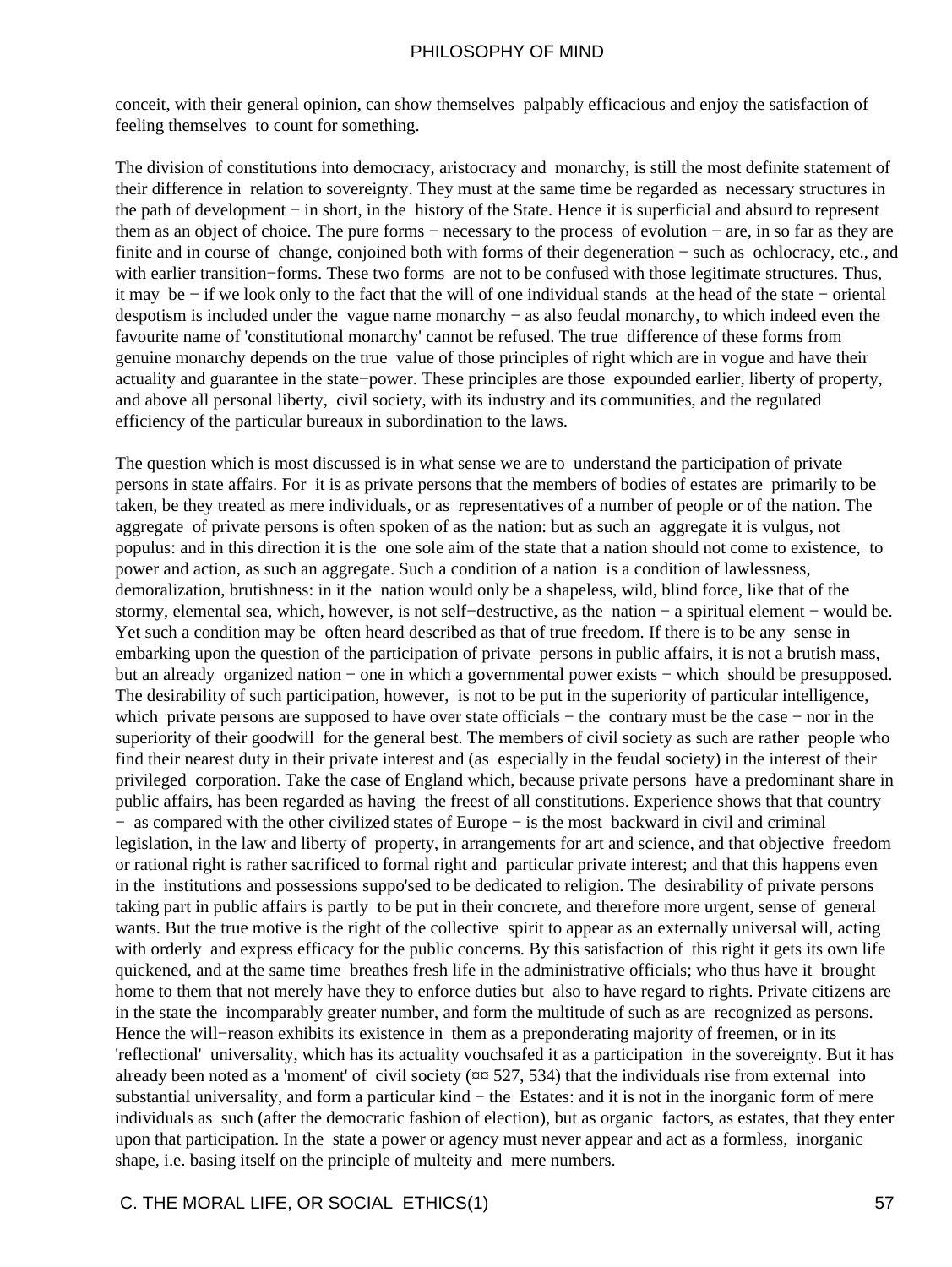conceit, with their general opinion, can show themselves palpably efficacious and enjoy the satisfaction of feeling themselves to count for something.

The division of constitutions into democracy, aristocracy and monarchy, is still the most definite statement of their difference in relation to sovereignty. They must at the same time be regarded as necessary structures in the path of development − in short, in the history of the State. Hence it is superficial and absurd to represent them as an object of choice. The pure forms − necessary to the process of evolution − are, in so far as they are finite and in course of change, conjoined both with forms of their degeneration − such as ochlocracy, etc., and with earlier transition–forms. These two forms are not to be confused with those legitimate structures. Thus, it may be − if we look only to the fact that the will of one individual stands at the head of the state − oriental despotism is included under the vague name monarchy − as also feudal monarchy, to which indeed even the favourite name of 'constitutional monarchy' cannot be refused. The true difference of these forms from genuine monarchy depends on the true value of those principles of right which are in vogue and have their actuality and guarantee in the state−power. These principles are those expounded earlier, liberty of property, and above all personal liberty, civil society, with its industry and its communities, and the regulated efficiency of the particular bureaux in subordination to the laws.

The question which is most discussed is in what sense we are to understand the participation of private persons in state affairs. For it is as private persons that the members of bodies of estates are primarily to be taken, be they treated as mere individuals, or as representatives of a number of people or of the nation. The aggregate of private persons is often spoken of as the nation: but as such an aggregate it is vulgus, not populus: and in this direction it is the one sole aim of the state that a nation should not come to existence, to power and action, as such an aggregate. Such a condition of a nation is a condition of lawlessness, demoralization, brutishness: in it the nation would only be a shapeless, wild, blind force, like that of the stormy, elemental sea, which, however, is not self–destructive, as the nation – a spiritual element – would be. Yet such a condition may be often heard described as that of true freedom. If there is to be any sense in embarking upon the question of the participation of private persons in public affairs, it is not a brutish mass, but an already organized nation − one in which a governmental power exists − which should be presupposed. The desirability of such participation, however, is not to be put in the superiority of particular intelligence, which private persons are supposed to have over state officials – the contrary must be the case – nor in the superiority of their goodwill for the general best. The members of civil society as such are rather people who find their nearest duty in their private interest and (as especially in the feudal society) in the interest of their privileged corporation. Take the case of England which, because private persons have a predominant share in public affairs, has been regarded as having the freest of all constitutions. Experience shows that that country − as compared with the other civilized states of Europe − is the most backward in civil and criminal legislation, in the law and liberty of property, in arrangements for art and science, and that objective freedom or rational right is rather sacrificed to formal right and particular private interest; and that this happens even in the institutions and possessions suppo'sed to be dedicated to religion. The desirability of private persons taking part in public affairs is partly to be put in their concrete, and therefore more urgent, sense of general wants. But the true motive is the right of the collective spirit to appear as an externally universal will, acting with orderly and express efficacy for the public concerns. By this satisfaction of this right it gets its own life quickened, and at the same time breathes fresh life in the administrative officials; who thus have it brought home to them that not merely have they to enforce duties but also to have regard to rights. Private citizens are in the state the incomparably greater number, and form the multitude of such as are recognized as persons. Hence the will−reason exhibits its existence in them as a preponderating majority of freemen, or in its 'reflectional' universality, which has its actuality vouchsafed it as a participation in the sovereignty. But it has already been noted as a 'moment' of civil society ( $\alpha$  $\alpha$  527, 534) that the individuals rise from external into substantial universality, and form a particular kind – the Estates: and it is not in the inorganic form of mere individuals as such (after the democratic fashion of election), but as organic factors, as estates, that they enter upon that participation. In the state a power or agency must never appear and act as a formless, inorganic shape, i.e. basing itself on the principle of multeity and mere numbers.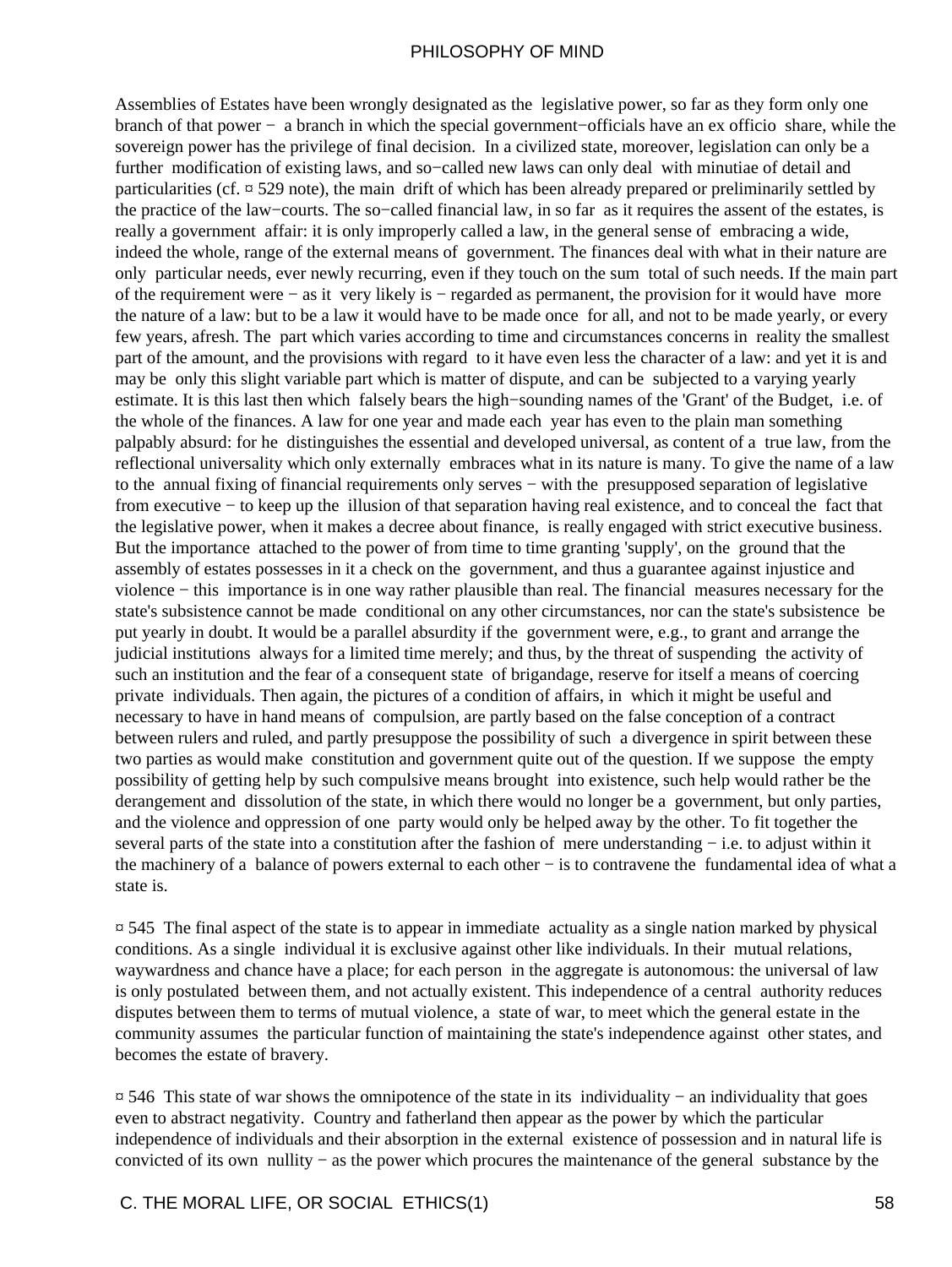Assemblies of Estates have been wrongly designated as the legislative power, so far as they form only one branch of that power − a branch in which the special government−officials have an ex officio share, while the sovereign power has the privilege of final decision. In a civilized state, moreover, legislation can only be a further modification of existing laws, and so−called new laws can only deal with minutiae of detail and particularities (cf.  $\frac{\pi}{529}$  note), the main drift of which has been already prepared or preliminarily settled by the practice of the law−courts. The so−called financial law, in so far as it requires the assent of the estates, is really a government affair: it is only improperly called a law, in the general sense of embracing a wide, indeed the whole, range of the external means of government. The finances deal with what in their nature are only particular needs, ever newly recurring, even if they touch on the sum total of such needs. If the main part of the requirement were − as it very likely is − regarded as permanent, the provision for it would have more the nature of a law: but to be a law it would have to be made once for all, and not to be made yearly, or every few years, afresh. The part which varies according to time and circumstances concerns in reality the smallest part of the amount, and the provisions with regard to it have even less the character of a law: and yet it is and may be only this slight variable part which is matter of dispute, and can be subjected to a varying yearly estimate. It is this last then which falsely bears the high−sounding names of the 'Grant' of the Budget, i.e. of the whole of the finances. A law for one year and made each year has even to the plain man something palpably absurd: for he distinguishes the essential and developed universal, as content of a true law, from the reflectional universality which only externally embraces what in its nature is many. To give the name of a law to the annual fixing of financial requirements only serves − with the presupposed separation of legislative from executive − to keep up the illusion of that separation having real existence, and to conceal the fact that the legislative power, when it makes a decree about finance, is really engaged with strict executive business. But the importance attached to the power of from time to time granting 'supply', on the ground that the assembly of estates possesses in it a check on the government, and thus a guarantee against injustice and violence − this importance is in one way rather plausible than real. The financial measures necessary for the state's subsistence cannot be made conditional on any other circumstances, nor can the state's subsistence be put yearly in doubt. It would be a parallel absurdity if the government were, e.g., to grant and arrange the judicial institutions always for a limited time merely; and thus, by the threat of suspending the activity of such an institution and the fear of a consequent state of brigandage, reserve for itself a means of coercing private individuals. Then again, the pictures of a condition of affairs, in which it might be useful and necessary to have in hand means of compulsion, are partly based on the false conception of a contract between rulers and ruled, and partly presuppose the possibility of such a divergence in spirit between these two parties as would make constitution and government quite out of the question. If we suppose the empty possibility of getting help by such compulsive means brought into existence, such help would rather be the derangement and dissolution of the state, in which there would no longer be a government, but only parties, and the violence and oppression of one party would only be helped away by the other. To fit together the several parts of the state into a constitution after the fashion of mere understanding – i.e. to adjust within it the machinery of a balance of powers external to each other − is to contravene the fundamental idea of what a state is.

¤ 545 The final aspect of the state is to appear in immediate actuality as a single nation marked by physical conditions. As a single individual it is exclusive against other like individuals. In their mutual relations, waywardness and chance have a place; for each person in the aggregate is autonomous: the universal of law is only postulated between them, and not actually existent. This independence of a central authority reduces disputes between them to terms of mutual violence, a state of war, to meet which the general estate in the community assumes the particular function of maintaining the state's independence against other states, and becomes the estate of bravery.

¤ 546 This state of war shows the omnipotence of the state in its individuality − an individuality that goes even to abstract negativity. Country and fatherland then appear as the power by which the particular independence of individuals and their absorption in the external existence of possession and in natural life is convicted of its own nullity − as the power which procures the maintenance of the general substance by the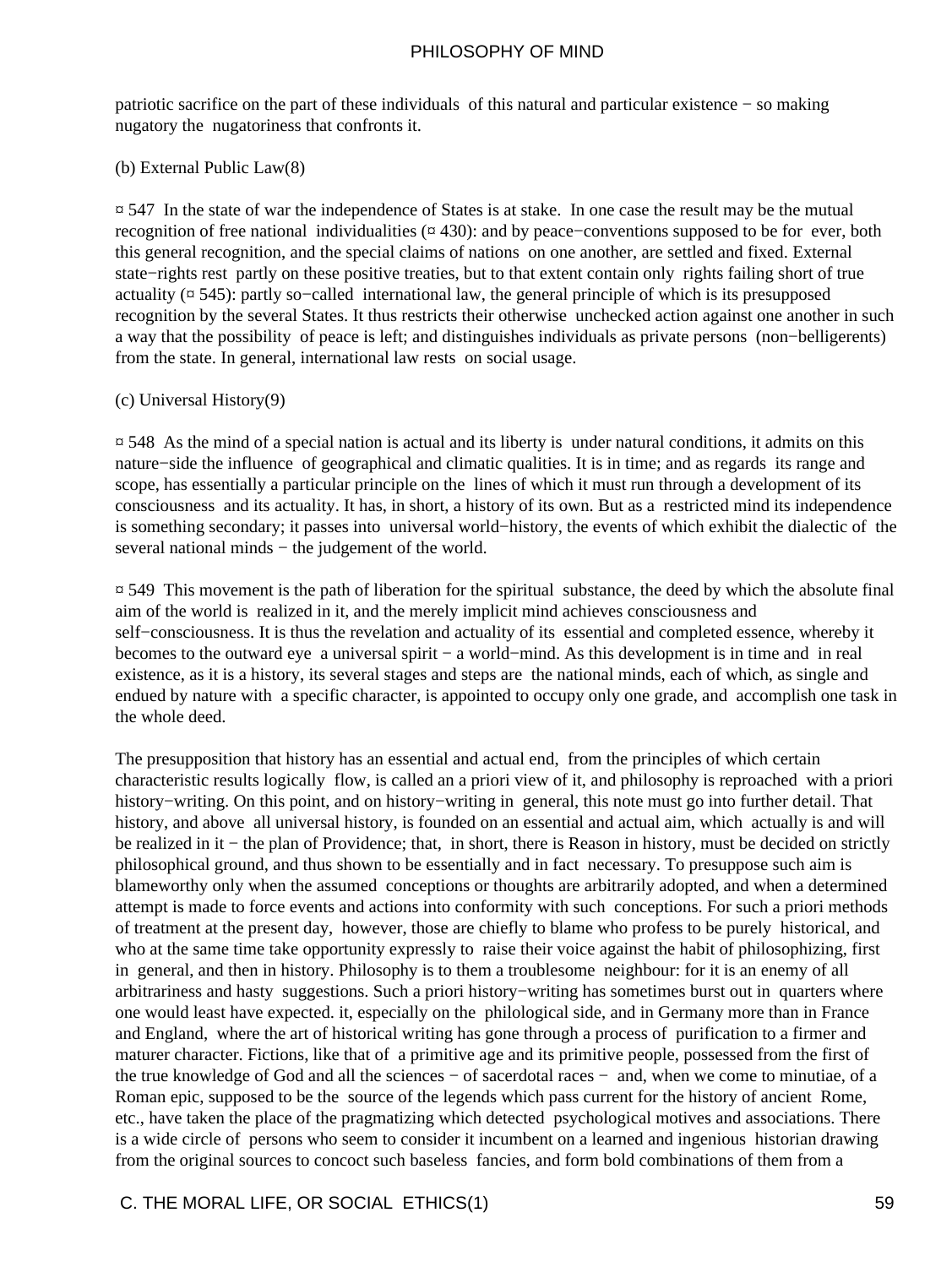patriotic sacrifice on the part of these individuals of this natural and particular existence − so making nugatory the nugatoriness that confronts it.

(b) External Public Law(8)

¤ 547 In the state of war the independence of States is at stake. In one case the result may be the mutual recognition of free national individualities (¤ 430): and by peace−conventions supposed to be for ever, both this general recognition, and the special claims of nations on one another, are settled and fixed. External state−rights rest partly on these positive treaties, but to that extent contain only rights failing short of true actuality  $(\alpha 545)$ : partly so-called international law, the general principle of which is its presupposed recognition by the several States. It thus restricts their otherwise unchecked action against one another in such a way that the possibility of peace is left; and distinguishes individuals as private persons (non−belligerents) from the state. In general, international law rests on social usage.

#### (c) Universal History(9)

¤ 548 As the mind of a special nation is actual and its liberty is under natural conditions, it admits on this nature−side the influence of geographical and climatic qualities. It is in time; and as regards its range and scope, has essentially a particular principle on the lines of which it must run through a development of its consciousness and its actuality. It has, in short, a history of its own. But as a restricted mind its independence is something secondary; it passes into universal world−history, the events of which exhibit the dialectic of the several national minds – the judgement of the world.

¤ 549 This movement is the path of liberation for the spiritual substance, the deed by which the absolute final aim of the world is realized in it, and the merely implicit mind achieves consciousness and self–consciousness. It is thus the revelation and actuality of its essential and completed essence, whereby it becomes to the outward eye a universal spirit − a world−mind. As this development is in time and in real existence, as it is a history, its several stages and steps are the national minds, each of which, as single and endued by nature with a specific character, is appointed to occupy only one grade, and accomplish one task in the whole deed.

The presupposition that history has an essential and actual end, from the principles of which certain characteristic results logically flow, is called an a priori view of it, and philosophy is reproached with a priori history−writing. On this point, and on history−writing in general, this note must go into further detail. That history, and above all universal history, is founded on an essential and actual aim, which actually is and will be realized in it − the plan of Providence; that, in short, there is Reason in history, must be decided on strictly philosophical ground, and thus shown to be essentially and in fact necessary. To presuppose such aim is blameworthy only when the assumed conceptions or thoughts are arbitrarily adopted, and when a determined attempt is made to force events and actions into conformity with such conceptions. For such a priori methods of treatment at the present day, however, those are chiefly to blame who profess to be purely historical, and who at the same time take opportunity expressly to raise their voice against the habit of philosophizing, first in general, and then in history. Philosophy is to them a troublesome neighbour: for it is an enemy of all arbitrariness and hasty suggestions. Such a priori history−writing has sometimes burst out in quarters where one would least have expected. it, especially on the philological side, and in Germany more than in France and England, where the art of historical writing has gone through a process of purification to a firmer and maturer character. Fictions, like that of a primitive age and its primitive people, possessed from the first of the true knowledge of God and all the sciences − of sacerdotal races − and, when we come to minutiae, of a Roman epic, supposed to be the source of the legends which pass current for the history of ancient Rome, etc., have taken the place of the pragmatizing which detected psychological motives and associations. There is a wide circle of persons who seem to consider it incumbent on a learned and ingenious historian drawing from the original sources to concoct such baseless fancies, and form bold combinations of them from a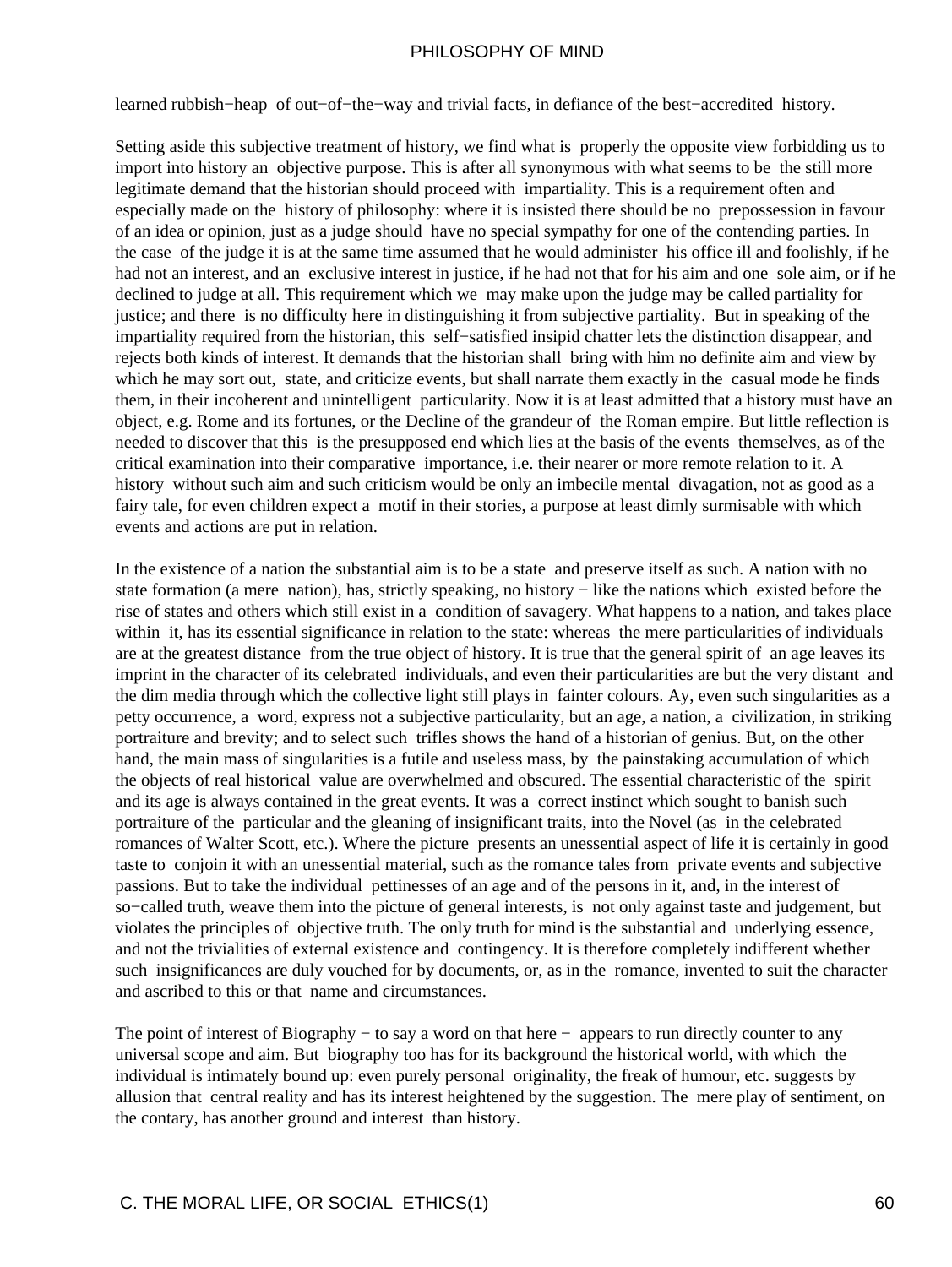learned rubbish−heap of out−of−the−way and trivial facts, in defiance of the best−accredited history.

Setting aside this subjective treatment of history, we find what is properly the opposite view forbidding us to import into history an objective purpose. This is after all synonymous with what seems to be the still more legitimate demand that the historian should proceed with impartiality. This is a requirement often and especially made on the history of philosophy: where it is insisted there should be no prepossession in favour of an idea or opinion, just as a judge should have no special sympathy for one of the contending parties. In the case of the judge it is at the same time assumed that he would administer his office ill and foolishly, if he had not an interest, and an exclusive interest in justice, if he had not that for his aim and one sole aim, or if he declined to judge at all. This requirement which we may make upon the judge may be called partiality for justice; and there is no difficulty here in distinguishing it from subjective partiality. But in speaking of the impartiality required from the historian, this self−satisfied insipid chatter lets the distinction disappear, and rejects both kinds of interest. It demands that the historian shall bring with him no definite aim and view by which he may sort out, state, and criticize events, but shall narrate them exactly in the casual mode he finds them, in their incoherent and unintelligent particularity. Now it is at least admitted that a history must have an object, e.g. Rome and its fortunes, or the Decline of the grandeur of the Roman empire. But little reflection is needed to discover that this is the presupposed end which lies at the basis of the events themselves, as of the critical examination into their comparative importance, i.e. their nearer or more remote relation to it. A history without such aim and such criticism would be only an imbecile mental divagation, not as good as a fairy tale, for even children expect a motif in their stories, a purpose at least dimly surmisable with which events and actions are put in relation.

In the existence of a nation the substantial aim is to be a state and preserve itself as such. A nation with no state formation (a mere nation), has, strictly speaking, no history − like the nations which existed before the rise of states and others which still exist in a condition of savagery. What happens to a nation, and takes place within it, has its essential significance in relation to the state: whereas the mere particularities of individuals are at the greatest distance from the true object of history. It is true that the general spirit of an age leaves its imprint in the character of its celebrated individuals, and even their particularities are but the very distant and the dim media through which the collective light still plays in fainter colours. Ay, even such singularities as a petty occurrence, a word, express not a subjective particularity, but an age, a nation, a civilization, in striking portraiture and brevity; and to select such trifles shows the hand of a historian of genius. But, on the other hand, the main mass of singularities is a futile and useless mass, by the painstaking accumulation of which the objects of real historical value are overwhelmed and obscured. The essential characteristic of the spirit and its age is always contained in the great events. It was a correct instinct which sought to banish such portraiture of the particular and the gleaning of insignificant traits, into the Novel (as in the celebrated romances of Walter Scott, etc.). Where the picture presents an unessential aspect of life it is certainly in good taste to conjoin it with an unessential material, such as the romance tales from private events and subjective passions. But to take the individual pettinesses of an age and of the persons in it, and, in the interest of so−called truth, weave them into the picture of general interests, is not only against taste and judgement, but violates the principles of objective truth. The only truth for mind is the substantial and underlying essence, and not the trivialities of external existence and contingency. It is therefore completely indifferent whether such insignificances are duly vouched for by documents, or, as in the romance, invented to suit the character and ascribed to this or that name and circumstances.

The point of interest of Biography – to say a word on that here – appears to run directly counter to any universal scope and aim. But biography too has for its background the historical world, with which the individual is intimately bound up: even purely personal originality, the freak of humour, etc. suggests by allusion that central reality and has its interest heightened by the suggestion. The mere play of sentiment, on the contary, has another ground and interest than history.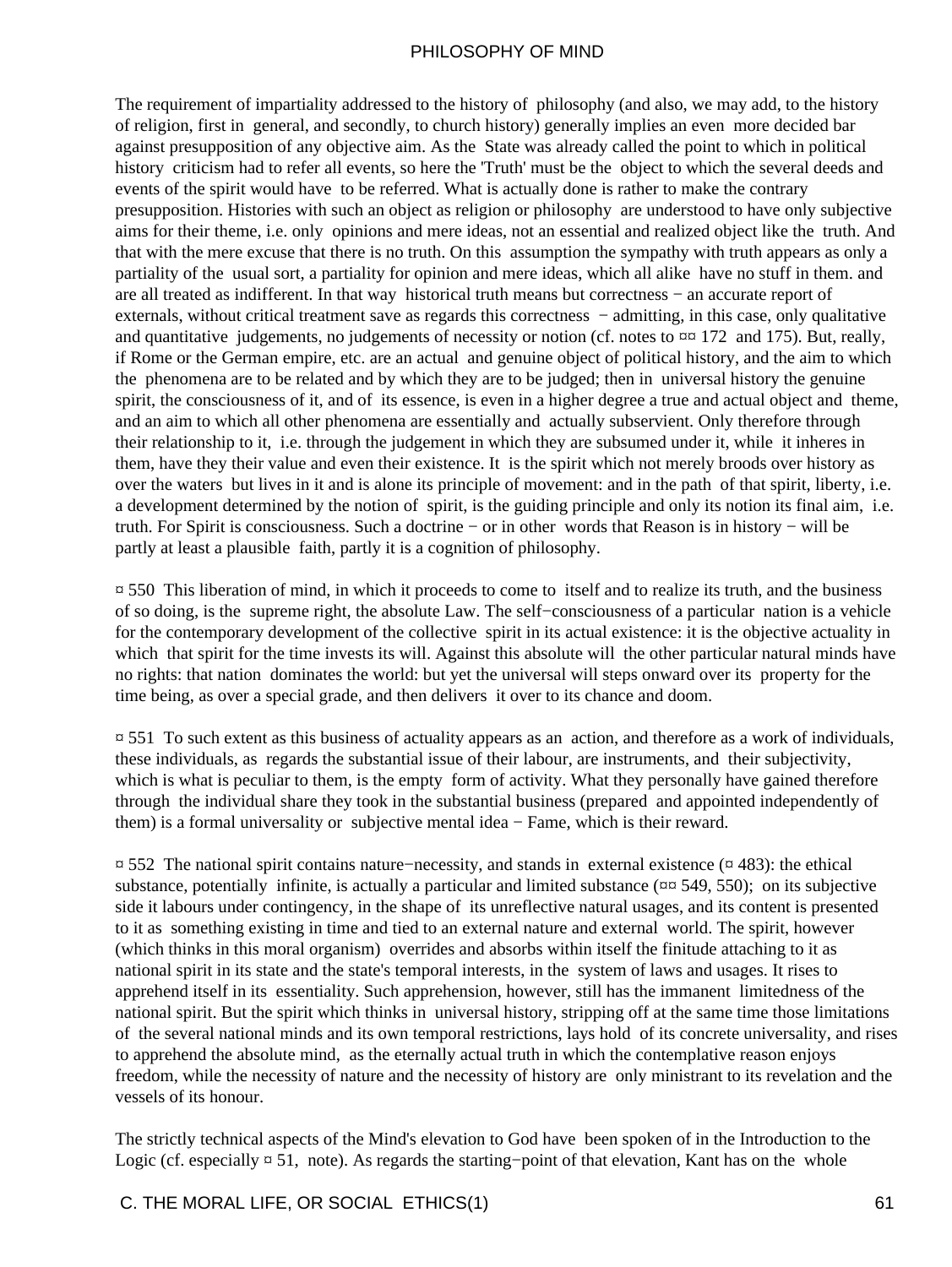The requirement of impartiality addressed to the history of philosophy (and also, we may add, to the history of religion, first in general, and secondly, to church history) generally implies an even more decided bar against presupposition of any objective aim. As the State was already called the point to which in political history criticism had to refer all events, so here the 'Truth' must be the object to which the several deeds and events of the spirit would have to be referred. What is actually done is rather to make the contrary presupposition. Histories with such an object as religion or philosophy are understood to have only subjective aims for their theme, i.e. only opinions and mere ideas, not an essential and realized object like the truth. And that with the mere excuse that there is no truth. On this assumption the sympathy with truth appears as only a partiality of the usual sort, a partiality for opinion and mere ideas, which all alike have no stuff in them. and are all treated as indifferent. In that way historical truth means but correctness − an accurate report of externals, without critical treatment save as regards this correctness − admitting, in this case, only qualitative and quantitative judgements, no judgements of necessity or notion (cf. notes to  $\alpha \alpha$  172 and 175). But, really, if Rome or the German empire, etc. are an actual and genuine object of political history, and the aim to which the phenomena are to be related and by which they are to be judged; then in universal history the genuine spirit, the consciousness of it, and of its essence, is even in a higher degree a true and actual object and theme, and an aim to which all other phenomena are essentially and actually subservient. Only therefore through their relationship to it, i.e. through the judgement in which they are subsumed under it, while it inheres in them, have they their value and even their existence. It is the spirit which not merely broods over history as over the waters but lives in it and is alone its principle of movement: and in the path of that spirit, liberty, i.e. a development determined by the notion of spirit, is the guiding principle and only its notion its final aim, i.e. truth. For Spirit is consciousness. Such a doctrine − or in other words that Reason is in history − will be partly at least a plausible faith, partly it is a cognition of philosophy.

¤ 550 This liberation of mind, in which it proceeds to come to itself and to realize its truth, and the business of so doing, is the supreme right, the absolute Law. The self−consciousness of a particular nation is a vehicle for the contemporary development of the collective spirit in its actual existence: it is the objective actuality in which that spirit for the time invests its will. Against this absolute will the other particular natural minds have no rights: that nation dominates the world: but yet the universal will steps onward over its property for the time being, as over a special grade, and then delivers it over to its chance and doom.

¤ 551 To such extent as this business of actuality appears as an action, and therefore as a work of individuals, these individuals, as regards the substantial issue of their labour, are instruments, and their subjectivity, which is what is peculiar to them, is the empty form of activity. What they personally have gained therefore through the individual share they took in the substantial business (prepared and appointed independently of them) is a formal universality or subjective mental idea − Fame, which is their reward.

¤ 552 The national spirit contains nature−necessity, and stands in external existence (¤ 483): the ethical substance, potentially infinite, is actually a particular and limited substance ( $\alpha \alpha$  549, 550); on its subjective side it labours under contingency, in the shape of its unreflective natural usages, and its content is presented to it as something existing in time and tied to an external nature and external world. The spirit, however (which thinks in this moral organism) overrides and absorbs within itself the finitude attaching to it as national spirit in its state and the state's temporal interests, in the system of laws and usages. It rises to apprehend itself in its essentiality. Such apprehension, however, still has the immanent limitedness of the national spirit. But the spirit which thinks in universal history, stripping off at the same time those limitations of the several national minds and its own temporal restrictions, lays hold of its concrete universality, and rises to apprehend the absolute mind, as the eternally actual truth in which the contemplative reason enjoys freedom, while the necessity of nature and the necessity of history are only ministrant to its revelation and the vessels of its honour.

The strictly technical aspects of the Mind's elevation to God have been spoken of in the Introduction to the Logic (cf. especially ¤ 51, note). As regards the starting−point of that elevation, Kant has on the whole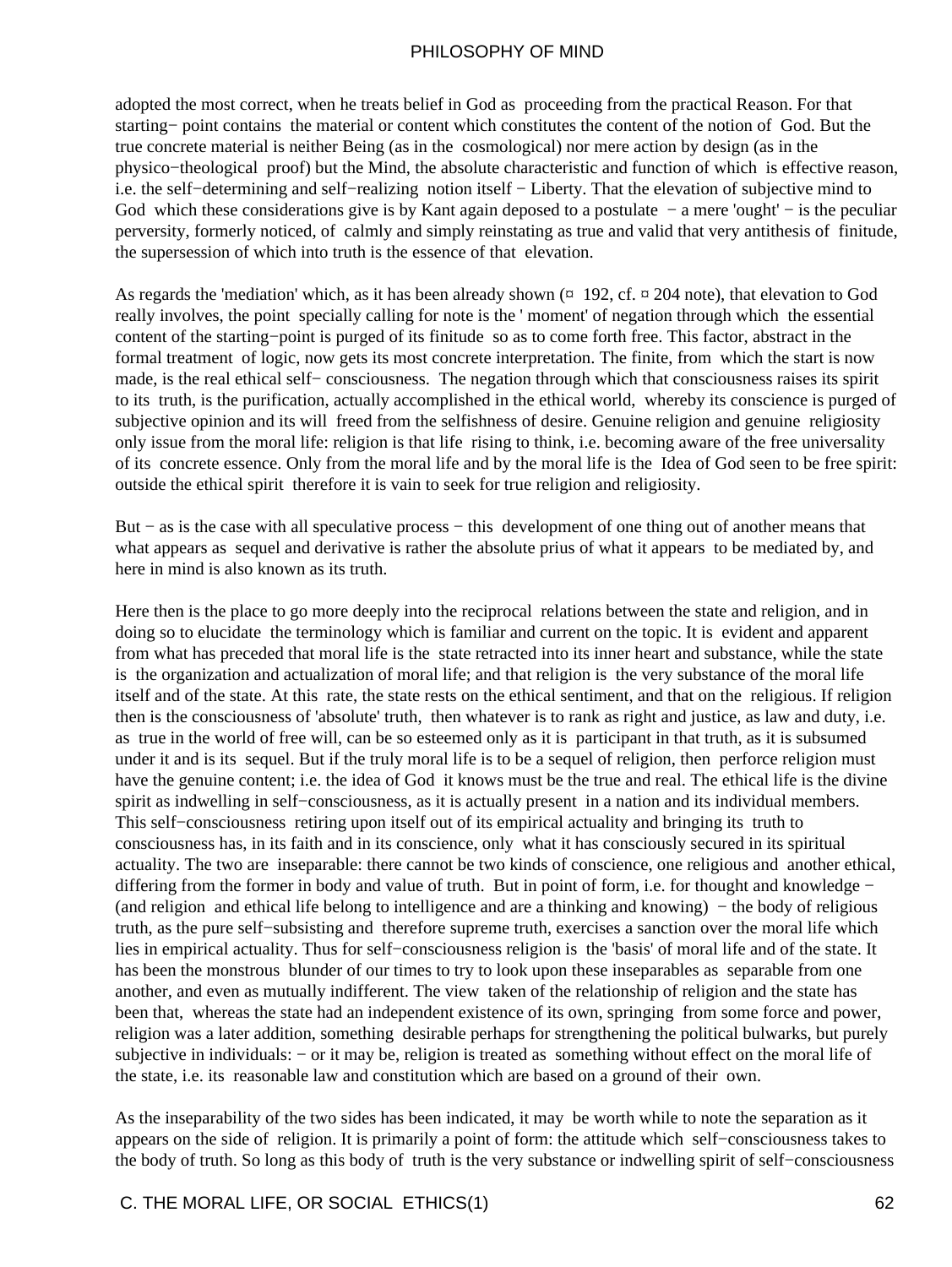adopted the most correct, when he treats belief in God as proceeding from the practical Reason. For that starting− point contains the material or content which constitutes the content of the notion of God. But the true concrete material is neither Being (as in the cosmological) nor mere action by design (as in the physico−theological proof) but the Mind, the absolute characteristic and function of which is effective reason, i.e. the self−determining and self−realizing notion itself − Liberty. That the elevation of subjective mind to God which these considerations give is by Kant again deposed to a postulate – a mere 'ought' – is the peculiar perversity, formerly noticed, of calmly and simply reinstating as true and valid that very antithesis of finitude, the supersession of which into truth is the essence of that elevation.

As regards the 'mediation' which, as it has been already shown  $(\pi 192, cf. \pi 204$  note), that elevation to God really involves, the point specially calling for note is the ' moment' of negation through which the essential content of the starting−point is purged of its finitude so as to come forth free. This factor, abstract in the formal treatment of logic, now gets its most concrete interpretation. The finite, from which the start is now made, is the real ethical self− consciousness. The negation through which that consciousness raises its spirit to its truth, is the purification, actually accomplished in the ethical world, whereby its conscience is purged of subjective opinion and its will freed from the selfishness of desire. Genuine religion and genuine religiosity only issue from the moral life: religion is that life rising to think, i.e. becoming aware of the free universality of its concrete essence. Only from the moral life and by the moral life is the Idea of God seen to be free spirit: outside the ethical spirit therefore it is vain to seek for true religion and religiosity.

But − as is the case with all speculative process − this development of one thing out of another means that what appears as sequel and derivative is rather the absolute prius of what it appears to be mediated by, and here in mind is also known as its truth.

Here then is the place to go more deeply into the reciprocal relations between the state and religion, and in doing so to elucidate the terminology which is familiar and current on the topic. It is evident and apparent from what has preceded that moral life is the state retracted into its inner heart and substance, while the state is the organization and actualization of moral life; and that religion is the very substance of the moral life itself and of the state. At this rate, the state rests on the ethical sentiment, and that on the religious. If religion then is the consciousness of 'absolute' truth, then whatever is to rank as right and justice, as law and duty, i.e. as true in the world of free will, can be so esteemed only as it is participant in that truth, as it is subsumed under it and is its sequel. But if the truly moral life is to be a sequel of religion, then perforce religion must have the genuine content; i.e. the idea of God it knows must be the true and real. The ethical life is the divine spirit as indwelling in self–consciousness, as it is actually present in a nation and its individual members. This self−consciousness retiring upon itself out of its empirical actuality and bringing its truth to consciousness has, in its faith and in its conscience, only what it has consciously secured in its spiritual actuality. The two are inseparable: there cannot be two kinds of conscience, one religious and another ethical, differing from the former in body and value of truth. But in point of form, i.e. for thought and knowledge − (and religion and ethical life belong to intelligence and are a thinking and knowing) − the body of religious truth, as the pure self−subsisting and therefore supreme truth, exercises a sanction over the moral life which lies in empirical actuality. Thus for self−consciousness religion is the 'basis' of moral life and of the state. It has been the monstrous blunder of our times to try to look upon these inseparables as separable from one another, and even as mutually indifferent. The view taken of the relationship of religion and the state has been that, whereas the state had an independent existence of its own, springing from some force and power, religion was a later addition, something desirable perhaps for strengthening the political bulwarks, but purely subjective in individuals: – or it may be, religion is treated as something without effect on the moral life of the state, i.e. its reasonable law and constitution which are based on a ground of their own.

As the inseparability of the two sides has been indicated, it may be worth while to note the separation as it appears on the side of religion. It is primarily a point of form: the attitude which self−consciousness takes to the body of truth. So long as this body of truth is the very substance or indwelling spirit of self−consciousness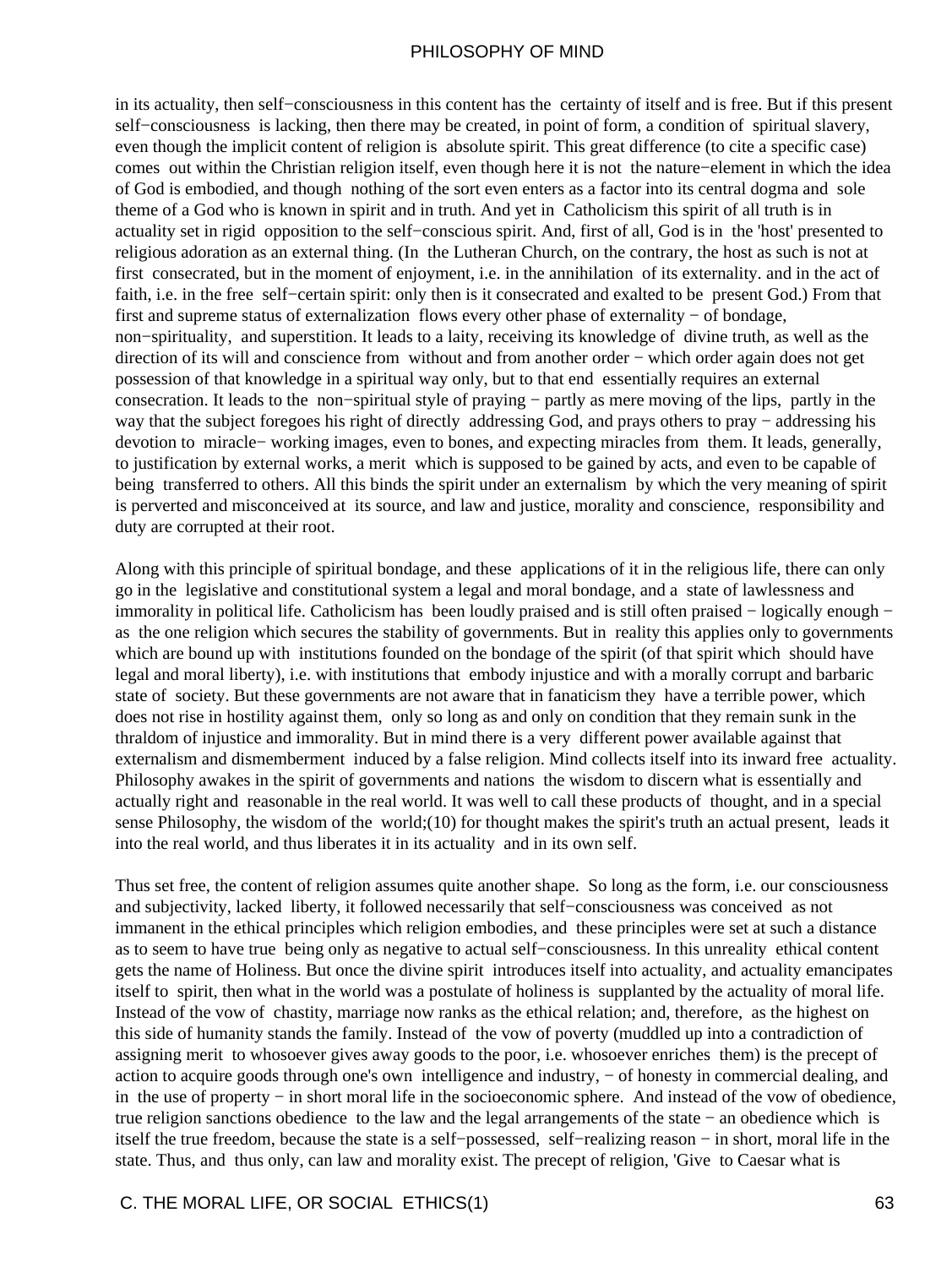in its actuality, then self−consciousness in this content has the certainty of itself and is free. But if this present self−consciousness is lacking, then there may be created, in point of form, a condition of spiritual slavery, even though the implicit content of religion is absolute spirit. This great difference (to cite a specific case) comes out within the Christian religion itself, even though here it is not the nature−element in which the idea of God is embodied, and though nothing of the sort even enters as a factor into its central dogma and sole theme of a God who is known in spirit and in truth. And yet in Catholicism this spirit of all truth is in actuality set in rigid opposition to the self−conscious spirit. And, first of all, God is in the 'host' presented to religious adoration as an external thing. (In the Lutheran Church, on the contrary, the host as such is not at first consecrated, but in the moment of enjoyment, i.e. in the annihilation of its externality. and in the act of faith, i.e. in the free self−certain spirit: only then is it consecrated and exalted to be present God.) From that first and supreme status of externalization flows every other phase of externality − of bondage, non−spirituality, and superstition. It leads to a laity, receiving its knowledge of divine truth, as well as the direction of its will and conscience from without and from another order − which order again does not get possession of that knowledge in a spiritual way only, but to that end essentially requires an external consecration. It leads to the non−spiritual style of praying − partly as mere moving of the lips, partly in the way that the subject foregoes his right of directly addressing God, and prays others to pray − addressing his devotion to miracle− working images, even to bones, and expecting miracles from them. It leads, generally, to justification by external works, a merit which is supposed to be gained by acts, and even to be capable of being transferred to others. All this binds the spirit under an externalism by which the very meaning of spirit is perverted and misconceived at its source, and law and justice, morality and conscience, responsibility and duty are corrupted at their root.

Along with this principle of spiritual bondage, and these applications of it in the religious life, there can only go in the legislative and constitutional system a legal and moral bondage, and a state of lawlessness and immorality in political life. Catholicism has been loudly praised and is still often praised − logically enough − as the one religion which secures the stability of governments. But in reality this applies only to governments which are bound up with institutions founded on the bondage of the spirit (of that spirit which should have legal and moral liberty), i.e. with institutions that embody injustice and with a morally corrupt and barbaric state of society. But these governments are not aware that in fanaticism they have a terrible power, which does not rise in hostility against them, only so long as and only on condition that they remain sunk in the thraldom of injustice and immorality. But in mind there is a very different power available against that externalism and dismemberment induced by a false religion. Mind collects itself into its inward free actuality. Philosophy awakes in the spirit of governments and nations the wisdom to discern what is essentially and actually right and reasonable in the real world. It was well to call these products of thought, and in a special sense Philosophy, the wisdom of the world;(10) for thought makes the spirit's truth an actual present, leads it into the real world, and thus liberates it in its actuality and in its own self.

Thus set free, the content of religion assumes quite another shape. So long as the form, i.e. our consciousness and subjectivity, lacked liberty, it followed necessarily that self−consciousness was conceived as not immanent in the ethical principles which religion embodies, and these principles were set at such a distance as to seem to have true being only as negative to actual self−consciousness. In this unreality ethical content gets the name of Holiness. But once the divine spirit introduces itself into actuality, and actuality emancipates itself to spirit, then what in the world was a postulate of holiness is supplanted by the actuality of moral life. Instead of the vow of chastity, marriage now ranks as the ethical relation; and, therefore, as the highest on this side of humanity stands the family. Instead of the vow of poverty (muddled up into a contradiction of assigning merit to whosoever gives away goods to the poor, i.e. whosoever enriches them) is the precept of action to acquire goods through one's own intelligence and industry, − of honesty in commercial dealing, and in the use of property − in short moral life in the socioeconomic sphere. And instead of the vow of obedience, true religion sanctions obedience to the law and the legal arrangements of the state − an obedience which is itself the true freedom, because the state is a self−possessed, self−realizing reason − in short, moral life in the state. Thus, and thus only, can law and morality exist. The precept of religion, 'Give to Caesar what is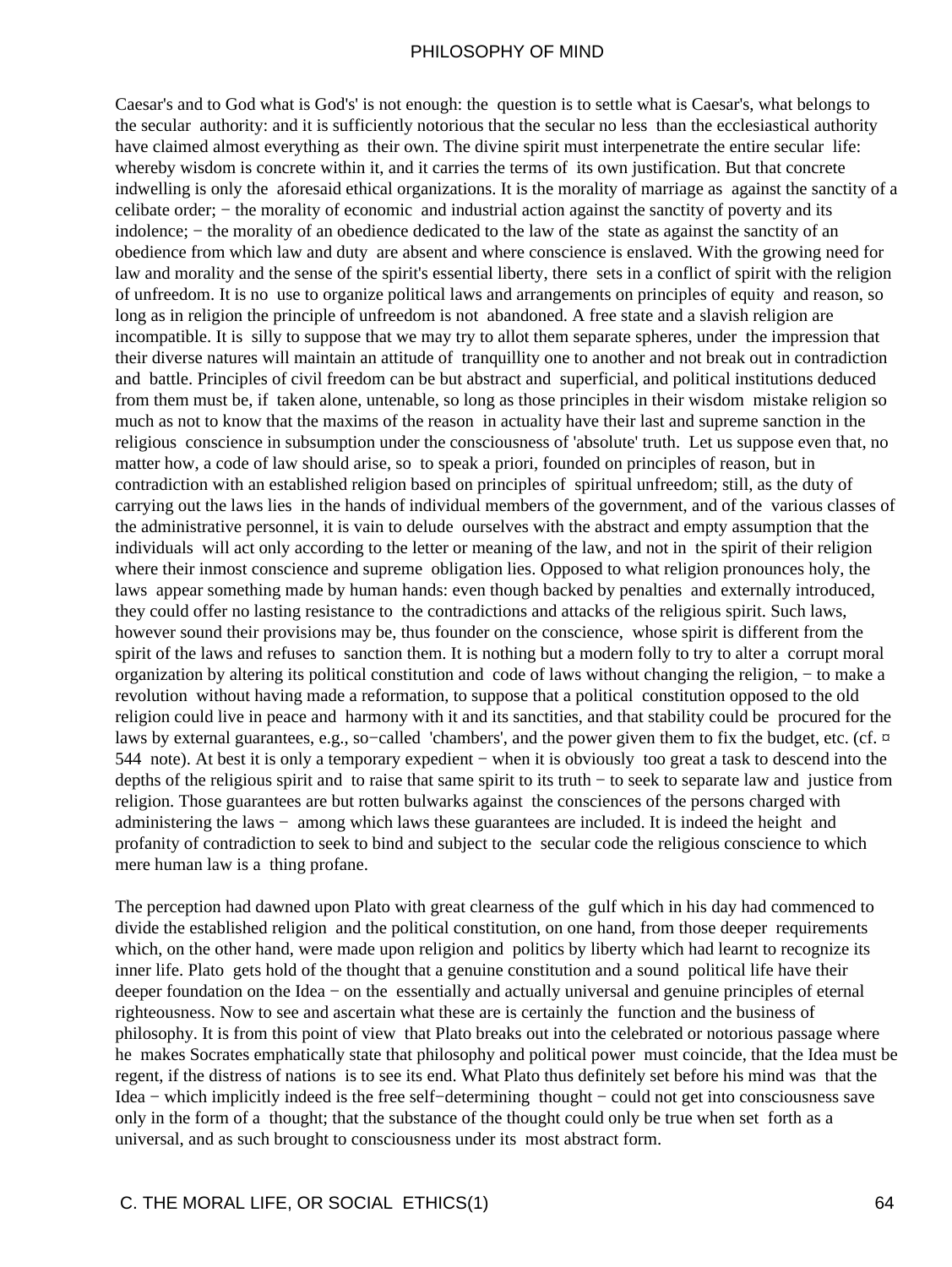Caesar's and to God what is God's' is not enough: the question is to settle what is Caesar's, what belongs to the secular authority: and it is sufficiently notorious that the secular no less than the ecclesiastical authority have claimed almost everything as their own. The divine spirit must interpenetrate the entire secular life: whereby wisdom is concrete within it, and it carries the terms of its own justification. But that concrete indwelling is only the aforesaid ethical organizations. It is the morality of marriage as against the sanctity of a celibate order; − the morality of economic and industrial action against the sanctity of poverty and its indolence; − the morality of an obedience dedicated to the law of the state as against the sanctity of an obedience from which law and duty are absent and where conscience is enslaved. With the growing need for law and morality and the sense of the spirit's essential liberty, there sets in a conflict of spirit with the religion of unfreedom. It is no use to organize political laws and arrangements on principles of equity and reason, so long as in religion the principle of unfreedom is not abandoned. A free state and a slavish religion are incompatible. It is silly to suppose that we may try to allot them separate spheres, under the impression that their diverse natures will maintain an attitude of tranquillity one to another and not break out in contradiction and battle. Principles of civil freedom can be but abstract and superficial, and political institutions deduced from them must be, if taken alone, untenable, so long as those principles in their wisdom mistake religion so much as not to know that the maxims of the reason in actuality have their last and supreme sanction in the religious conscience in subsumption under the consciousness of 'absolute' truth. Let us suppose even that, no matter how, a code of law should arise, so to speak a priori, founded on principles of reason, but in contradiction with an established religion based on principles of spiritual unfreedom; still, as the duty of carrying out the laws lies in the hands of individual members of the government, and of the various classes of the administrative personnel, it is vain to delude ourselves with the abstract and empty assumption that the individuals will act only according to the letter or meaning of the law, and not in the spirit of their religion where their inmost conscience and supreme obligation lies. Opposed to what religion pronounces holy, the laws appear something made by human hands: even though backed by penalties and externally introduced, they could offer no lasting resistance to the contradictions and attacks of the religious spirit. Such laws, however sound their provisions may be, thus founder on the conscience, whose spirit is different from the spirit of the laws and refuses to sanction them. It is nothing but a modern folly to try to alter a corrupt moral organization by altering its political constitution and code of laws without changing the religion, − to make a revolution without having made a reformation, to suppose that a political constitution opposed to the old religion could live in peace and harmony with it and its sanctities, and that stability could be procured for the laws by external guarantees, e.g., so–called 'chambers', and the power given them to fix the budget, etc. (cf. ¤ 544 note). At best it is only a temporary expedient − when it is obviously too great a task to descend into the depths of the religious spirit and to raise that same spirit to its truth − to seek to separate law and justice from religion. Those guarantees are but rotten bulwarks against the consciences of the persons charged with administering the laws − among which laws these guarantees are included. It is indeed the height and profanity of contradiction to seek to bind and subject to the secular code the religious conscience to which mere human law is a thing profane.

The perception had dawned upon Plato with great clearness of the gulf which in his day had commenced to divide the established religion and the political constitution, on one hand, from those deeper requirements which, on the other hand, were made upon religion and politics by liberty which had learnt to recognize its inner life. Plato gets hold of the thought that a genuine constitution and a sound political life have their deeper foundation on the Idea − on the essentially and actually universal and genuine principles of eternal righteousness. Now to see and ascertain what these are is certainly the function and the business of philosophy. It is from this point of view that Plato breaks out into the celebrated or notorious passage where he makes Socrates emphatically state that philosophy and political power must coincide, that the Idea must be regent, if the distress of nations is to see its end. What Plato thus definitely set before his mind was that the Idea − which implicitly indeed is the free self−determining thought − could not get into consciousness save only in the form of a thought; that the substance of the thought could only be true when set forth as a universal, and as such brought to consciousness under its most abstract form.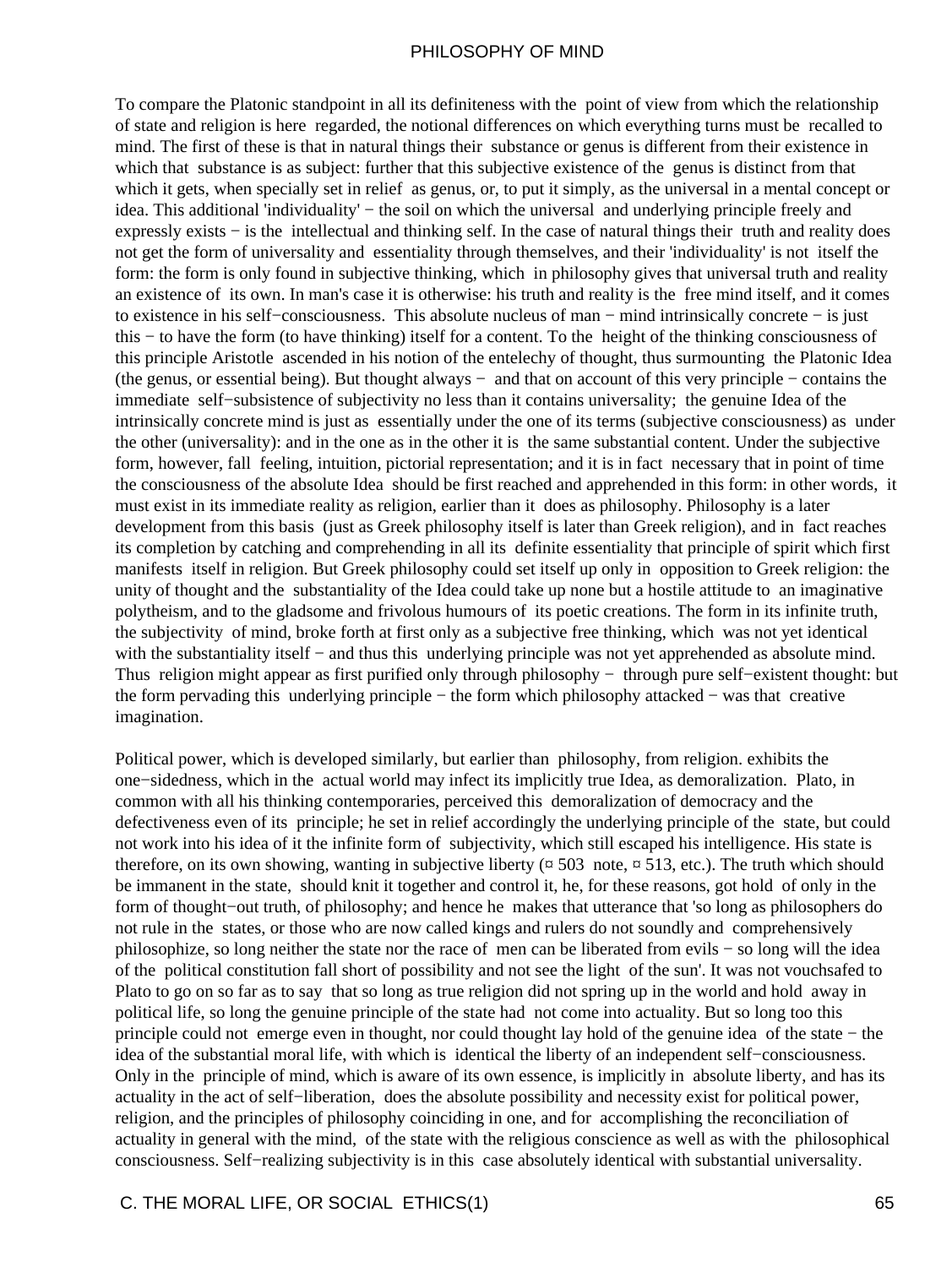To compare the Platonic standpoint in all its definiteness with the point of view from which the relationship of state and religion is here regarded, the notional differences on which everything turns must be recalled to mind. The first of these is that in natural things their substance or genus is different from their existence in which that substance is as subject: further that this subjective existence of the genus is distinct from that which it gets, when specially set in relief as genus, or, to put it simply, as the universal in a mental concept or idea. This additional 'individuality' − the soil on which the universal and underlying principle freely and expressly exists − is the intellectual and thinking self. In the case of natural things their truth and reality does not get the form of universality and essentiality through themselves, and their 'individuality' is not itself the form: the form is only found in subjective thinking, which in philosophy gives that universal truth and reality an existence of its own. In man's case it is otherwise: his truth and reality is the free mind itself, and it comes to existence in his self−consciousness. This absolute nucleus of man − mind intrinsically concrete − is just this − to have the form (to have thinking) itself for a content. To the height of the thinking consciousness of this principle Aristotle ascended in his notion of the entelechy of thought, thus surmounting the Platonic Idea (the genus, or essential being). But thought always − and that on account of this very principle − contains the immediate self−subsistence of subjectivity no less than it contains universality; the genuine Idea of the intrinsically concrete mind is just as essentially under the one of its terms (subjective consciousness) as under the other (universality): and in the one as in the other it is the same substantial content. Under the subjective form, however, fall feeling, intuition, pictorial representation; and it is in fact necessary that in point of time the consciousness of the absolute Idea should be first reached and apprehended in this form: in other words, it must exist in its immediate reality as religion, earlier than it does as philosophy. Philosophy is a later development from this basis (just as Greek philosophy itself is later than Greek religion), and in fact reaches its completion by catching and comprehending in all its definite essentiality that principle of spirit which first manifests itself in religion. But Greek philosophy could set itself up only in opposition to Greek religion: the unity of thought and the substantiality of the Idea could take up none but a hostile attitude to an imaginative polytheism, and to the gladsome and frivolous humours of its poetic creations. The form in its infinite truth, the subjectivity of mind, broke forth at first only as a subjective free thinking, which was not yet identical with the substantiality itself – and thus this underlying principle was not yet apprehended as absolute mind. Thus religion might appear as first purified only through philosophy − through pure self−existent thought: but the form pervading this underlying principle − the form which philosophy attacked − was that creative imagination.

Political power, which is developed similarly, but earlier than philosophy, from religion. exhibits the one−sidedness, which in the actual world may infect its implicitly true Idea, as demoralization. Plato, in common with all his thinking contemporaries, perceived this demoralization of democracy and the defectiveness even of its principle; he set in relief accordingly the underlying principle of the state, but could not work into his idea of it the infinite form of subjectivity, which still escaped his intelligence. His state is therefore, on its own showing, wanting in subjective liberty ( $\alpha$  503 note,  $\alpha$  513, etc.). The truth which should be immanent in the state, should knit it together and control it, he, for these reasons, got hold of only in the form of thought−out truth, of philosophy; and hence he makes that utterance that 'so long as philosophers do not rule in the states, or those who are now called kings and rulers do not soundly and comprehensively philosophize, so long neither the state nor the race of men can be liberated from evils − so long will the idea of the political constitution fall short of possibility and not see the light of the sun'. It was not vouchsafed to Plato to go on so far as to say that so long as true religion did not spring up in the world and hold away in political life, so long the genuine principle of the state had not come into actuality. But so long too this principle could not emerge even in thought, nor could thought lay hold of the genuine idea of the state − the idea of the substantial moral life, with which is identical the liberty of an independent self−consciousness. Only in the principle of mind, which is aware of its own essence, is implicitly in absolute liberty, and has its actuality in the act of self−liberation, does the absolute possibility and necessity exist for political power, religion, and the principles of philosophy coinciding in one, and for accomplishing the reconciliation of actuality in general with the mind, of the state with the religious conscience as well as with the philosophical consciousness. Self−realizing subjectivity is in this case absolutely identical with substantial universality.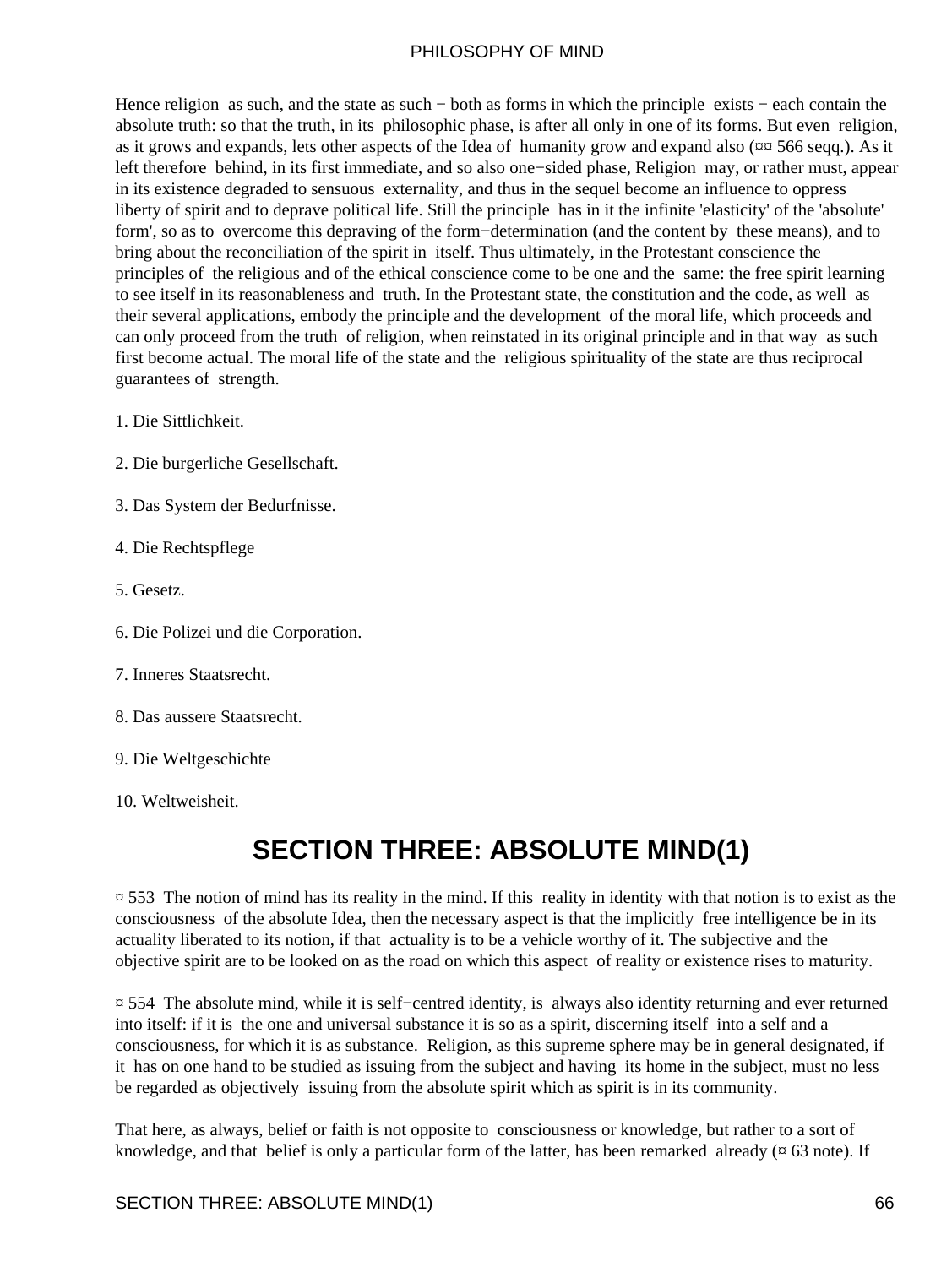Hence religion as such, and the state as such – both as forms in which the principle exists – each contain the absolute truth: so that the truth, in its philosophic phase, is after all only in one of its forms. But even religion, as it grows and expands, lets other aspects of the Idea of humanity grow and expand also (¤¤ 566 seqq.). As it left therefore behind, in its first immediate, and so also one−sided phase, Religion may, or rather must, appear in its existence degraded to sensuous externality, and thus in the sequel become an influence to oppress liberty of spirit and to deprave political life. Still the principle has in it the infinite 'elasticity' of the 'absolute' form', so as to overcome this depraving of the form−determination (and the content by these means), and to bring about the reconciliation of the spirit in itself. Thus ultimately, in the Protestant conscience the principles of the religious and of the ethical conscience come to be one and the same: the free spirit learning to see itself in its reasonableness and truth. In the Protestant state, the constitution and the code, as well as their several applications, embody the principle and the development of the moral life, which proceeds and can only proceed from the truth of religion, when reinstated in its original principle and in that way as such first become actual. The moral life of the state and the religious spirituality of the state are thus reciprocal guarantees of strength.

- 1. Die Sittlichkeit.
- 2. Die burgerliche Gesellschaft.
- 3. Das System der Bedurfnisse.
- 4. Die Rechtspflege
- 5. Gesetz.
- 6. Die Polizei und die Corporation.
- 7. Inneres Staatsrecht.
- 8. Das aussere Staatsrecht.
- 9. Die Weltgeschichte
- 10. Weltweisheit.

# **SECTION THREE: ABSOLUTE MIND(1)**

 $\approx$  553 The notion of mind has its reality in the mind. If this reality in identity with that notion is to exist as the consciousness of the absolute Idea, then the necessary aspect is that the implicitly free intelligence be in its actuality liberated to its notion, if that actuality is to be a vehicle worthy of it. The subjective and the objective spirit are to be looked on as the road on which this aspect of reality or existence rises to maturity.

¤ 554 The absolute mind, while it is self−centred identity, is always also identity returning and ever returned into itself: if it is the one and universal substance it is so as a spirit, discerning itself into a self and a consciousness, for which it is as substance. Religion, as this supreme sphere may be in general designated, if it has on one hand to be studied as issuing from the subject and having its home in the subject, must no less be regarded as objectively issuing from the absolute spirit which as spirit is in its community.

That here, as always, belief or faith is not opposite to consciousness or knowledge, but rather to a sort of knowledge, and that belief is only a particular form of the latter, has been remarked already ( $\alpha$  63 note). If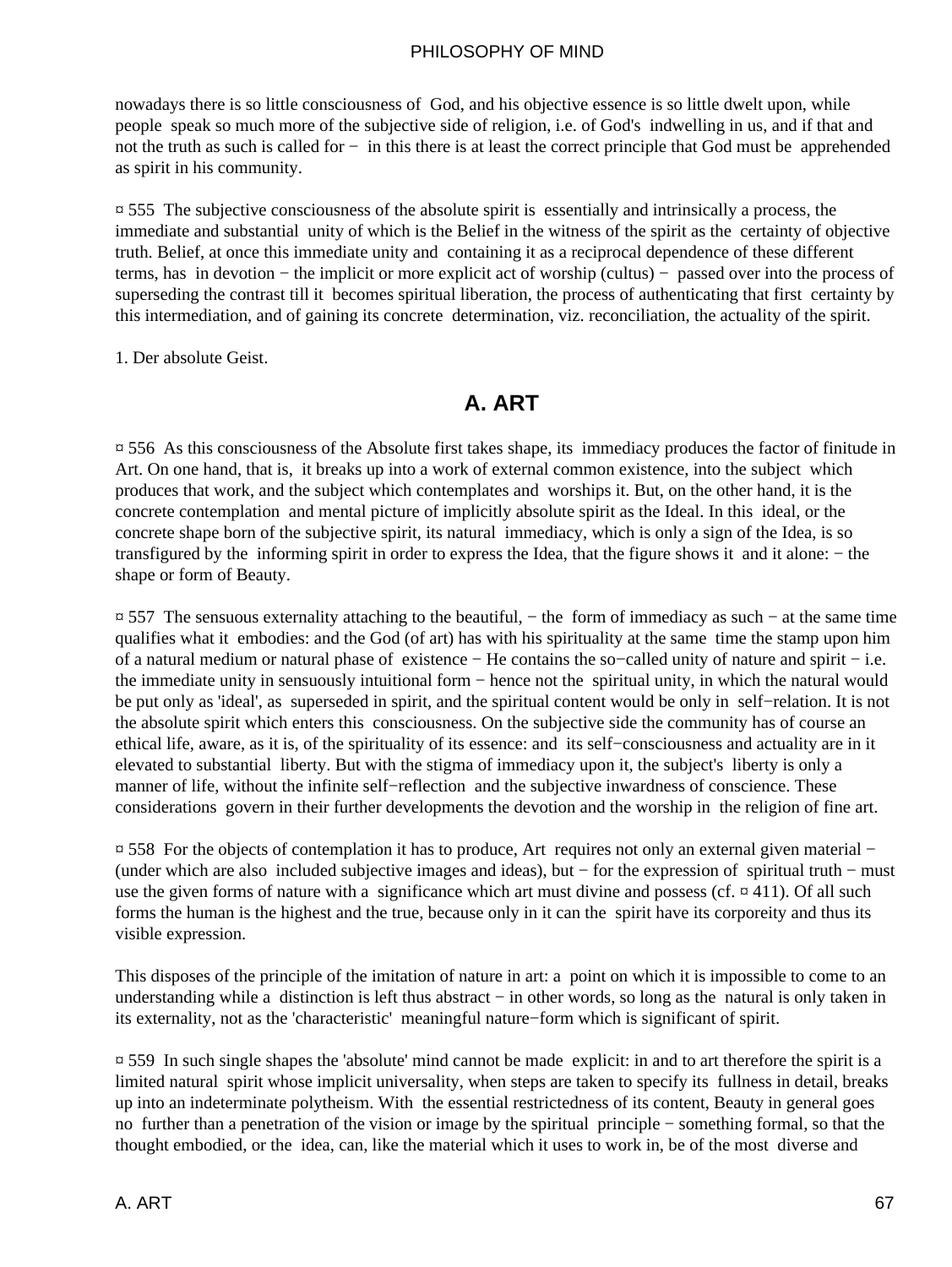nowadays there is so little consciousness of God, and his objective essence is so little dwelt upon, while people speak so much more of the subjective side of religion, i.e. of God's indwelling in us, and if that and not the truth as such is called for − in this there is at least the correct principle that God must be apprehended as spirit in his community.

¤ 555 The subjective consciousness of the absolute spirit is essentially and intrinsically a process, the immediate and substantial unity of which is the Belief in the witness of the spirit as the certainty of objective truth. Belief, at once this immediate unity and containing it as a reciprocal dependence of these different terms, has in devotion − the implicit or more explicit act of worship (cultus) − passed over into the process of superseding the contrast till it becomes spiritual liberation, the process of authenticating that first certainty by this intermediation, and of gaining its concrete determination, viz. reconciliation, the actuality of the spirit.

1. Der absolute Geist.

## **A. ART**

¤ 556 As this consciousness of the Absolute first takes shape, its immediacy produces the factor of finitude in Art. On one hand, that is, it breaks up into a work of external common existence, into the subject which produces that work, and the subject which contemplates and worships it. But, on the other hand, it is the concrete contemplation and mental picture of implicitly absolute spirit as the Ideal. In this ideal, or the concrete shape born of the subjective spirit, its natural immediacy, which is only a sign of the Idea, is so transfigured by the informing spirit in order to express the Idea, that the figure shows it and it alone: − the shape or form of Beauty.

¤ 557 The sensuous externality attaching to the beautiful, − the form of immediacy as such − at the same time qualifies what it embodies: and the God (of art) has with his spirituality at the same time the stamp upon him of a natural medium or natural phase of existence − He contains the so−called unity of nature and spirit − i.e. the immediate unity in sensuously intuitional form − hence not the spiritual unity, in which the natural would be put only as 'ideal', as superseded in spirit, and the spiritual content would be only in self−relation. It is not the absolute spirit which enters this consciousness. On the subjective side the community has of course an ethical life, aware, as it is, of the spirituality of its essence: and its self−consciousness and actuality are in it elevated to substantial liberty. But with the stigma of immediacy upon it, the subject's liberty is only a manner of life, without the infinite self−reflection and the subjective inwardness of conscience. These considerations govern in their further developments the devotion and the worship in the religion of fine art.

¤ 558 For the objects of contemplation it has to produce, Art requires not only an external given material − (under which are also included subjective images and ideas), but − for the expression of spiritual truth − must use the given forms of nature with a significance which art must divine and possess (cf.  $\alpha$  411). Of all such forms the human is the highest and the true, because only in it can the spirit have its corporeity and thus its visible expression.

This disposes of the principle of the imitation of nature in art: a point on which it is impossible to come to an understanding while a distinction is left thus abstract – in other words, so long as the natural is only taken in its externality, not as the 'characteristic' meaningful nature−form which is significant of spirit.

¤ 559 In such single shapes the 'absolute' mind cannot be made explicit: in and to art therefore the spirit is a limited natural spirit whose implicit universality, when steps are taken to specify its fullness in detail, breaks up into an indeterminate polytheism. With the essential restrictedness of its content, Beauty in general goes no further than a penetration of the vision or image by the spiritual principle − something formal, so that the thought embodied, or the idea, can, like the material which it uses to work in, be of the most diverse and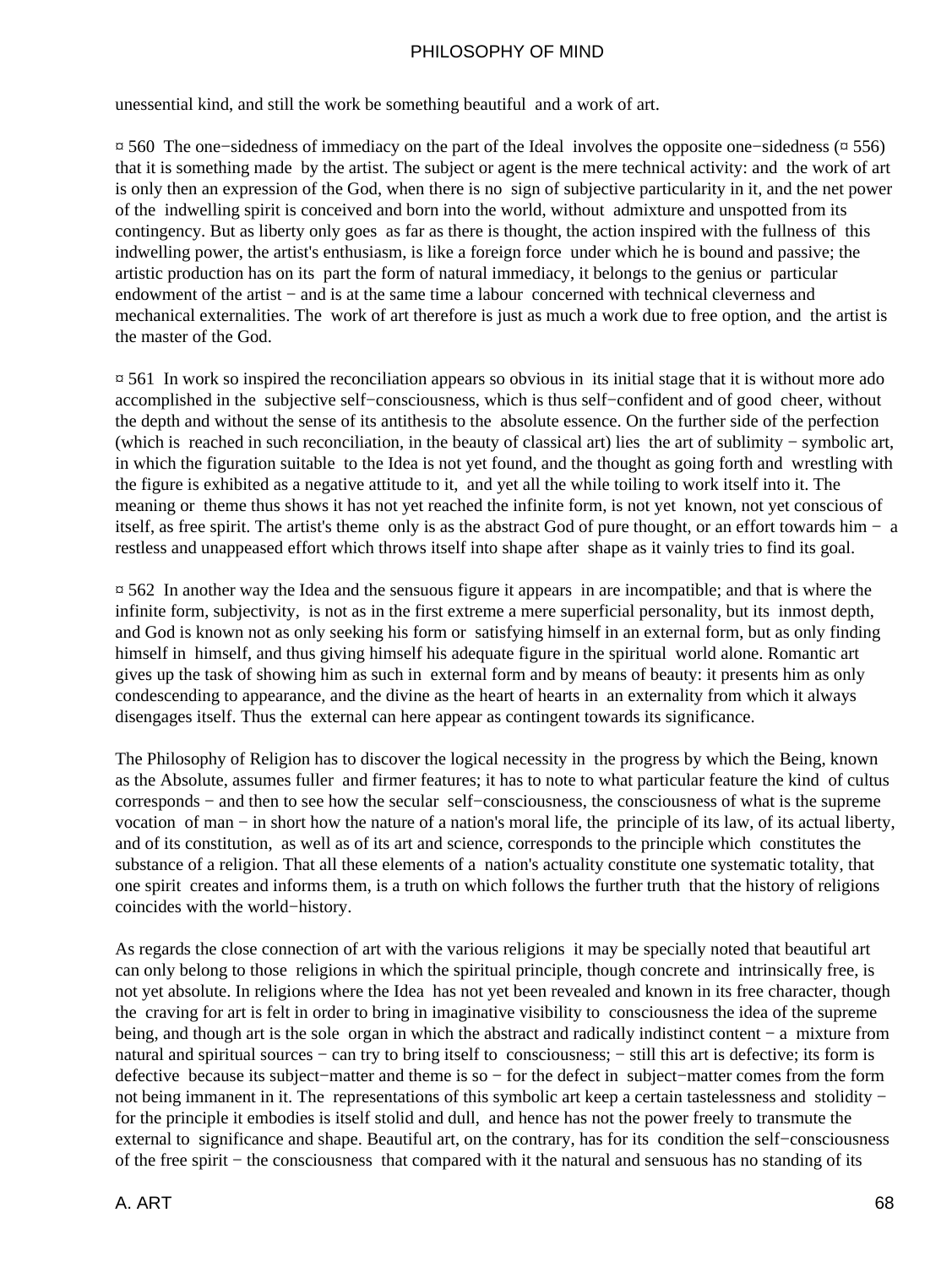unessential kind, and still the work be something beautiful and a work of art.

¤ 560 The one−sidedness of immediacy on the part of the Ideal involves the opposite one−sidedness (¤ 556) that it is something made by the artist. The subject or agent is the mere technical activity: and the work of art is only then an expression of the God, when there is no sign of subjective particularity in it, and the net power of the indwelling spirit is conceived and born into the world, without admixture and unspotted from its contingency. But as liberty only goes as far as there is thought, the action inspired with the fullness of this indwelling power, the artist's enthusiasm, is like a foreign force under which he is bound and passive; the artistic production has on its part the form of natural immediacy, it belongs to the genius or particular endowment of the artist – and is at the same time a labour concerned with technical cleverness and mechanical externalities. The work of art therefore is just as much a work due to free option, and the artist is the master of the God.

¤ 561 In work so inspired the reconciliation appears so obvious in its initial stage that it is without more ado accomplished in the subjective self−consciousness, which is thus self−confident and of good cheer, without the depth and without the sense of its antithesis to the absolute essence. On the further side of the perfection (which is reached in such reconciliation, in the beauty of classical art) lies the art of sublimity − symbolic art, in which the figuration suitable to the Idea is not yet found, and the thought as going forth and wrestling with the figure is exhibited as a negative attitude to it, and yet all the while toiling to work itself into it. The meaning or theme thus shows it has not yet reached the infinite form, is not yet known, not yet conscious of itself, as free spirit. The artist's theme only is as the abstract God of pure thought, or an effort towards him − a restless and unappeased effort which throws itself into shape after shape as it vainly tries to find its goal.

¤ 562 In another way the Idea and the sensuous figure it appears in are incompatible; and that is where the infinite form, subjectivity, is not as in the first extreme a mere superficial personality, but its inmost depth, and God is known not as only seeking his form or satisfying himself in an external form, but as only finding himself in himself, and thus giving himself his adequate figure in the spiritual world alone. Romantic art gives up the task of showing him as such in external form and by means of beauty: it presents him as only condescending to appearance, and the divine as the heart of hearts in an externality from which it always disengages itself. Thus the external can here appear as contingent towards its significance.

The Philosophy of Religion has to discover the logical necessity in the progress by which the Being, known as the Absolute, assumes fuller and firmer features; it has to note to what particular feature the kind of cultus corresponds − and then to see how the secular self−consciousness, the consciousness of what is the supreme vocation of man − in short how the nature of a nation's moral life, the principle of its law, of its actual liberty, and of its constitution, as well as of its art and science, corresponds to the principle which constitutes the substance of a religion. That all these elements of a nation's actuality constitute one systematic totality, that one spirit creates and informs them, is a truth on which follows the further truth that the history of religions coincides with the world−history.

As regards the close connection of art with the various religions it may be specially noted that beautiful art can only belong to those religions in which the spiritual principle, though concrete and intrinsically free, is not yet absolute. In religions where the Idea has not yet been revealed and known in its free character, though the craving for art is felt in order to bring in imaginative visibility to consciousness the idea of the supreme being, and though art is the sole organ in which the abstract and radically indistinct content − a mixture from natural and spiritual sources – can try to bring itself to consciousness; – still this art is defective; its form is defective because its subject−matter and theme is so − for the defect in subject−matter comes from the form not being immanent in it. The representations of this symbolic art keep a certain tastelessness and stolidity − for the principle it embodies is itself stolid and dull, and hence has not the power freely to transmute the external to significance and shape. Beautiful art, on the contrary, has for its condition the self−consciousness of the free spirit − the consciousness that compared with it the natural and sensuous has no standing of its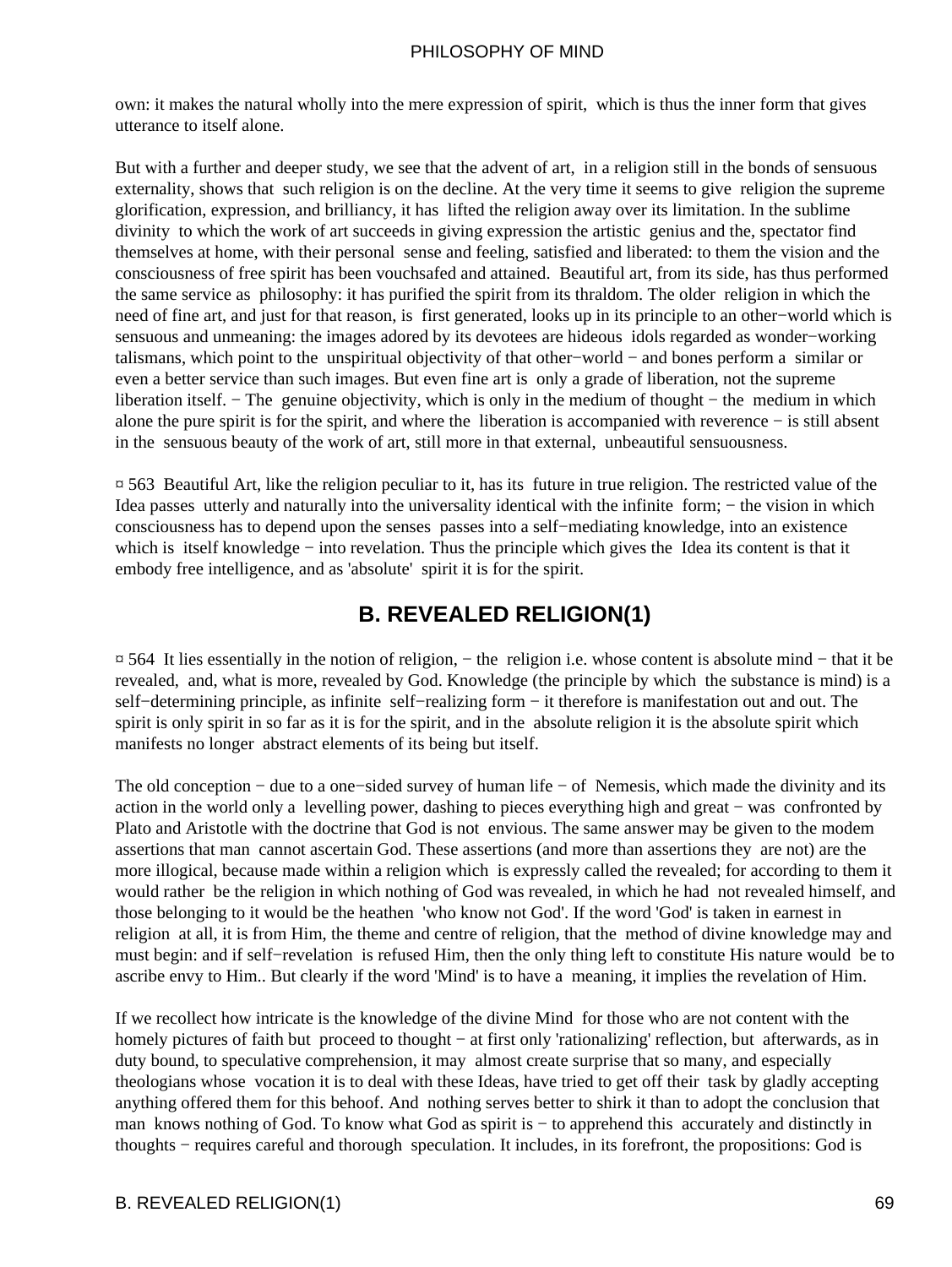own: it makes the natural wholly into the mere expression of spirit, which is thus the inner form that gives utterance to itself alone.

But with a further and deeper study, we see that the advent of art, in a religion still in the bonds of sensuous externality, shows that such religion is on the decline. At the very time it seems to give religion the supreme glorification, expression, and brilliancy, it has lifted the religion away over its limitation. In the sublime divinity to which the work of art succeeds in giving expression the artistic genius and the, spectator find themselves at home, with their personal sense and feeling, satisfied and liberated: to them the vision and the consciousness of free spirit has been vouchsafed and attained. Beautiful art, from its side, has thus performed the same service as philosophy: it has purified the spirit from its thraldom. The older religion in which the need of fine art, and just for that reason, is first generated, looks up in its principle to an other−world which is sensuous and unmeaning: the images adored by its devotees are hideous idols regarded as wonder−working talismans, which point to the unspiritual objectivity of that other−world − and bones perform a similar or even a better service than such images. But even fine art is only a grade of liberation, not the supreme liberation itself. − The genuine objectivity, which is only in the medium of thought − the medium in which alone the pure spirit is for the spirit, and where the liberation is accompanied with reverence − is still absent in the sensuous beauty of the work of art, still more in that external, unbeautiful sensuousness.

¤ 563 Beautiful Art, like the religion peculiar to it, has its future in true religion. The restricted value of the Idea passes utterly and naturally into the universality identical with the infinite form; − the vision in which consciousness has to depend upon the senses passes into a self−mediating knowledge, into an existence which is itself knowledge − into revelation. Thus the principle which gives the Idea its content is that it embody free intelligence, and as 'absolute' spirit it is for the spirit.

## **B. REVEALED RELIGION(1)**

¤ 564 It lies essentially in the notion of religion, − the religion i.e. whose content is absolute mind − that it be revealed, and, what is more, revealed by God. Knowledge (the principle by which the substance is mind) is a self–determining principle, as infinite self–realizing form – it therefore is manifestation out and out. The spirit is only spirit in so far as it is for the spirit, and in the absolute religion it is the absolute spirit which manifests no longer abstract elements of its being but itself.

The old conception − due to a one−sided survey of human life − of Nemesis, which made the divinity and its action in the world only a levelling power, dashing to pieces everything high and great − was confronted by Plato and Aristotle with the doctrine that God is not envious. The same answer may be given to the modem assertions that man cannot ascertain God. These assertions (and more than assertions they are not) are the more illogical, because made within a religion which is expressly called the revealed; for according to them it would rather be the religion in which nothing of God was revealed, in which he had not revealed himself, and those belonging to it would be the heathen 'who know not God'. If the word 'God' is taken in earnest in religion at all, it is from Him, the theme and centre of religion, that the method of divine knowledge may and must begin: and if self−revelation is refused Him, then the only thing left to constitute His nature would be to ascribe envy to Him.. But clearly if the word 'Mind' is to have a meaning, it implies the revelation of Him.

If we recollect how intricate is the knowledge of the divine Mind for those who are not content with the homely pictures of faith but proceed to thought − at first only 'rationalizing' reflection, but afterwards, as in duty bound, to speculative comprehension, it may almost create surprise that so many, and especially theologians whose vocation it is to deal with these Ideas, have tried to get off their task by gladly accepting anything offered them for this behoof. And nothing serves better to shirk it than to adopt the conclusion that man knows nothing of God. To know what God as spirit is − to apprehend this accurately and distinctly in thoughts − requires careful and thorough speculation. It includes, in its forefront, the propositions: God is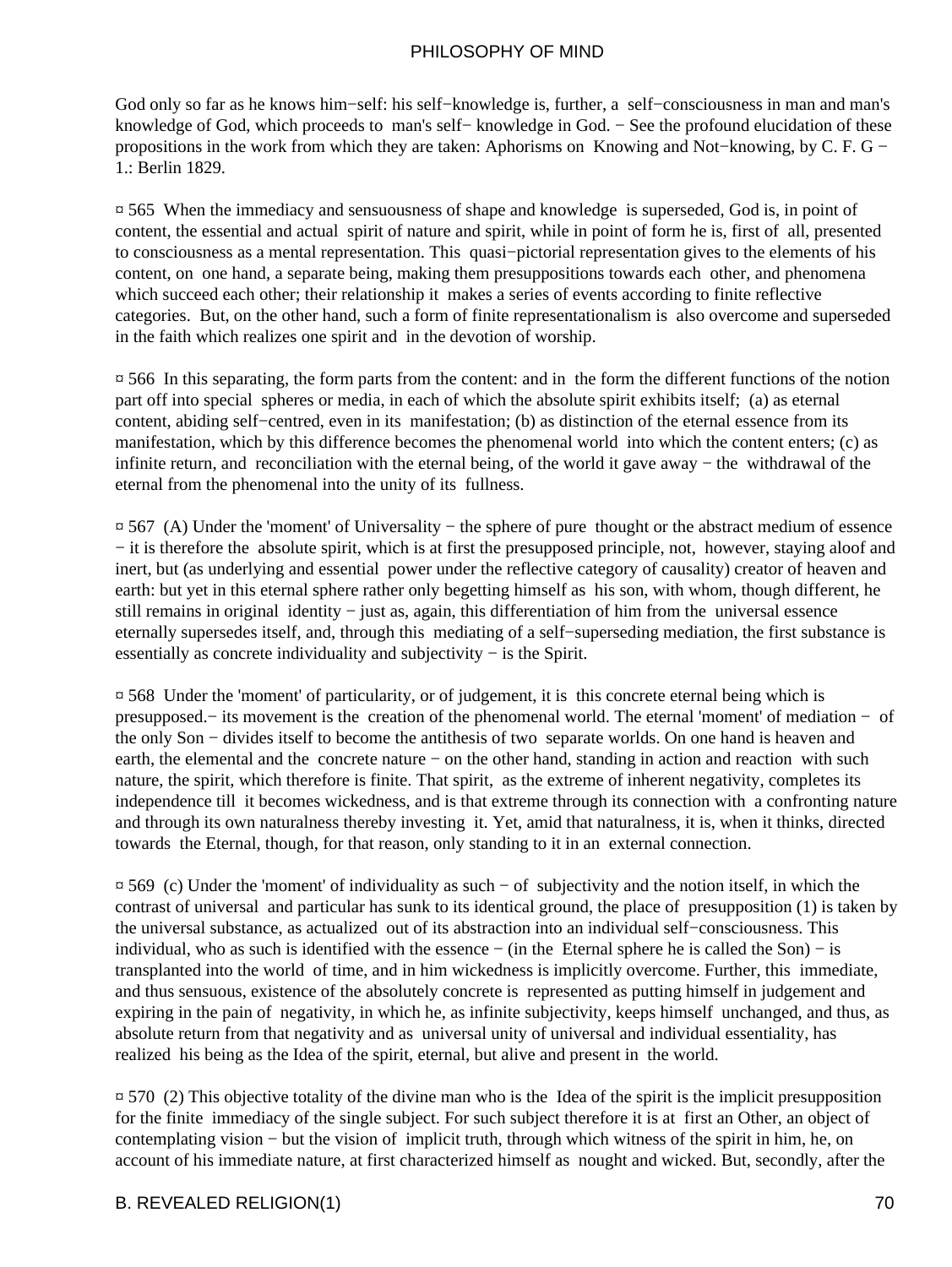God only so far as he knows him−self: his self−knowledge is, further, a self−consciousness in man and man's knowledge of God, which proceeds to man's self− knowledge in God. − See the profound elucidation of these propositions in the work from which they are taken: Aphorisms on Knowing and Not−knowing, by C. F. G − 1.: Berlin 1829.

¤ 565 When the immediacy and sensuousness of shape and knowledge is superseded, God is, in point of content, the essential and actual spirit of nature and spirit, while in point of form he is, first of all, presented to consciousness as a mental representation. This quasi−pictorial representation gives to the elements of his content, on one hand, a separate being, making them presuppositions towards each other, and phenomena which succeed each other; their relationship it makes a series of events according to finite reflective categories. But, on the other hand, such a form of finite representationalism is also overcome and superseded in the faith which realizes one spirit and in the devotion of worship.

¤ 566 In this separating, the form parts from the content: and in the form the different functions of the notion part off into special spheres or media, in each of which the absolute spirit exhibits itself; (a) as eternal content, abiding self−centred, even in its manifestation; (b) as distinction of the eternal essence from its manifestation, which by this difference becomes the phenomenal world into which the content enters; (c) as infinite return, and reconciliation with the eternal being, of the world it gave away − the withdrawal of the eternal from the phenomenal into the unity of its fullness.

¤ 567 (A) Under the 'moment' of Universality − the sphere of pure thought or the abstract medium of essence − it is therefore the absolute spirit, which is at first the presupposed principle, not, however, staying aloof and inert, but (as underlying and essential power under the reflective category of causality) creator of heaven and earth: but yet in this eternal sphere rather only begetting himself as his son, with whom, though different, he still remains in original identity − just as, again, this differentiation of him from the universal essence eternally supersedes itself, and, through this mediating of a self−superseding mediation, the first substance is essentially as concrete individuality and subjectivity − is the Spirit.

¤ 568 Under the 'moment' of particularity, or of judgement, it is this concrete eternal being which is presupposed.− its movement is the creation of the phenomenal world. The eternal 'moment' of mediation − of the only Son − divides itself to become the antithesis of two separate worlds. On one hand is heaven and earth, the elemental and the concrete nature – on the other hand, standing in action and reaction with such nature, the spirit, which therefore is finite. That spirit, as the extreme of inherent negativity, completes its independence till it becomes wickedness, and is that extreme through its connection with a confronting nature and through its own naturalness thereby investing it. Yet, amid that naturalness, it is, when it thinks, directed towards the Eternal, though, for that reason, only standing to it in an external connection.

¤ 569 (c) Under the 'moment' of individuality as such − of subjectivity and the notion itself, in which the contrast of universal and particular has sunk to its identical ground, the place of presupposition (1) is taken by the universal substance, as actualized out of its abstraction into an individual self−consciousness. This individual, who as such is identified with the essence − (in the Eternal sphere he is called the Son) − is transplanted into the world of time, and in him wickedness is implicitly overcome. Further, this immediate, and thus sensuous, existence of the absolutely concrete is represented as putting himself in judgement and expiring in the pain of negativity, in which he, as infinite subjectivity, keeps himself unchanged, and thus, as absolute return from that negativity and as universal unity of universal and individual essentiality, has realized his being as the Idea of the spirit, eternal, but alive and present in the world.

 $\overline{p}$  570 (2) This objective totality of the divine man who is the Idea of the spirit is the implicit presupposition for the finite immediacy of the single subject. For such subject therefore it is at first an Other, an object of contemplating vision − but the vision of implicit truth, through which witness of the spirit in him, he, on account of his immediate nature, at first characterized himself as nought and wicked. But, secondly, after the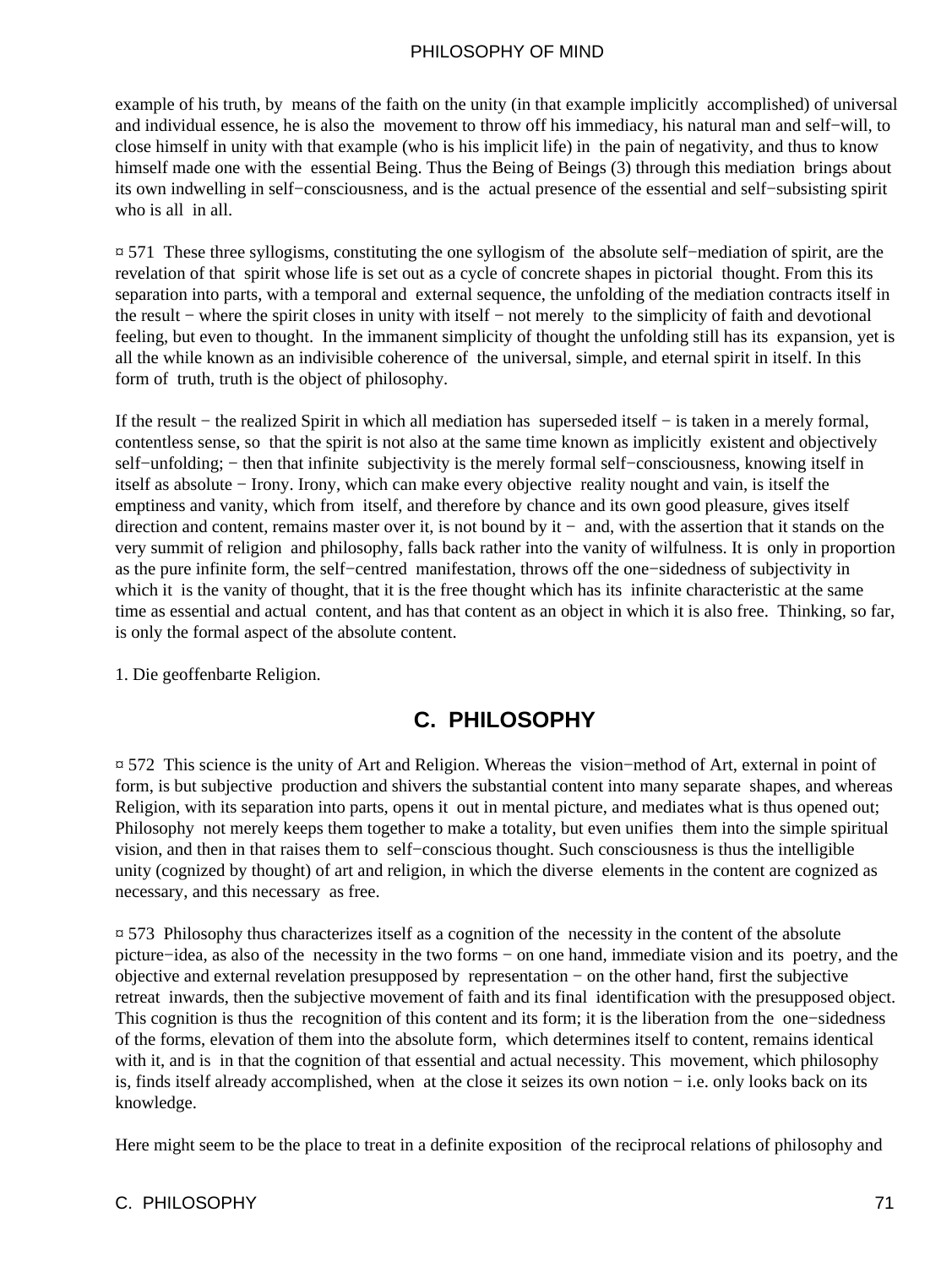example of his truth, by means of the faith on the unity (in that example implicitly accomplished) of universal and individual essence, he is also the movement to throw off his immediacy, his natural man and self−will, to close himself in unity with that example (who is his implicit life) in the pain of negativity, and thus to know himself made one with the essential Being. Thus the Being of Beings (3) through this mediation brings about its own indwelling in self−consciousness, and is the actual presence of the essential and self−subsisting spirit who is all in all.

¤ 571 These three syllogisms, constituting the one syllogism of the absolute self−mediation of spirit, are the revelation of that spirit whose life is set out as a cycle of concrete shapes in pictorial thought. From this its separation into parts, with a temporal and external sequence, the unfolding of the mediation contracts itself in the result − where the spirit closes in unity with itself − not merely to the simplicity of faith and devotional feeling, but even to thought. In the immanent simplicity of thought the unfolding still has its expansion, yet is all the while known as an indivisible coherence of the universal, simple, and eternal spirit in itself. In this form of truth, truth is the object of philosophy.

If the result − the realized Spirit in which all mediation has superseded itself − is taken in a merely formal, contentless sense, so that the spirit is not also at the same time known as implicitly existent and objectively self–unfolding; – then that infinite subjectivity is the merely formal self–consciousness, knowing itself in itself as absolute − Irony. Irony, which can make every objective reality nought and vain, is itself the emptiness and vanity, which from itself, and therefore by chance and its own good pleasure, gives itself direction and content, remains master over it, is not bound by it − and, with the assertion that it stands on the very summit of religion and philosophy, falls back rather into the vanity of wilfulness. It is only in proportion as the pure infinite form, the self−centred manifestation, throws off the one−sidedness of subjectivity in which it is the vanity of thought, that it is the free thought which has its infinite characteristic at the same time as essential and actual content, and has that content as an object in which it is also free. Thinking, so far, is only the formal aspect of the absolute content.

1. Die geoffenbarte Religion.

# **C. PHILOSOPHY**

¤ 572 This science is the unity of Art and Religion. Whereas the vision−method of Art, external in point of form, is but subjective production and shivers the substantial content into many separate shapes, and whereas Religion, with its separation into parts, opens it out in mental picture, and mediates what is thus opened out; Philosophy not merely keeps them together to make a totality, but even unifies them into the simple spiritual vision, and then in that raises them to self−conscious thought. Such consciousness is thus the intelligible unity (cognized by thought) of art and religion, in which the diverse elements in the content are cognized as necessary, and this necessary as free.

¤ 573 Philosophy thus characterizes itself as a cognition of the necessity in the content of the absolute picture−idea, as also of the necessity in the two forms − on one hand, immediate vision and its poetry, and the objective and external revelation presupposed by representation − on the other hand, first the subjective retreat inwards, then the subjective movement of faith and its final identification with the presupposed object. This cognition is thus the recognition of this content and its form; it is the liberation from the one−sidedness of the forms, elevation of them into the absolute form, which determines itself to content, remains identical with it, and is in that the cognition of that essential and actual necessity. This movement, which philosophy is, finds itself already accomplished, when at the close it seizes its own notion − i.e. only looks back on its knowledge.

Here might seem to be the place to treat in a definite exposition of the reciprocal relations of philosophy and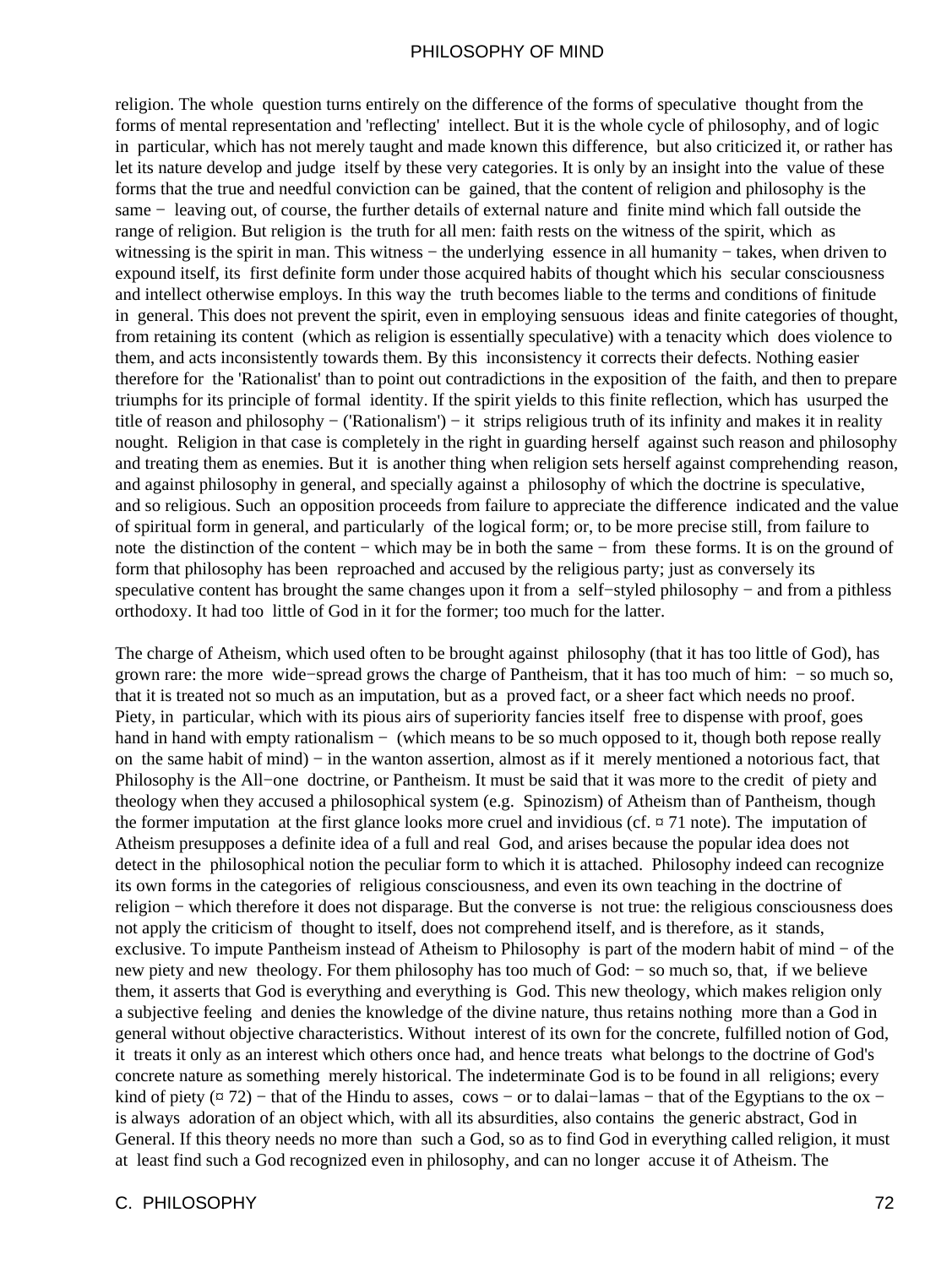religion. The whole question turns entirely on the difference of the forms of speculative thought from the forms of mental representation and 'reflecting' intellect. But it is the whole cycle of philosophy, and of logic in particular, which has not merely taught and made known this difference, but also criticized it, or rather has let its nature develop and judge itself by these very categories. It is only by an insight into the value of these forms that the true and needful conviction can be gained, that the content of religion and philosophy is the same − leaving out, of course, the further details of external nature and finite mind which fall outside the range of religion. But religion is the truth for all men: faith rests on the witness of the spirit, which as witnessing is the spirit in man. This witness – the underlying essence in all humanity – takes, when driven to expound itself, its first definite form under those acquired habits of thought which his secular consciousness and intellect otherwise employs. In this way the truth becomes liable to the terms and conditions of finitude in general. This does not prevent the spirit, even in employing sensuous ideas and finite categories of thought, from retaining its content (which as religion is essentially speculative) with a tenacity which does violence to them, and acts inconsistently towards them. By this inconsistency it corrects their defects. Nothing easier therefore for the 'Rationalist' than to point out contradictions in the exposition of the faith, and then to prepare triumphs for its principle of formal identity. If the spirit yields to this finite reflection, which has usurped the title of reason and philosophy − ('Rationalism') − it strips religious truth of its infinity and makes it in reality nought. Religion in that case is completely in the right in guarding herself against such reason and philosophy and treating them as enemies. But it is another thing when religion sets herself against comprehending reason, and against philosophy in general, and specially against a philosophy of which the doctrine is speculative, and so religious. Such an opposition proceeds from failure to appreciate the difference indicated and the value of spiritual form in general, and particularly of the logical form; or, to be more precise still, from failure to note the distinction of the content – which may be in both the same – from these forms. It is on the ground of form that philosophy has been reproached and accused by the religious party; just as conversely its speculative content has brought the same changes upon it from a self–styled philosophy – and from a pithless orthodoxy. It had too little of God in it for the former; too much for the latter.

The charge of Atheism, which used often to be brought against philosophy (that it has too little of God), has grown rare: the more wide−spread grows the charge of Pantheism, that it has too much of him: − so much so, that it is treated not so much as an imputation, but as a proved fact, or a sheer fact which needs no proof. Piety, in particular, which with its pious airs of superiority fancies itself free to dispense with proof, goes hand in hand with empty rationalism − (which means to be so much opposed to it, though both repose really on the same habit of mind) − in the wanton assertion, almost as if it merely mentioned a notorious fact, that Philosophy is the All−one doctrine, or Pantheism. It must be said that it was more to the credit of piety and theology when they accused a philosophical system (e.g. Spinozism) of Atheism than of Pantheism, though the former imputation at the first glance looks more cruel and invidious (cf.  $\alpha$  71 note). The imputation of Atheism presupposes a definite idea of a full and real God, and arises because the popular idea does not detect in the philosophical notion the peculiar form to which it is attached. Philosophy indeed can recognize its own forms in the categories of religious consciousness, and even its own teaching in the doctrine of religion − which therefore it does not disparage. But the converse is not true: the religious consciousness does not apply the criticism of thought to itself, does not comprehend itself, and is therefore, as it stands, exclusive. To impute Pantheism instead of Atheism to Philosophy is part of the modern habit of mind − of the new piety and new theology. For them philosophy has too much of God: – so much so, that, if we believe them, it asserts that God is everything and everything is God. This new theology, which makes religion only a subjective feeling and denies the knowledge of the divine nature, thus retains nothing more than a God in general without objective characteristics. Without interest of its own for the concrete, fulfilled notion of God, it treats it only as an interest which others once had, and hence treats what belongs to the doctrine of God's concrete nature as something merely historical. The indeterminate God is to be found in all religions; every kind of piety ( $\alpha$  72) − that of the Hindu to asses, cows – or to dalai–lamas – that of the Egyptians to the ox – is always adoration of an object which, with all its absurdities, also contains the generic abstract, God in General. If this theory needs no more than such a God, so as to find God in everything called religion, it must at least find such a God recognized even in philosophy, and can no longer accuse it of Atheism. The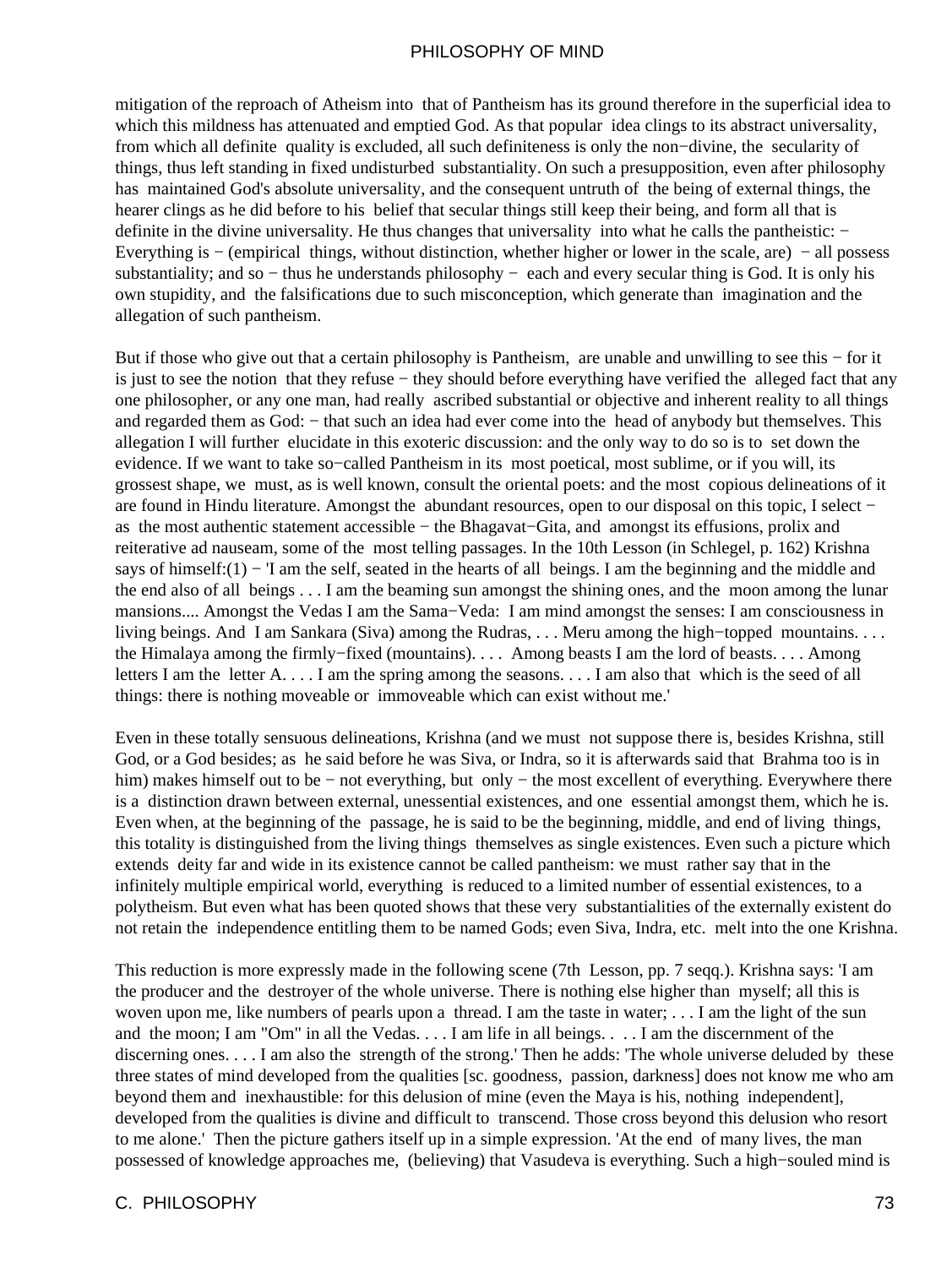mitigation of the reproach of Atheism into that of Pantheism has its ground therefore in the superficial idea to which this mildness has attenuated and emptied God. As that popular idea clings to its abstract universality, from which all definite quality is excluded, all such definiteness is only the non−divine, the secularity of things, thus left standing in fixed undisturbed substantiality. On such a presupposition, even after philosophy has maintained God's absolute universality, and the consequent untruth of the being of external things, the hearer clings as he did before to his belief that secular things still keep their being, and form all that is definite in the divine universality. He thus changes that universality into what he calls the pantheistic: − Everything is − (empirical things, without distinction, whether higher or lower in the scale, are) − all possess substantiality; and so – thus he understands philosophy – each and every secular thing is God. It is only his own stupidity, and the falsifications due to such misconception, which generate than imagination and the allegation of such pantheism.

But if those who give out that a certain philosophy is Pantheism, are unable and unwilling to see this − for it is just to see the notion that they refuse − they should before everything have verified the alleged fact that any one philosopher, or any one man, had really ascribed substantial or objective and inherent reality to all things and regarded them as God: − that such an idea had ever come into the head of anybody but themselves. This allegation I will further elucidate in this exoteric discussion: and the only way to do so is to set down the evidence. If we want to take so−called Pantheism in its most poetical, most sublime, or if you will, its grossest shape, we must, as is well known, consult the oriental poets: and the most copious delineations of it are found in Hindu literature. Amongst the abundant resources, open to our disposal on this topic, I select − as the most authentic statement accessible − the Bhagavat−Gita, and amongst its effusions, prolix and reiterative ad nauseam, some of the most telling passages. In the 10th Lesson (in Schlegel, p. 162) Krishna says of himself:(1) − 'I am the self, seated in the hearts of all beings. I am the beginning and the middle and the end also of all beings . . . I am the beaming sun amongst the shining ones, and the moon among the lunar mansions.... Amongst the Vedas I am the Sama−Veda: I am mind amongst the senses: I am consciousness in living beings. And I am Sankara (Siva) among the Rudras, . . . Meru among the high−topped mountains. . . . the Himalaya among the firmly−fixed (mountains). . . . Among beasts I am the lord of beasts. . . . Among letters I am the letter A. . . . I am the spring among the seasons. . . . I am also that which is the seed of all things: there is nothing moveable or immoveable which can exist without me.'

Even in these totally sensuous delineations, Krishna (and we must not suppose there is, besides Krishna, still God, or a God besides; as he said before he was Siva, or Indra, so it is afterwards said that Brahma too is in him) makes himself out to be − not everything, but only − the most excellent of everything. Everywhere there is a distinction drawn between external, unessential existences, and one essential amongst them, which he is. Even when, at the beginning of the passage, he is said to be the beginning, middle, and end of living things, this totality is distinguished from the living things themselves as single existences. Even such a picture which extends deity far and wide in its existence cannot be called pantheism: we must rather say that in the infinitely multiple empirical world, everything is reduced to a limited number of essential existences, to a polytheism. But even what has been quoted shows that these very substantialities of the externally existent do not retain the independence entitling them to be named Gods; even Siva, Indra, etc. melt into the one Krishna.

This reduction is more expressly made in the following scene (7th Lesson, pp. 7 seqq.). Krishna says: 'I am the producer and the destroyer of the whole universe. There is nothing else higher than myself; all this is woven upon me, like numbers of pearls upon a thread. I am the taste in water; . . . I am the light of the sun and the moon; I am "Om" in all the Vedas. . . . I am life in all beings. . . . I am the discernment of the discerning ones. . . . I am also the strength of the strong.' Then he adds: 'The whole universe deluded by these three states of mind developed from the qualities [sc. goodness, passion, darkness] does not know me who am beyond them and inexhaustible: for this delusion of mine (even the Maya is his, nothing independent], developed from the qualities is divine and difficult to transcend. Those cross beyond this delusion who resort to me alone.' Then the picture gathers itself up in a simple expression. 'At the end of many lives, the man possessed of knowledge approaches me, (believing) that Vasudeva is everything. Such a high−souled mind is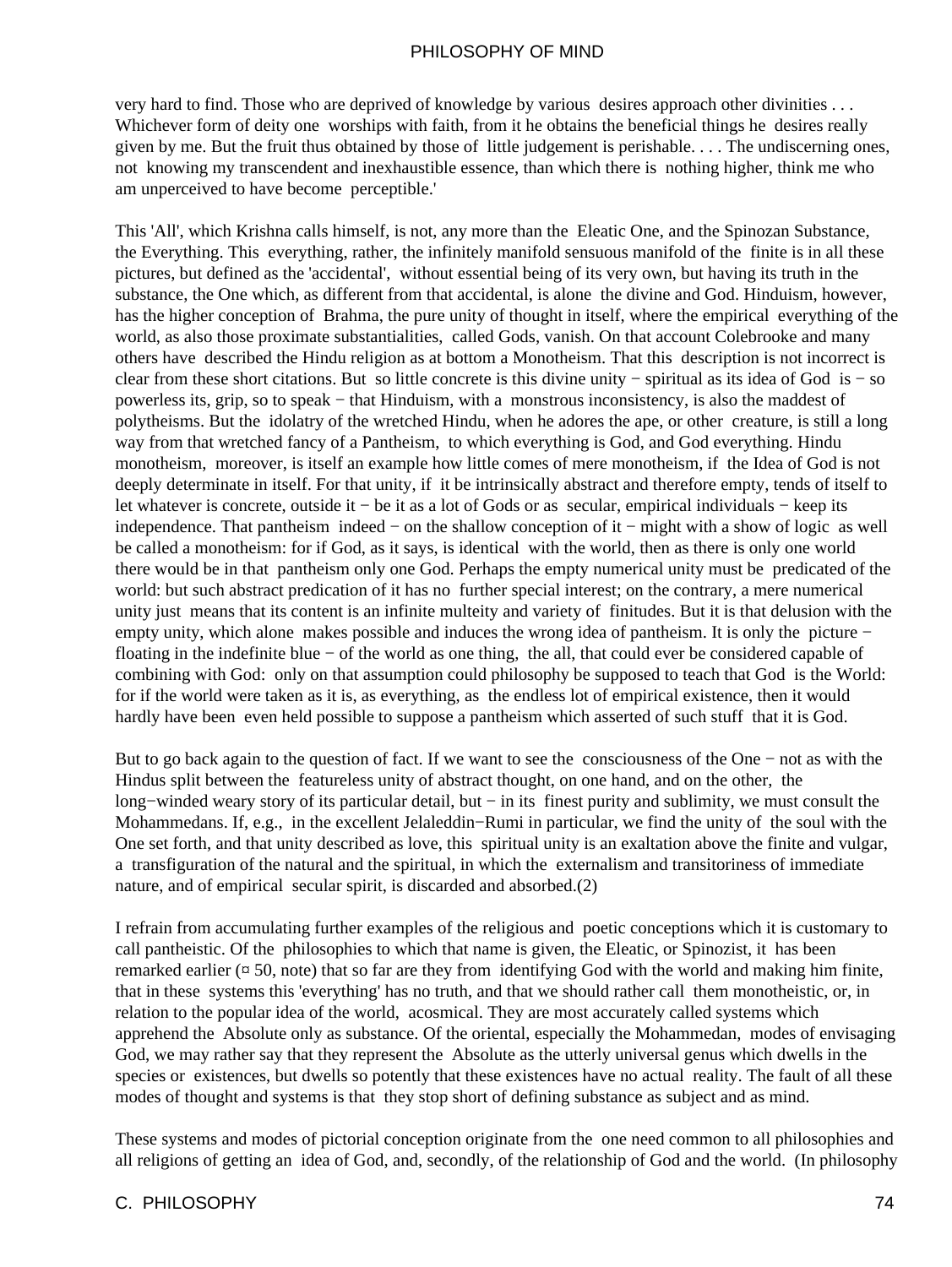very hard to find. Those who are deprived of knowledge by various desires approach other divinities . . . Whichever form of deity one worships with faith, from it he obtains the beneficial things he desires really given by me. But the fruit thus obtained by those of little judgement is perishable. . . . The undiscerning ones, not knowing my transcendent and inexhaustible essence, than which there is nothing higher, think me who am unperceived to have become perceptible.'

This 'All', which Krishna calls himself, is not, any more than the Eleatic One, and the Spinozan Substance, the Everything. This everything, rather, the infinitely manifold sensuous manifold of the finite is in all these pictures, but defined as the 'accidental', without essential being of its very own, but having its truth in the substance, the One which, as different from that accidental, is alone the divine and God. Hinduism, however, has the higher conception of Brahma, the pure unity of thought in itself, where the empirical everything of the world, as also those proximate substantialities, called Gods, vanish. On that account Colebrooke and many others have described the Hindu religion as at bottom a Monotheism. That this description is not incorrect is clear from these short citations. But so little concrete is this divine unity − spiritual as its idea of God is − so powerless its, grip, so to speak − that Hinduism, with a monstrous inconsistency, is also the maddest of polytheisms. But the idolatry of the wretched Hindu, when he adores the ape, or other creature, is still a long way from that wretched fancy of a Pantheism, to which everything is God, and God everything. Hindu monotheism, moreover, is itself an example how little comes of mere monotheism, if the Idea of God is not deeply determinate in itself. For that unity, if it be intrinsically abstract and therefore empty, tends of itself to let whatever is concrete, outside it − be it as a lot of Gods or as secular, empirical individuals − keep its independence. That pantheism indeed − on the shallow conception of it − might with a show of logic as well be called a monotheism: for if God, as it says, is identical with the world, then as there is only one world there would be in that pantheism only one God. Perhaps the empty numerical unity must be predicated of the world: but such abstract predication of it has no further special interest; on the contrary, a mere numerical unity just means that its content is an infinite multeity and variety of finitudes. But it is that delusion with the empty unity, which alone makes possible and induces the wrong idea of pantheism. It is only the picture − floating in the indefinite blue − of the world as one thing, the all, that could ever be considered capable of combining with God: only on that assumption could philosophy be supposed to teach that God is the World: for if the world were taken as it is, as everything, as the endless lot of empirical existence, then it would hardly have been even held possible to suppose a pantheism which asserted of such stuff that it is God.

But to go back again to the question of fact. If we want to see the consciousness of the One − not as with the Hindus split between the featureless unity of abstract thought, on one hand, and on the other, the long−winded weary story of its particular detail, but − in its finest purity and sublimity, we must consult the Mohammedans. If, e.g., in the excellent Jelaleddin−Rumi in particular, we find the unity of the soul with the One set forth, and that unity described as love, this spiritual unity is an exaltation above the finite and vulgar, a transfiguration of the natural and the spiritual, in which the externalism and transitoriness of immediate nature, and of empirical secular spirit, is discarded and absorbed.(2)

I refrain from accumulating further examples of the religious and poetic conceptions which it is customary to call pantheistic. Of the philosophies to which that name is given, the Eleatic, or Spinozist, it has been remarked earlier ( $\alpha$  50, note) that so far are they from identifying God with the world and making him finite, that in these systems this 'everything' has no truth, and that we should rather call them monotheistic, or, in relation to the popular idea of the world, acosmical. They are most accurately called systems which apprehend the Absolute only as substance. Of the oriental, especially the Mohammedan, modes of envisaging God, we may rather say that they represent the Absolute as the utterly universal genus which dwells in the species or existences, but dwells so potently that these existences have no actual reality. The fault of all these modes of thought and systems is that they stop short of defining substance as subject and as mind.

These systems and modes of pictorial conception originate from the one need common to all philosophies and all religions of getting an idea of God, and, secondly, of the relationship of God and the world. (In philosophy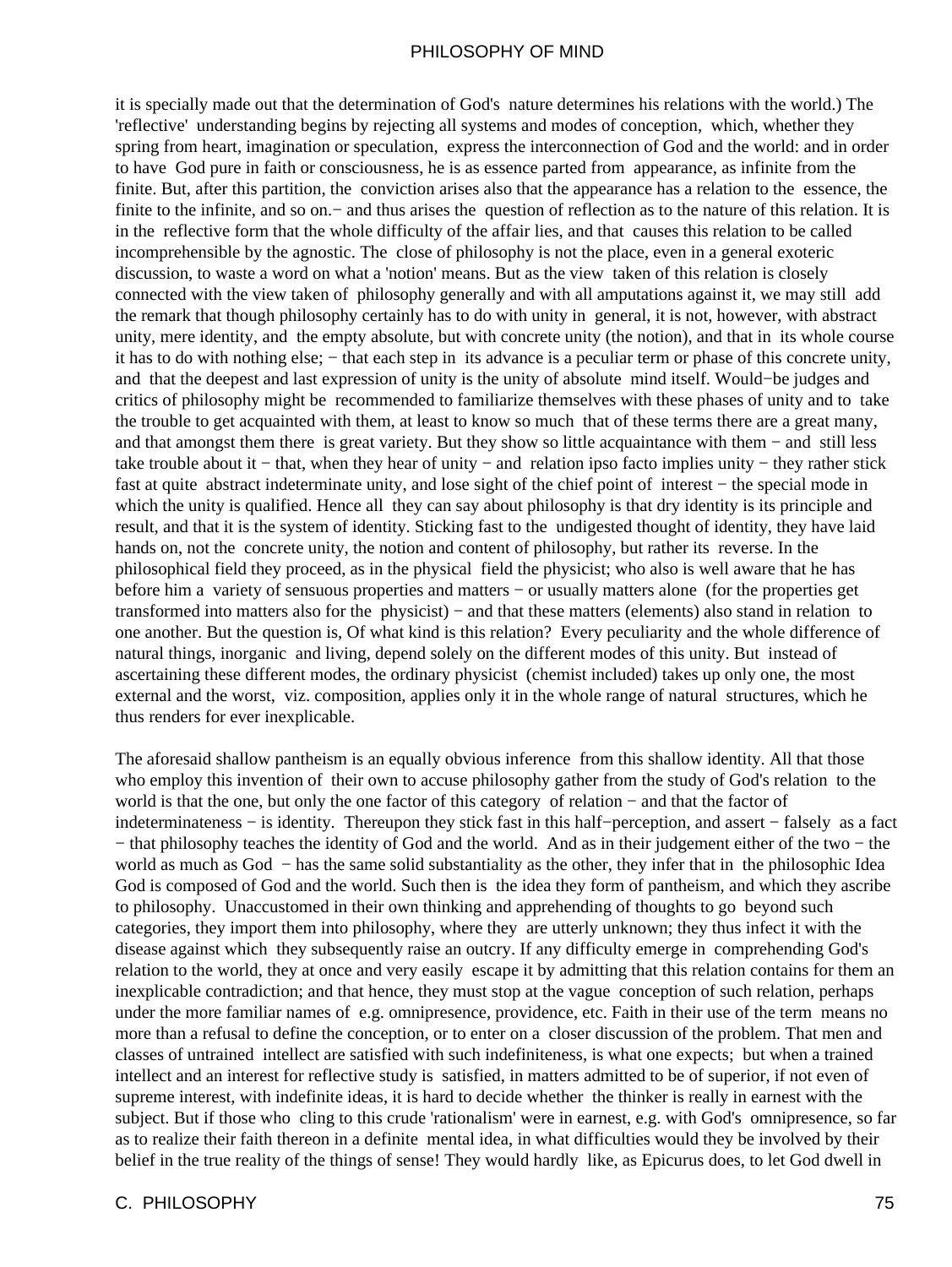it is specially made out that the determination of God's nature determines his relations with the world.) The 'reflective' understanding begins by rejecting all systems and modes of conception, which, whether they spring from heart, imagination or speculation, express the interconnection of God and the world: and in order to have God pure in faith or consciousness, he is as essence parted from appearance, as infinite from the finite. But, after this partition, the conviction arises also that the appearance has a relation to the essence, the finite to the infinite, and so on.− and thus arises the question of reflection as to the nature of this relation. It is in the reflective form that the whole difficulty of the affair lies, and that causes this relation to be called incomprehensible by the agnostic. The close of philosophy is not the place, even in a general exoteric discussion, to waste a word on what a 'notion' means. But as the view taken of this relation is closely connected with the view taken of philosophy generally and with all amputations against it, we may still add the remark that though philosophy certainly has to do with unity in general, it is not, however, with abstract unity, mere identity, and the empty absolute, but with concrete unity (the notion), and that in its whole course it has to do with nothing else; – that each step in its advance is a peculiar term or phase of this concrete unity, and that the deepest and last expression of unity is the unity of absolute mind itself. Would−be judges and critics of philosophy might be recommended to familiarize themselves with these phases of unity and to take the trouble to get acquainted with them, at least to know so much that of these terms there are a great many, and that amongst them there is great variety. But they show so little acquaintance with them − and still less take trouble about it − that, when they hear of unity − and relation ipso facto implies unity − they rather stick fast at quite abstract indeterminate unity, and lose sight of the chief point of interest − the special mode in which the unity is qualified. Hence all they can say about philosophy is that dry identity is its principle and result, and that it is the system of identity. Sticking fast to the undigested thought of identity, they have laid hands on, not the concrete unity, the notion and content of philosophy, but rather its reverse. In the philosophical field they proceed, as in the physical field the physicist; who also is well aware that he has before him a variety of sensuous properties and matters − or usually matters alone (for the properties get transformed into matters also for the physicist) − and that these matters (elements) also stand in relation to one another. But the question is, Of what kind is this relation? Every peculiarity and the whole difference of natural things, inorganic and living, depend solely on the different modes of this unity. But instead of ascertaining these different modes, the ordinary physicist (chemist included) takes up only one, the most external and the worst, viz. composition, applies only it in the whole range of natural structures, which he thus renders for ever inexplicable.

The aforesaid shallow pantheism is an equally obvious inference from this shallow identity. All that those who employ this invention of their own to accuse philosophy gather from the study of God's relation to the world is that the one, but only the one factor of this category of relation − and that the factor of indeterminateness − is identity. Thereupon they stick fast in this half−perception, and assert − falsely as a fact − that philosophy teaches the identity of God and the world. And as in their judgement either of the two − the world as much as God − has the same solid substantiality as the other, they infer that in the philosophic Idea God is composed of God and the world. Such then is the idea they form of pantheism, and which they ascribe to philosophy. Unaccustomed in their own thinking and apprehending of thoughts to go beyond such categories, they import them into philosophy, where they are utterly unknown; they thus infect it with the disease against which they subsequently raise an outcry. If any difficulty emerge in comprehending God's relation to the world, they at once and very easily escape it by admitting that this relation contains for them an inexplicable contradiction; and that hence, they must stop at the vague conception of such relation, perhaps under the more familiar names of e.g. omnipresence, providence, etc. Faith in their use of the term means no more than a refusal to define the conception, or to enter on a closer discussion of the problem. That men and classes of untrained intellect are satisfied with such indefiniteness, is what one expects; but when a trained intellect and an interest for reflective study is satisfied, in matters admitted to be of superior, if not even of supreme interest, with indefinite ideas, it is hard to decide whether the thinker is really in earnest with the subject. But if those who cling to this crude 'rationalism' were in earnest, e.g. with God's omnipresence, so far as to realize their faith thereon in a definite mental idea, in what difficulties would they be involved by their belief in the true reality of the things of sense! They would hardly like, as Epicurus does, to let God dwell in